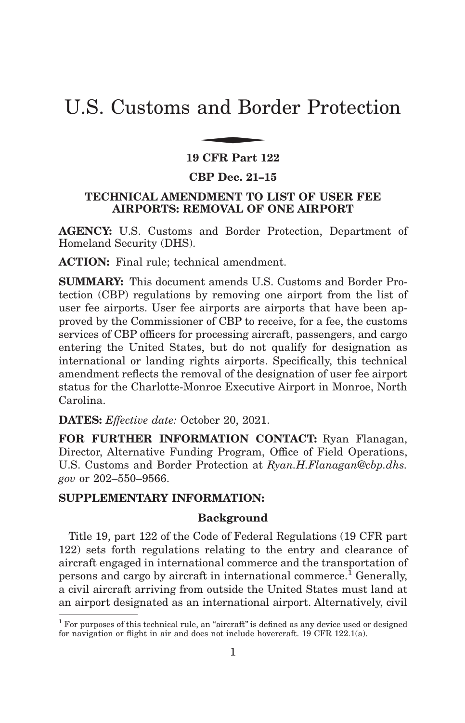# U.S. Customs and Border Protection and Bor

## **19 CFR Part 122**

## **CBP Dec. 21–15**

# **TECHNICAL AMENDMENT TO LIST OF USER FEE AIRPORTS: REMOVAL OF ONE AIRPORT**

**AGENCY:** U.S. Customs and Border Protection, Department of Homeland Security (DHS).

**ACTION:** Final rule; technical amendment.

**SUMMARY:** This document amends U.S. Customs and Border Protection (CBP) regulations by removing one airport from the list of user fee airports. User fee airports are airports that have been approved by the Commissioner of CBP to receive, for a fee, the customs services of CBP officers for processing aircraft, passengers, and cargo entering the United States, but do not qualify for designation as international or landing rights airports. Specifically, this technical amendment reflects the removal of the designation of user fee airport status for the Charlotte-Monroe Executive Airport in Monroe, North Carolina.

**DATES:** *Effective date:* October 20, 2021.

**FOR FURTHER INFORMATION CONTACT:** Ryan Flanagan, Director, Alternative Funding Program, Office of Field Operations, U.S. Customs and Border Protection at *Ryan.H.Flanagan@cbp.dhs. gov* or 202–550–9566.

# **SUPPLEMENTARY INFORMATION:**

## **Background**

Title 19, part 122 of the Code of Federal Regulations (19 CFR part 122) sets forth regulations relating to the entry and clearance of aircraft engaged in international commerce and the transportation of persons and cargo by aircraft in international commerce.<sup>1</sup> Generally, a civil aircraft arriving from outside the United States must land at an airport designated as an international airport. Alternatively, civil

<sup>&</sup>lt;sup>1</sup> For purposes of this technical rule, an "aircraft" is defined as any device used or designed for navigation or flight in air and does not include hovercraft. 19 CFR 122.1(a).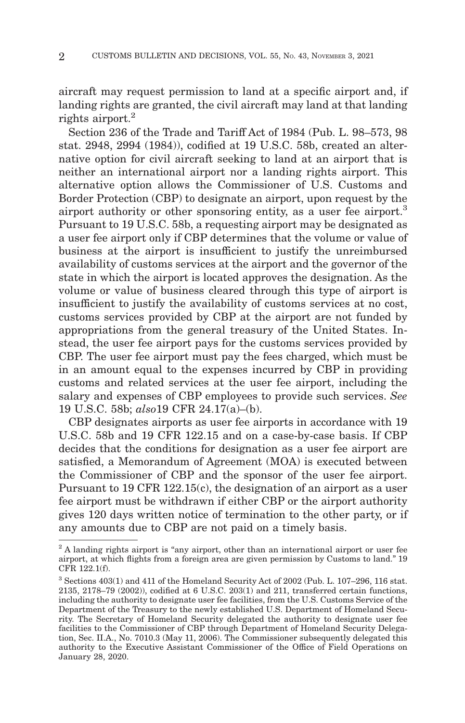aircraft may request permission to land at a specific airport and, if landing rights are granted, the civil aircraft may land at that landing rights airport.<sup>2</sup>

Section 236 of the Trade and Tariff Act of 1984 (Pub. L. 98–573, 98 stat. 2948, 2994 (1984)), codified at 19 U.S.C. 58b, created an alternative option for civil aircraft seeking to land at an airport that is neither an international airport nor a landing rights airport. This alternative option allows the Commissioner of U.S. Customs and Border Protection (CBP) to designate an airport, upon request by the airport authority or other sponsoring entity, as a user fee airport.<sup>3</sup> Pursuant to 19 U.S.C. 58b, a requesting airport may be designated as a user fee airport only if CBP determines that the volume or value of business at the airport is insufficient to justify the unreimbursed availability of customs services at the airport and the governor of the state in which the airport is located approves the designation. As the volume or value of business cleared through this type of airport is insufficient to justify the availability of customs services at no cost, customs services provided by CBP at the airport are not funded by appropriations from the general treasury of the United States. Instead, the user fee airport pays for the customs services provided by CBP. The user fee airport must pay the fees charged, which must be in an amount equal to the expenses incurred by CBP in providing customs and related services at the user fee airport, including the salary and expenses of CBP employees to provide such services. *See* 19 U.S.C. 58b; *also*19 CFR 24.17(a)–(b).

CBP designates airports as user fee airports in accordance with 19 U.S.C. 58b and 19 CFR 122.15 and on a case-by-case basis. If CBP decides that the conditions for designation as a user fee airport are satisfied, a Memorandum of Agreement (MOA) is executed between the Commissioner of CBP and the sponsor of the user fee airport. Pursuant to 19 CFR 122.15(c), the designation of an airport as a user fee airport must be withdrawn if either CBP or the airport authority gives 120 days written notice of termination to the other party, or if any amounts due to CBP are not paid on a timely basis.

<sup>&</sup>lt;sup>2</sup> A landing rights airport is "any airport, other than an international airport or user fee airport, at which flights from a foreign area are given permission by Customs to land.'' 19 CFR 122.1(f).

<sup>3</sup> Sections 403(1) and 411 of the Homeland Security Act of 2002 (Pub. L. 107–296, 116 stat. 2135, 2178–79 (2002)), codified at 6 U.S.C. 203(1) and 211, transferred certain functions, including the authority to designate user fee facilities, from the U.S. Customs Service of the Department of the Treasury to the newly established U.S. Department of Homeland Security. The Secretary of Homeland Security delegated the authority to designate user fee facilities to the Commissioner of CBP through Department of Homeland Security Delegation, Sec. II.A., No. 7010.3 (May 11, 2006). The Commissioner subsequently delegated this authority to the Executive Assistant Commissioner of the Office of Field Operations on January 28, 2020.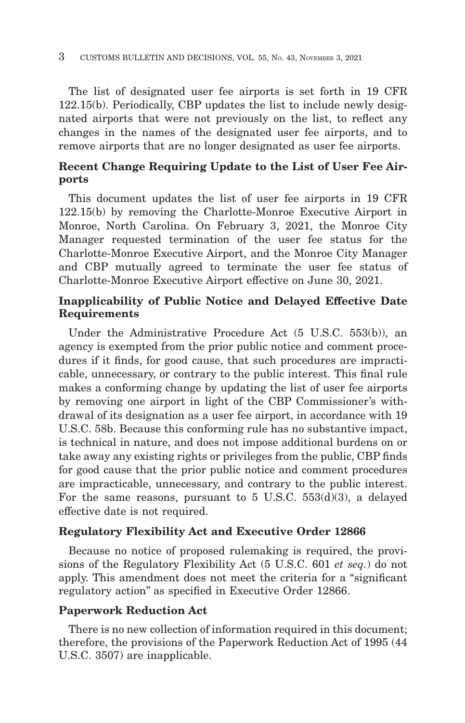The list of designated user fee airports is set forth in 19 CFR 122.15(b). Periodically, CBP updates the list to include newly designated airports that were not previously on the list, to reflect any changes in the names of the designated user fee airports, and to remove airports that are no longer designated as user fee airports.

# **Recent Change Requiring Update to the List of User Fee Airports**

This document updates the list of user fee airports in 19 CFR 122.15(b) by removing the Charlotte-Monroe Executive Airport in Monroe, North Carolina. On February 3, 2021, the Monroe City Manager requested termination of the user fee status for the Charlotte-Monroe Executive Airport, and the Monroe City Manager and CBP mutually agreed to terminate the user fee status of Charlotte-Monroe Executive Airport effective on June 30, 2021.

# **Inapplicability of Public Notice and Delayed Effective Date Requirements**

Under the Administrative Procedure Act (5 U.S.C. 553(b)), an agency is exempted from the prior public notice and comment procedures if it finds, for good cause, that such procedures are impracticable, unnecessary, or contrary to the public interest. This final rule makes a conforming change by updating the list of user fee airports by removing one airport in light of the CBP Commissioner's withdrawal of its designation as a user fee airport, in accordance with 19 U.S.C. 58b. Because this conforming rule has no substantive impact, is technical in nature, and does not impose additional burdens on or take away any existing rights or privileges from the public, CBP finds for good cause that the prior public notice and comment procedures are impracticable, unnecessary, and contrary to the public interest. For the same reasons, pursuant to 5 U.S.C. 553(d)(3), a delayed effective date is not required.

# **Regulatory Flexibility Act and Executive Order 12866**

Because no notice of proposed rulemaking is required, the provisions of the Regulatory Flexibility Act (5 U.S.C. 601 *et seq.*) do not apply. This amendment does not meet the criteria for a ''significant regulatory action'' as specified in Executive Order 12866.

# **Paperwork Reduction Act**

There is no new collection of information required in this document; therefore, the provisions of the Paperwork Reduction Act of 1995 (44 U.S.C. 3507) are inapplicable.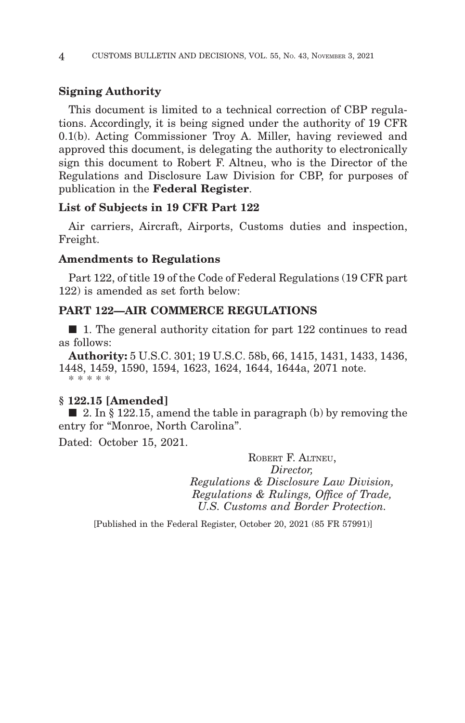## **Signing Authority**

This document is limited to a technical correction of CBP regulations. Accordingly, it is being signed under the authority of 19 CFR 0.1(b). Acting Commissioner Troy A. Miller, having reviewed and approved this document, is delegating the authority to electronically sign this document to Robert F. Altneu, who is the Director of the Regulations and Disclosure Law Division for CBP, for purposes of publication in the **Federal Register**.

#### **List of Subjects in 19 CFR Part 122**

Air carriers, Aircraft, Airports, Customs duties and inspection, Freight.

## **Amendments to Regulations**

Part 122, of title 19 of the Code of Federal Regulations (19 CFR part 122) is amended as set forth below:

## **PART 122—AIR COMMERCE REGULATIONS**

■ 1. The general authority citation for part 122 continues to read as follows:

**Authority:** 5 U.S.C. 301; 19 U.S.C. 58b, 66, 1415, 1431, 1433, 1436, 1448, 1459, 1590, 1594, 1623, 1624, 1644, 1644a, 2071 note. \* \* \* \* \*

#### **§ 122.15 [Amended]**

■ 2. In § 122.15, amend the table in paragraph (b) by removing the entry for ''Monroe, North Carolina''.

Dated: October 15, 2021.

ROBERT F. ALTNEU, *Director, Regulations & Disclosure Law Division, Regulations & Rulings, Office of Trade, U.S. Customs and Border Protection.*

[Published in the Federal Register, October 20, 2021 (85 FR 57991)]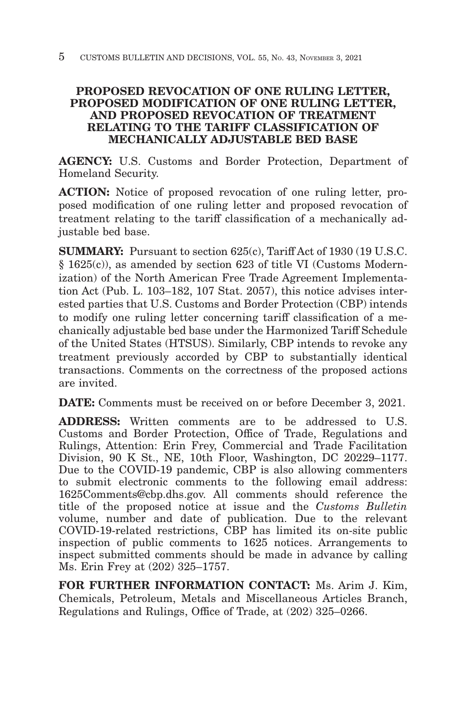# **PROPOSED REVOCATION OF ONE RULING LETTER, PROPOSED MODIFICATION OF ONE RULING LETTER, AND PROPOSED REVOCATION OF TREATMENT RELATING TO THE TARIFF CLASSIFICATION OF MECHANICALLY ADJUSTABLE BED BASE**

**AGENCY:** U.S. Customs and Border Protection, Department of Homeland Security.

**ACTION:** Notice of proposed revocation of one ruling letter, proposed modification of one ruling letter and proposed revocation of treatment relating to the tariff classification of a mechanically adjustable bed base.

**SUMMARY:** Pursuant to section 625(c), Tariff Act of 1930 (19 U.S.C. § 1625(c)), as amended by section 623 of title VI (Customs Modernization) of the North American Free Trade Agreement Implementation Act (Pub. L. 103–182, 107 Stat. 2057), this notice advises interested parties that U.S. Customs and Border Protection (CBP) intends to modify one ruling letter concerning tariff classification of a mechanically adjustable bed base under the Harmonized Tariff Schedule of the United States (HTSUS). Similarly, CBP intends to revoke any treatment previously accorded by CBP to substantially identical transactions. Comments on the correctness of the proposed actions are invited.

**DATE:** Comments must be received on or before December 3, 2021.

**ADDRESS:** Written comments are to be addressed to U.S. Customs and Border Protection, Office of Trade, Regulations and Rulings, Attention: Erin Frey, Commercial and Trade Facilitation Division, 90 K St., NE, 10th Floor, Washington, DC 20229–1177. Due to the COVID-19 pandemic, CBP is also allowing commenters to submit electronic comments to the following email address: 1625Comments@cbp.dhs.gov. All comments should reference the title of the proposed notice at issue and the *Customs Bulletin* volume, number and date of publication. Due to the relevant COVID-19-related restrictions, CBP has limited its on-site public inspection of public comments to 1625 notices. Arrangements to inspect submitted comments should be made in advance by calling Ms. Erin Frey at (202) 325–1757.

**FOR FURTHER INFORMATION CONTACT:** Ms. Arim J. Kim, Chemicals, Petroleum, Metals and Miscellaneous Articles Branch, Regulations and Rulings, Office of Trade, at (202) 325–0266.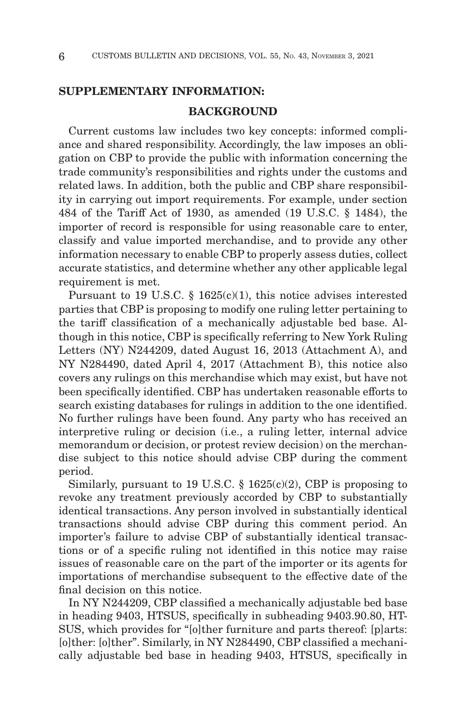## **SUPPLEMENTARY INFORMATION:**

## **BACKGROUND**

Current customs law includes two key concepts: informed compliance and shared responsibility. Accordingly, the law imposes an obligation on CBP to provide the public with information concerning the trade community's responsibilities and rights under the customs and related laws. In addition, both the public and CBP share responsibility in carrying out import requirements. For example, under section 484 of the Tariff Act of 1930, as amended (19 U.S.C. § 1484), the importer of record is responsible for using reasonable care to enter, classify and value imported merchandise, and to provide any other information necessary to enable CBP to properly assess duties, collect accurate statistics, and determine whether any other applicable legal requirement is met.

Pursuant to 19 U.S.C. § 1625(c)(1), this notice advises interested parties that CBP is proposing to modify one ruling letter pertaining to the tariff classification of a mechanically adjustable bed base. Although in this notice, CBP is specifically referring to New York Ruling Letters (NY) N244209, dated August 16, 2013 (Attachment A), and NY N284490, dated April 4, 2017 (Attachment B), this notice also covers any rulings on this merchandise which may exist, but have not been specifically identified. CBP has undertaken reasonable efforts to search existing databases for rulings in addition to the one identified. No further rulings have been found. Any party who has received an interpretive ruling or decision (i.e., a ruling letter, internal advice memorandum or decision, or protest review decision) on the merchandise subject to this notice should advise CBP during the comment period.

Similarly, pursuant to 19 U.S.C.  $\S$  1625(c)(2), CBP is proposing to revoke any treatment previously accorded by CBP to substantially identical transactions. Any person involved in substantially identical transactions should advise CBP during this comment period. An importer's failure to advise CBP of substantially identical transactions or of a specific ruling not identified in this notice may raise issues of reasonable care on the part of the importer or its agents for importations of merchandise subsequent to the effective date of the final decision on this notice.

In NY N244209, CBP classified a mechanically adjustable bed base in heading 9403, HTSUS, specifically in subheading 9403.90.80, HT-SUS, which provides for "[o]ther furniture and parts thereof: [p]arts: [o]ther: [o]ther". Similarly, in NY N284490, CBP classified a mechanically adjustable bed base in heading 9403, HTSUS, specifically in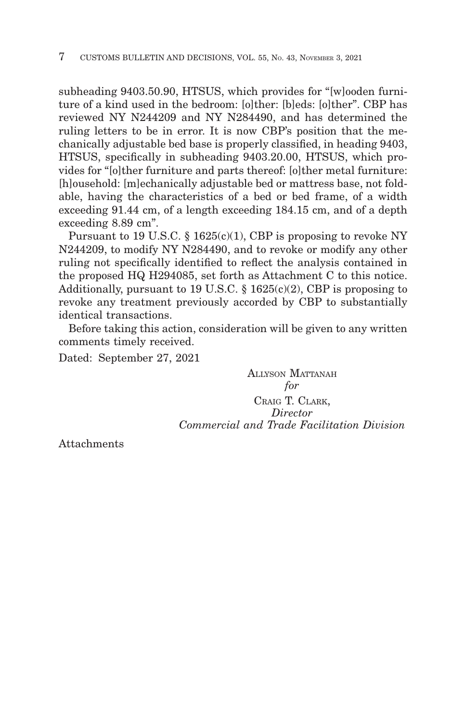subheading 9403.50.90, HTSUS, which provides for "[w]ooden furniture of a kind used in the bedroom: [o]ther: [b]eds: [o]ther". CBP has reviewed NY N244209 and NY N284490, and has determined the ruling letters to be in error. It is now CBP's position that the mechanically adjustable bed base is properly classified, in heading 9403, HTSUS, specifically in subheading 9403.20.00, HTSUS, which provides for "[o]ther furniture and parts thereof: [o]ther metal furniture: [h]ousehold: [m]echanically adjustable bed or mattress base, not foldable, having the characteristics of a bed or bed frame, of a width exceeding 91.44 cm, of a length exceeding 184.15 cm, and of a depth exceeding 8.89 cm".

Pursuant to 19 U.S.C.  $\S$  1625(c)(1), CBP is proposing to revoke NY N244209, to modify NY N284490, and to revoke or modify any other ruling not specifically identified to reflect the analysis contained in the proposed HQ H294085, set forth as Attachment C to this notice. Additionally, pursuant to 19 U.S.C.  $\S$  1625(c)(2), CBP is proposing to revoke any treatment previously accorded by CBP to substantially identical transactions.

Before taking this action, consideration will be given to any written comments timely received.

Dated: September 27, 2021

ALLYSON MATTANAH *for* CRAIG T. CLARK, *Director Commercial and Trade Facilitation Division*

Attachments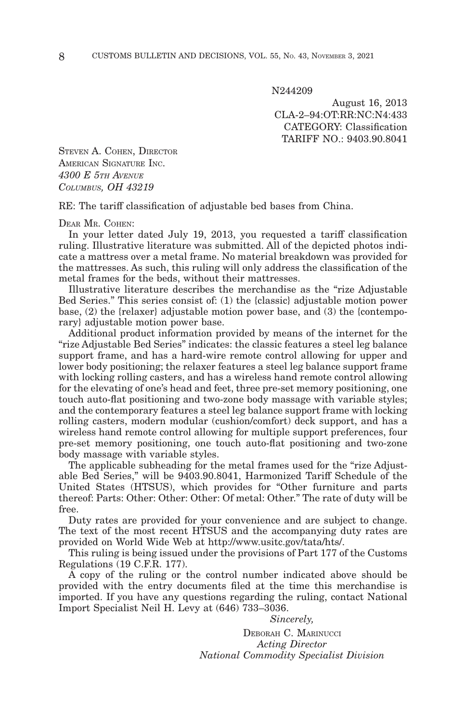N244209

August 16, 2013 CLA-2–94:OT:RR:NC:N4:433 CATEGORY: Classification TARIFF NO.: 9403.90.8041

STEVEN A. COHEN, DIRECTOR AMERICAN SIGNATURE INC. *4300 E 5TH AVENUE COLUMBUS, OH 43219*

RE: The tariff classification of adjustable bed bases from China.

DEAR MR. COHEN:

In your letter dated July 19, 2013, you requested a tariff classification ruling. Illustrative literature was submitted. All of the depicted photos indicate a mattress over a metal frame. No material breakdown was provided for the mattresses. As such, this ruling will only address the classification of the metal frames for the beds, without their mattresses.

Illustrative literature describes the merchandise as the "rize Adjustable Bed Series." This series consist of: (1) the {classic} adjustable motion power base, (2) the {relaxer} adjustable motion power base, and (3) the {contemporary} adjustable motion power base.

Additional product information provided by means of the internet for the "rize Adjustable Bed Series" indicates: the classic features a steel leg balance support frame, and has a hard-wire remote control allowing for upper and lower body positioning; the relaxer features a steel leg balance support frame with locking rolling casters, and has a wireless hand remote control allowing for the elevating of one's head and feet, three pre-set memory positioning, one touch auto-flat positioning and two-zone body massage with variable styles; and the contemporary features a steel leg balance support frame with locking rolling casters, modern modular (cushion/comfort) deck support, and has a wireless hand remote control allowing for multiple support preferences, four pre-set memory positioning, one touch auto-flat positioning and two-zone body massage with variable styles.

The applicable subheading for the metal frames used for the "rize Adjustable Bed Series," will be 9403.90.8041, Harmonized Tariff Schedule of the United States (HTSUS), which provides for "Other furniture and parts thereof: Parts: Other: Other: Other: Of metal: Other." The rate of duty will be free.

Duty rates are provided for your convenience and are subject to change. The text of the most recent HTSUS and the accompanying duty rates are provided on World Wide Web at http://www.usitc.gov/tata/hts/.

This ruling is being issued under the provisions of Part 177 of the Customs Regulations (19 C.F.R. 177).

A copy of the ruling or the control number indicated above should be provided with the entry documents filed at the time this merchandise is imported. If you have any questions regarding the ruling, contact National Import Specialist Neil H. Levy at (646) 733–3036.

*Sincerely,*

DEBORAH C. MARINUCCI *Acting Director National Commodity Specialist Division*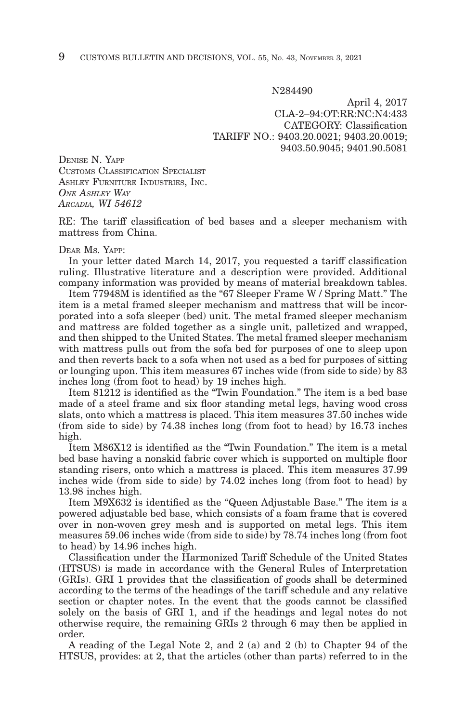N284490

April 4, 2017 CLA-2–94:OT:RR:NC:N4:433 CATEGORY: Classification TARIFF NO.: 9403.20.0021; 9403.20.0019; 9403.50.9045; 9401.90.5081

DENISE N. YAPP CUSTOMS CLASSIFICATION SPECIALIST ASHLEY FURNITURE INDUSTRIES, INC. *ONE ASHLEY WAY ARCADIA, WI 54612*

RE: The tariff classification of bed bases and a sleeper mechanism with mattress from China.

#### DEAR MS. YAPP:

In your letter dated March 14, 2017, you requested a tariff classification ruling. Illustrative literature and a description were provided. Additional company information was provided by means of material breakdown tables.

Item 77948M is identified as the "67 Sleeper Frame W / Spring Matt." The item is a metal framed sleeper mechanism and mattress that will be incorporated into a sofa sleeper (bed) unit. The metal framed sleeper mechanism and mattress are folded together as a single unit, palletized and wrapped, and then shipped to the United States. The metal framed sleeper mechanism with mattress pulls out from the sofa bed for purposes of one to sleep upon and then reverts back to a sofa when not used as a bed for purposes of sitting or lounging upon. This item measures 67 inches wide (from side to side) by 83 inches long (from foot to head) by 19 inches high.

Item 81212 is identified as the "Twin Foundation." The item is a bed base made of a steel frame and six floor standing metal legs, having wood cross slats, onto which a mattress is placed. This item measures 37.50 inches wide (from side to side) by 74.38 inches long (from foot to head) by 16.73 inches high.

Item M86X12 is identified as the "Twin Foundation." The item is a metal bed base having a nonskid fabric cover which is supported on multiple floor standing risers, onto which a mattress is placed. This item measures 37.99 inches wide (from side to side) by 74.02 inches long (from foot to head) by 13.98 inches high.

Item M9X632 is identified as the "Queen Adjustable Base." The item is a powered adjustable bed base, which consists of a foam frame that is covered over in non-woven grey mesh and is supported on metal legs. This item measures 59.06 inches wide (from side to side) by 78.74 inches long (from foot to head) by 14.96 inches high.

Classification under the Harmonized Tariff Schedule of the United States (HTSUS) is made in accordance with the General Rules of Interpretation (GRIs). GRI 1 provides that the classification of goods shall be determined according to the terms of the headings of the tariff schedule and any relative section or chapter notes. In the event that the goods cannot be classified solely on the basis of GRI 1, and if the headings and legal notes do not otherwise require, the remaining GRIs 2 through 6 may then be applied in order.

A reading of the Legal Note 2, and 2 (a) and 2 (b) to Chapter 94 of the HTSUS, provides: at 2, that the articles (other than parts) referred to in the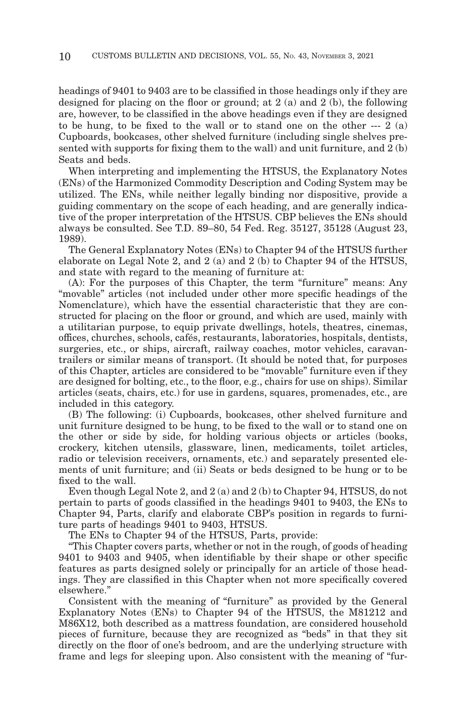headings of 9401 to 9403 are to be classified in those headings only if they are designed for placing on the floor or ground; at 2 (a) and 2 (b), the following are, however, to be classified in the above headings even if they are designed to be hung, to be fixed to the wall or to stand one on the other --- 2 (a) Cupboards, bookcases, other shelved furniture (including single shelves presented with supports for fixing them to the wall) and unit furniture, and 2 (b) Seats and beds.

When interpreting and implementing the HTSUS, the Explanatory Notes (ENs) of the Harmonized Commodity Description and Coding System may be utilized. The ENs, while neither legally binding nor dispositive, provide a guiding commentary on the scope of each heading, and are generally indicative of the proper interpretation of the HTSUS. CBP believes the ENs should always be consulted. See T.D. 89–80, 54 Fed. Reg. 35127, 35128 (August 23, 1989).

The General Explanatory Notes (ENs) to Chapter 94 of the HTSUS further elaborate on Legal Note 2, and 2 (a) and 2 (b) to Chapter 94 of the HTSUS, and state with regard to the meaning of furniture at:

(A): For the purposes of this Chapter, the term "furniture" means: Any "movable" articles (not included under other more specific headings of the Nomenclature), which have the essential characteristic that they are constructed for placing on the floor or ground, and which are used, mainly with a utilitarian purpose, to equip private dwellings, hotels, theatres, cinemas, offices, churches, schools, cafés, restaurants, laboratories, hospitals, dentists, surgeries, etc., or ships, aircraft, railway coaches, motor vehicles, caravantrailers or similar means of transport. (It should be noted that, for purposes of this Chapter, articles are considered to be "movable" furniture even if they are designed for bolting, etc., to the floor, e.g., chairs for use on ships). Similar articles (seats, chairs, etc.) for use in gardens, squares, promenades, etc., are included in this category.

(B) The following: (i) Cupboards, bookcases, other shelved furniture and unit furniture designed to be hung, to be fixed to the wall or to stand one on the other or side by side, for holding various objects or articles (books, crockery, kitchen utensils, glassware, linen, medicaments, toilet articles, radio or television receivers, ornaments, etc.) and separately presented elements of unit furniture; and (ii) Seats or beds designed to be hung or to be fixed to the wall.

Even though Legal Note 2, and  $2(a)$  and  $2(b)$  to Chapter 94, HTSUS, do not pertain to parts of goods classified in the headings 9401 to 9403, the ENs to Chapter 94, Parts, clarify and elaborate CBP's position in regards to furniture parts of headings 9401 to 9403, HTSUS.

The ENs to Chapter 94 of the HTSUS, Parts, provide:

"This Chapter covers parts, whether or not in the rough, of goods of heading 9401 to 9403 and 9405, when identifiable by their shape or other specific features as parts designed solely or principally for an article of those headings. They are classified in this Chapter when not more specifically covered elsewhere."

Consistent with the meaning of "furniture" as provided by the General Explanatory Notes (ENs) to Chapter 94 of the HTSUS, the M81212 and M86X12, both described as a mattress foundation, are considered household pieces of furniture, because they are recognized as "beds" in that they sit directly on the floor of one's bedroom, and are the underlying structure with frame and legs for sleeping upon. Also consistent with the meaning of "fur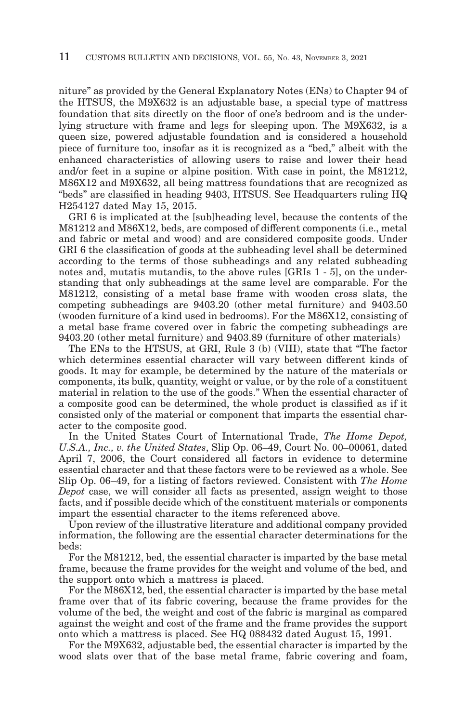niture" as provided by the General Explanatory Notes (ENs) to Chapter 94 of the HTSUS, the M9X632 is an adjustable base, a special type of mattress foundation that sits directly on the floor of one's bedroom and is the underlying structure with frame and legs for sleeping upon. The M9X632, is a queen size, powered adjustable foundation and is considered a household piece of furniture too, insofar as it is recognized as a "bed," albeit with the enhanced characteristics of allowing users to raise and lower their head and/or feet in a supine or alpine position. With case in point, the M81212, M86X12 and M9X632, all being mattress foundations that are recognized as "beds" are classified in heading 9403, HTSUS. See Headquarters ruling HQ H254127 dated May 15, 2015.

GRI 6 is implicated at the [sub]heading level, because the contents of the M81212 and M86X12, beds, are composed of different components (i.e., metal and fabric or metal and wood) and are considered composite goods. Under GRI 6 the classification of goods at the subheading level shall be determined according to the terms of those subheadings and any related subheading notes and, mutatis mutandis, to the above rules [GRIs 1 - 5], on the understanding that only subheadings at the same level are comparable. For the M81212, consisting of a metal base frame with wooden cross slats, the competing subheadings are 9403.20 (other metal furniture) and 9403.50 (wooden furniture of a kind used in bedrooms). For the M86X12, consisting of a metal base frame covered over in fabric the competing subheadings are 9403.20 (other metal furniture) and 9403.89 (furniture of other materials)

The ENs to the HTSUS, at GRI, Rule 3 (b) (VIII), state that "The factor which determines essential character will vary between different kinds of goods. It may for example, be determined by the nature of the materials or components, its bulk, quantity, weight or value, or by the role of a constituent material in relation to the use of the goods." When the essential character of a composite good can be determined, the whole product is classified as if it consisted only of the material or component that imparts the essential character to the composite good.

In the United States Court of International Trade, *The Home Depot, U.S.A., Inc., v. the United States*, Slip Op. 06–49, Court No. 00–00061, dated April 7, 2006, the Court considered all factors in evidence to determine essential character and that these factors were to be reviewed as a whole. See Slip Op. 06–49, for a listing of factors reviewed. Consistent with *The Home Depot* case, we will consider all facts as presented, assign weight to those facts, and if possible decide which of the constituent materials or components impart the essential character to the items referenced above.

Upon review of the illustrative literature and additional company provided information, the following are the essential character determinations for the beds:

For the M81212, bed, the essential character is imparted by the base metal frame, because the frame provides for the weight and volume of the bed, and the support onto which a mattress is placed.

For the M86X12, bed, the essential character is imparted by the base metal frame over that of its fabric covering, because the frame provides for the volume of the bed, the weight and cost of the fabric is marginal as compared against the weight and cost of the frame and the frame provides the support onto which a mattress is placed. See HQ 088432 dated August 15, 1991.

For the M9X632, adjustable bed, the essential character is imparted by the wood slats over that of the base metal frame, fabric covering and foam,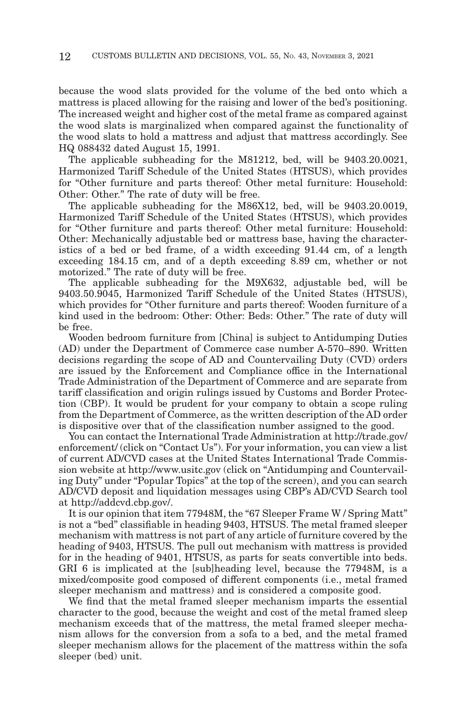because the wood slats provided for the volume of the bed onto which a mattress is placed allowing for the raising and lower of the bed's positioning. The increased weight and higher cost of the metal frame as compared against the wood slats is marginalized when compared against the functionality of the wood slats to hold a mattress and adjust that mattress accordingly. See HQ 088432 dated August 15, 1991.

The applicable subheading for the M81212, bed, will be 9403.20.0021, Harmonized Tariff Schedule of the United States (HTSUS), which provides for "Other furniture and parts thereof: Other metal furniture: Household: Other: Other." The rate of duty will be free.

The applicable subheading for the M86X12, bed, will be 9403.20.0019, Harmonized Tariff Schedule of the United States (HTSUS), which provides for "Other furniture and parts thereof: Other metal furniture: Household: Other: Mechanically adjustable bed or mattress base, having the characteristics of a bed or bed frame, of a width exceeding 91.44 cm, of a length exceeding 184.15 cm, and of a depth exceeding 8.89 cm, whether or not motorized." The rate of duty will be free.

The applicable subheading for the M9X632, adjustable bed, will be 9403.50.9045, Harmonized Tariff Schedule of the United States (HTSUS), which provides for "Other furniture and parts thereof: Wooden furniture of a kind used in the bedroom: Other: Other: Beds: Other." The rate of duty will be free.

Wooden bedroom furniture from [China] is subject to Antidumping Duties (AD) under the Department of Commerce case number A-570–890. Written decisions regarding the scope of AD and Countervailing Duty (CVD) orders are issued by the Enforcement and Compliance office in the International Trade Administration of the Department of Commerce and are separate from tariff classification and origin rulings issued by Customs and Border Protection (CBP). It would be prudent for your company to obtain a scope ruling from the Department of Commerce, as the written description of the AD order is dispositive over that of the classification number assigned to the good.

You can contact the International Trade Administration at http://trade.gov/ enforcement/ (click on "Contact Us"). For your information, you can view a list of current AD/CVD cases at the United States International Trade Commission website at http://www.usitc.gov (click on "Antidumping and Countervailing Duty" under "Popular Topics" at the top of the screen), and you can search AD/CVD deposit and liquidation messages using CBP's AD/CVD Search tool at http://addcvd.cbp.gov/.

It is our opinion that item 77948M, the "67 Sleeper Frame W / Spring Matt" is not a "bed" classifiable in heading 9403, HTSUS. The metal framed sleeper mechanism with mattress is not part of any article of furniture covered by the heading of 9403, HTSUS. The pull out mechanism with mattress is provided for in the heading of 9401, HTSUS, as parts for seats convertible into beds. GRI 6 is implicated at the [sub]heading level, because the 77948M, is a mixed/composite good composed of different components (i.e., metal framed sleeper mechanism and mattress) and is considered a composite good.

We find that the metal framed sleeper mechanism imparts the essential character to the good, because the weight and cost of the metal framed sleep mechanism exceeds that of the mattress, the metal framed sleeper mechanism allows for the conversion from a sofa to a bed, and the metal framed sleeper mechanism allows for the placement of the mattress within the sofa sleeper (bed) unit.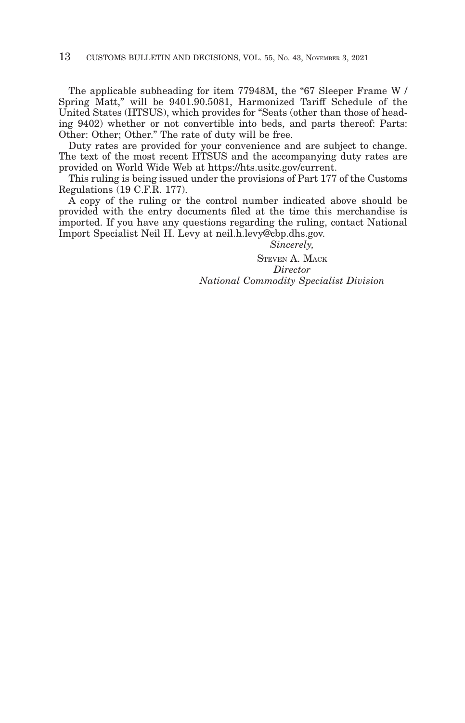The applicable subheading for item 77948M, the "67 Sleeper Frame W / Spring Matt," will be 9401.90.5081, Harmonized Tariff Schedule of the United States (HTSUS), which provides for "Seats (other than those of heading 9402) whether or not convertible into beds, and parts thereof: Parts: Other: Other; Other." The rate of duty will be free.

Duty rates are provided for your convenience and are subject to change. The text of the most recent HTSUS and the accompanying duty rates are provided on World Wide Web at https://hts.usitc.gov/current.

This ruling is being issued under the provisions of Part 177 of the Customs Regulations (19 C.F.R. 177).

A copy of the ruling or the control number indicated above should be provided with the entry documents filed at the time this merchandise is imported. If you have any questions regarding the ruling, contact National Import Specialist Neil H. Levy at neil.h.levy@cbp.dhs.gov.

*Sincerely,*

STEVEN A. MACK *Director National Commodity Specialist Division*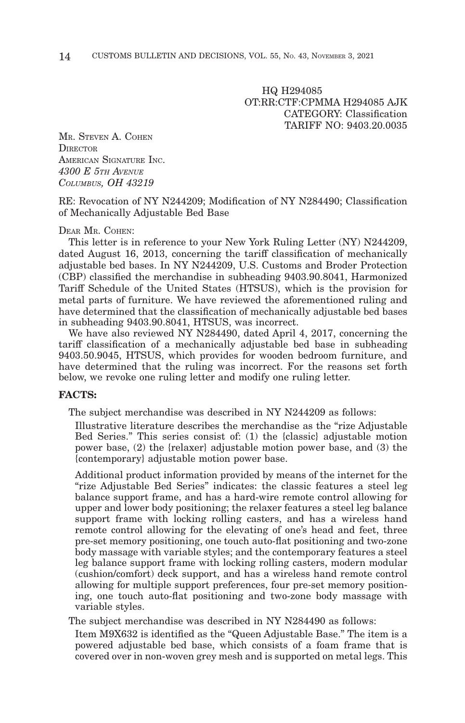HQ H294085 OT:RR:CTF:CPMMA H294085 AJK CATEGORY: Classification TARIFF NO: 9403.20.0035

MR. STEVEN A. COHEN **DIRECTOR** AMERICAN SIGNATURE INC. *4300 E 5TH AVENUE COLUMBUS, OH 43219*

RE: Revocation of NY N244209; Modification of NY N284490; Classification of Mechanically Adjustable Bed Base

#### DEAR MR. COHEN:

This letter is in reference to your New York Ruling Letter (NY) N244209, dated August 16, 2013, concerning the tariff classification of mechanically adjustable bed bases. In NY N244209, U.S. Customs and Broder Protection (CBP) classified the merchandise in subheading 9403.90.8041, Harmonized Tariff Schedule of the United States (HTSUS), which is the provision for metal parts of furniture. We have reviewed the aforementioned ruling and have determined that the classification of mechanically adjustable bed bases in subheading 9403.90.8041, HTSUS, was incorrect.

We have also reviewed NY N284490, dated April 4, 2017, concerning the tariff classification of a mechanically adjustable bed base in subheading 9403.50.9045, HTSUS, which provides for wooden bedroom furniture, and have determined that the ruling was incorrect. For the reasons set forth below, we revoke one ruling letter and modify one ruling letter.

#### **FACTS:**

The subject merchandise was described in NY N244209 as follows:

Illustrative literature describes the merchandise as the "rize Adjustable Bed Series." This series consist of: (1) the {classic} adjustable motion power base, (2) the {relaxer} adjustable motion power base, and (3) the {contemporary} adjustable motion power base.

Additional product information provided by means of the internet for the "rize Adjustable Bed Series" indicates: the classic features a steel leg balance support frame, and has a hard-wire remote control allowing for upper and lower body positioning; the relaxer features a steel leg balance support frame with locking rolling casters, and has a wireless hand remote control allowing for the elevating of one's head and feet, three pre-set memory positioning, one touch auto-flat positioning and two-zone body massage with variable styles; and the contemporary features a steel leg balance support frame with locking rolling casters, modern modular (cushion/comfort) deck support, and has a wireless hand remote control allowing for multiple support preferences, four pre-set memory positioning, one touch auto-flat positioning and two-zone body massage with variable styles.

The subject merchandise was described in NY N284490 as follows:

Item M9X632 is identified as the "Queen Adjustable Base." The item is a powered adjustable bed base, which consists of a foam frame that is covered over in non-woven grey mesh and is supported on metal legs. This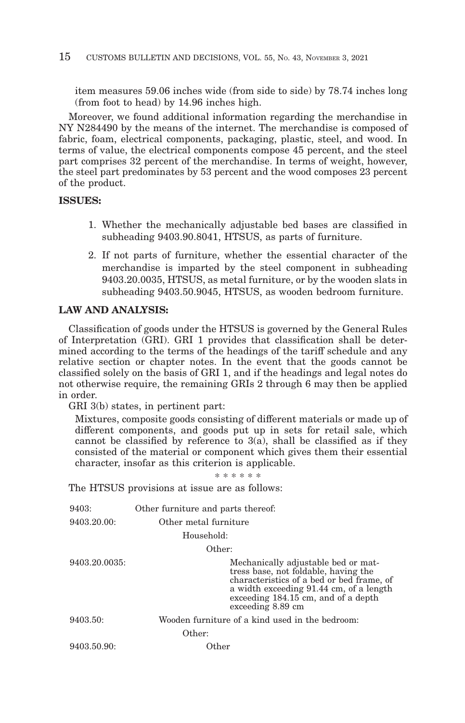item measures 59.06 inches wide (from side to side) by 78.74 inches long (from foot to head) by 14.96 inches high.

Moreover, we found additional information regarding the merchandise in NY N284490 by the means of the internet. The merchandise is composed of fabric, foam, electrical components, packaging, plastic, steel, and wood. In terms of value, the electrical components compose 45 percent, and the steel part comprises 32 percent of the merchandise. In terms of weight, however, the steel part predominates by 53 percent and the wood composes 23 percent of the product.

#### **ISSUES:**

- 1. Whether the mechanically adjustable bed bases are classified in subheading 9403.90.8041, HTSUS, as parts of furniture.
- 2. If not parts of furniture, whether the essential character of the merchandise is imparted by the steel component in subheading 9403.20.0035, HTSUS, as metal furniture, or by the wooden slats in subheading 9403.50.9045, HTSUS, as wooden bedroom furniture.

#### **LAW AND ANALYSIS:**

Classification of goods under the HTSUS is governed by the General Rules of Interpretation (GRI). GRI 1 provides that classification shall be determined according to the terms of the headings of the tariff schedule and any relative section or chapter notes. In the event that the goods cannot be classified solely on the basis of GRI 1, and if the headings and legal notes do not otherwise require, the remaining GRIs 2 through 6 may then be applied in order.

GRI 3(b) states, in pertinent part:

Mixtures, composite goods consisting of different materials or made up of different components, and goods put up in sets for retail sale, which cannot be classified by reference to  $3(a)$ , shall be classified as if they consisted of the material or component which gives them their essential character, insofar as this criterion is applicable.

\* \* \* \* \* \*

The HTSUS provisions at issue are as follows:

| 9403:         | Other furniture and parts thereof:                                                                                                                                                                                              |
|---------------|---------------------------------------------------------------------------------------------------------------------------------------------------------------------------------------------------------------------------------|
| 9403.20.00:   | Other metal furniture                                                                                                                                                                                                           |
|               | Household:                                                                                                                                                                                                                      |
|               | Other:                                                                                                                                                                                                                          |
| 9403.20.0035: | Mechanically adjustable bed or mat-<br>tress base, not foldable, having the<br>characteristics of a bed or bed frame, of<br>a width exceeding 91.44 cm, of a length<br>exceeding 184.15 cm, and of a depth<br>exceeding 8.89 cm |
| 9403.50:      | Wooden furniture of a kind used in the bedroom:                                                                                                                                                                                 |
|               | Other:                                                                                                                                                                                                                          |
| 9403.50.90:   | Other                                                                                                                                                                                                                           |
|               |                                                                                                                                                                                                                                 |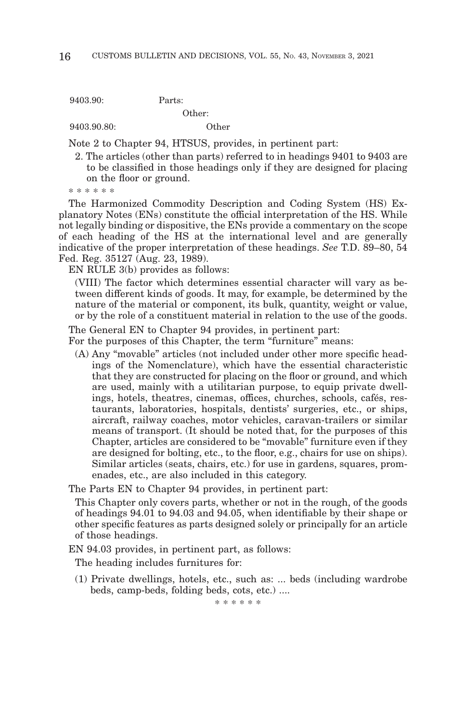9403.90: Parts:

Other:

9403.90.80: Other

Note 2 to Chapter 94, HTSUS, provides, in pertinent part:

2. The articles (other than parts) referred to in headings 9401 to 9403 are to be classified in those headings only if they are designed for placing on the floor or ground.

\* \* \* \* \* \*

The Harmonized Commodity Description and Coding System (HS) Explanatory Notes (ENs) constitute the official interpretation of the HS. While not legally binding or dispositive, the ENs provide a commentary on the scope of each heading of the HS at the international level and are generally indicative of the proper interpretation of these headings. *See* T.D. 89–80, 54 Fed. Reg. 35127 (Aug. 23, 1989).

EN RULE 3(b) provides as follows:

(VIII) The factor which determines essential character will vary as between different kinds of goods. It may, for example, be determined by the nature of the material or component, its bulk, quantity, weight or value, or by the role of a constituent material in relation to the use of the goods.

The General EN to Chapter 94 provides, in pertinent part:

For the purposes of this Chapter, the term "furniture" means:

(A) Any "movable" articles (not included under other more specific headings of the Nomenclature), which have the essential characteristic that they are constructed for placing on the floor or ground, and which are used, mainly with a utilitarian purpose, to equip private dwellings, hotels, theatres, cinemas, offices, churches, schools, cafés, restaurants, laboratories, hospitals, dentists' surgeries, etc., or ships, aircraft, railway coaches, motor vehicles, caravan-trailers or similar means of transport. (It should be noted that, for the purposes of this Chapter, articles are considered to be "movable" furniture even if they are designed for bolting, etc., to the floor, e.g., chairs for use on ships). Similar articles (seats, chairs, etc.) for use in gardens, squares, promenades, etc., are also included in this category.

The Parts EN to Chapter 94 provides, in pertinent part:

This Chapter only covers parts, whether or not in the rough, of the goods of headings 94.01 to 94.03 and 94.05, when identifiable by their shape or other specific features as parts designed solely or principally for an article of those headings.

EN 94.03 provides, in pertinent part, as follows:

The heading includes furnitures for:

(1) Private dwellings, hotels, etc., such as: ... beds (including wardrobe beds, camp-beds, folding beds, cots, etc.) ....

\* \* \* \* \* \*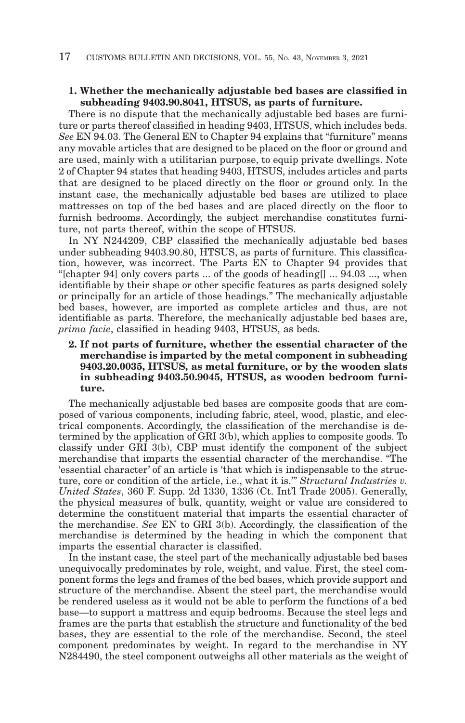#### **1. Whether the mechanically adjustable bed bases are classified in subheading 9403.90.8041, HTSUS, as parts of furniture.**

There is no dispute that the mechanically adjustable bed bases are furniture or parts thereof classified in heading 9403, HTSUS, which includes beds. *See* EN 94.03. The General EN to Chapter 94 explains that "furniture" means any movable articles that are designed to be placed on the floor or ground and are used, mainly with a utilitarian purpose, to equip private dwellings. Note 2 of Chapter 94 states that heading 9403, HTSUS, includes articles and parts that are designed to be placed directly on the floor or ground only. In the instant case, the mechanically adjustable bed bases are utilized to place mattresses on top of the bed bases and are placed directly on the floor to furnish bedrooms. Accordingly, the subject merchandise constitutes furniture, not parts thereof, within the scope of HTSUS.

In NY N244209, CBP classified the mechanically adjustable bed bases under subheading 9403.90.80, HTSUS, as parts of furniture. This classification, however, was incorrect. The Parts EN to Chapter 94 provides that "[chapter 94] only covers parts ... of the goods of heading  $[$   $]$   $\ldots$  94.03  $\ldots$  when identifiable by their shape or other specific features as parts designed solely or principally for an article of those headings." The mechanically adjustable bed bases, however, are imported as complete articles and thus, are not identifiable as parts. Therefore, the mechanically adjustable bed bases are, *prima facie*, classified in heading 9403, HTSUS, as beds.

#### **2. If not parts of furniture, whether the essential character of the merchandise is imparted by the metal component in subheading 9403.20.0035, HTSUS, as metal furniture, or by the wooden slats in subheading 9403.50.9045, HTSUS, as wooden bedroom furniture.**

The mechanically adjustable bed bases are composite goods that are composed of various components, including fabric, steel, wood, plastic, and electrical components. Accordingly, the classification of the merchandise is determined by the application of GRI 3(b), which applies to composite goods. To classify under GRI 3(b), CBP must identify the component of the subject merchandise that imparts the essential character of the merchandise. "The 'essential character' of an article is 'that which is indispensable to the structure, core or condition of the article, i.e., what it is.'" *Structural Industries v. United States*, 360 F. Supp. 2d 1330, 1336 (Ct. Int'l Trade 2005). Generally, the physical measures of bulk, quantity, weight or value are considered to determine the constituent material that imparts the essential character of the merchandise. *See* EN to GRI 3(b). Accordingly, the classification of the merchandise is determined by the heading in which the component that imparts the essential character is classified.

In the instant case, the steel part of the mechanically adjustable bed bases unequivocally predominates by role, weight, and value. First, the steel component forms the legs and frames of the bed bases, which provide support and structure of the merchandise. Absent the steel part, the merchandise would be rendered useless as it would not be able to perform the functions of a bed base—to support a mattress and equip bedrooms. Because the steel legs and frames are the parts that establish the structure and functionality of the bed bases, they are essential to the role of the merchandise. Second, the steel component predominates by weight. In regard to the merchandise in NY N284490, the steel component outweighs all other materials as the weight of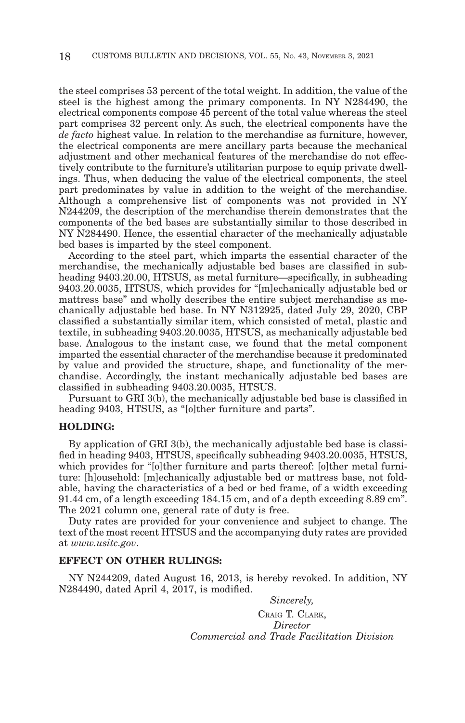the steel comprises 53 percent of the total weight. In addition, the value of the steel is the highest among the primary components. In NY N284490, the electrical components compose 45 percent of the total value whereas the steel part comprises 32 percent only. As such, the electrical components have the *de facto* highest value. In relation to the merchandise as furniture, however, the electrical components are mere ancillary parts because the mechanical adjustment and other mechanical features of the merchandise do not effectively contribute to the furniture's utilitarian purpose to equip private dwellings. Thus, when deducing the value of the electrical components, the steel part predominates by value in addition to the weight of the merchandise. Although a comprehensive list of components was not provided in NY N244209, the description of the merchandise therein demonstrates that the components of the bed bases are substantially similar to those described in NY N284490. Hence, the essential character of the mechanically adjustable bed bases is imparted by the steel component.

According to the steel part, which imparts the essential character of the merchandise, the mechanically adjustable bed bases are classified in subheading 9403.20.00, HTSUS, as metal furniture—specifically, in subheading 9403.20.0035, HTSUS, which provides for "[m]echanically adjustable bed or mattress base" and wholly describes the entire subject merchandise as mechanically adjustable bed base. In NY N312925, dated July 29, 2020, CBP classified a substantially similar item, which consisted of metal, plastic and textile, in subheading 9403.20.0035, HTSUS, as mechanically adjustable bed base. Analogous to the instant case, we found that the metal component imparted the essential character of the merchandise because it predominated by value and provided the structure, shape, and functionality of the merchandise. Accordingly, the instant mechanically adjustable bed bases are classified in subheading 9403.20.0035, HTSUS.

Pursuant to GRI 3(b), the mechanically adjustable bed base is classified in heading 9403, HTSUS, as "[o]ther furniture and parts".

#### **HOLDING:**

By application of GRI 3(b), the mechanically adjustable bed base is classified in heading 9403, HTSUS, specifically subheading 9403.20.0035, HTSUS, which provides for "[o]ther furniture and parts thereof: [o]ther metal furniture: [h]ousehold: [m]echanically adjustable bed or mattress base, not foldable, having the characteristics of a bed or bed frame, of a width exceeding 91.44 cm, of a length exceeding 184.15 cm, and of a depth exceeding 8.89 cm". The 2021 column one, general rate of duty is free.

Duty rates are provided for your convenience and subject to change. The text of the most recent HTSUS and the accompanying duty rates are provided at *www.usitc.gov*.

#### **EFFECT ON OTHER RULINGS:**

NY N244209, dated August 16, 2013, is hereby revoked. In addition, NY N284490, dated April 4, 2017, is modified.

> *Sincerely,* CRAIG T. CLARK, *Director Commercial and Trade Facilitation Division*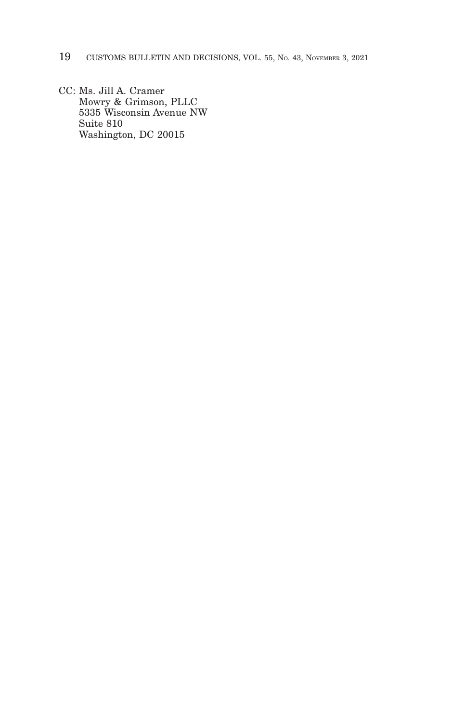- 19 CUSTOMS BULLETIN AND DECISIONS, VOL. 55, No. 43, NOVEMBER 3, 2021
- CC: Ms. Jill A. Cramer Mowry & Grimson, PLLC 5335 Wisconsin Avenue NW Suite 810 Washington, DC 20015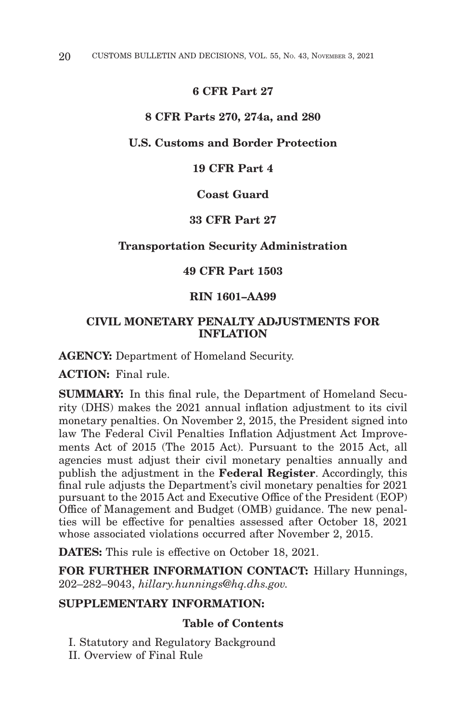# **6 CFR Part 27**

#### **8 CFR Parts 270, 274a, and 280**

# **U.S. Customs and Border Protection**

# **19 CFR Part 4**

# **Coast Guard**

#### **33 CFR Part 27**

#### **Transportation Security Administration**

# **49 CFR Part 1503**

# **RIN 1601–AA99**

# **CIVIL MONETARY PENALTY ADJUSTMENTS FOR INFLATION**

**AGENCY:** Department of Homeland Security.

**ACTION:** Final rule.

**SUMMARY:** In this final rule, the Department of Homeland Security (DHS) makes the 2021 annual inflation adjustment to its civil monetary penalties. On November 2, 2015, the President signed into law The Federal Civil Penalties Inflation Adjustment Act Improvements Act of 2015 (The 2015 Act). Pursuant to the 2015 Act, all agencies must adjust their civil monetary penalties annually and publish the adjustment in the **Federal Register**. Accordingly, this final rule adjusts the Department's civil monetary penalties for 2021 pursuant to the 2015 Act and Executive Office of the President (EOP) Office of Management and Budget (OMB) guidance. The new penalties will be effective for penalties assessed after October 18, 2021 whose associated violations occurred after November 2, 2015.

**DATES:** This rule is effective on October 18, 2021.

**FOR FURTHER INFORMATION CONTACT:** Hillary Hunnings, 202–282–9043, *hillary.hunnings@hq.dhs.gov.*

# **SUPPLEMENTARY INFORMATION:**

# **Table of Contents**

I. Statutory and Regulatory Background

II. Overview of Final Rule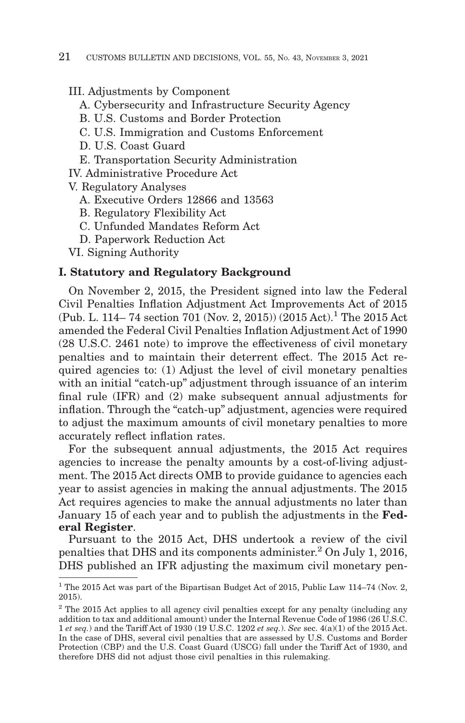## III. Adjustments by Component

- A. Cybersecurity and Infrastructure Security Agency
- B. U.S. Customs and Border Protection
- C. U.S. Immigration and Customs Enforcement
- D. U.S. Coast Guard
- E. Transportation Security Administration

IV. Administrative Procedure Act

V. Regulatory Analyses

- A. Executive Orders 12866 and 13563
- B. Regulatory Flexibility Act
- C. Unfunded Mandates Reform Act
- D. Paperwork Reduction Act
- VI. Signing Authority

## **I. Statutory and Regulatory Background**

On November 2, 2015, the President signed into law the Federal Civil Penalties Inflation Adjustment Act Improvements Act of 2015 (Pub. L. 114–74 section 701 (Nov. 2, 2015)) (2015 Act).<sup>1</sup> The 2015 Act amended the Federal Civil Penalties Inflation Adjustment Act of 1990 (28 U.S.C. 2461 note) to improve the effectiveness of civil monetary penalties and to maintain their deterrent effect. The 2015 Act required agencies to: (1) Adjust the level of civil monetary penalties with an initial "catch-up" adjustment through issuance of an interim final rule (IFR) and (2) make subsequent annual adjustments for inflation. Through the "catch-up" adjustment, agencies were required to adjust the maximum amounts of civil monetary penalties to more accurately reflect inflation rates.

For the subsequent annual adjustments, the 2015 Act requires agencies to increase the penalty amounts by a cost-of-living adjustment. The 2015 Act directs OMB to provide guidance to agencies each year to assist agencies in making the annual adjustments. The 2015 Act requires agencies to make the annual adjustments no later than January 15 of each year and to publish the adjustments in the **Federal Register**.

Pursuant to the 2015 Act, DHS undertook a review of the civil penalties that DHS and its components administer.2 On July 1, 2016, DHS published an IFR adjusting the maximum civil monetary pen-

<sup>&</sup>lt;sup>1</sup> The 2015 Act was part of the Bipartisan Budget Act of 2015, Public Law 114–74 (Nov. 2, 2015).

<sup>&</sup>lt;sup>2</sup> The 2015 Act applies to all agency civil penalties except for any penalty (including any addition to tax and additional amount) under the Internal Revenue Code of 1986 (26 U.S.C. 1 *et seq.*) and the Tariff Act of 1930 (19 U.S.C. 1202 *et seq.*). *See* sec. 4(a)(1) of the 2015 Act. In the case of DHS, several civil penalties that are assessed by U.S. Customs and Border Protection (CBP) and the U.S. Coast Guard (USCG) fall under the Tariff Act of 1930, and therefore DHS did not adjust those civil penalties in this rulemaking.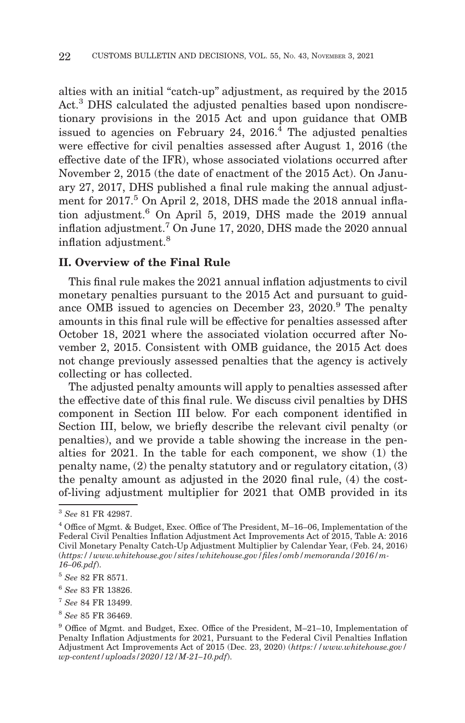alties with an initial "catch-up" adjustment, as required by the 2015 Act.<sup>3</sup> DHS calculated the adjusted penalties based upon nondiscretionary provisions in the 2015 Act and upon guidance that OMB issued to agencies on February 24,  $2016<sup>4</sup>$  The adjusted penalties were effective for civil penalties assessed after August 1, 2016 (the effective date of the IFR), whose associated violations occurred after November 2, 2015 (the date of enactment of the 2015 Act). On January 27, 2017, DHS published a final rule making the annual adjustment for 2017.<sup>5</sup> On April 2, 2018, DHS made the 2018 annual inflation adjustment.6 On April 5, 2019, DHS made the 2019 annual inflation adjustment.7 On June 17, 2020, DHS made the 2020 annual inflation adjustment.8

# **II. Overview of the Final Rule**

This final rule makes the 2021 annual inflation adjustments to civil monetary penalties pursuant to the 2015 Act and pursuant to guidance OMB issued to agencies on December 23, 2020.<sup>9</sup> The penalty amounts in this final rule will be effective for penalties assessed after October 18, 2021 where the associated violation occurred after November 2, 2015. Consistent with OMB guidance, the 2015 Act does not change previously assessed penalties that the agency is actively collecting or has collected.

The adjusted penalty amounts will apply to penalties assessed after the effective date of this final rule. We discuss civil penalties by DHS component in Section III below. For each component identified in Section III, below, we briefly describe the relevant civil penalty (or penalties), and we provide a table showing the increase in the penalties for 2021. In the table for each component, we show (1) the penalty name, (2) the penalty statutory and or regulatory citation, (3) the penalty amount as adjusted in the 2020 final rule, (4) the costof-living adjustment multiplier for 2021 that OMB provided in its

<sup>3</sup>*See* 81 FR 42987.

<sup>4</sup> Office of Mgmt. & Budget, Exec. Office of The President, M–16–06, Implementation of the Federal Civil Penalties Inflation Adjustment Act Improvements Act of 2015, Table A: 2016 Civil Monetary Penalty Catch-Up Adjustment Multiplier by Calendar Year, (Feb. 24, 2016) (*https://www.whitehouse.gov/sites/whitehouse.gov/files/omb/memoranda/2016/m-16–06.pdf*).

<sup>5</sup>*See* 82 FR 8571.

<sup>6</sup>*See* 83 FR 13826.

<sup>7</sup>*See* 84 FR 13499.

<sup>8</sup>*See* 85 FR 36469.

<sup>9</sup> Office of Mgmt. and Budget, Exec. Office of the President, M–21–10, Implementation of Penalty Inflation Adjustments for 2021, Pursuant to the Federal Civil Penalties Inflation Adjustment Act Improvements Act of 2015 (Dec. 23, 2020) (*https://www.whitehouse.gov/ wp-content/uploads/2020/12/M-21–10.pdf*).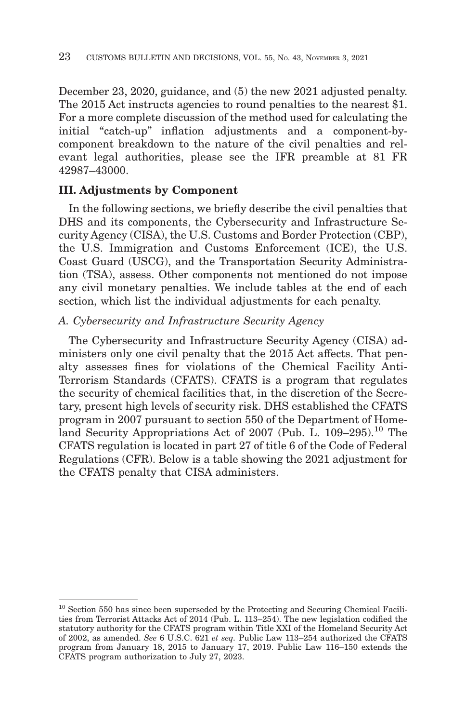December 23, 2020, guidance, and (5) the new 2021 adjusted penalty. The 2015 Act instructs agencies to round penalties to the nearest \$1. For a more complete discussion of the method used for calculating the initial "catch-up" inflation adjustments and a component-bycomponent breakdown to the nature of the civil penalties and relevant legal authorities, please see the IFR preamble at 81 FR 42987–43000.

# **III. Adjustments by Component**

In the following sections, we briefly describe the civil penalties that DHS and its components, the Cybersecurity and Infrastructure Security Agency (CISA), the U.S. Customs and Border Protection (CBP), the U.S. Immigration and Customs Enforcement (ICE), the U.S. Coast Guard (USCG), and the Transportation Security Administration (TSA), assess. Other components not mentioned do not impose any civil monetary penalties. We include tables at the end of each section, which list the individual adjustments for each penalty.

# *A. Cybersecurity and Infrastructure Security Agency*

The Cybersecurity and Infrastructure Security Agency (CISA) administers only one civil penalty that the 2015 Act affects. That penalty assesses fines for violations of the Chemical Facility Anti-Terrorism Standards (CFATS). CFATS is a program that regulates the security of chemical facilities that, in the discretion of the Secretary, present high levels of security risk. DHS established the CFATS program in 2007 pursuant to section 550 of the Department of Homeland Security Appropriations Act of 2007 (Pub. L. 109–295).<sup>10</sup> The CFATS regulation is located in part 27 of title 6 of the Code of Federal Regulations (CFR). Below is a table showing the 2021 adjustment for the CFATS penalty that CISA administers.

<sup>&</sup>lt;sup>10</sup> Section 550 has since been superseded by the Protecting and Securing Chemical Facilities from Terrorist Attacks Act of 2014 (Pub. L. 113–254). The new legislation codified the statutory authority for the CFATS program within Title XXI of the Homeland Security Act of 2002, as amended. *See* 6 U.S.C. 621 *et seq.* Public Law 113–254 authorized the CFATS program from January 18, 2015 to January 17, 2019. Public Law 116–150 extends the CFATS program authorization to July 27, 2023.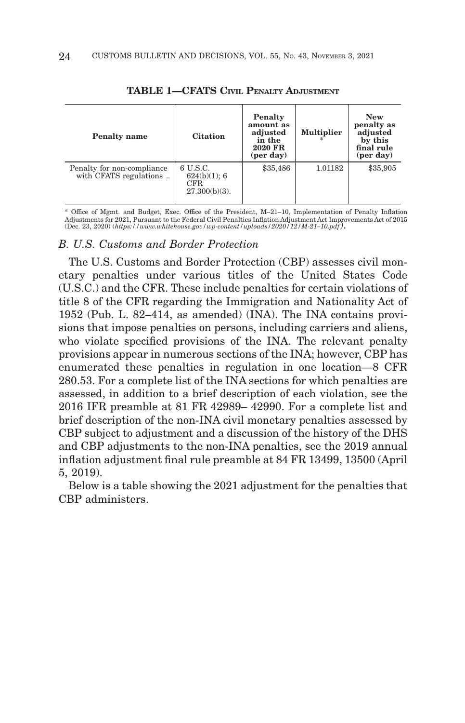| <b>Penalty</b> name                                  | <b>Citation</b>                                      | Penalty<br>amount as<br>adjusted<br>in the<br>2020 FR<br>(per day) | <b>Multiplier</b> | <b>New</b><br>penalty as<br>adjusted<br>by this<br>final rule<br>$(\text{per day})$ |
|------------------------------------------------------|------------------------------------------------------|--------------------------------------------------------------------|-------------------|-------------------------------------------------------------------------------------|
| Penalty for non-compliance<br>with CFATS regulations | 6 U.S.C.<br>624(b)(1); 6<br>CFR.<br>$27.300(b)(3)$ . | \$35,486                                                           | 1.01182           | \$35,905                                                                            |

**TABLE 1—CFATS CIVIL PENALTY ADJUSTMENT**

\* Office of Mgmt. and Budget, Exec. Office of the President, M–21–10, Implementation of Penalty Inflation Adjustments for 2021, Pursuant to the Federal Civil Penalties Inflation Adjustment Act Improvements Act of 2015 (Dec. 23, 2020) (*https://www.whitehouse.gov/wp-content/uploads/2020/12/M-21–10.pdf*).

### *B. U.S. Customs and Border Protection*

The U.S. Customs and Border Protection (CBP) assesses civil monetary penalties under various titles of the United States Code (U.S.C.) and the CFR. These include penalties for certain violations of title 8 of the CFR regarding the Immigration and Nationality Act of 1952 (Pub. L. 82–414, as amended) (INA). The INA contains provisions that impose penalties on persons, including carriers and aliens, who violate specified provisions of the INA. The relevant penalty provisions appear in numerous sections of the INA; however, CBP has enumerated these penalties in regulation in one location—8 CFR 280.53. For a complete list of the INA sections for which penalties are assessed, in addition to a brief description of each violation, see the 2016 IFR preamble at 81 FR 42989– 42990. For a complete list and brief description of the non-INA civil monetary penalties assessed by CBP subject to adjustment and a discussion of the history of the DHS and CBP adjustments to the non-INA penalties, see the 2019 annual inflation adjustment final rule preamble at 84 FR 13499, 13500 (April 5, 2019).

Below is a table showing the 2021 adjustment for the penalties that CBP administers.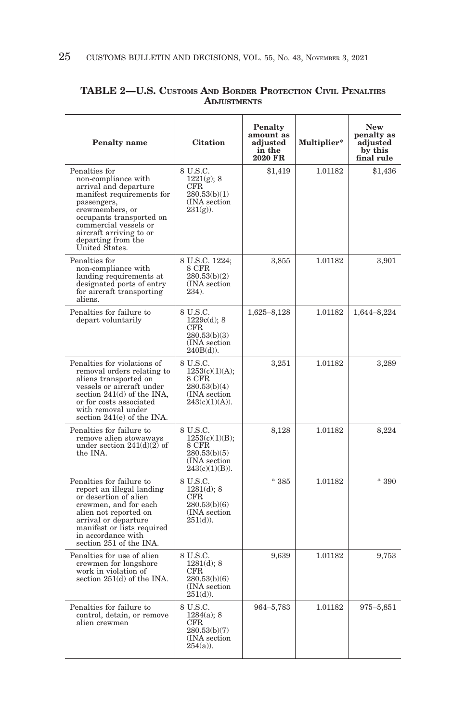| <b>Penalty</b> name                                                                                                                                                                                                                                  | <b>Citation</b>                                                                           | Penalty<br>amount as<br>adjusted<br>in the<br>2020 FR | Multiplier* | <b>New</b><br>penalty as<br>adjusted<br>by this<br>final rule |
|------------------------------------------------------------------------------------------------------------------------------------------------------------------------------------------------------------------------------------------------------|-------------------------------------------------------------------------------------------|-------------------------------------------------------|-------------|---------------------------------------------------------------|
| Penalties for<br>non-compliance with<br>arrival and departure<br>manifest requirements for<br>passengers,<br>crewmembers, or<br>occupants transported on<br>commercial vessels or<br>aircraft arriving to or<br>departing from the<br>United States. | 8 U.S.C.<br>$1221(g)$ ; 8<br>$_{\rm CFR}$<br>280.53(b)(1)<br>(INA section)<br>$231(g)$ ). | \$1,419                                               | 1.01182     | \$1,436                                                       |
| Penalties for<br>non-compliance with<br>landing requirements at<br>designated ports of entry<br>for aircraft transporting<br>aliens.                                                                                                                 | 8 U.S.C. 1224;<br>8 CFR<br>280.53(b)(2)<br>(INA section<br>234).                          | 3,855                                                 | 1.01182     | 3,901                                                         |
| Penalties for failure to<br>depart voluntarily                                                                                                                                                                                                       | 8 U.S.C.<br>1229c(d); 8<br>$_{\rm CFR}$<br>280.53(b)(3)<br>(INA section)<br>$240B(d)$ ).  | 1,625-8,128                                           | 1.01182     | 1,644-8,224                                                   |
| Penalties for violations of<br>removal orders relating to<br>aliens transported on<br>vessels or aircraft under<br>section 241(d) of the INA,<br>or for costs associated<br>with removal under<br>section 241(e) of the INA.                         | 8 U.S.C.<br>1253(c)(1)(A);<br>8 CFR<br>280.53(b)(4)<br>(INA section)<br>243(c)(1)(A)).    | 3,251                                                 | 1.01182     | 3,289                                                         |
| Penalties for failure to<br>remove alien stowaways<br>under section $241(d)(2)$ of<br>the INA.                                                                                                                                                       | 8 U.S.C.<br>1253(c)(1)(B);<br>8 CFR<br>280.53(b)(5)<br>(INA section<br>$243(c)(1)(B)$ ).  | 8,128                                                 | 1.01182     | 8,224                                                         |
| Penalties for failure to<br>report an illegal landing<br>or desertion of alien<br>crewmen, and for each<br>alien not reported on<br>arrival or departure<br>manifest or lists required<br>in accordance with<br>section 251 of the INA.              | 8 U.S.C.<br>1281(d); 8<br>CFR<br>280.53(b)(6)<br>(INA section<br>$251(d)$ ).              | a385                                                  | 1.01182     | $^{\rm a}$ 390                                                |
| Penalties for use of alien<br>crewmen for longshore<br>work in violation of<br>section 251(d) of the INA.                                                                                                                                            | 8 U.S.C.<br>$1281(d)$ ; 8<br>$_{\rm CFR}$<br>280.53(b)(6)<br>(INA section)<br>$251(d)$ ). | 9,639                                                 | 1.01182     | 9,753                                                         |
| Penalties for failure to<br>control, detain, or remove<br>alien crewmen                                                                                                                                                                              | 8 U.S.C.<br>$1284(a)$ ; 8<br>$_{\rm CFR}$<br>280.53(b)(7)<br>(INA section)<br>$254(a)$ ). | 964-5,783                                             | 1.01182     | 975-5,851                                                     |

## **TABLE 2—U.S. CUSTOMS AND BORDER PROTECTION CIVIL PENALTIES ADJUSTMENTS**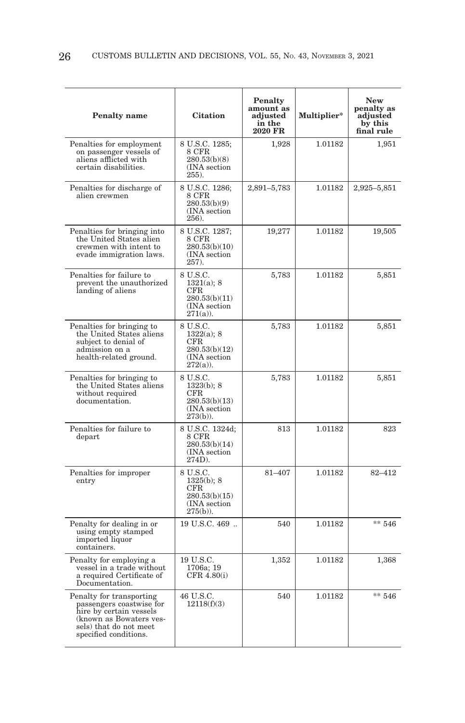| <b>Penalty</b> name                                                                                                                                           | <b>Citation</b>                                                                            | <b>Penalty</b><br>amount as<br>adjusted<br>in the<br>2020 FR | Multiplier* | New<br>penalty as<br>adjusted<br>by this<br>final rule |
|---------------------------------------------------------------------------------------------------------------------------------------------------------------|--------------------------------------------------------------------------------------------|--------------------------------------------------------------|-------------|--------------------------------------------------------|
| Penalties for employment<br>on passenger vessels of<br>aliens afflicted with<br>certain disabilities.                                                         | 8 U.S.C. 1285;<br>8 CFR<br>280.53(b)(8)<br>(INA section)<br>255).                          | 1,928                                                        | 1.01182     | 1,951                                                  |
| Penalties for discharge of<br>alien crewmen                                                                                                                   | 8 U.S.C. 1286;<br>8 CFR<br>280.53(b)(9)<br>(INA section<br>256).                           | 2,891-5,783                                                  | 1.01182     | 2,925-5,851                                            |
| Penalties for bringing into<br>the United States alien<br>crewmen with intent to<br>evade immigration laws.                                                   | $8$ U.S.C. 1287; $8$ CFR<br>280.53(b)(10)<br>(INA section)<br>257.                         | 19,277                                                       | 1.01182     | 19,505                                                 |
| Penalties for failure to<br>prevent the unauthorized<br>landing of aliens                                                                                     | 8 U.S.C.<br>$1321(a)$ ; 8<br>CFR.<br>280.53(b)(11)<br>(INA section<br>$271(a)$ ).          | 5,783                                                        | 1.01182     | 5,851                                                  |
| Penalties for bringing to<br>the United States aliens<br>subject to denial of<br>admission on a<br>health-related ground.                                     | 8 U.S.C.<br>$1322(a)$ ; 8<br>$_{\rm CFR}$<br>280.53(b)(12)<br>(INA section)<br>$272(a)$ ). | 5,783                                                        | 1.01182     | 5,851                                                  |
| Penalties for bringing to<br>the United States aliens<br>without required<br>documentation.                                                                   | 8 U.S.C.<br>1323(b); 8<br>CFR<br>280.53(b)(13)<br>(INA section<br>$273(b)$ ).              | 5,783                                                        | 1.01182     | 5,851                                                  |
| Penalties for failure to<br>depart                                                                                                                            | 8 U.S.C. 1324d;<br>8 CFR<br>280.53(b)(14)<br>(INA section)<br>274D).                       | 813                                                          | 1.01182     | 823                                                    |
| Penalties for improper<br>entry                                                                                                                               | 8 U.S.C.<br>$1325(b)$ ; 8<br>$_{\rm CFR}$<br>280.53(b)(15)<br>(INA section)<br>$275(b)$ ). | 81-407                                                       | 1.01182     | 82-412                                                 |
| Penalty for dealing in or<br>using empty stamped<br>imported liquor<br>containers.                                                                            | 19 U.S.C. 469                                                                              | 540                                                          | 1.01182     | $** 546$                                               |
| Penalty for employing a<br>vessel in a trade without<br>a required Certificate of<br>Documentation.                                                           | 19 U.S.C.<br>1706a; 19<br>CFR 4.80(i)                                                      | 1,352                                                        | 1.01182     | 1,368                                                  |
| Penalty for transporting<br>passengers coastwise for<br>hire by certain vessels<br>(known as Bowaters ves-<br>sels) that do not meet<br>specified conditions. | 46 U.S.C.<br>12118(f)(3)                                                                   | 540                                                          | 1.01182     | $** 546$                                               |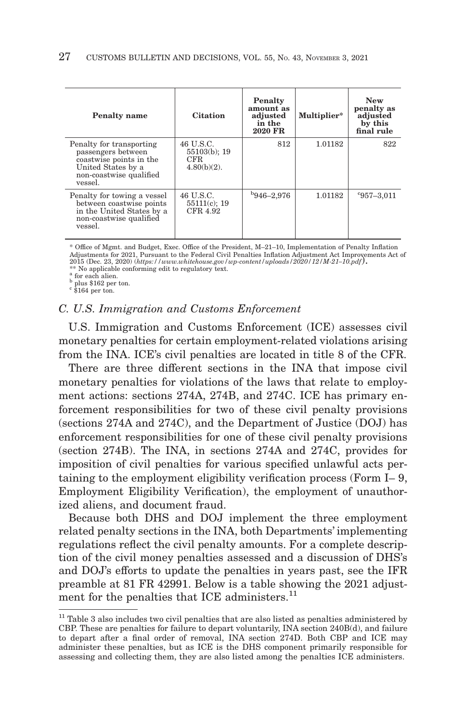| <b>Penalty name</b>                                                                                                                   | <b>Citation</b>                                        | Penalty<br>amount as<br>adjusted<br>in the<br>2020 FR | Multiplier* | <b>New</b><br>penalty as<br>adjusted<br>by this<br>final rule |
|---------------------------------------------------------------------------------------------------------------------------------------|--------------------------------------------------------|-------------------------------------------------------|-------------|---------------------------------------------------------------|
| Penalty for transporting<br>passengers between<br>coastwise points in the<br>United States by a<br>non-coastwise qualified<br>vessel. | 46 U.S.C.<br>$55103(b)$ ; 19<br>CFR.<br>$4.80(b)(2)$ . | 812                                                   | 1.01182     | 822                                                           |
| Penalty for towing a vessel<br>between coastwise points<br>in the United States by a<br>non-coastwise qualified<br>vessel.            | 46 U.S.C.<br>$55111(c)$ ; 19<br>CFR 4.92               | $b$ 946–2,976                                         | 1.01182     | $957 - 3.011$                                                 |

\* Office of Mgmt. and Budget, Exec. Office of the President, M–21–10, Implementation of Penalty Inflation Adjustments for 2021, Pursuant to the Federal Civil Penalties Inflation Adjustment Act Improvements Act of 2015 (Dec. 23, 2020) (*https://www.whitehouse.gov/wp-content/uploads/2020/12/M-21–10.pdf*).

\*\* No applicable conforming edit to regulatory text.

a for each alien.<br>b plus \$162 per ton.<br>c \$164 per ton.

## *C. U.S. Immigration and Customs Enforcement*

U.S. Immigration and Customs Enforcement (ICE) assesses civil monetary penalties for certain employment-related violations arising from the INA. ICE's civil penalties are located in title 8 of the CFR.

There are three different sections in the INA that impose civil monetary penalties for violations of the laws that relate to employment actions: sections 274A, 274B, and 274C. ICE has primary enforcement responsibilities for two of these civil penalty provisions (sections 274A and 274C), and the Department of Justice (DOJ) has enforcement responsibilities for one of these civil penalty provisions (section 274B). The INA, in sections 274A and 274C, provides for imposition of civil penalties for various specified unlawful acts pertaining to the employment eligibility verification process (Form I– 9, Employment Eligibility Verification), the employment of unauthorized aliens, and document fraud.

Because both DHS and DOJ implement the three employment related penalty sections in the INA, both Departments' implementing regulations reflect the civil penalty amounts. For a complete description of the civil money penalties assessed and a discussion of DHS's and DOJ's efforts to update the penalties in years past, see the IFR preamble at 81 FR 42991. Below is a table showing the 2021 adjustment for the penalties that ICE administers.<sup>11</sup>

 $11$  Table 3 also includes two civil penalties that are also listed as penalties administered by CBP. These are penalties for failure to depart voluntarily, INA section 240B(d), and failure to depart after a final order of removal, INA section 274D. Both CBP and ICE may administer these penalties, but as ICE is the DHS component primarily responsible for assessing and collecting them, they are also listed among the penalties ICE administers.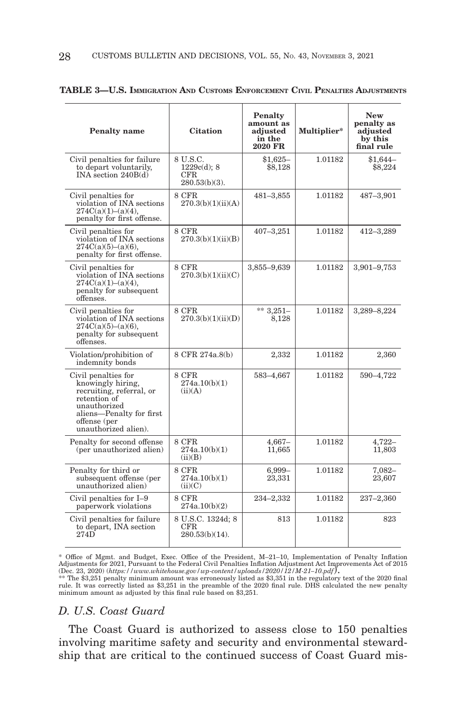| <b>Penalty</b> name                                                                                                                                                      | <b>Citation</b>                                        | Penalty<br>amount as<br>adjusted<br>in the<br>2020 FR | Multiplier* | <b>New</b><br>penalty as<br>adjusted<br>by this<br>final rule |
|--------------------------------------------------------------------------------------------------------------------------------------------------------------------------|--------------------------------------------------------|-------------------------------------------------------|-------------|---------------------------------------------------------------|
| Civil penalties for failure<br>to depart voluntarily,<br>INA section 240B(d)                                                                                             | 8 U.S.C.<br>$1229c(d)$ : 8<br>CFR.<br>$280.53(b)(3)$ . | $$1.625-$<br>\$8,128                                  | 1.01182     | $$1.644-$<br>\$8,224                                          |
| Civil penalties for<br>violation of INA sections<br>274C(a)(1)–(a)(4),<br>penalty for first offense.                                                                     | 8 CFR<br>270.3(b)(1)(ii)(A)                            | 481-3,855                                             | 1.01182     | 487-3,901                                                     |
| Civil penalties for<br>violation of INA sections<br>$274C(a)(5)–(a)(6)$ .<br>penalty for first offense.                                                                  | 8 CFR<br>270.3(b)(1)(ii)(B)                            | $407 - 3,251$                                         | 1.01182     | 412-3,289                                                     |
| Civil penalties for<br>violation of INA sections<br>274C(a)(1)–(a)(4),<br>penalty for subsequent<br>offenses.                                                            | 8 CFR<br>270.3(b)(1)(ii)(C)                            | 3,855-9,639                                           | 1.01182     | 3,901-9,753                                                   |
| Civil penalties for<br>violation of INA sections<br>$274C(a)(5)-(a)(6)$ ,<br>penalty for subsequent<br>offenses.                                                         | 8 CFR<br>270.3(b)(1)(ii)(D)                            | ** $3,251-$<br>8,128                                  | 1.01182     | 3,289-8,224                                                   |
| Violation/prohibition of<br>indemnity bonds                                                                                                                              | 8 CFR 274a.8(b)                                        | 2,332                                                 | 1.01182     | 2,360                                                         |
| Civil penalties for<br>knowingly hiring,<br>recruiting, referral, or<br>retention of<br>unauthorized<br>aliens-Penalty for first<br>offense (per<br>unauthorized alien). | 8 CFR<br>274a.10(b)(1)<br>(ii)(A)                      | 583-4.667                                             | 1.01182     | 590-4,722                                                     |
| Penalty for second offense<br>(per unauthorized alien)                                                                                                                   | 8 CFR<br>274a.10(b)(1)<br>(ii)(B)                      | $4,667-$<br>11,665                                    | 1.01182     | $4.722 -$<br>11,803                                           |
| Penalty for third or<br>subsequent offense (per<br>unauthorized alien)                                                                                                   | 8 CFR<br>274a.10(b)(1)<br>(ii)(C)                      | 6,999-<br>23,331                                      | 1.01182     | $7,082 -$<br>23,607                                           |
| Civil penalties for I-9<br>paperwork violations                                                                                                                          | 8 CFR<br>274a.10(b)(2)                                 | 234–2,332                                             | 1.01182     | 237–2,360                                                     |
| Civil penalties for failure<br>to depart, INA section<br>274D                                                                                                            | 8 U.S.C. 1324d; 8<br>CFR.<br>$280.53(b)(14)$ .         | 813                                                   | 1.01182     | 823                                                           |

| TABLE 3—U.S. Immigration And Customs Enforcement Civil Penalties Adjustments |  |  |  |  |
|------------------------------------------------------------------------------|--|--|--|--|
|------------------------------------------------------------------------------|--|--|--|--|

\* Office of Mgmt. and Budget, Exec. Office of the President, M–21–10, Implementation of Penalty Inflation Adjustments for 2021, Pursuant to the Federal Civil Penalties Inflation Adjustment Act Improvements Act of 2015

Examples and to the state of the state of the created over the distribution of  $\alpha$  and  $\beta$ .<br>The state of the state of the state of the state of the state of the state of the state of the state of the state of the 2020 f minimum amount as adjusted by this final rule based on \$3,251.

#### *D. U.S. Coast Guard*

The Coast Guard is authorized to assess close to 150 penalties involving maritime safety and security and environmental stewardship that are critical to the continued success of Coast Guard mis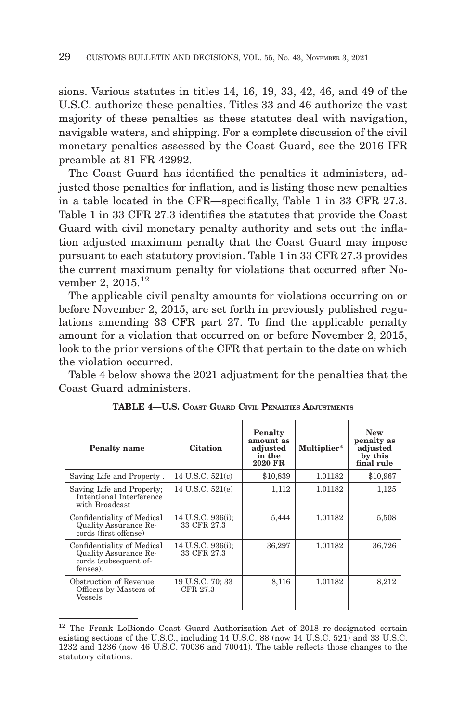sions. Various statutes in titles 14, 16, 19, 33, 42, 46, and 49 of the U.S.C. authorize these penalties. Titles 33 and 46 authorize the vast majority of these penalties as these statutes deal with navigation, navigable waters, and shipping. For a complete discussion of the civil monetary penalties assessed by the Coast Guard, see the 2016 IFR preamble at 81 FR 42992.

The Coast Guard has identified the penalties it administers, adjusted those penalties for inflation, and is listing those new penalties in a table located in the CFR—specifically, Table 1 in 33 CFR 27.3. Table 1 in 33 CFR 27.3 identifies the statutes that provide the Coast Guard with civil monetary penalty authority and sets out the inflation adjusted maximum penalty that the Coast Guard may impose pursuant to each statutory provision. Table 1 in 33 CFR 27.3 provides the current maximum penalty for violations that occurred after November 2, 2015.<sup>12</sup>

The applicable civil penalty amounts for violations occurring on or before November 2, 2015, are set forth in previously published regulations amending 33 CFR part 27. To find the applicable penalty amount for a violation that occurred on or before November 2, 2015, look to the prior versions of the CFR that pertain to the date on which the violation occurred.

Table 4 below shows the 2021 adjustment for the penalties that the Coast Guard administers.

| <b>Penalty name</b>                                                                      | <b>Citation</b>                  | Penalty<br>amount as<br>adjusted<br>in the<br>2020 FR | Multiplier* | <b>New</b><br>penalty as<br>adjusted<br>by this<br>final rule |
|------------------------------------------------------------------------------------------|----------------------------------|-------------------------------------------------------|-------------|---------------------------------------------------------------|
| Saving Life and Property.                                                                | 14 U.S.C. 521(c)                 | \$10,839                                              | 1.01182     | \$10,967                                                      |
| Saving Life and Property;<br>Intentional Interference<br>with Broadcast                  | 14 U.S.C. 521(e)                 | 1,112                                                 | 1.01182     | 1,125                                                         |
| Confidentiality of Medical<br>Quality Assurance Re-<br>cords (first offense)             | 14 U.S.C. 936(i);<br>33 CFR 27.3 | 5,444                                                 | 1.01182     | 5,508                                                         |
| Confidentiality of Medical<br>Quality Assurance Re-<br>cords (subsequent of-<br>fenses). | 14 U.S.C. 936(i);<br>33 CFR 27.3 | 36,297                                                | 1.01182     | 36,726                                                        |
| Obstruction of Revenue<br>Officers by Masters of<br>Vessels                              | 19 U.S.C. 70; 33<br>CFR 27.3     | 8,116                                                 | 1.01182     | 8,212                                                         |

**TABLE 4—U.S. COAST GUARD CIVIL PENALTIES ADJUSTMENTS**

<sup>&</sup>lt;sup>12</sup> The Frank LoBiondo Coast Guard Authorization Act of 2018 re-designated certain existing sections of the U.S.C., including 14 U.S.C. 88 (now 14 U.S.C. 521) and 33 U.S.C. 1232 and 1236 (now 46 U.S.C. 70036 and 70041). The table reflects those changes to the statutory citations.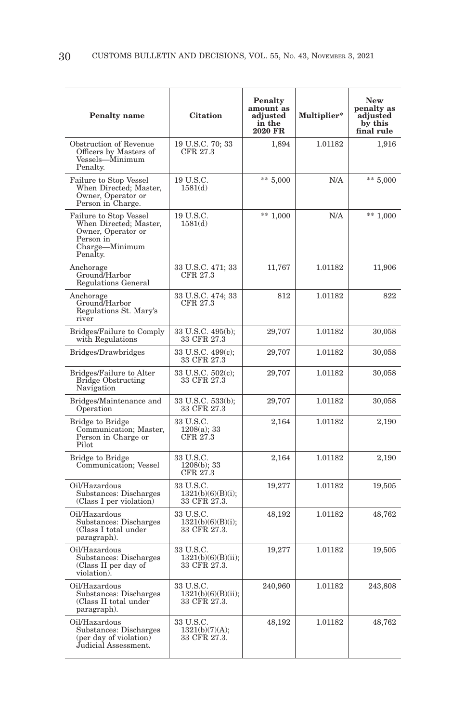| <b>Penalty</b> name                                                                                               | <b>Citation</b>                                 | <b>Penalty</b><br>amount as<br>adjusted<br>in the<br>2020 FR | Multiplier* | <b>New</b><br>penalty as<br>adjusted<br>by this<br>final rule |
|-------------------------------------------------------------------------------------------------------------------|-------------------------------------------------|--------------------------------------------------------------|-------------|---------------------------------------------------------------|
| Obstruction of Revenue<br>Officers by Masters of<br>Vessels—Minimum<br>Penalty.                                   | 19 U.S.C. 70; 33<br>CFR 27.3                    | 1,894                                                        | 1.01182     | 1,916                                                         |
| Failure to Stop Vessel<br>When Directed; Master,<br>Owner, Operator or<br>Person in Charge.                       | 19 U.S.C.<br>1581(d)                            | $** 5,000$                                                   | N/A         | $** 5,000$                                                    |
| Failure to Stop Vessel<br>When Directed; Master,<br>Owner, Operator or<br>Person in<br>Charge-Minimum<br>Penalty. | 19 U.S.C.<br>1581(d)                            | ** $1,000$                                                   | N/A         | $** 1,000$                                                    |
| Anchorage<br>Ground/Harbor<br>Regulations General                                                                 | 33 U.S.C. 471; 33<br>CFR 27.3                   | 11,767                                                       | 1.01182     | 11,906                                                        |
| Anchorage<br>Ground/Harbor<br>Regulations St. Mary's<br>river                                                     | 33 U.S.C. 474; 33<br>CFR 27.3                   | 812                                                          | 1.01182     | 822                                                           |
| Bridges/Failure to Comply<br>with Regulations                                                                     | 33 U.S.C. 495(b);<br>33 CFR 27.3                | 29,707                                                       | 1.01182     | 30,058                                                        |
| Bridges/Drawbridges                                                                                               | 33 U.S.C. 499(c);<br>33 CFR 27.3                | 29,707                                                       | 1.01182     | 30,058                                                        |
| Bridges/Failure to Alter<br><b>Bridge Obstructing</b><br>Navigation                                               | 33 U.S.C. 502(c);<br>33 CFR 27.3                | 29,707                                                       | 1.01182     | 30,058                                                        |
| Bridges/Maintenance and<br>Operation                                                                              | 33 U.S.C. 533(b);<br>33 CFR 27.3                | 29,707                                                       | 1.01182     | 30,058                                                        |
| <b>Bridge to Bridge</b><br>Communication; Master,<br>Person in Charge or<br>Pilot                                 | 33 U.S.C.<br>1208(a); 33<br>CFR 27.3            | 2,164                                                        | 1.01182     | 2,190                                                         |
| Bridge to Bridge<br>Communication; Vessel                                                                         | 33 U.S.C.<br>1208(b); 33<br>CFR 27.3            | 2,164                                                        | 1.01182     | 2,190                                                         |
| Oil/Hazardous<br>Substances: Discharges<br>(Class I per violation)                                                | 33 U.S.C.<br>1321(b)(6)(B)(i);<br>33 CFR 27.3.  | 19,277                                                       | 1.01182     | 19,505                                                        |
| Oil/Hazardous<br>Substances: Discharges<br>(Class I total under<br>paragraph).                                    | 33 U.S.C.<br>1321(b)(6)(B)(i);<br>33 CFR 27.3.  | 48,192                                                       | 1.01182     | 48,762                                                        |
| Oil/Hazardous<br>Substances: Discharges<br>(Class II per day of<br>violation).                                    | 33 U.S.C.<br>1321(b)(6)(B)(ii);<br>33 CFR 27.3. | 19,277                                                       | 1.01182     | 19,505                                                        |
| Oil/Hazardous<br>Substances: Discharges<br>(Class II total under<br>paragraph).                                   | 33 U.S.C.<br>1321(b)(6)(B)(ii);<br>33 CFR 27.3. | 240,960                                                      | 1.01182     | 243,808                                                       |
| Oil/Hazardous<br>Substances: Discharges<br>(per day of violation)<br>Judicial Assessment.                         | 33 U.S.C.<br>1321(b)(7)(A);<br>33 CFR 27.3.     | 48,192                                                       | 1.01182     | 48,762                                                        |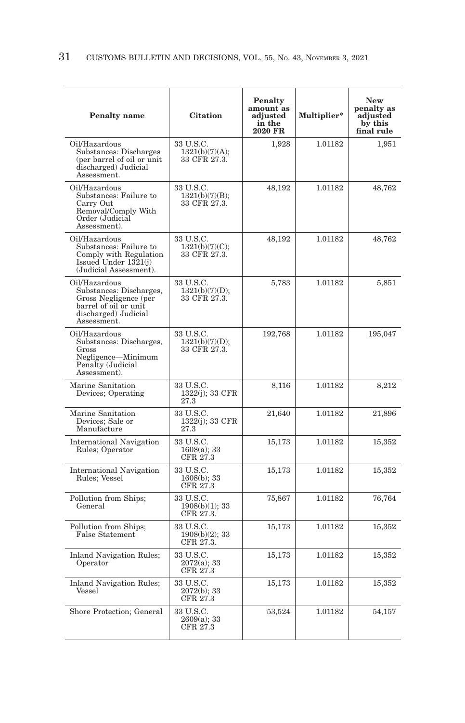| <b>Penalty name</b>                                                                                                               | <b>Citation</b>                             | <b>Penalty</b><br>amount as<br>adjusted<br>in the<br>2020 FR | Multiplier* | <b>New</b><br>penalty as<br>adjusted<br>by this<br>final rule |
|-----------------------------------------------------------------------------------------------------------------------------------|---------------------------------------------|--------------------------------------------------------------|-------------|---------------------------------------------------------------|
| Oil/Hazardous<br>Substances: Discharges<br>(per barrel of oil or unit<br>discharged) Judicial<br>Assessment.                      | 33 U.S.C.<br>1321(b)(7)(A);<br>33 CFR 27.3. | 1,928                                                        | 1.01182     | 1,951                                                         |
| Oil/Hazardous<br>Substances: Failure to<br>Carry Out<br>Removal/Comply With<br>Order (Judicial<br>Assessment).                    | 33 U.S.C.<br>1321(b)(7)(B);<br>33 CFR 27.3. | 48,192                                                       | 1.01182     | 48,762                                                        |
| Oil/Hazardous<br>Substances: Failure to<br>Comply with Regulation<br>Issued Under 1321(j)<br>(Judicial Assessment).               | 33 U.S.C.<br>1321(b)(7)(C);<br>33 CFR 27.3. | 48,192                                                       | 1.01182     | 48,762                                                        |
| Oil/Hazardous<br>Substances: Discharges,<br>Gross Negligence (per<br>barrel of oil or unit<br>discharged) Judicial<br>Assessment. | 33 U.S.C.<br>1321(b)(7)(D);<br>33 CFR 27.3. | 5,783                                                        | 1.01182     | 5,851                                                         |
| Oil/Hazardous<br>Substances: Discharges,<br>Gross<br>Negligence-Minimum<br>Penalty (Judicial<br>Assessment).                      | 33 U.S.C.<br>1321(b)(7)(D);<br>33 CFR 27.3. | 192,768                                                      | 1.01182     | 195,047                                                       |
| Marine Sanitation<br>Devices; Operating                                                                                           | 33 U.S.C.<br>1322(j); 33 CFR<br>27.3        | 8,116                                                        | 1.01182     | 8,212                                                         |
| Marine Sanitation<br>Devices; Sale or<br>Manufacture                                                                              | 33 U.S.C.<br>1322(j); 33 CFR<br>27.3        | 21,640                                                       | 1.01182     | 21,896                                                        |
| <b>International Navigation</b><br>Rules; Operator                                                                                | 33 U.S.C.<br>$1608(a)$ ; 33<br>CFR 27.3     | 15,173                                                       | 1.01182     | 15,352                                                        |
| <b>International Navigation</b><br>Rules; Vessel                                                                                  | 33 U.S.C.<br>$1608(b)$ ; 33<br>CFR 27.3     | 15,173                                                       | 1.01182     | 15,352                                                        |
| Pollution from Ships;<br>General                                                                                                  | 33 U.S.C.<br>$1908(b)(1)$ ; 33<br>CFR 27.3. | 75,867                                                       | 1.01182     | 76,764                                                        |
| Pollution from Ships;<br>False Statement                                                                                          | 33 U.S.C.<br>1908(b)(2); 33<br>CFR 27.3.    | 15,173                                                       | 1.01182     | 15,352                                                        |
| <b>Inland Navigation Rules;</b><br>Operator                                                                                       | 33 U.S.C.<br>$2072(a)$ ; 33<br>CFR 27.3     | 15,173                                                       | 1.01182     | 15,352                                                        |
| <b>Inland Navigation Rules;</b><br>Vessel                                                                                         | 33 U.S.C.<br>$2072(b)$ ; 33<br>CFR 27.3     | 15,173                                                       | 1.01182     | 15,352                                                        |
| Shore Protection; General                                                                                                         | 33 U.S.C.<br>2609(a); 33<br>CFR 27.3        | 53,524                                                       | 1.01182     | 54,157                                                        |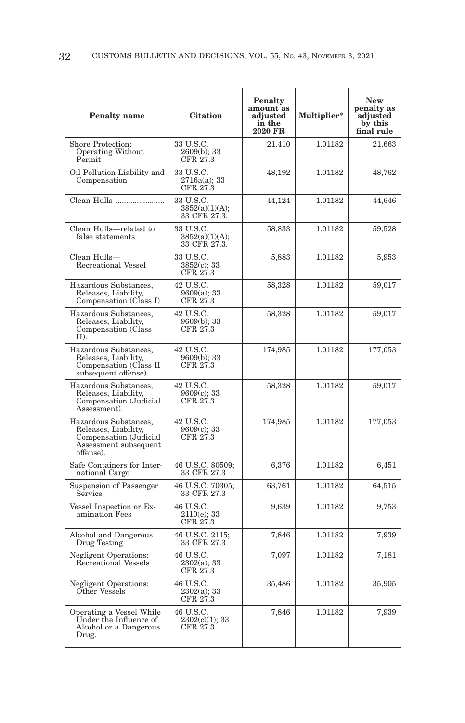| <b>Penalty</b> name                                                                                           | <b>Citation</b>                                                                  | Penalty<br>amount as<br>adjusted<br>in the<br>2020 FR | Multiplier* | <b>New</b><br>penalty as<br>adjusted<br>by this<br>final rule |
|---------------------------------------------------------------------------------------------------------------|----------------------------------------------------------------------------------|-------------------------------------------------------|-------------|---------------------------------------------------------------|
| Shore Protection;<br>Operating Without<br>Permit                                                              | 33 U.S.C.<br>$2609(b)$ ; 33<br>CFR 27.3                                          | 21,410                                                | 1.01182     | 21,663                                                        |
| Oil Pollution Liability and<br>Compensation                                                                   | 33 U.S.C.<br>2716a(a); 33<br>CFR 27.3                                            | 48,192                                                | 1.01182     | 48,762                                                        |
| Clean Hulls                                                                                                   | 33 U.S.C.<br>3852(a)(1)(A);<br>33 CFR 27.3.                                      | 44,124                                                | 1.01182     | 44,646                                                        |
| Clean Hulls-related to<br>false statements                                                                    | 33 U.S.C.<br>3852(a)(1)(A);<br>33 CFR 27.3.                                      | 58,833                                                | 1.01182     | 59,528                                                        |
| Clean Hulls-<br>Recreational Vessel                                                                           | 33 U.S.C.<br>3852(c); 33<br>CFR 27.3                                             | 5,883                                                 | 1.01182     | 5,953                                                         |
| Hazardous Substances,<br>Releases, Liability,<br>Compensation (Class I)                                       | 42 U.S.C.<br>9609(a); 33<br>CFR 27.3                                             | 58,328                                                | 1.01182     | 59,017                                                        |
| Hazardous Substances,<br>Releases, Liability,<br>Compensation (Class<br>ID.                                   | 42 U.S.C.<br>9609(b); 33<br>CFR 27.3                                             | 58,328                                                | 1.01182     | 59,017                                                        |
| Hazardous Substances,<br>Releases, Liability,<br>Compensation (Class II<br>subsequent offense).               | 42 U.S.C.<br>$9609(b)$ ; 33<br>CFR 27.3                                          | 174,985                                               | 1.01182     | 177,053                                                       |
| Hazardous Substances,<br>Releases, Liability,<br>Compensation (Judicial<br>Assessment).                       | 42 U.S.C.<br>9609(c); 33<br>CFR 27.3                                             | 58,328                                                | 1.01182     | 59,017                                                        |
| Hazardous Substances,<br>Releases, Liability,<br>Compensation (Judicial<br>Assessment subsequent<br>offense). | 42 U.S.C.<br>9609(c); 33<br>CFR 27.3                                             | 174,985                                               | 1.01182     | 177,053                                                       |
| Safe Containers for Inter-<br>national Cargo                                                                  | 46 U.S.C. 80509;<br>33 CFR 27.3                                                  | 6,376                                                 | 1.01182     | 6,451                                                         |
| Suspension of Passenger<br>Service                                                                            | $\begin{array}{c} 46 \text{ U.S.C. } 70305; \\ 33 \text{ CFR } 27.3 \end{array}$ | 63,761                                                | 1.01182     | 64,515                                                        |
| Vessel Inspection or Ex-<br>amination Fees                                                                    | 46 U.S.C.<br>$2110(e)$ ; 33<br>CFR 27.3                                          | 9,639                                                 | 1.01182     | 9,753                                                         |
| Alcohol and Dangerous<br>Drug Testing                                                                         | 46 U.S.C. 2115;<br>33 CFR 27.3                                                   | 7,846                                                 | 1.01182     | 7,939                                                         |
| <b>Negligent Operations:</b><br>Recreational Vessels                                                          | 46 U.S.C.<br>$2302(a)$ ; 33<br>CFR 27.3                                          | 7,097                                                 | 1.01182     | 7,181                                                         |
| <b>Negligent Operations:</b><br>Other Vessels                                                                 | 46 U.S.C.<br>2302(a); 33<br>CFR 27.3                                             | 35,486                                                | 1.01182     | 35,905                                                        |
| Operating a Vessel While<br>Under the Influence of<br>Alcohol or a Dangerous<br>Drug.                         | 46 U.S.C.<br>2302(c)(1); 33<br>CFR 27.3.                                         | 7,846                                                 | 1.01182     | 7,939                                                         |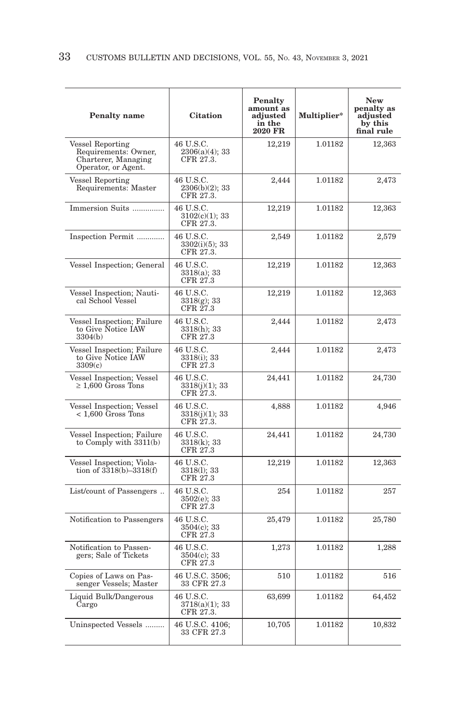| <b>Penalty</b> name                                                                    | <b>Citation</b>                             | Penalty<br>amount as<br>adjusted<br>in the<br>2020 FR | Multiplier* | <b>New</b><br>penalty as<br>adjusted<br>by this<br>final rule |
|----------------------------------------------------------------------------------------|---------------------------------------------|-------------------------------------------------------|-------------|---------------------------------------------------------------|
| Vessel Reporting<br>Requirements: Owner,<br>Charterer, Managing<br>Operator, or Agent. | 46 U.S.C.<br>$2306(a)(4)$ ; 33<br>CFR 27.3. | 12,219                                                | 1.01182     | 12,363                                                        |
| Vessel Reporting<br>Requirements: Master                                               | 46 U.S.C.<br>$2306(b)(2)$ ; 33<br>CFR 27.3. | 2,444                                                 | 1.01182     | 2,473                                                         |
| Immersion Suits                                                                        | 46 U.S.C.<br>3102(c)(1); 33<br>CFR 27.3.    | 12,219                                                | 1.01182     | 12,363                                                        |
| Inspection Permit                                                                      | 46 U.S.C.<br>3302(i)(5); 33<br>CFR 27.3.    | 2,549                                                 | 1.01182     | 2,579                                                         |
| Vessel Inspection; General                                                             | 46 U.S.C.<br>$3318(a)$ ; 33<br>CFR 27.3     | 12,219                                                | 1.01182     | 12,363                                                        |
| Vessel Inspection; Nauti-<br>cal School Vessel                                         | 46 U.S.C.<br>$3318(g); 33$<br>CFR 27.3      | 12,219                                                | 1.01182     | 12,363                                                        |
| Vessel Inspection; Failure<br>to Give Notice IAW<br>3304(b)                            | 46 U.S.C.<br>$3318(h)$ ; 33<br>CFR 27.3     | 2,444                                                 | 1.01182     | 2,473                                                         |
| Vessel Inspection; Failure<br>to Give Notice IAW<br>3309(c)                            | 46 U.S.C.<br>3318(i); 33<br>CFR 27.3        | 2,444                                                 | 1.01182     | 2,473                                                         |
| Vessel Inspection; Vessel<br>$\geq 1,600$ Gross Tons                                   | 46 U.S.C.<br>3318(j)(1); 33<br>CFR 27.3.    | 24,441                                                | 1.01182     | 24,730                                                        |
| Vessel Inspection; Vessel<br>$<$ 1,600 Gross Tons                                      | 46 U.S.C.<br>3318(j)(1); 33<br>CFR 27.3.    | 4,888                                                 | 1.01182     | 4,946                                                         |
| Vessel Inspection; Failure<br>to Comply with $3311(b)$                                 | 46 U.S.C.<br>3318(k); 33<br>CFR 27.3        | 24,441                                                | 1.01182     | 24,730                                                        |
| Vessel Inspection; Viola-<br>tion of $3318(b) - 3318(f)$                               | 46 U.S.C.<br>3318(1); 33<br>CFR 27.3        | 12,219                                                | 1.01182     | 12,363                                                        |
| List/count of Passengers                                                               | 46 U.S.C.<br>3502(e); 33<br>CFR 27.3        | 254                                                   | 1.01182     | 257                                                           |
| Notification to Passengers                                                             | 46 U.S.C.<br>3504(c); 33<br>CFR 27.3        | 25,479                                                | 1.01182     | 25,780                                                        |
| Notification to Passen-<br>gers; Sale of Tickets                                       | 46 U.S.C.<br>3504(c); 33<br>CFR 27.3        | 1,273                                                 | 1.01182     | 1,288                                                         |
| Copies of Laws on Pas-<br>senger Vessels; Master                                       | 46 U.S.C. 3506;<br>33 CFR 27.3              | 510                                                   | 1.01182     | 516                                                           |
| Liquid Bulk/Dangerous<br>Cargo                                                         | 46 U.S.C.<br>$3718(a)(1)$ ; 33<br>CFR 27.3. | 63,699                                                | 1.01182     | 64,452                                                        |
| Uninspected Vessels                                                                    | 46 U.S.C. 4106;<br>33 CFR 27.3              | 10,705                                                | 1.01182     | 10,832                                                        |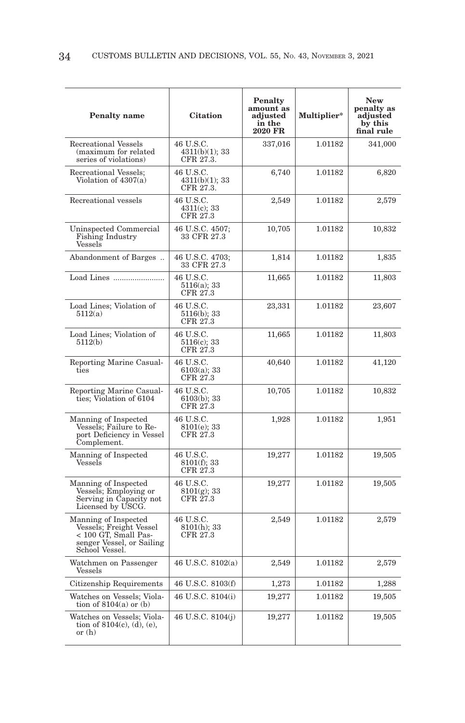| <b>Penalty name</b>                                                                                                    | <b>Citation</b>                          | <b>Penalty</b><br>amount as<br>adjusted<br>in the<br>2020 FR | Multiplier* | <b>New</b><br>penalty as<br>adjusted<br>by this<br>final rule |
|------------------------------------------------------------------------------------------------------------------------|------------------------------------------|--------------------------------------------------------------|-------------|---------------------------------------------------------------|
| <b>Recreational Vessels</b><br>(maximum for related<br>series of violations)                                           | 46 U.S.C.<br>4311(b)(1); 33<br>CFR 27.3. | 337,016                                                      | 1.01182     | 341,000                                                       |
| Recreational Vessels;<br>Violation of 4307(a)                                                                          | 46 U.S.C.<br>4311(b)(1); 33<br>CFR 27.3. | 6,740                                                        | 1.01182     | 6,820                                                         |
| Recreational vessels                                                                                                   | 46 U.S.C.<br>4311(c); 33<br>CFR 27.3     | 2,549                                                        | 1.01182     | 2,579                                                         |
| Uninspected Commercial<br>Fishing Industry<br>Vessels                                                                  | 46 U.S.C. 4507;<br>33 CFR 27.3           | 10,705                                                       | 1.01182     | 10,832                                                        |
| Abandonment of Barges                                                                                                  | 46 U.S.C. 4703;<br>33 CFR 27.3           | 1,814                                                        | 1.01182     | 1,835                                                         |
| Load Lines                                                                                                             | 46 U.S.C.<br>5116(a); 33<br>CFR 27.3     | 11,665                                                       | 1.01182     | 11,803                                                        |
| Load Lines; Violation of<br>5112(a)                                                                                    | 46 U.S.C.<br>5116(b); 33<br>CFR 27.3     | 23,331                                                       | 1.01182     | 23,607                                                        |
| Load Lines; Violation of<br>5112(b)                                                                                    | 46 U.S.C.<br>$5116(c)$ ; 33<br>CFR 27.3  | 11,665                                                       | 1.01182     | 11,803                                                        |
| Reporting Marine Casual-<br>ties                                                                                       | 46 U.S.C.<br>6103(a); 33<br>CFR 27.3     | 40,640                                                       | 1.01182     | 41,120                                                        |
| Reporting Marine Casual-<br>ties; Violation of 6104                                                                    | 46 U.S.C.<br>6103(b); 33<br>CFR 27.3     | 10,705                                                       | 1.01182     | 10,832                                                        |
| Manning of Inspected<br>Vessels; Failure to Re-<br>port Deficiency in Vessel<br>Complement.                            | 46 U.S.C.<br>8101(e); 33<br>CFR 27.3     | 1,928                                                        | 1.01182     | 1,951                                                         |
| Manning of Inspected<br>Vessels                                                                                        | 46 U.S.C.<br>8101(f); 33<br>CFR 27.3     | 19,277                                                       | 1.01182     | 19,505                                                        |
| Manning of Inspected<br>Vessels; Employing or<br>Serving in Capacity not<br>Licensed by USCG.                          | 46 U.S.C.<br>$8101(g)$ ; 33<br>CFR 27.3  | 19,277                                                       | 1.01182     | 19,505                                                        |
| Manning of Inspected<br>Vessels; Freight Vessel<br>< 100 GT, Small Pas-<br>senger Vessel, or Sailing<br>School Vessel. | 46 U.S.C.<br>$8101(h)$ ; 33<br>CFR 27.3  | 2,549                                                        | 1.01182     | 2,579                                                         |
| Watchmen on Passenger<br>Vessels                                                                                       | 46 U.S.C. 8102(a)                        | 2,549                                                        | 1.01182     | 2,579                                                         |
| Citizenship Requirements                                                                                               | 46 U.S.C. 8103(f)                        | 1,273                                                        | 1.01182     | 1,288                                                         |
| Watches on Vessels; Viola-<br>tion of $8104(a)$ or (b)                                                                 | 46 U.S.C. 8104(i)                        | 19,277                                                       | 1.01182     | 19,505                                                        |
| Watches on Vessels; Viola-<br>tion of $8104(c)$ , (d), (e),<br>$or$ $(h)$                                              | 46 U.S.C. 8104(j)                        | 19,277                                                       | 1.01182     | 19,505                                                        |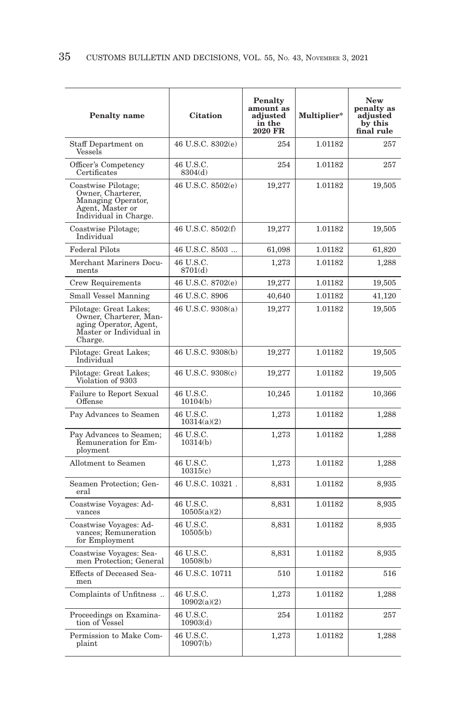| <b>Penalty</b> name                                                                                              | <b>Citation</b>          | <b>Penalty</b><br>amount as<br>adjusted<br>in the<br>2020 FR | Multiplier* | <b>New</b><br>penalty as<br>adjusted<br>by this<br>final rule |
|------------------------------------------------------------------------------------------------------------------|--------------------------|--------------------------------------------------------------|-------------|---------------------------------------------------------------|
| Staff Department on<br>Vessels                                                                                   | 46 U.S.C. 8302(e)        | 254                                                          | 1.01182     | 257                                                           |
| Officer's Competency<br>Certificates                                                                             | 46 U.S.C.<br>8304(d)     | 254                                                          | 1.01182     | 257                                                           |
| Coastwise Pilotage;<br>Owner, Charterer,<br>Managing Operator,<br>Agent, Master or<br>Individual in Charge.      | 46 U.S.C. 8502(e)        | 19,277                                                       | 1.01182     | 19,505                                                        |
| Coastwise Pilotage;<br>Individual                                                                                | 46 U.S.C. 8502(f)        | 19,277                                                       | 1.01182     | 19,505                                                        |
| <b>Federal Pilots</b>                                                                                            | 46 U.S.C. 8503           | 61,098                                                       | 1.01182     | 61,820                                                        |
| Merchant Mariners Docu-<br>ments                                                                                 | 46 U.S.C.<br>8701(d)     | 1,273                                                        | 1.01182     | 1,288                                                         |
| Crew Requirements                                                                                                | 46 U.S.C. 8702(e)        | 19,277                                                       | 1.01182     | 19,505                                                        |
| Small Vessel Manning                                                                                             | 46 U.S.C. 8906           | 40,640                                                       | 1.01182     | 41,120                                                        |
| Pilotage: Great Lakes;<br>Owner, Charterer, Man-<br>aging Operator, Agent,<br>Master or Individual in<br>Charge. | 46 U.S.C. 9308(a)        | 19,277                                                       | 1.01182     | 19,505                                                        |
| Pilotage: Great Lakes;<br>Individual                                                                             | 46 U.S.C. 9308(b)        | 19,277                                                       | 1.01182     | 19,505                                                        |
| Pilotage: Great Lakes;<br>Violation of 9303                                                                      | 46 U.S.C. 9308(c)        | 19,277                                                       | 1.01182     | 19,505                                                        |
| Failure to Report Sexual<br>Offense                                                                              | 46 U.S.C.<br>10104(b)    | 10,245                                                       | 1.01182     | 10,366                                                        |
| Pay Advances to Seamen                                                                                           | 46 U.S.C.<br>10314(a)(2) | 1,273                                                        | 1.01182     | 1,288                                                         |
| Pay Advances to Seamen;<br>Remuneration for Em-<br>ployment                                                      | 46 U.S.C.<br>10314(b)    | 1,273                                                        | 1.01182     | 1,288                                                         |
| Allotment to Seamen                                                                                              | 46 U.S.C.<br>10315(c)    | 1,273                                                        | 1.01182     | 1,288                                                         |
| Seamen Protection; Gen-<br>eral                                                                                  | 46 U.S.C. 10321.         | 8,831                                                        | 1.01182     | 8,935                                                         |
| Coastwise Voyages: Ad-<br>vances                                                                                 | 46 U.S.C.<br>10505(a)(2) | 8,831                                                        | 1.01182     | 8,935                                                         |
| Coastwise Voyages: Advances; Remuneration<br>for Employment                                                      | 46 U.S.C.<br>10505(b)    | 8,831                                                        | 1.01182     | 8,935                                                         |
| Coastwise Voyages: Sea-<br>men Protection; General                                                               | 46 U.S.C.<br>10508(b)    | 8,831                                                        | 1.01182     | 8,935                                                         |
| Effects of Deceased Sea-<br>men                                                                                  | 46 U.S.C. 10711          | 510                                                          | 1.01182     | 516                                                           |
| Complaints of Unfitness                                                                                          | 46 U.S.C.<br>10902(a)(2) | 1,273                                                        | 1.01182     | 1,288                                                         |
| Proceedings on Examina-<br>tion of Vessel                                                                        | 46 U.S.C.<br>10903(d)    | 254                                                          | 1.01182     | 257                                                           |
| Permission to Make Com-<br>plaint                                                                                | 46 U.S.C.<br>10907(b)    | 1,273                                                        | 1.01182     | 1,288                                                         |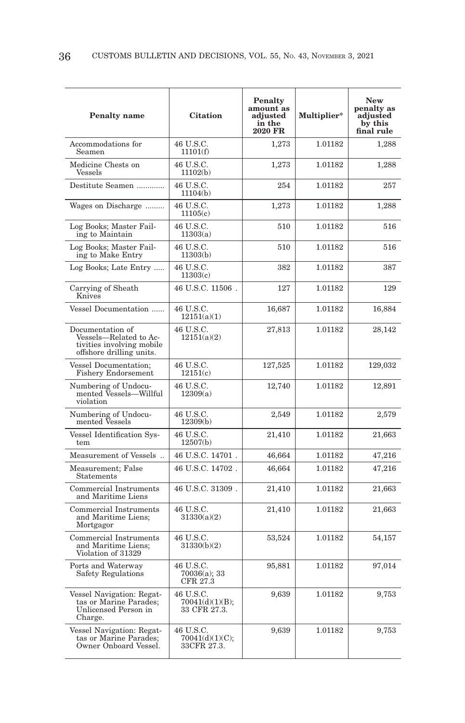| <b>Penalty</b> name                                                                                 | <b>Citation</b>                              | <b>Penalty</b><br>amount as<br>adjusted<br>in the<br>2020 FR | Multiplier* | <b>New</b><br>penalty as<br>adjusted<br>by this<br>final rule |
|-----------------------------------------------------------------------------------------------------|----------------------------------------------|--------------------------------------------------------------|-------------|---------------------------------------------------------------|
| Accommodations for<br>Seamen                                                                        | 46 U.S.C.<br>11101(f)                        | 1,273                                                        | 1.01182     | 1,288                                                         |
| Medicine Chests on<br>Vessels                                                                       | 46 U.S.C.<br>11102(b)                        | 1,273                                                        | 1.01182     | 1,288                                                         |
| Destitute Seamen                                                                                    | 46 U.S.C.<br>11104(b)                        | 254                                                          | 1.01182     | 257                                                           |
| Wages on Discharge                                                                                  | 46 U.S.C.<br>11105(c)                        | 1,273                                                        | 1.01182     | 1,288                                                         |
| Log Books; Master Fail-<br>ing to Maintain                                                          | 46 U.S.C.<br>11303(a)                        | 510                                                          | 1.01182     | 516                                                           |
| Log Books; Master Fail-<br>ing to Make Entry                                                        | 46 U.S.C.<br>11303(b)                        | 510                                                          | 1.01182     | 516                                                           |
| Log Books; Late Entry                                                                               | 46 U.S.C.<br>11303(c)                        | 382                                                          | 1.01182     | 387                                                           |
| Carrying of Sheath<br>Knives                                                                        | 46 U.S.C. 11506.                             | 127                                                          | 1.01182     | 129                                                           |
| Vessel Documentation                                                                                | 46 U.S.C.<br>12151(a)(1)                     | 16,687                                                       | 1.01182     | 16,884                                                        |
| Documentation of<br>Vessels-Related to Ac-<br>tivities involving mobile<br>offshore drilling units. | 46 U.S.C.<br>12151(a)(2)                     | 27,813                                                       | 1.01182     | 28,142                                                        |
| <b>Vessel Documentation:</b><br><b>Fishery Endorsement</b>                                          | 46 U.S.C.<br>12151(c)                        | 127,525                                                      | 1.01182     | 129,032                                                       |
| Numbering of Undocu-<br>mented Vessels—Willful<br>violation                                         | 46 U.S.C.<br>12309(a)                        | 12,740                                                       | 1.01182     | 12,891                                                        |
| Numbering of Undocu-<br>mented Vessels                                                              | 46 U.S.C.<br>12309(b)                        | 2,549                                                        | 1.01182     | 2,579                                                         |
| Vessel Identification Sys-<br>tem                                                                   | 46 U.S.C.<br>12507(b)                        | 21,410                                                       | 1.01182     | 21,663                                                        |
| Measurement of Vessels                                                                              | 46 U.S.C. 14701.                             | 46,664                                                       | 1.01182     | 47,216                                                        |
| Measurement; False<br>Statements                                                                    | 46 U.S.C. 14702.                             | 46,664                                                       | 1.01182     | 47,216                                                        |
| Commercial Instruments<br>and Maritime Liens                                                        | 46 U.S.C. 31309.                             | 21,410                                                       | 1.01182     | 21,663                                                        |
| Commercial Instruments<br>and Maritime Liens;<br>Mortgagor                                          | 46 U.S.C.<br>31330(a)(2)                     | 21,410                                                       | 1.01182     | 21,663                                                        |
| Commercial Instruments<br>and Maritime Liens:<br>Violation of 31329                                 | 46 U.S.C.<br>31330(b)(2)                     | 53,524                                                       | 1.01182     | 54,157                                                        |
| Ports and Waterway<br>Safety Regulations                                                            | 46 U.S.C.<br>70036(a); 33<br>CFR 27.3        | 95,881                                                       | 1.01182     | 97,014                                                        |
| Vessel Navigation: Regat-<br>tas or Marine Parades;<br>Unlicensed Person in<br>Charge.              | 46 U.S.C.<br>70041(d)(1)(B);<br>33 CFR 27.3. | 9,639                                                        | 1.01182     | 9,753                                                         |
| Vessel Navigation: Regat-<br>tas or Marine Parades;<br>Owner Onboard Vessel.                        | 46 U.S.C.<br>70041(d)(1)(C);<br>33CFR 27.3.  | 9,639                                                        | 1.01182     | 9,753                                                         |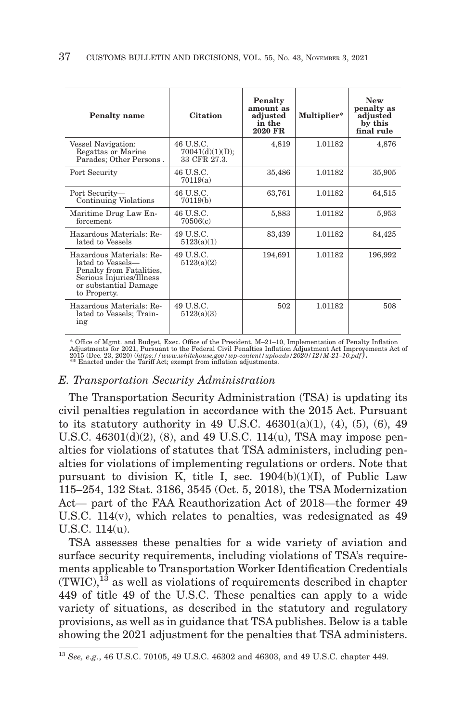| <b>Penalty</b> name                                                                                                                            | <b>Citation</b>                              | Penalty<br>amount as<br>adjusted<br>in the<br><b>2020 FR</b> | Multiplier* | <b>New</b><br>penalty as<br>adjusted<br>by this<br>final rule |
|------------------------------------------------------------------------------------------------------------------------------------------------|----------------------------------------------|--------------------------------------------------------------|-------------|---------------------------------------------------------------|
| Vessel Navigation:<br>Regattas or Marine<br>Parades; Other Persons.                                                                            | 46 U.S.C.<br>70041(d)(1)(D);<br>33 CFR 27.3. | 4,819                                                        | 1.01182     | 4,876                                                         |
| Port Security                                                                                                                                  | 46 U.S.C.<br>70119(a)                        | 35,486                                                       | 1.01182     | 35,905                                                        |
| Port Security-<br><b>Continuing Violations</b>                                                                                                 | 46 U.S.C.<br>70119(b)                        | 63.761                                                       | 1.01182     | 64,515                                                        |
| Maritime Drug Law En-<br>forcement                                                                                                             | 46 U.S.C.<br>70506(c)                        | 5,883                                                        | 1.01182     | 5,953                                                         |
| Hazardous Materials: Re-<br>lated to Vessels                                                                                                   | 49 U.S.C.<br>5123(a)(1)                      | 83,439                                                       | 1.01182     | 84,425                                                        |
| Hazardous Materials: Re-<br>lated to Vessels-<br>Penalty from Fatalities,<br>Serious Injuries/Illness<br>or substantial Damage<br>to Property. | 49 U.S.C.<br>5123(a)(2)                      | 194,691                                                      | 1.01182     | 196,992                                                       |
| Hazardous Materials: Re-<br>lated to Vessels; Train-<br>ing                                                                                    | 49 U.S.C.<br>5123(a)(3)                      | 502                                                          | 1.01182     | 508                                                           |

\* Office of Mgmt. and Budget, Exec. Office of the President, M–21–10, Implementation of Penalty Inflation Adjustments for 2021, Pursuant to the Federal Civil Penalties Inflation Adjustment Act Improvements Act of<br>2015 (Dec. 23, 2020) (*https: // www.whitehouse.gov/wp-content* /*uploads* / 2020/12/M-21–10.pdf**).**<br>\*\* Enacted und

## *E. Transportation Security Administration*

The Transportation Security Administration (TSA) is updating its civil penalties regulation in accordance with the 2015 Act. Pursuant to its statutory authority in 49 U.S.C.  $46301(a)(1)$ ,  $(4)$ ,  $(5)$ ,  $(6)$ ,  $49$ U.S.C. 46301(d)(2), (8), and 49 U.S.C. 114(u), TSA may impose penalties for violations of statutes that TSA administers, including penalties for violations of implementing regulations or orders. Note that pursuant to division K, title I, sec. 1904(b)(1)(I), of Public Law 115–254, 132 Stat. 3186, 3545 (Oct. 5, 2018), the TSA Modernization Act— part of the FAA Reauthorization Act of 2018—the former 49 U.S.C. 114(v), which relates to penalties, was redesignated as 49 U.S.C. 114(u).

TSA assesses these penalties for a wide variety of aviation and surface security requirements, including violations of TSA's requirements applicable to Transportation Worker Identification Credentials  $(TWIC)<sup>13</sup>$  as well as violations of requirements described in chapter 449 of title 49 of the U.S.C. These penalties can apply to a wide variety of situations, as described in the statutory and regulatory provisions, as well as in guidance that TSA publishes. Below is a table showing the 2021 adjustment for the penalties that TSA administers.

<sup>13</sup>*See, e.g.*, 46 U.S.C. 70105, 49 U.S.C. 46302 and 46303, and 49 U.S.C. chapter 449.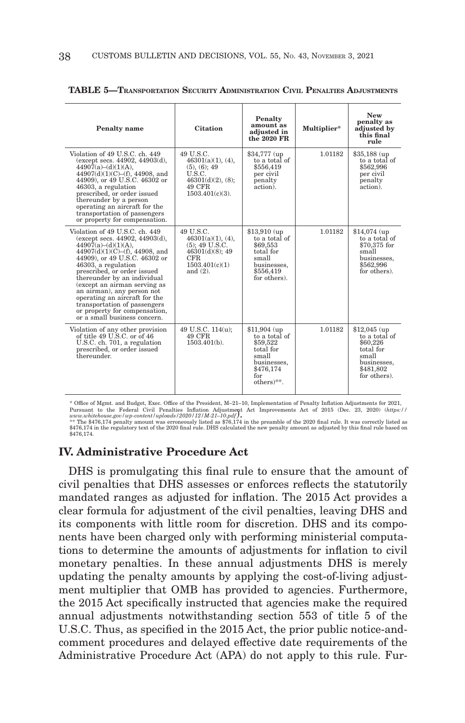| <b>Penalty</b> name                                                                                                                                                                                                                                                                                                                                                                                                                                  | <b>Citation</b>                                                                                                       | Penalty<br>amount as<br>adjusted in<br>the 2020 FR                                                                               | Multiplier* | <b>New</b><br>penalty as<br>adjusted by<br>this final<br>rule                                                 |
|------------------------------------------------------------------------------------------------------------------------------------------------------------------------------------------------------------------------------------------------------------------------------------------------------------------------------------------------------------------------------------------------------------------------------------------------------|-----------------------------------------------------------------------------------------------------------------------|----------------------------------------------------------------------------------------------------------------------------------|-------------|---------------------------------------------------------------------------------------------------------------|
| Violation of 49 U.S.C. ch. 449<br>(except secs. $44902, 44903(d)$ ,<br>$44907(a)-(d)(1)(A),$<br>44907(d)(1)(C)–(f), 44908, and<br>44909), or 49 U.S.C. 46302 or<br>46303, a regulation<br>prescribed, or order issued<br>thereunder by a person<br>operating an aircraft for the<br>transportation of passengers<br>or property for compensation.                                                                                                    | 49 U.S.C.<br>$46301(a)(1)$ , (4),<br>(5), (6); 49<br>U.S.C.<br>$46301(d)(2)$ , (8);<br>49 CFR<br>$1503.401(c)(3)$ .   | \$34,777 (up)<br>to a total of<br>\$556,419<br>per civil<br>penalty<br>action).                                                  | 1.01182     | $$35.188$ (up)<br>to a total of<br>\$562,996<br>per civil<br>penalty<br>action).                              |
| Violation of 49 U.S.C. ch. 449<br>(except secs. $44902, 44903(d)$ ,<br>$44907(a)-(d)(1)(A),$<br>44907(d)(1)(C)–(f), 44908, and<br>44909), or 49 U.S.C. 46302 or<br>46303, a regulation<br>prescribed, or order issued<br>thereunder by an individual<br>(except an airman serving as<br>an airman), any person not<br>operating an aircraft for the<br>transportation of passengers<br>or property for compensation,<br>or a small business concern. | 49 U.S.C.<br>$46301(a)(1)$ , (4),<br>$(5)$ ; 49 U.S.C.<br>$46301(d)(8)$ ; 49<br>CFR.<br>1503.401(c)(1)<br>and $(2)$ . | $$13.910$ (up<br>to a total of<br>\$69,553<br>total for<br>small<br>businesses.<br>\$556.419<br>for others).                     | 1.01182     | $$14.074$ (up<br>to a total of<br>$$70.375$ for<br>small<br>businesses,<br>\$562,996<br>for others).          |
| Violation of any other provision<br>of title 49 U.S.C. or of 46<br>U.S.C. ch. 701, a regulation<br>prescribed, or order issued<br>thereunder.                                                                                                                                                                                                                                                                                                        | 49 U.S.C. 114(u):<br>49 CFR<br>$1503.401(b)$ .                                                                        | $$11.904$ (up)<br>to a total of<br>\$59,522<br>total for<br>small<br>businesses.<br>\$476,174<br>for<br>$others$ <sup>**</sup> . | 1.01182     | $$12.045$ (up)<br>to a total of<br>\$60,226<br>total for<br>small<br>businesses,<br>\$481.802<br>for others). |

|  | <b>TABLE 5-TRANSPORTATION SECURITY ADMINISTRATION CIVIL PENALTIES ADJUSTMENTS</b> |
|--|-----------------------------------------------------------------------------------|
|--|-----------------------------------------------------------------------------------|

\* Office of Mgmt. and Budget, Exec. Office of the President, M–21–10, Implementation of Penalty Inflation Adjustments for 2021, Pursuant to the Federal Civil Penalties Inflation Adjustment Act Improvements Act of 2015 (Dec. 23, 2020) (https://<br>www.whitehouse.gov/up-content/uploads/2020/12/M-21-10.pdf**).**<br>\*\* The \$476,174 penalty amount was erroneous

\$476,174 in the regulatory text of the 2020 final rule. DHS calculated the new penalty amount as adjusted by this final rule based on \$476,174.

### **IV. Administrative Procedure Act**

DHS is promulgating this final rule to ensure that the amount of civil penalties that DHS assesses or enforces reflects the statutorily mandated ranges as adjusted for inflation. The 2015 Act provides a clear formula for adjustment of the civil penalties, leaving DHS and its components with little room for discretion. DHS and its components have been charged only with performing ministerial computations to determine the amounts of adjustments for inflation to civil monetary penalties. In these annual adjustments DHS is merely updating the penalty amounts by applying the cost-of-living adjustment multiplier that OMB has provided to agencies. Furthermore, the 2015 Act specifically instructed that agencies make the required annual adjustments notwithstanding section 553 of title 5 of the U.S.C. Thus, as specified in the 2015 Act, the prior public notice-andcomment procedures and delayed effective date requirements of the Administrative Procedure Act (APA) do not apply to this rule. Fur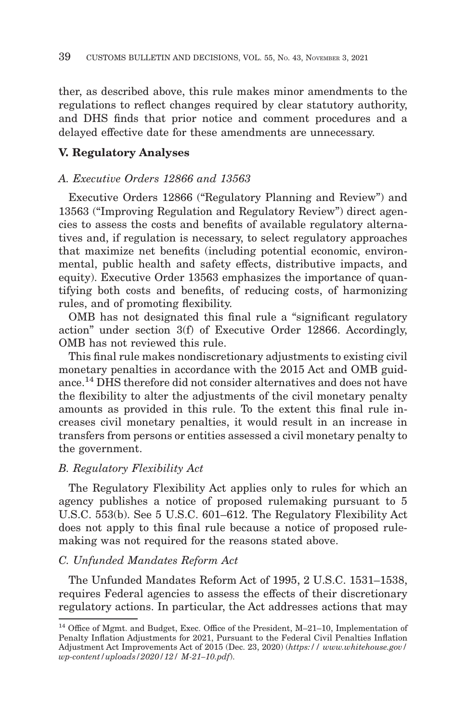ther, as described above, this rule makes minor amendments to the regulations to reflect changes required by clear statutory authority, and DHS finds that prior notice and comment procedures and a delayed effective date for these amendments are unnecessary.

## **V. Regulatory Analyses**

## *A. Executive Orders 12866 and 13563*

Executive Orders 12866 (''Regulatory Planning and Review'') and 13563 (''Improving Regulation and Regulatory Review'') direct agencies to assess the costs and benefits of available regulatory alternatives and, if regulation is necessary, to select regulatory approaches that maximize net benefits (including potential economic, environmental, public health and safety effects, distributive impacts, and equity). Executive Order 13563 emphasizes the importance of quantifying both costs and benefits, of reducing costs, of harmonizing rules, and of promoting flexibility.

OMB has not designated this final rule a ''significant regulatory action'' under section 3(f) of Executive Order 12866. Accordingly, OMB has not reviewed this rule.

This final rule makes nondiscretionary adjustments to existing civil monetary penalties in accordance with the 2015 Act and OMB guidance.14 DHS therefore did not consider alternatives and does not have the flexibility to alter the adjustments of the civil monetary penalty amounts as provided in this rule. To the extent this final rule increases civil monetary penalties, it would result in an increase in transfers from persons or entities assessed a civil monetary penalty to the government.

## *B. Regulatory Flexibility Act*

The Regulatory Flexibility Act applies only to rules for which an agency publishes a notice of proposed rulemaking pursuant to 5 U.S.C. 553(b). See 5 U.S.C. 601–612. The Regulatory Flexibility Act does not apply to this final rule because a notice of proposed rulemaking was not required for the reasons stated above.

### *C. Unfunded Mandates Reform Act*

The Unfunded Mandates Reform Act of 1995, 2 U.S.C. 1531–1538, requires Federal agencies to assess the effects of their discretionary regulatory actions. In particular, the Act addresses actions that may

<sup>14</sup> Office of Mgmt. and Budget, Exec. Office of the President, M–21–10, Implementation of Penalty Inflation Adjustments for 2021, Pursuant to the Federal Civil Penalties Inflation Adjustment Act Improvements Act of 2015 (Dec. 23, 2020) (*https:// www.whitehouse.gov/ wp-content/uploads/2020/12/ M-21–10.pdf*).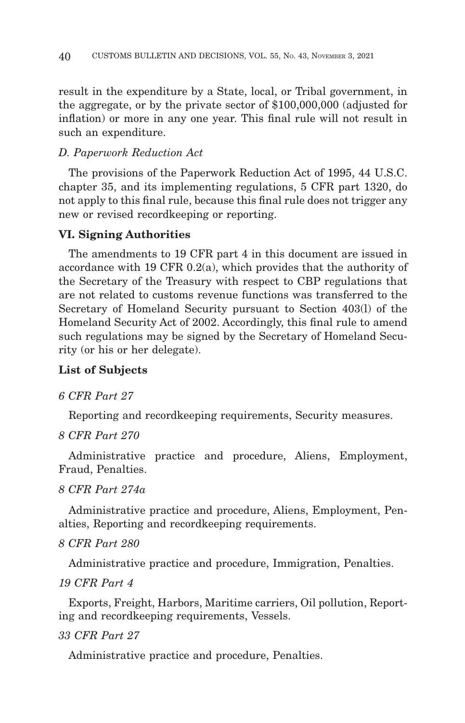result in the expenditure by a State, local, or Tribal government, in the aggregate, or by the private sector of \$100,000,000 (adjusted for inflation) or more in any one year. This final rule will not result in such an expenditure.

# *D. Paperwork Reduction Act*

The provisions of the Paperwork Reduction Act of 1995, 44 U.S.C. chapter 35, and its implementing regulations, 5 CFR part 1320, do not apply to this final rule, because this final rule does not trigger any new or revised recordkeeping or reporting.

## **VI. Signing Authorities**

The amendments to 19 CFR part 4 in this document are issued in accordance with 19 CFR 0.2(a), which provides that the authority of the Secretary of the Treasury with respect to CBP regulations that are not related to customs revenue functions was transferred to the Secretary of Homeland Security pursuant to Section 403(l) of the Homeland Security Act of 2002. Accordingly, this final rule to amend such regulations may be signed by the Secretary of Homeland Security (or his or her delegate).

## **List of Subjects**

## *6 CFR Part 27*

Reporting and recordkeeping requirements, Security measures.

## *8 CFR Part 270*

Administrative practice and procedure, Aliens, Employment, Fraud, Penalties.

# *8 CFR Part 274a*

Administrative practice and procedure, Aliens, Employment, Penalties, Reporting and recordkeeping requirements.

# *8 CFR Part 280*

Administrative practice and procedure, Immigration, Penalties.

# *19 CFR Part 4*

Exports, Freight, Harbors, Maritime carriers, Oil pollution, Reporting and recordkeeping requirements, Vessels.

# *33 CFR Part 27*

Administrative practice and procedure, Penalties.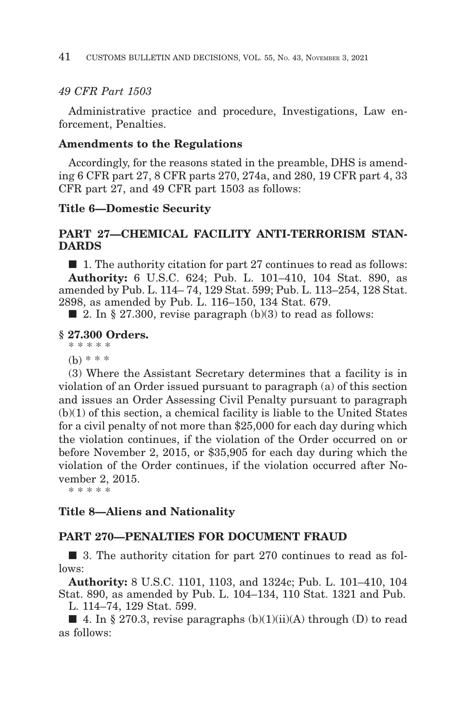# *49 CFR Part 1503*

Administrative practice and procedure, Investigations, Law enforcement, Penalties.

## **Amendments to the Regulations**

Accordingly, for the reasons stated in the preamble, DHS is amending 6 CFR part 27, 8 CFR parts 270, 274a, and 280, 19 CFR part 4, 33 CFR part 27, and 49 CFR part 1503 as follows:

## **Title 6—Domestic Security**

## **PART 27—CHEMICAL FACILITY ANTI-TERRORISM STAN-DARDS**

■ 1. The authority citation for part 27 continues to read as follows: **Authority:** 6 U.S.C. 624; Pub. L. 101–410, 104 Stat. 890, as amended by Pub. L. 114– 74, 129 Stat. 599; Pub. L. 113–254, 128 Stat. 2898, as amended by Pub. L. 116–150, 134 Stat. 679.

 $\blacksquare$  2. In § 27.300, revise paragraph (b)(3) to read as follows:

## **§ 27.300 Orders.**

\* \* \* \* \*

(b) \* \* \*

(3) Where the Assistant Secretary determines that a facility is in violation of an Order issued pursuant to paragraph (a) of this section and issues an Order Assessing Civil Penalty pursuant to paragraph (b)(1) of this section, a chemical facility is liable to the United States for a civil penalty of not more than \$25,000 for each day during which the violation continues, if the violation of the Order occurred on or before November 2, 2015, or \$35,905 for each day during which the violation of the Order continues, if the violation occurred after November 2, 2015.

\* \* \* \* \*

## **Title 8—Aliens and Nationality**

## **PART 270—PENALTIES FOR DOCUMENT FRAUD**

■ 3. The authority citation for part 270 continues to read as follows:

**Authority:** 8 U.S.C. 1101, 1103, and 1324c; Pub. L. 101–410, 104 Stat. 890, as amended by Pub. L. 104–134, 110 Stat. 1321 and Pub.

L. 114–74, 129 Stat. 599.

**4.** In § 270.3, revise paragraphs  $(b)(1)(ii)(A)$  through  $(D)$  to read as follows: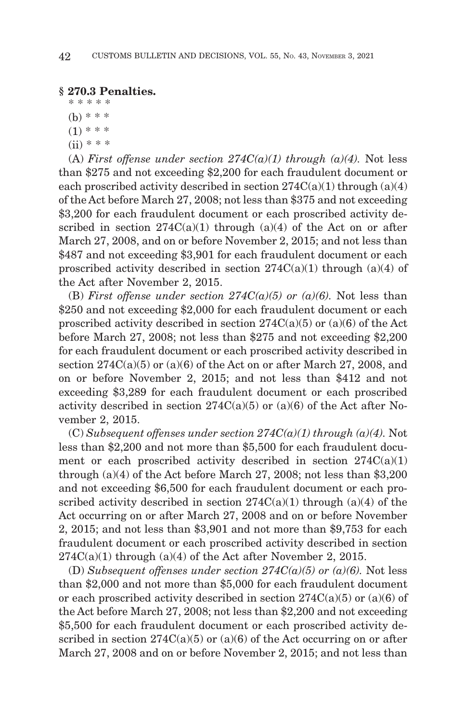## **§ 270.3 Penalties.**

\* \* \* \* \* (b) \* \* \*  $(1)$  \* \* \*

- 
- $(ii) * * *$

(A) *First offense under section 274C(a)(1)* through (a)(4). Not less than \$275 and not exceeding \$2,200 for each fraudulent document or each proscribed activity described in section  $274C(a)(1)$  through  $(a)(4)$ of the Act before March 27, 2008; not less than \$375 and not exceeding \$3,200 for each fraudulent document or each proscribed activity described in section  $274C(a)(1)$  through  $(a)(4)$  of the Act on or after March 27, 2008, and on or before November 2, 2015; and not less than \$487 and not exceeding \$3,901 for each fraudulent document or each proscribed activity described in section  $274C(a)(1)$  through  $(a)(4)$  of the Act after November 2, 2015.

(B) *First offense under section 274C(a)(5) or (a)(6)*. Not less than \$250 and not exceeding \$2,000 for each fraudulent document or each proscribed activity described in section  $274C(a)(5)$  or  $(a)(6)$  of the Act before March 27, 2008; not less than \$275 and not exceeding \$2,200 for each fraudulent document or each proscribed activity described in section  $274C(a)(5)$  or  $(a)(6)$  of the Act on or after March 27, 2008, and on or before November 2, 2015; and not less than \$412 and not exceeding \$3,289 for each fraudulent document or each proscribed activity described in section  $274C(a)(5)$  or  $(a)(6)$  of the Act after November 2, 2015.

 $(C) Subsequent$  offenses under section  $274C(a)(1)$  through  $(a)(4)$ . Not less than \$2,200 and not more than \$5,500 for each fraudulent document or each proscribed activity described in section  $274C(a)(1)$ through (a)(4) of the Act before March 27, 2008; not less than \$3,200 and not exceeding \$6,500 for each fraudulent document or each proscribed activity described in section  $274C(a)(1)$  through (a)(4) of the Act occurring on or after March 27, 2008 and on or before November 2, 2015; and not less than \$3,901 and not more than \$9,753 for each fraudulent document or each proscribed activity described in section  $274C(a)(1)$  through  $(a)(4)$  of the Act after November 2, 2015.

(D) *Subsequent offenses under section 274C(a)(5) or (a)(6)*. Not less than \$2,000 and not more than \$5,000 for each fraudulent document or each proscribed activity described in section  $274C(a)(5)$  or  $(a)(6)$  of the Act before March 27, 2008; not less than \$2,200 and not exceeding \$5,500 for each fraudulent document or each proscribed activity described in section  $274C(a)(5)$  or  $(a)(6)$  of the Act occurring on or after March 27, 2008 and on or before November 2, 2015; and not less than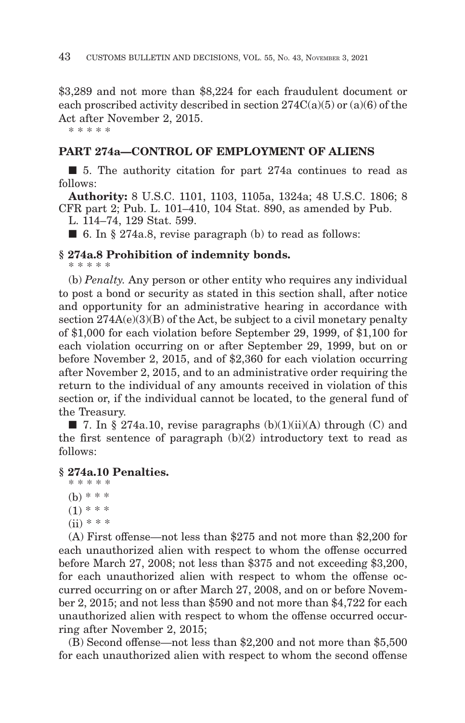\$3,289 and not more than \$8,224 for each fraudulent document or each proscribed activity described in section  $274C(a)(5)$  or  $(a)(6)$  of the Act after November 2, 2015.

\* \* \* \* \*

## **PART 274a—CONTROL OF EMPLOYMENT OF ALIENS**

■ 5. The authority citation for part 274a continues to read as follows:

**Authority:** 8 U.S.C. 1101, 1103, 1105a, 1324a; 48 U.S.C. 1806; 8 CFR part 2; Pub. L. 101–410, 104 Stat. 890, as amended by Pub.

L. 114–74, 129 Stat. 599.

 $\blacksquare$  6. In § 274a.8, revise paragraph (b) to read as follows:

## **§ 274a.8 Prohibition of indemnity bonds.**

\* \* \* \* \*

(b) *Penalty.* Any person or other entity who requires any individual to post a bond or security as stated in this section shall, after notice and opportunity for an administrative hearing in accordance with section  $274A(e)(3)(B)$  of the Act, be subject to a civil monetary penalty of \$1,000 for each violation before September 29, 1999, of \$1,100 for each violation occurring on or after September 29, 1999, but on or before November 2, 2015, and of \$2,360 for each violation occurring after November 2, 2015, and to an administrative order requiring the return to the individual of any amounts received in violation of this section or, if the individual cannot be located, to the general fund of the Treasury.

 $\blacksquare$  7. In § 274a.10, revise paragraphs (b)(1)(ii)(A) through (C) and the first sentence of paragraph  $(b)(2)$  introductory text to read as follows:

## **§ 274a.10 Penalties.**

```
* * * * *
(b) * * *(1) * * *
(ii) * * * *
```
(A) First offense—not less than \$275 and not more than \$2,200 for each unauthorized alien with respect to whom the offense occurred before March 27, 2008; not less than \$375 and not exceeding \$3,200, for each unauthorized alien with respect to whom the offense occurred occurring on or after March 27, 2008, and on or before November 2, 2015; and not less than \$590 and not more than \$4,722 for each unauthorized alien with respect to whom the offense occurred occurring after November 2, 2015;

(B) Second offense—not less than \$2,200 and not more than \$5,500 for each unauthorized alien with respect to whom the second offense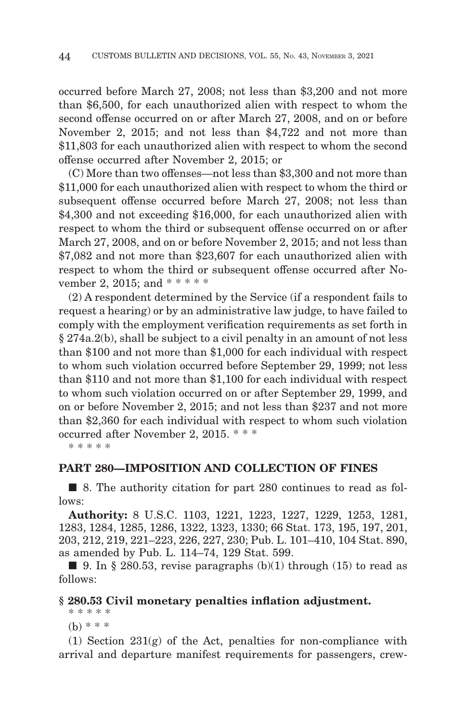occurred before March 27, 2008; not less than \$3,200 and not more than \$6,500, for each unauthorized alien with respect to whom the second offense occurred on or after March 27, 2008, and on or before November 2, 2015; and not less than \$4,722 and not more than \$11,803 for each unauthorized alien with respect to whom the second offense occurred after November 2, 2015; or

(C) More than two offenses—not less than \$3,300 and not more than \$11,000 for each unauthorized alien with respect to whom the third or subsequent offense occurred before March 27, 2008; not less than \$4,300 and not exceeding \$16,000, for each unauthorized alien with respect to whom the third or subsequent offense occurred on or after March 27, 2008, and on or before November 2, 2015; and not less than \$7,082 and not more than \$23,607 for each unauthorized alien with respect to whom the third or subsequent offense occurred after November 2, 2015; and \* \* \* \* \*

(2) A respondent determined by the Service (if a respondent fails to request a hearing) or by an administrative law judge, to have failed to comply with the employment verification requirements as set forth in § 274a.2(b), shall be subject to a civil penalty in an amount of not less than \$100 and not more than \$1,000 for each individual with respect to whom such violation occurred before September 29, 1999; not less than \$110 and not more than \$1,100 for each individual with respect to whom such violation occurred on or after September 29, 1999, and on or before November 2, 2015; and not less than \$237 and not more than \$2,360 for each individual with respect to whom such violation occurred after November 2, 2015. \* \* \*

\* \* \* \* \*

## **PART 280—IMPOSITION AND COLLECTION OF FINES**

■ 8. The authority citation for part 280 continues to read as follows:

**Authority:** 8 U.S.C. 1103, 1221, 1223, 1227, 1229, 1253, 1281, 1283, 1284, 1285, 1286, 1322, 1323, 1330; 66 Stat. 173, 195, 197, 201, 203, 212, 219, 221–223, 226, 227, 230; Pub. L. 101–410, 104 Stat. 890, as amended by Pub. L. 114–74, 129 Stat. 599.

■ 9. In § 280.53, revise paragraphs  $(b)(1)$  through (15) to read as follows:

#### **§ 280.53 Civil monetary penalties inflation adjustment.**

\* \* \* \* \*  $(b)$  \* \* \*

(1) Section 231(g) of the Act, penalties for non-compliance with arrival and departure manifest requirements for passengers, crew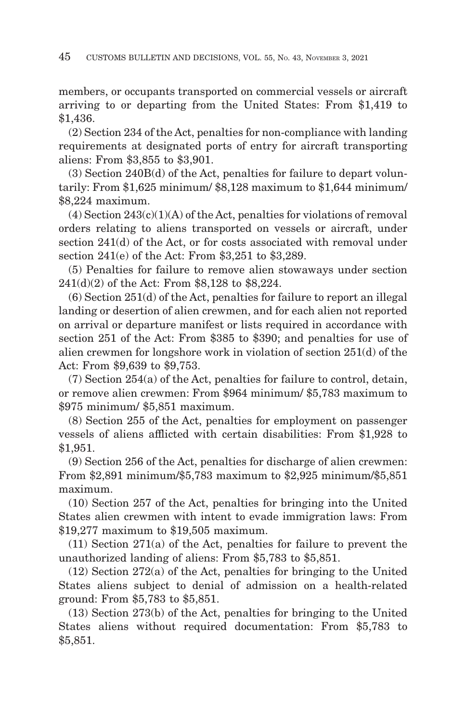members, or occupants transported on commercial vessels or aircraft arriving to or departing from the United States: From \$1,419 to \$1,436.

(2) Section 234 of the Act, penalties for non-compliance with landing requirements at designated ports of entry for aircraft transporting aliens: From \$3,855 to \$3,901.

(3) Section 240B(d) of the Act, penalties for failure to depart voluntarily: From \$1,625 minimum/ \$8,128 maximum to \$1,644 minimum/ \$8,224 maximum.

 $(4)$  Section  $243(c)(1)(A)$  of the Act, penalties for violations of removal orders relating to aliens transported on vessels or aircraft, under section 241(d) of the Act, or for costs associated with removal under section 241(e) of the Act: From \$3,251 to \$3,289.

(5) Penalties for failure to remove alien stowaways under section 241(d)(2) of the Act: From \$8,128 to \$8,224.

(6) Section 251(d) of the Act, penalties for failure to report an illegal landing or desertion of alien crewmen, and for each alien not reported on arrival or departure manifest or lists required in accordance with section 251 of the Act: From \$385 to \$390; and penalties for use of alien crewmen for longshore work in violation of section 251(d) of the Act: From \$9,639 to \$9,753.

(7) Section 254(a) of the Act, penalties for failure to control, detain, or remove alien crewmen: From \$964 minimum/ \$5,783 maximum to \$975 minimum/ \$5,851 maximum.

(8) Section 255 of the Act, penalties for employment on passenger vessels of aliens afflicted with certain disabilities: From \$1,928 to \$1,951.

(9) Section 256 of the Act, penalties for discharge of alien crewmen: From \$2,891 minimum/\$5,783 maximum to \$2,925 minimum/\$5,851 maximum.

(10) Section 257 of the Act, penalties for bringing into the United States alien crewmen with intent to evade immigration laws: From \$19,277 maximum to \$19,505 maximum.

(11) Section 271(a) of the Act, penalties for failure to prevent the unauthorized landing of aliens: From \$5,783 to \$5,851.

(12) Section 272(a) of the Act, penalties for bringing to the United States aliens subject to denial of admission on a health-related ground: From \$5,783 to \$5,851.

(13) Section 273(b) of the Act, penalties for bringing to the United States aliens without required documentation: From \$5,783 to \$5,851.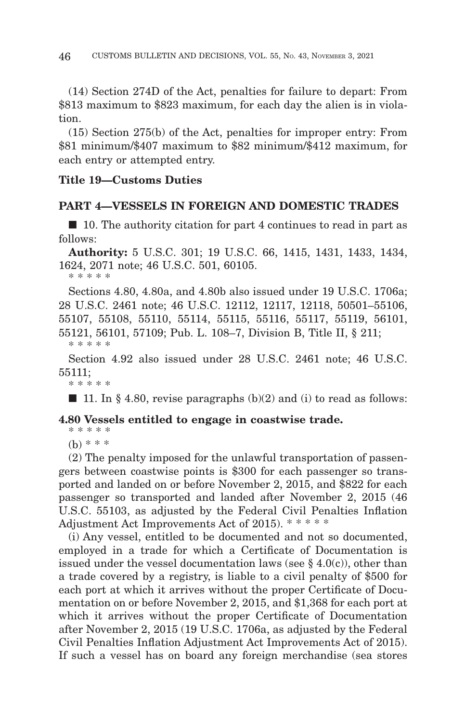(14) Section 274D of the Act, penalties for failure to depart: From \$813 maximum to \$823 maximum, for each day the alien is in violation.

(15) Section 275(b) of the Act, penalties for improper entry: From \$81 minimum/\$407 maximum to \$82 minimum/\$412 maximum, for each entry or attempted entry.

## **Title 19—Customs Duties**

## **PART 4—VESSELS IN FOREIGN AND DOMESTIC TRADES**

■ 10. The authority citation for part 4 continues to read in part as follows:

**Authority:** 5 U.S.C. 301; 19 U.S.C. 66, 1415, 1431, 1433, 1434, 1624, 2071 note; 46 U.S.C. 501, 60105.

\* \* \* \* \*

Sections 4.80, 4.80a, and 4.80b also issued under 19 U.S.C. 1706a; 28 U.S.C. 2461 note; 46 U.S.C. 12112, 12117, 12118, 50501–55106, 55107, 55108, 55110, 55114, 55115, 55116, 55117, 55119, 56101, 55121, 56101, 57109; Pub. L. 108–7, Division B, Title II, § 211;

\* \* \* \* \*

\* \* \* \* \*

Section 4.92 also issued under 28 U.S.C. 2461 note; 46 U.S.C. 55111;

 $\blacksquare$  11. In § 4.80, revise paragraphs (b)(2) and (i) to read as follows:

## **4.80 Vessels entitled to engage in coastwise trade.**

\* \* \* \* \*  $(b)$  \* \* \*

(2) The penalty imposed for the unlawful transportation of passengers between coastwise points is \$300 for each passenger so transported and landed on or before November 2, 2015, and \$822 for each passenger so transported and landed after November 2, 2015 (46 U.S.C. 55103, as adjusted by the Federal Civil Penalties Inflation Adjustment Act Improvements Act of 2015). \* \* \* \* \*

(i) Any vessel, entitled to be documented and not so documented, employed in a trade for which a Certificate of Documentation is issued under the vessel documentation laws (see  $\S$  4.0(c)), other than a trade covered by a registry, is liable to a civil penalty of \$500 for each port at which it arrives without the proper Certificate of Documentation on or before November 2, 2015, and \$1,368 for each port at which it arrives without the proper Certificate of Documentation after November 2, 2015 (19 U.S.C. 1706a, as adjusted by the Federal Civil Penalties Inflation Adjustment Act Improvements Act of 2015). If such a vessel has on board any foreign merchandise (sea stores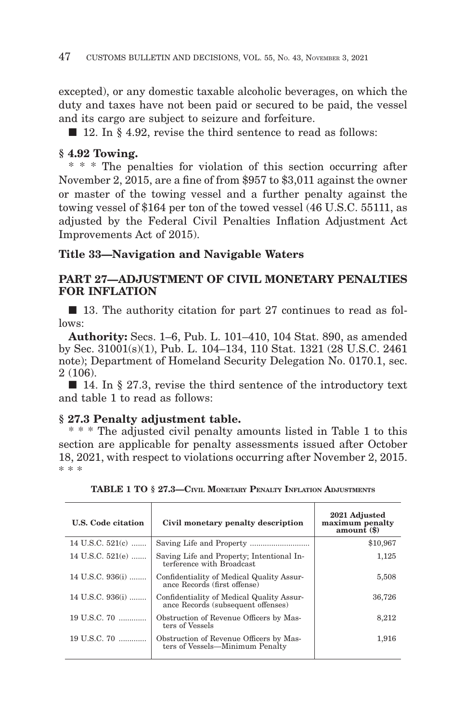excepted), or any domestic taxable alcoholic beverages, on which the duty and taxes have not been paid or secured to be paid, the vessel and its cargo are subject to seizure and forfeiture.

■ 12. In § 4.92, revise the third sentence to read as follows:

# **§ 4.92 Towing.**

\* \* \* The penalties for violation of this section occurring after November 2, 2015, are a fine of from \$957 to \$3,011 against the owner or master of the towing vessel and a further penalty against the towing vessel of \$164 per ton of the towed vessel (46 U.S.C. 55111, as adjusted by the Federal Civil Penalties Inflation Adjustment Act Improvements Act of 2015).

# **Title 33—Navigation and Navigable Waters**

# **PART 27—ADJUSTMENT OF CIVIL MONETARY PENALTIES FOR INFLATION**

■ 13. The authority citation for part 27 continues to read as follows:

**Authority:** Secs. 1–6, Pub. L. 101–410, 104 Stat. 890, as amended by Sec. 31001(s)(1), Pub. L. 104–134, 110 Stat. 1321 (28 U.S.C. 2461 note); Department of Homeland Security Delegation No. 0170.1, sec. 2 (106).

■ 14. In § 27.3, revise the third sentence of the introductory text and table 1 to read as follows:

## **§ 27.3 Penalty adjustment table.**

\* \* \* The adjusted civil penalty amounts listed in Table 1 to this section are applicable for penalty assessments issued after October 18, 2021, with respect to violations occurring after November 2, 2015. \* \* \*

| U.S. Code citation | Civil monetary penalty description                                              | 2021 Adjusted<br>maximum penalty<br>amount $(\$)$ |
|--------------------|---------------------------------------------------------------------------------|---------------------------------------------------|
| 14 U.S.C. $521(c)$ |                                                                                 | \$10,967                                          |
| 14 U.S.C. 521(e)   | Saving Life and Property; Intentional In-<br>terference with Broadcast          | 1,125                                             |
| 14 U.S.C. 936(i)   | Confidentiality of Medical Quality Assur-<br>ance Records (first offense)       | 5,508                                             |
| 14 U.S.C. 936(i)   | Confidentiality of Medical Quality Assur-<br>ance Records (subsequent offenses) | 36,726                                            |
| 19 U.S.C. 70       | Obstruction of Revenue Officers by Mas-<br>ters of Vessels                      | 8,212                                             |
| 19 U.S.C. 70       | Obstruction of Revenue Officers by Mas-<br>ters of Vessels—Minimum Penalty      | 1,916                                             |
|                    |                                                                                 |                                                   |

**TABLE 1 TO § 27.3—CIVIL MONETARY PENALTY INFLATION ADJUSTMENTS**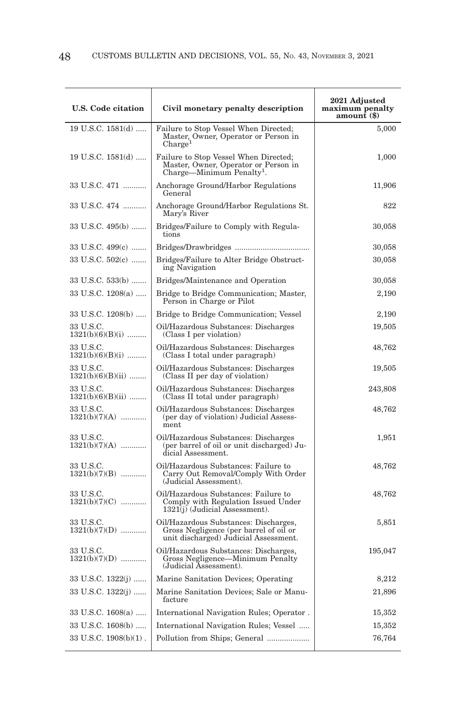| <b>U.S. Code citation</b>        | Civil monetary penalty description                                                                                       | 2021 Adjusted<br>maximum penalty<br>amount (\$) |
|----------------------------------|--------------------------------------------------------------------------------------------------------------------------|-------------------------------------------------|
| 19 U.S.C. 1581(d)                | Failure to Stop Vessel When Directed;<br>Master, Owner, Operator or Person in<br>$\text{Change}^1$                       | 5,000                                           |
| $19$ U.S.C. $1581(d)$            | Failure to Stop Vessel When Directed;<br>Master, Owner, Operator or Person in<br>Charge-Minimum Penalty <sup>1</sup> .   | 1,000                                           |
| 33 U.S.C. 471                    | Anchorage Ground/Harbor Regulations<br>General                                                                           | 11,906                                          |
| 33 U.S.C. 474                    | Anchorage Ground/Harbor Regulations St.<br>Mary's River                                                                  | 822                                             |
| 33 U.S.C. 495(b)                 | Bridges/Failure to Comply with Regula-<br>tions                                                                          | 30,058                                          |
| 33 U.S.C. 499(c)                 |                                                                                                                          | 30,058                                          |
| 33 U.S.C. 502(c)                 | Bridges/Failure to Alter Bridge Obstruct-<br>ing Navigation                                                              | 30,058                                          |
| 33 U.S.C. 533(b)                 | Bridges/Maintenance and Operation                                                                                        | 30,058                                          |
| 33 U.S.C. 1208(a)                | Bridge to Bridge Communication; Master,<br>Person in Charge or Pilot                                                     | 2,190                                           |
| 33 U.S.C. 1208(b)                | Bridge to Bridge Communication; Vessel                                                                                   | 2,190                                           |
| 33 U.S.C.<br>$1321(b)(6)(B)(i)$  | Oil/Hazardous Substances: Discharges<br>(Class I per violation)                                                          | 19,505                                          |
| 33 U.S.C.<br>$1321(b)(6)(B)(i)$  | Oil/Hazardous Substances: Discharges<br>(Class I total under paragraph)                                                  | 48,762                                          |
| 33 U.S.C.<br>$1321(b)(6)(B)(ii)$ | Oil/Hazardous Substances: Discharges<br>(Class II per day of violation)                                                  | 19,505                                          |
| 33 U.S.C.<br>$1321(b)(6)(B)(ii)$ | Oil/Hazardous Substances: Discharges<br>(Class II total under paragraph)                                                 | 243,808                                         |
| 33 U.S.C.<br>$1321(b)(7)(A)$     | Oil/Hazardous Substances: Discharges<br>(per day of violation) Judicial Assess-<br>ment                                  | 48,762                                          |
| 33 U.S.C.<br>$1321(b)(7)(A)$     | Oil/Hazardous Substances: Discharges<br>(per barrel of oil or unit discharged) Ju-<br>dicial Assessment.                 | 1,951                                           |
| 33 U.S.C.<br>$1321(b)(7)(B)$     | Oil/Hazardous Substances: Failure to<br>Carry Out Removal/Comply With Order<br>(Judicial Assessment).                    | 48,762                                          |
| 33 U.S.C.<br>$1321(b)(7)(C)$     | Oil/Hazardous Substances: Failure to<br>Comply with Regulation Issued Under<br>1321(j) (Judicial Assessment).            | 48,762                                          |
| 33 U.S.C.<br>$1321(b)(7)(D)$     | Oil/Hazardous Substances: Discharges,<br>Gross Negligence (per barrel of oil or<br>unit discharged) Judicial Assessment. | 5,851                                           |
| 33 U.S.C.<br>$1321(b)(7)(D)$     | Oil/Hazardous Substances: Discharges,<br>Gross Negligence—Minimum Penalty<br>(Judicial Assessment).                      | 195,047                                         |
| 33 U.S.C. 1322(j)                | Marine Sanitation Devices; Operating                                                                                     | 8,212                                           |
| 33 U.S.C. 1322(j)                | Marine Sanitation Devices; Sale or Manu-<br>facture                                                                      | 21,896                                          |
| 33 U.S.C. 1608(a)                | International Navigation Rules; Operator.                                                                                | 15,352                                          |
| 33 U.S.C. 1608(b)                | International Navigation Rules; Vessel                                                                                   | 15,352                                          |
| 33 U.S.C. 1908(b)(1).            | Pollution from Ships; General                                                                                            | 76,764                                          |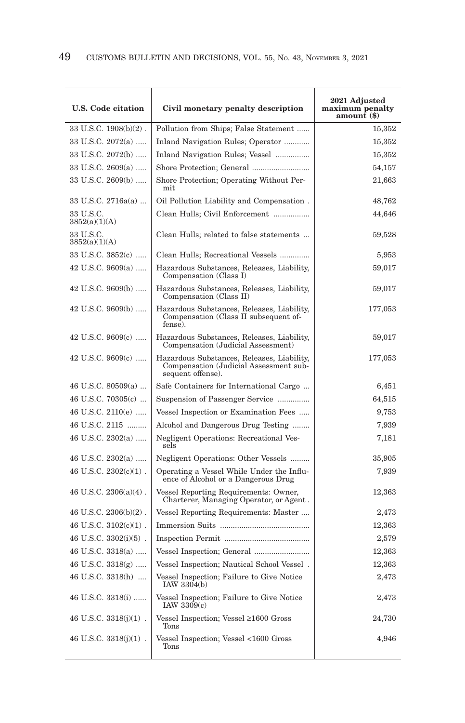| <b>U.S. Code citation</b>                 | Civil monetary penalty description                                                                        | 2021 Adjusted<br>maximum penalty<br>amount (\$) |
|-------------------------------------------|-----------------------------------------------------------------------------------------------------------|-------------------------------------------------|
| $33 \text{ U.S.C. } 1908(b)(2)$ .         | Pollution from Ships; False Statement                                                                     | 15,352                                          |
| 33 U.S.C. 2072(a)                         | Inland Navigation Rules; Operator                                                                         | 15,352                                          |
| 33 U.S.C. 2072(b)                         | Inland Navigation Rules; Vessel                                                                           | 15,352                                          |
| 33 U.S.C. $2609(a)$                       |                                                                                                           | 54,157                                          |
| 33 U.S.C. 2609(b)                         | Shore Protection; Operating Without Per-<br>mit                                                           | 21,663                                          |
| 33 U.S.C. 2716a(a)                        | Oil Pollution Liability and Compensation.                                                                 | 48,762                                          |
| 33 U.S.C.<br>3852(a)(1)(A)                | Clean Hulls; Civil Enforcement                                                                            | 44,646                                          |
| 33 U.S.C.<br>3852(a)(1)(A)                | Clean Hulls; related to false statements                                                                  | 59,528                                          |
| 33 U.S.C. 3852(c)                         | Clean Hulls; Recreational Vessels                                                                         | 5,953                                           |
| 42 U.S.C. $9609(a)$                       | Hazardous Substances, Releases, Liability,<br>Compensation (Class I)                                      | 59,017                                          |
| 42 U.S.C. $9609(b)$                       | Hazardous Substances, Releases, Liability,<br>Compensation (Class II)                                     | 59,017                                          |
| 42 U.S.C. 9609(b)                         | Hazardous Substances, Releases, Liability,<br>Compensation (Class II subsequent of-<br>fense).            | 177,053                                         |
| 42 U.S.C. $9609(c)$                       | Hazardous Substances, Releases, Liability,<br>Compensation (Judicial Assessment)                          | 59,017                                          |
| 42 U.S.C. $9609(c)$                       | Hazardous Substances, Releases, Liability,<br>Compensation (Judicial Assessment sub-<br>sequent offense). | 177,053                                         |
| 46 U.S.C. $80509(a)$                      | Safe Containers for International Cargo                                                                   | 6,451                                           |
| 46 U.S.C. $70305(c)$                      | Suspension of Passenger Service                                                                           | 64,515                                          |
| 46 U.S.C. 2110(e)                         | Vessel Inspection or Examination Fees                                                                     | 9,753                                           |
| 46 U.S.C. 2115                            | Alcohol and Dangerous Drug Testing                                                                        | 7,939                                           |
| 46 U.S.C. 2302(a)                         | Negligent Operations: Recreational Ves-<br>sels                                                           | 7,181                                           |
| 46 U.S.C. $2302(a)$                       | Negligent Operations: Other Vessels                                                                       | 35,905                                          |
| 46 U.S.C. $2302(c)(1)$ .                  | Operating a Vessel While Under the Influ-<br>ence of Alcohol or a Dangerous Drug                          | 7,939                                           |
| 46 U.S.C. $2306(a)(4)$ .                  | Vessel Reporting Requirements: Owner,<br>Charterer, Managing Operator, or Agent.                          | 12,363                                          |
| $46$ U.S.C. $2306(b)(2)$ .                | Vessel Reporting Requirements: Master                                                                     | 2,473                                           |
| 46 U.S.C. $3102(c)(1)$ .                  |                                                                                                           | 12,363                                          |
| 46 U.S.C. 3302(i)(5).                     |                                                                                                           | 2,579                                           |
| 46 U.S.C. 3318(a)                         |                                                                                                           | 12,363                                          |
| 46 U.S.C. $3318(g)$                       | Vessel Inspection; Nautical School Vessel.                                                                | 12,363                                          |
| $46$ U.S.C. $3318(\mathrm{h})$ $\,\ldots$ | Vessel Inspection; Failure to Give Notice<br>IAW 3304(b)                                                  | 2,473                                           |
| 46 U.S.C. 3318(i)                         | Vessel Inspection; Failure to Give Notice<br>IAW $3309(c)$                                                | 2,473                                           |
| 46 U.S.C. $3318(j)(1)$ .                  | Vessel Inspection; Vessel ≥1600 Gross<br>Tons                                                             | 24,730                                          |
| 46 U.S.C. 3318(j)(1).                     | Vessel Inspection; Vessel <1600 Gross<br>$_{\rm Tons}$                                                    | 4,946                                           |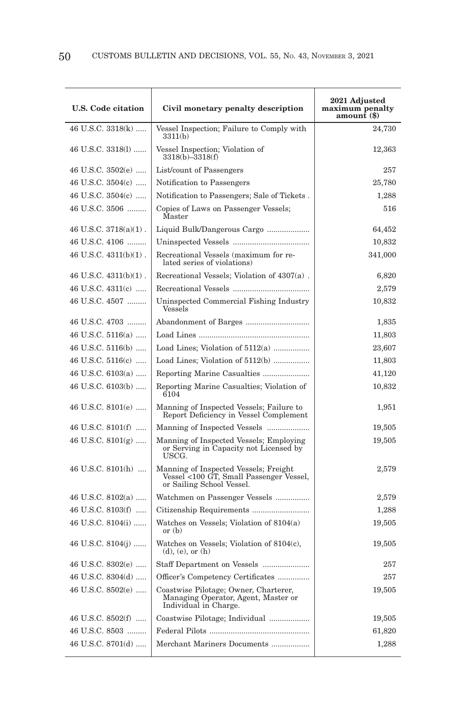| <b>U.S. Code citation</b>  | Civil monetary penalty description                                                                            | 2021 Adjusted<br>maximum penalty<br>amount (\$) |
|----------------------------|---------------------------------------------------------------------------------------------------------------|-------------------------------------------------|
| 46 U.S.C. 3318(k)          | Vessel Inspection; Failure to Comply with<br>3311(b)                                                          | 24,730                                          |
| 46 U.S.C. 3318(1)          | Vessel Inspection; Violation of<br>3318(b)-3318(f)                                                            | 12,363                                          |
| 46 U.S.C. 3502(e)          | List/count of Passengers                                                                                      | 257                                             |
| 46 U.S.C. 3504(c)          | Notification to Passengers                                                                                    | 25,780                                          |
| 46 U.S.C. 3504(c)          | Notification to Passengers; Sale of Tickets.                                                                  | 1,288                                           |
| 46 U.S.C. 3506             | Copies of Laws on Passenger Vessels;<br>Master                                                                | 516                                             |
| $46$ U.S.C. $3718(a)(1)$ . | Liquid Bulk/Dangerous Cargo                                                                                   | 64,452                                          |
| 46 U.S.C. 4106             |                                                                                                               | 10,832                                          |
| 46 U.S.C. $4311(b)(1)$ .   | Recreational Vessels (maximum for re-<br>lated series of violations)                                          | 341,000                                         |
| 46 U.S.C. $4311(b)(1)$ .   | Recreational Vessels; Violation of 4307(a).                                                                   | 6,820                                           |
| 46 U.S.C. 4311(c)          |                                                                                                               | 2,579                                           |
| 46 U.S.C. 4507             | Uninspected Commercial Fishing Industry<br>Vessels                                                            | 10,832                                          |
| 46 U.S.C. 4703             | Abandonment of Barges                                                                                         | 1,835                                           |
| 46 U.S.C. 5116(a)          |                                                                                                               | 11,803                                          |
| 46 U.S.C. 5116(b)          |                                                                                                               | 23,607                                          |
| 46 U.S.C. 5116(c)          | Load Lines; Violation of 5112(b)                                                                              | 11,803                                          |
| 46 U.S.C. 6103(a)          | Reporting Marine Casualties                                                                                   | 41,120                                          |
| 46 U.S.C. 6103(b)          | Reporting Marine Casualties; Violation of<br>6104                                                             | 10,832                                          |
| 46 U.S.C. $8101(e)$        | Manning of Inspected Vessels; Failure to<br>Report Deficiency in Vessel Complement                            | 1,951                                           |
| 46 U.S.C. 8101(f)          | Manning of Inspected Vessels                                                                                  | 19,505                                          |
| 46 U.S.C. $8101(g)$        | Manning of Inspected Vessels; Employing<br>or Serving in Capacity not Licensed by<br>USCG.                    | 19,505                                          |
| 46 U.S.C. $8101(h)$        | Manning of Inspected Vessels; Freight<br>Vessel <100 GT, Small Passenger Vessel,<br>or Sailing School Vessel. | 2,579                                           |
| 46 U.S.C. 8102(a)          | Watchmen on Passenger Vessels                                                                                 | 2,579                                           |
| 46 U.S.C. 8103(f)          | Citizenship Requirements                                                                                      | 1,288                                           |
| 46 U.S.C. 8104(i)          | Watches on Vessels; Violation of 8104(a)<br>or $(b)$                                                          | 19,505                                          |
| 46 U.S.C. $8104(j)$        | Watches on Vessels; Violation of $8104(c)$ ,<br>$(d)$ , $(e)$ , or $(h)$                                      | 19,505                                          |
| 46 U.S.C. 8302(e)          | Staff Department on Vessels                                                                                   | 257                                             |
| 46 U.S.C. 8304(d)          | Officer's Competency Certificates                                                                             | 257                                             |
| 46 U.S.C. 8502(e)          | Coastwise Pilotage; Owner, Charterer,<br>Managing Operator, Agent, Master or<br>Individual in Charge.         | 19,505                                          |
| 46 U.S.C. 8502(f)          | Coastwise Pilotage; Individual                                                                                | 19,505                                          |
| 46 U.S.C. 8503             |                                                                                                               | 61,820                                          |
| 46 U.S.C. 8701(d)          | Merchant Mariners Documents                                                                                   | 1,288                                           |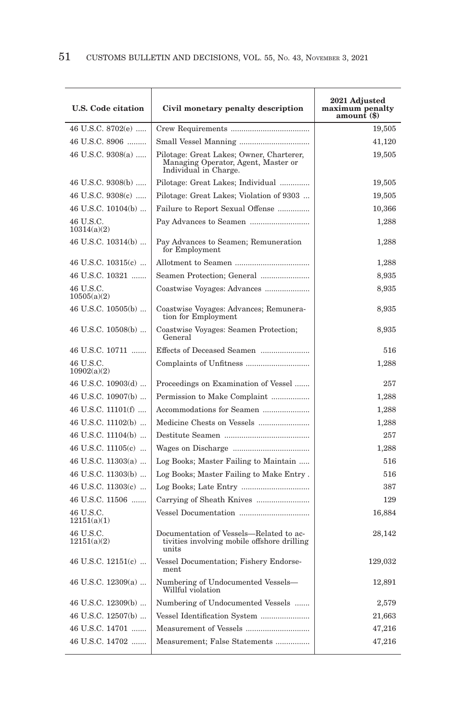| <b>U.S. Code citation</b> | Civil monetary penalty description                                                                       | 2021 Adjusted<br>maximum penalty<br>amount (\$) |
|---------------------------|----------------------------------------------------------------------------------------------------------|-------------------------------------------------|
| 46 U.S.C. 8702(e)         |                                                                                                          | 19,505                                          |
| 46 U.S.C. 8906            | Small Vessel Manning                                                                                     | 41,120                                          |
| 46 U.S.C. 9308(a)         | Pilotage: Great Lakes; Owner, Charterer,<br>Managing Operator, Agent, Master or<br>Individual in Charge. | 19,505                                          |
| 46 U.S.C. 9308(b)         | Pilotage: Great Lakes; Individual                                                                        | 19,505                                          |
| 46 U.S.C. 9308(c)         | Pilotage: Great Lakes; Violation of 9303                                                                 | 19,505                                          |
| 46 U.S.C. 10104(b)        | Failure to Report Sexual Offense                                                                         | 10,366                                          |
| 46 U.S.C.<br>10314(a)(2)  |                                                                                                          | 1,288                                           |
| 46 U.S.C. 10314(b)        | Pay Advances to Seamen; Remuneration<br>for Employment                                                   | 1,288                                           |
| 46 U.S.C. 10315(c)        |                                                                                                          | 1,288                                           |
| 46 U.S.C. 10321           | Seamen Protection; General                                                                               | 8,935                                           |
| 46 U.S.C.<br>10505(a)(2)  | Coastwise Voyages: Advances                                                                              | 8,935                                           |
| 46 U.S.C. 10505(b)        | Coastwise Voyages: Advances; Remunera-<br>tion for Employment                                            | 8,935                                           |
| 46 U.S.C. 10508(b)        | Coastwise Voyages: Seamen Protection;<br>General                                                         | 8,935                                           |
| 46 U.S.C. 10711           | Effects of Deceased Seamen                                                                               | 516                                             |
| 46 U.S.C.<br>10902(a)(2)  |                                                                                                          | 1,288                                           |
| 46 U.S.C. 10903(d)        | Proceedings on Examination of Vessel                                                                     | 257                                             |
| 46 U.S.C. 10907(b)        | Permission to Make Complaint                                                                             | 1,288                                           |
| 46 U.S.C. 11101(f)        | Accommodations for Seamen                                                                                | 1,288                                           |
| 46 U.S.C. 11102(b)        | Medicine Chests on Vessels                                                                               | 1,288                                           |
| 46 U.S.C. 11104(b)        |                                                                                                          | 257                                             |
| 46 U.S.C. 11105(c)        |                                                                                                          | 1,288                                           |
| 46 U.S.C. 11303(a)        | Log Books; Master Failing to Maintain                                                                    | 516                                             |
| 46 U.S.C. 11303(b)        | Log Books; Master Failing to Make Entry.                                                                 | 516                                             |
| 46 U.S.C. 11303(c)        |                                                                                                          | 387                                             |
| 46 U.S.C. 11506           |                                                                                                          | 129                                             |
| 46 U.S.C.<br>12151(a)(1)  |                                                                                                          | 16,884                                          |
| 46 U.S.C.<br>12151(a)(2)  | Documentation of Vessels—Related to ac-<br>tivities involving mobile offshore drilling<br>units          | 28,142                                          |
| 46 U.S.C. 12151(c)        | Vessel Documentation; Fishery Endorse-<br>ment                                                           | 129,032                                         |
| 46 U.S.C. 12309(a)        | Numbering of Undocumented Vessels-<br>Willful violation                                                  | 12,891                                          |
| 46 U.S.C. 12309(b)        | Numbering of Undocumented Vessels                                                                        | 2,579                                           |
| 46 U.S.C. 12507(b)        | Vessel Identification System                                                                             | 21,663                                          |
| 46 U.S.C. 14701           | Measurement of Vessels                                                                                   | 47,216                                          |
| 46 U.S.C. 14702           | Measurement; False Statements                                                                            | 47,216                                          |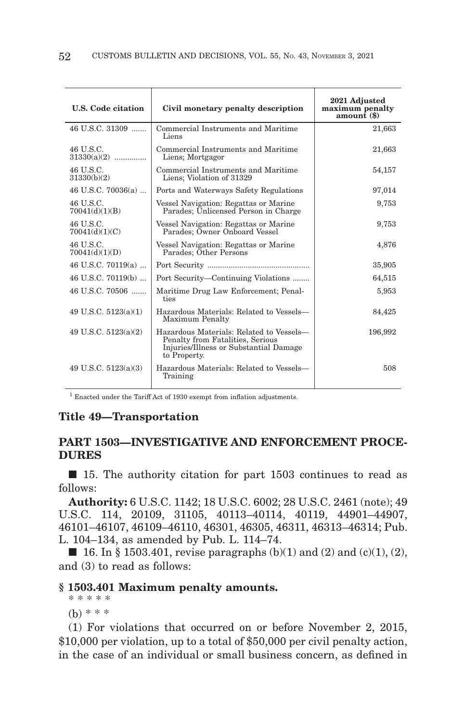| U.S. Code citation          | Civil monetary penalty description                                                                                                     | 2021 Adjusted<br>maximum penalty<br>amount (\$) |
|-----------------------------|----------------------------------------------------------------------------------------------------------------------------------------|-------------------------------------------------|
| 46 U.S.C. 31309             | Commercial Instruments and Maritime<br>Liens                                                                                           | 21,663                                          |
| 46 U.S.C.<br>$31330(a)(2)$  | Commercial Instruments and Maritime<br>Liens; Mortgagor                                                                                | 21,663                                          |
| 46 U.S.C.<br>31330(b)(2)    | Commercial Instruments and Maritime<br>Liens; Violation of 31329                                                                       | 54,157                                          |
| 46 U.S.C. 70036(a)          | Ports and Waterways Safety Regulations                                                                                                 | 97,014                                          |
| 46 U.S.C.<br>70041(d)(1)(B) | Vessel Navigation: Regattas or Marine<br>Parades; Ünlicensed Person in Charge                                                          | 9,753                                           |
| 46 U.S.C.<br>70041(d)(1)(C) | Vessel Navigation: Regattas or Marine<br>Parades; Owner Onboard Vessel                                                                 | 9,753                                           |
| 46 U.S.C.<br>70041(d)(1)(D) | Vessel Navigation: Regattas or Marine<br>Parades: Öther Persons                                                                        | 4,876                                           |
| 46 U.S.C. 70119(a)          |                                                                                                                                        | 35,905                                          |
| 46 U.S.C. 70119(b)          | Port Security—Continuing Violations                                                                                                    | 64,515                                          |
| 46 U.S.C. 70506             | Maritime Drug Law Enforcement; Penal-<br>ties                                                                                          | 5,953                                           |
| 49 U.S.C. $5123(a)(1)$      | Hazardous Materials: Related to Vessels-<br>Maximum Penalty                                                                            | 84,425                                          |
| 49 U.S.C. $5123(a)(2)$      | Hazardous Materials: Related to Vessels-<br>Penalty from Fatalities, Serious<br>Injuries/Illness or Substantial Damage<br>to Property. | 196,992                                         |
| 49 U.S.C. $5123(a)(3)$      | Hazardous Materials: Related to Vessels-<br>Training                                                                                   | 508                                             |

<sup>1</sup> Enacted under the Tariff Act of 1930 exempt from inflation adjustments.

## **Title 49—Transportation**

# **PART 1503—INVESTIGATIVE AND ENFORCEMENT PROCE-DURES**

■ 15. The authority citation for part 1503 continues to read as follows:

**Authority:** 6 U.S.C. 1142; 18 U.S.C. 6002; 28 U.S.C. 2461 (note); 49 U.S.C. 114, 20109, 31105, 40113–40114, 40119, 44901–44907, 46101–46107, 46109–46110, 46301, 46305, 46311, 46313–46314; Pub. L. 104–134, as amended by Pub. L. 114–74.

 $\blacksquare$  16. In § 1503.401, revise paragraphs (b)(1) and (2) and (c)(1), (2), and (3) to read as follows:

## **§ 1503.401 Maximum penalty amounts.**

\* \* \* \* \*

(b) \* \* \*

(1) For violations that occurred on or before November 2, 2015, \$10,000 per violation, up to a total of \$50,000 per civil penalty action, in the case of an individual or small business concern, as defined in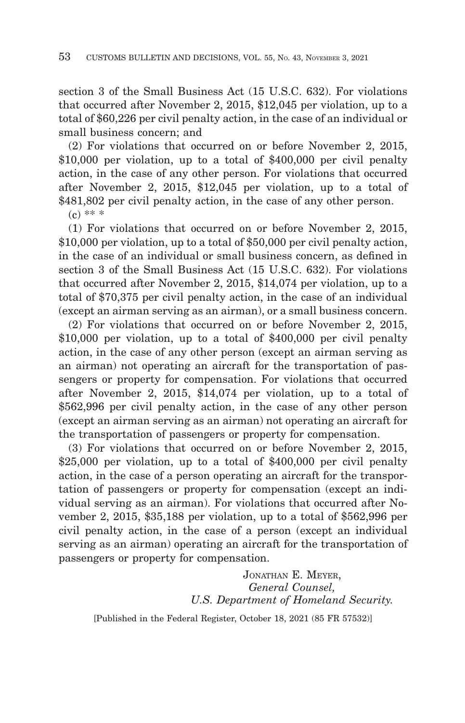section 3 of the Small Business Act (15 U.S.C. 632). For violations that occurred after November 2, 2015, \$12,045 per violation, up to a total of \$60,226 per civil penalty action, in the case of an individual or small business concern; and

(2) For violations that occurred on or before November 2, 2015, \$10,000 per violation, up to a total of \$400,000 per civil penalty action, in the case of any other person. For violations that occurred after November 2, 2015, \$12,045 per violation, up to a total of \$481,802 per civil penalty action, in the case of any other person.

 $(c)$  \*\* \*

(1) For violations that occurred on or before November 2, 2015, \$10,000 per violation, up to a total of \$50,000 per civil penalty action, in the case of an individual or small business concern, as defined in section 3 of the Small Business Act (15 U.S.C. 632). For violations that occurred after November 2, 2015, \$14,074 per violation, up to a total of \$70,375 per civil penalty action, in the case of an individual (except an airman serving as an airman), or a small business concern.

(2) For violations that occurred on or before November 2, 2015, \$10,000 per violation, up to a total of \$400,000 per civil penalty action, in the case of any other person (except an airman serving as an airman) not operating an aircraft for the transportation of passengers or property for compensation. For violations that occurred after November 2, 2015, \$14,074 per violation, up to a total of \$562,996 per civil penalty action, in the case of any other person (except an airman serving as an airman) not operating an aircraft for the transportation of passengers or property for compensation.

(3) For violations that occurred on or before November 2, 2015, \$25,000 per violation, up to a total of \$400,000 per civil penalty action, in the case of a person operating an aircraft for the transportation of passengers or property for compensation (except an individual serving as an airman). For violations that occurred after November 2, 2015, \$35,188 per violation, up to a total of \$562,996 per civil penalty action, in the case of a person (except an individual serving as an airman) operating an aircraft for the transportation of passengers or property for compensation.

> JONATHAN E. MEYER, *General Counsel, U.S. Department of Homeland Security.*

[Published in the Federal Register, October 18, 2021 (85 FR 57532)]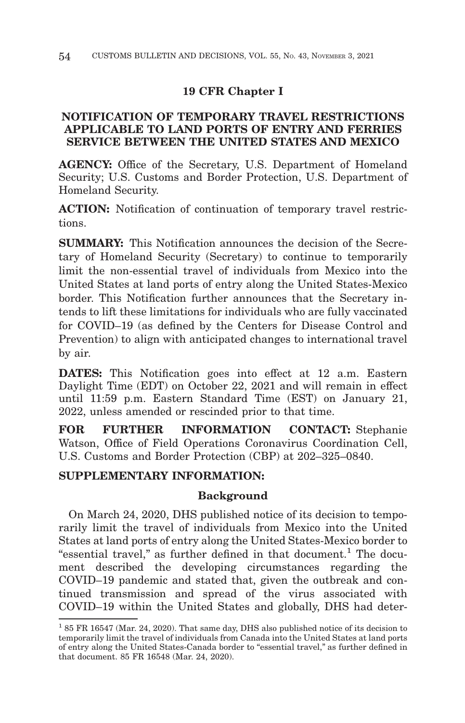# **19 CFR Chapter I**

# **NOTIFICATION OF TEMPORARY TRAVEL RESTRICTIONS APPLICABLE TO LAND PORTS OF ENTRY AND FERRIES SERVICE BETWEEN THE UNITED STATES AND MEXICO**

**AGENCY:** Office of the Secretary, U.S. Department of Homeland Security; U.S. Customs and Border Protection, U.S. Department of Homeland Security.

**ACTION:** Notification of continuation of temporary travel restrictions.

**SUMMARY:** This Notification announces the decision of the Secretary of Homeland Security (Secretary) to continue to temporarily limit the non-essential travel of individuals from Mexico into the United States at land ports of entry along the United States-Mexico border. This Notification further announces that the Secretary intends to lift these limitations for individuals who are fully vaccinated for COVID–19 (as defined by the Centers for Disease Control and Prevention) to align with anticipated changes to international travel by air.

**DATES:** This Notification goes into effect at 12 a.m. Eastern Daylight Time (EDT) on October 22, 2021 and will remain in effect until 11:59 p.m. Eastern Standard Time (EST) on January 21, 2022, unless amended or rescinded prior to that time.

**FOR FURTHER INFORMATION CONTACT:** Stephanie Watson, Office of Field Operations Coronavirus Coordination Cell, U.S. Customs and Border Protection (CBP) at 202–325–0840.

# **SUPPLEMENTARY INFORMATION:**

## **Background**

On March 24, 2020, DHS published notice of its decision to temporarily limit the travel of individuals from Mexico into the United States at land ports of entry along the United States-Mexico border to "essential travel," as further defined in that document.<sup>1</sup> The document described the developing circumstances regarding the COVID–19 pandemic and stated that, given the outbreak and continued transmission and spread of the virus associated with COVID–19 within the United States and globally, DHS had deter-

<sup>1 85</sup> FR 16547 (Mar. 24, 2020). That same day, DHS also published notice of its decision to temporarily limit the travel of individuals from Canada into the United States at land ports of entry along the United States-Canada border to ''essential travel,'' as further defined in that document. 85 FR 16548 (Mar. 24, 2020).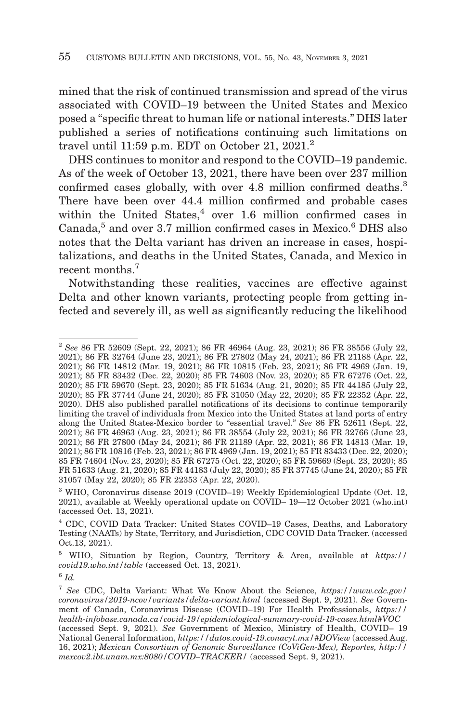mined that the risk of continued transmission and spread of the virus associated with COVID–19 between the United States and Mexico posed a ''specific threat to human life or national interests.'' DHS later published a series of notifications continuing such limitations on travel until 11:59 p.m. EDT on October 21, 2021.<sup>2</sup>

DHS continues to monitor and respond to the COVID–19 pandemic. As of the week of October 13, 2021, there have been over 237 million confirmed cases globally, with over 4.8 million confirmed deaths.<sup>3</sup> There have been over 44.4 million confirmed and probable cases within the United States,<sup>4</sup> over 1.6 million confirmed cases in Canada,<sup>5</sup> and over 3.7 million confirmed cases in Mexico.<sup>6</sup> DHS also notes that the Delta variant has driven an increase in cases, hospitalizations, and deaths in the United States, Canada, and Mexico in recent months.<sup>7</sup>

Notwithstanding these realities, vaccines are effective against Delta and other known variants, protecting people from getting infected and severely ill, as well as significantly reducing the likelihood

<sup>2</sup>*See* 86 FR 52609 (Sept. 22, 2021); 86 FR 46964 (Aug. 23, 2021); 86 FR 38556 (July 22, 2021); 86 FR 32764 (June 23, 2021); 86 FR 27802 (May 24, 2021); 86 FR 21188 (Apr. 22, 2021); 86 FR 14812 (Mar. 19, 2021); 86 FR 10815 (Feb. 23, 2021); 86 FR 4969 (Jan. 19, 2021); 85 FR 83432 (Dec. 22, 2020); 85 FR 74603 (Nov. 23, 2020); 85 FR 67276 (Oct. 22, 2020); 85 FR 59670 (Sept. 23, 2020); 85 FR 51634 (Aug. 21, 2020); 85 FR 44185 (July 22, 2020); 85 FR 37744 (June 24, 2020); 85 FR 31050 (May 22, 2020); 85 FR 22352 (Apr. 22, 2020). DHS also published parallel notifications of its decisions to continue temporarily limiting the travel of individuals from Mexico into the United States at land ports of entry along the United States-Mexico border to "essential travel." See 86 FR 52611 (Sept. 22, 2021); 86 FR 46963 (Aug. 23, 2021); 86 FR 38554 (July 22, 2021); 86 FR 32766 (June 23, 2021); 86 FR 27800 (May 24, 2021); 86 FR 21189 (Apr. 22, 2021); 86 FR 14813 (Mar. 19, 2021); 86 FR 10816 (Feb. 23, 2021); 86 FR 4969 (Jan. 19, 2021); 85 FR 83433 (Dec. 22, 2020); 85 FR 74604 (Nov. 23, 2020); 85 FR 67275 (Oct. 22, 2020); 85 FR 59669 (Sept. 23, 2020); 85 FR 51633 (Aug. 21, 2020); 85 FR 44183 (July 22, 2020); 85 FR 37745 (June 24, 2020); 85 FR 31057 (May 22, 2020); 85 FR 22353 (Apr. 22, 2020).

<sup>3</sup> WHO, Coronavirus disease 2019 (COVID–19) Weekly Epidemiological Update (Oct. 12, 2021), available at Weekly operational update on COVID– 19—12 October 2021 (who.int) (accessed Oct. 13, 2021).

<sup>4</sup> CDC, COVID Data Tracker: United States COVID–19 Cases, Deaths, and Laboratory Testing (NAATs) by State, Territory, and Jurisdiction, CDC COVID Data Tracker. (accessed Oct.13, 2021).

<sup>5</sup> WHO, Situation by Region, Country, Territory & Area, available at *https:// covid19.who.int/table* (accessed Oct. 13, 2021).

<sup>6</sup>*Id.*

<sup>7</sup>*See* CDC, Delta Variant: What We Know About the Science, *https://www.cdc.gov/ coronavirus/2019-ncov/variants/delta-variant.html* (accessed Sept. 9, 2021). *See* Government of Canada, Coronavirus Disease (COVID–19) For Health Professionals, *https:// health-infobase.canada.ca/covid-19/epidemiological-summary-covid-19-cases.html#VOC* (accessed Sept. 9, 2021). *See* Government of Mexico, Ministry of Health, COVID– 19 National General Information, *https://datos.covid-19.conacyt.mx/#DOView* (accessed Aug. 16, 2021); *Mexican Consortium of Genomic Surveillance (CoViGen-Mex), Reportes, http:// mexcov2.ibt.unam.mx:8080/COVID–TRACKER/* (accessed Sept. 9, 2021).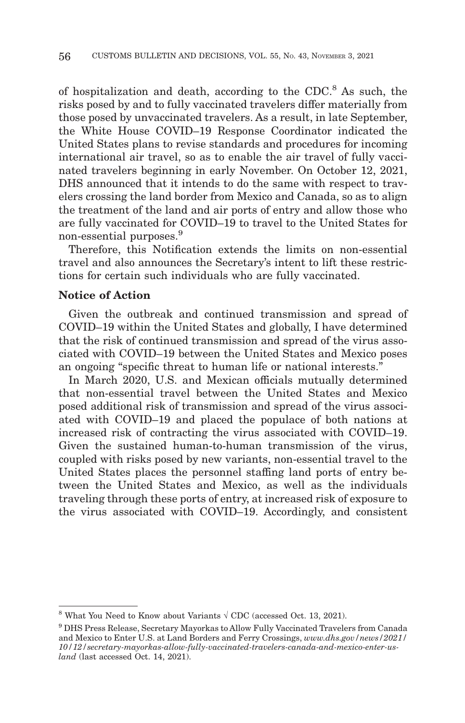of hospitalization and death, according to the CDC.8 As such, the risks posed by and to fully vaccinated travelers differ materially from those posed by unvaccinated travelers. As a result, in late September, the White House COVID–19 Response Coordinator indicated the United States plans to revise standards and procedures for incoming international air travel, so as to enable the air travel of fully vaccinated travelers beginning in early November. On October 12, 2021, DHS announced that it intends to do the same with respect to travelers crossing the land border from Mexico and Canada, so as to align the treatment of the land and air ports of entry and allow those who are fully vaccinated for COVID–19 to travel to the United States for non-essential purposes.9

Therefore, this Notification extends the limits on non-essential travel and also announces the Secretary's intent to lift these restrictions for certain such individuals who are fully vaccinated.

## **Notice of Action**

Given the outbreak and continued transmission and spread of COVID–19 within the United States and globally, I have determined that the risk of continued transmission and spread of the virus associated with COVID–19 between the United States and Mexico poses an ongoing ''specific threat to human life or national interests.''

In March 2020, U.S. and Mexican officials mutually determined that non-essential travel between the United States and Mexico posed additional risk of transmission and spread of the virus associated with COVID–19 and placed the populace of both nations at increased risk of contracting the virus associated with COVID–19. Given the sustained human-to-human transmission of the virus, coupled with risks posed by new variants, non-essential travel to the United States places the personnel staffing land ports of entry between the United States and Mexico, as well as the individuals traveling through these ports of entry, at increased risk of exposure to the virus associated with COVID–19. Accordingly, and consistent

<sup>&</sup>lt;sup>8</sup> What You Need to Know about Variants  $\sqrt{CDC}$  (accessed Oct. 13, 2021).

<sup>9</sup> DHS Press Release, Secretary Mayorkas to Allow Fully Vaccinated Travelers from Canada and Mexico to Enter U.S. at Land Borders and Ferry Crossings, *www.dhs.gov/news/2021/ 10/12/secretary-mayorkas-allow-fully-vaccinated-travelers-canada-and-mexico-enter-usland* (last accessed Oct. 14, 2021).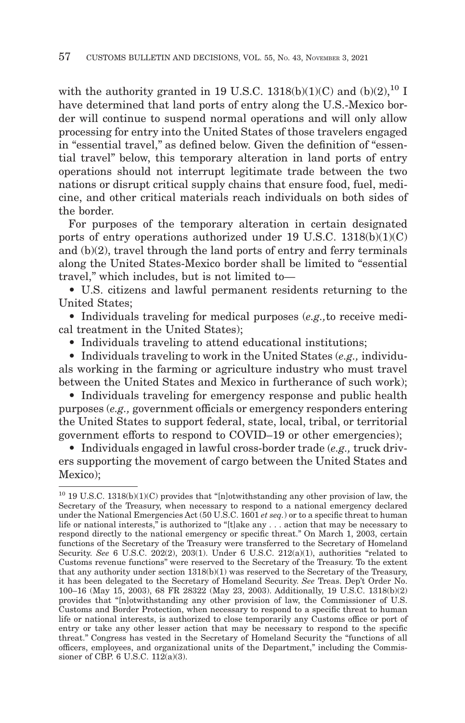with the authority granted in 19 U.S.C. 1318(b)(1)(C) and (b)(2),<sup>10</sup> I have determined that land ports of entry along the U.S.-Mexico border will continue to suspend normal operations and will only allow processing for entry into the United States of those travelers engaged in "essential travel," as defined below. Given the definition of "essential travel'' below, this temporary alteration in land ports of entry operations should not interrupt legitimate trade between the two nations or disrupt critical supply chains that ensure food, fuel, medicine, and other critical materials reach individuals on both sides of the border.

For purposes of the temporary alteration in certain designated ports of entry operations authorized under 19 U.S.C.  $1318(b)(1)(C)$ and (b)(2), travel through the land ports of entry and ferry terminals along the United States-Mexico border shall be limited to ''essential travel,'' which includes, but is not limited to—

• U.S. citizens and lawful permanent residents returning to the United States;

• Individuals traveling for medical purposes (*e.g.,*to receive medical treatment in the United States);

• Individuals traveling to attend educational institutions;

• Individuals traveling to work in the United States (*e.g.,* individuals working in the farming or agriculture industry who must travel between the United States and Mexico in furtherance of such work);

• Individuals traveling for emergency response and public health purposes (*e.g.,* government officials or emergency responders entering the United States to support federal, state, local, tribal, or territorial government efforts to respond to COVID–19 or other emergencies);

• Individuals engaged in lawful cross-border trade (*e.g.,* truck drivers supporting the movement of cargo between the United States and Mexico);

 $10$  19 U.S.C. 1318(b)(1)(C) provides that "[n]otwithstanding any other provision of law, the Secretary of the Treasury, when necessary to respond to a national emergency declared under the National Emergencies Act (50 U.S.C. 1601 *et seq.*) or to a specific threat to human life or national interests," is authorized to "[t]ake any . . . action that may be necessary to respond directly to the national emergency or specific threat.'' On March 1, 2003, certain functions of the Secretary of the Treasury were transferred to the Secretary of Homeland Security. *See* 6 U.S.C. 202(2), 203(1). Under 6 U.S.C. 212(a)(1), authorities "related to Customs revenue functions'' were reserved to the Secretary of the Treasury. To the extent that any authority under section 1318(b)(1) was reserved to the Secretary of the Treasury, it has been delegated to the Secretary of Homeland Security. *See* Treas. Dep't Order No. 100–16 (May 15, 2003), 68 FR 28322 (May 23, 2003). Additionally, 19 U.S.C. 1318(b)(2) provides that ''[n]otwithstanding any other provision of law, the Commissioner of U.S. Customs and Border Protection, when necessary to respond to a specific threat to human life or national interests, is authorized to close temporarily any Customs office or port of entry or take any other lesser action that may be necessary to respond to the specific threat.'' Congress has vested in the Secretary of Homeland Security the ''functions of all officers, employees, and organizational units of the Department,'' including the Commissioner of CBP. 6 U.S.C. 112(a)(3).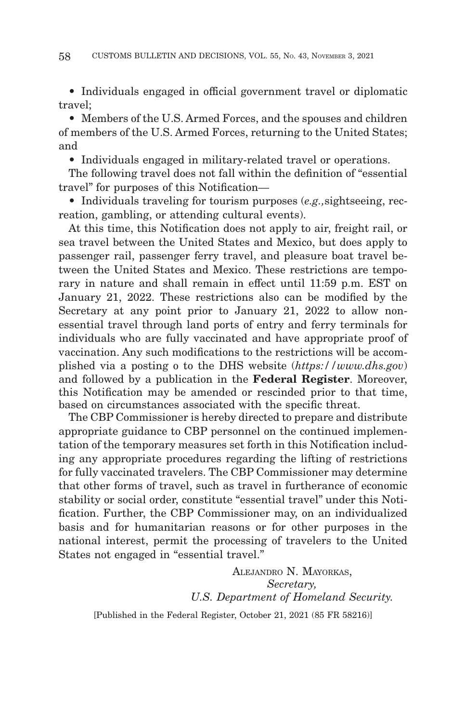• Individuals engaged in official government travel or diplomatic travel;

• Members of the U.S. Armed Forces, and the spouses and children of members of the U.S. Armed Forces, returning to the United States; and

• Individuals engaged in military-related travel or operations.

The following travel does not fall within the definition of ''essential travel'' for purposes of this Notification—

• Individuals traveling for tourism purposes (*e.g.,*sightseeing, recreation, gambling, or attending cultural events).

At this time, this Notification does not apply to air, freight rail, or sea travel between the United States and Mexico, but does apply to passenger rail, passenger ferry travel, and pleasure boat travel between the United States and Mexico. These restrictions are temporary in nature and shall remain in effect until 11:59 p.m. EST on January 21, 2022. These restrictions also can be modified by the Secretary at any point prior to January 21, 2022 to allow nonessential travel through land ports of entry and ferry terminals for individuals who are fully vaccinated and have appropriate proof of vaccination. Any such modifications to the restrictions will be accomplished via a posting o to the DHS website (*https://www.dhs.gov*) and followed by a publication in the **Federal Register**. Moreover, this Notification may be amended or rescinded prior to that time, based on circumstances associated with the specific threat.

The CBP Commissioner is hereby directed to prepare and distribute appropriate guidance to CBP personnel on the continued implementation of the temporary measures set forth in this Notification including any appropriate procedures regarding the lifting of restrictions for fully vaccinated travelers. The CBP Commissioner may determine that other forms of travel, such as travel in furtherance of economic stability or social order, constitute "essential travel" under this Notification. Further, the CBP Commissioner may, on an individualized basis and for humanitarian reasons or for other purposes in the national interest, permit the processing of travelers to the United States not engaged in "essential travel."

> ALEJANDRO N. MAYORKAS, *Secretary, U.S. Department of Homeland Security.*

[Published in the Federal Register, October 21, 2021 (85 FR 58216)]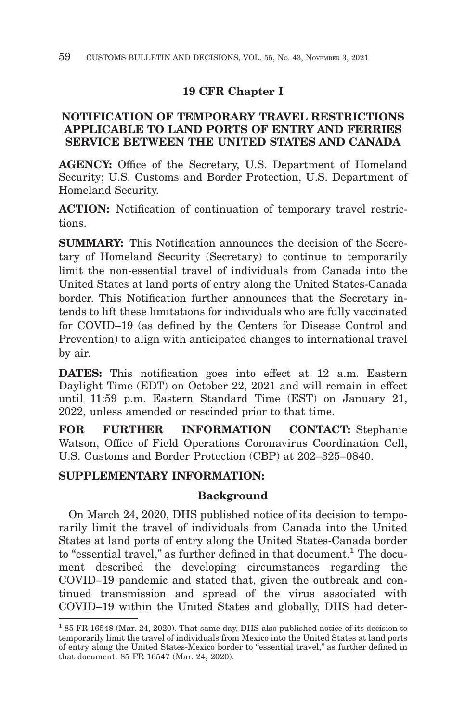# **19 CFR Chapter I**

# **NOTIFICATION OF TEMPORARY TRAVEL RESTRICTIONS APPLICABLE TO LAND PORTS OF ENTRY AND FERRIES SERVICE BETWEEN THE UNITED STATES AND CANADA**

**AGENCY:** Office of the Secretary, U.S. Department of Homeland Security; U.S. Customs and Border Protection, U.S. Department of Homeland Security.

**ACTION:** Notification of continuation of temporary travel restrictions.

**SUMMARY:** This Notification announces the decision of the Secretary of Homeland Security (Secretary) to continue to temporarily limit the non-essential travel of individuals from Canada into the United States at land ports of entry along the United States-Canada border. This Notification further announces that the Secretary intends to lift these limitations for individuals who are fully vaccinated for COVID–19 (as defined by the Centers for Disease Control and Prevention) to align with anticipated changes to international travel by air.

**DATES:** This notification goes into effect at 12 a.m. Eastern Daylight Time (EDT) on October 22, 2021 and will remain in effect until 11:59 p.m. Eastern Standard Time (EST) on January 21, 2022, unless amended or rescinded prior to that time.

**FOR FURTHER INFORMATION CONTACT:** Stephanie Watson, Office of Field Operations Coronavirus Coordination Cell, U.S. Customs and Border Protection (CBP) at 202–325–0840.

# **SUPPLEMENTARY INFORMATION:**

## **Background**

On March 24, 2020, DHS published notice of its decision to temporarily limit the travel of individuals from Canada into the United States at land ports of entry along the United States-Canada border to "essential travel," as further defined in that document.<sup>1</sup> The document described the developing circumstances regarding the COVID–19 pandemic and stated that, given the outbreak and continued transmission and spread of the virus associated with COVID–19 within the United States and globally, DHS had deter-

<sup>1 85</sup> FR 16548 (Mar. 24, 2020). That same day, DHS also published notice of its decision to temporarily limit the travel of individuals from Mexico into the United States at land ports of entry along the United States-Mexico border to ''essential travel,'' as further defined in that document. 85 FR 16547 (Mar. 24, 2020).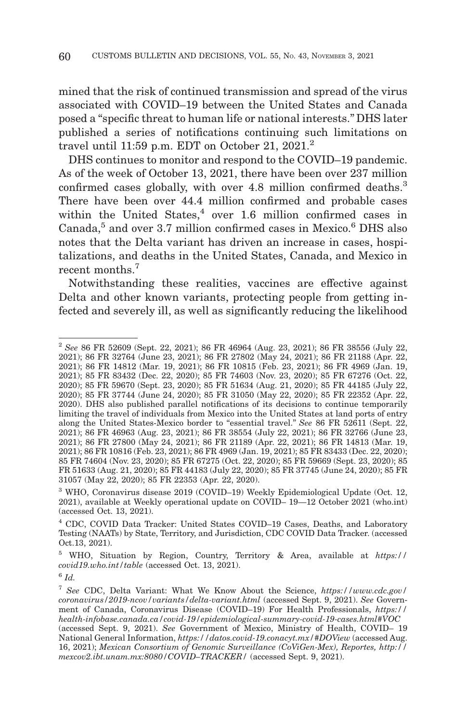mined that the risk of continued transmission and spread of the virus associated with COVID–19 between the United States and Canada posed a ''specific threat to human life or national interests.'' DHS later published a series of notifications continuing such limitations on travel until 11:59 p.m. EDT on October 21, 2021.<sup>2</sup>

DHS continues to monitor and respond to the COVID–19 pandemic. As of the week of October 13, 2021, there have been over 237 million confirmed cases globally, with over 4.8 million confirmed deaths.<sup>3</sup> There have been over 44.4 million confirmed and probable cases within the United States,<sup>4</sup> over 1.6 million confirmed cases in Canada,<sup>5</sup> and over 3.7 million confirmed cases in Mexico.<sup>6</sup> DHS also notes that the Delta variant has driven an increase in cases, hospitalizations, and deaths in the United States, Canada, and Mexico in recent months.<sup>7</sup>

Notwithstanding these realities, vaccines are effective against Delta and other known variants, protecting people from getting infected and severely ill, as well as significantly reducing the likelihood

<sup>2</sup>*See* 86 FR 52609 (Sept. 22, 2021); 86 FR 46964 (Aug. 23, 2021); 86 FR 38556 (July 22, 2021); 86 FR 32764 (June 23, 2021); 86 FR 27802 (May 24, 2021); 86 FR 21188 (Apr. 22, 2021); 86 FR 14812 (Mar. 19, 2021); 86 FR 10815 (Feb. 23, 2021); 86 FR 4969 (Jan. 19, 2021); 85 FR 83432 (Dec. 22, 2020); 85 FR 74603 (Nov. 23, 2020); 85 FR 67276 (Oct. 22, 2020); 85 FR 59670 (Sept. 23, 2020); 85 FR 51634 (Aug. 21, 2020); 85 FR 44185 (July 22, 2020); 85 FR 37744 (June 24, 2020); 85 FR 31050 (May 22, 2020); 85 FR 22352 (Apr. 22, 2020). DHS also published parallel notifications of its decisions to continue temporarily limiting the travel of individuals from Mexico into the United States at land ports of entry along the United States-Mexico border to "essential travel." See 86 FR 52611 (Sept. 22, 2021); 86 FR 46963 (Aug. 23, 2021); 86 FR 38554 (July 22, 2021); 86 FR 32766 (June 23, 2021); 86 FR 27800 (May 24, 2021); 86 FR 21189 (Apr. 22, 2021); 86 FR 14813 (Mar. 19, 2021); 86 FR 10816 (Feb. 23, 2021); 86 FR 4969 (Jan. 19, 2021); 85 FR 83433 (Dec. 22, 2020); 85 FR 74604 (Nov. 23, 2020); 85 FR 67275 (Oct. 22, 2020); 85 FR 59669 (Sept. 23, 2020); 85 FR 51633 (Aug. 21, 2020); 85 FR 44183 (July 22, 2020); 85 FR 37745 (June 24, 2020); 85 FR 31057 (May 22, 2020); 85 FR 22353 (Apr. 22, 2020).

<sup>3</sup> WHO, Coronavirus disease 2019 (COVID–19) Weekly Epidemiological Update (Oct. 12, 2021), available at Weekly operational update on COVID– 19—12 October 2021 (who.int) (accessed Oct. 13, 2021).

<sup>4</sup> CDC, COVID Data Tracker: United States COVID–19 Cases, Deaths, and Laboratory Testing (NAATs) by State, Territory, and Jurisdiction, CDC COVID Data Tracker. (accessed Oct.13, 2021).

<sup>5</sup> WHO, Situation by Region, Country, Territory & Area, available at *https:// covid19.who.int/table* (accessed Oct. 13, 2021).

<sup>6</sup>*Id.*

<sup>7</sup>*See* CDC, Delta Variant: What We Know About the Science, *https://www.cdc.gov/ coronavirus/2019-ncov/variants/delta-variant.html* (accessed Sept. 9, 2021). *See* Government of Canada, Coronavirus Disease (COVID–19) For Health Professionals, *https:// health-infobase.canada.ca/covid-19/epidemiological-summary-covid-19-cases.html#VOC* (accessed Sept. 9, 2021). *See* Government of Mexico, Ministry of Health, COVID– 19 National General Information, *https://datos.covid-19.conacyt.mx/#DOView* (accessed Aug. 16, 2021); *Mexican Consortium of Genomic Surveillance (CoViGen-Mex), Reportes, http:// mexcov2.ibt.unam.mx:8080/COVID–TRACKER/* (accessed Sept. 9, 2021).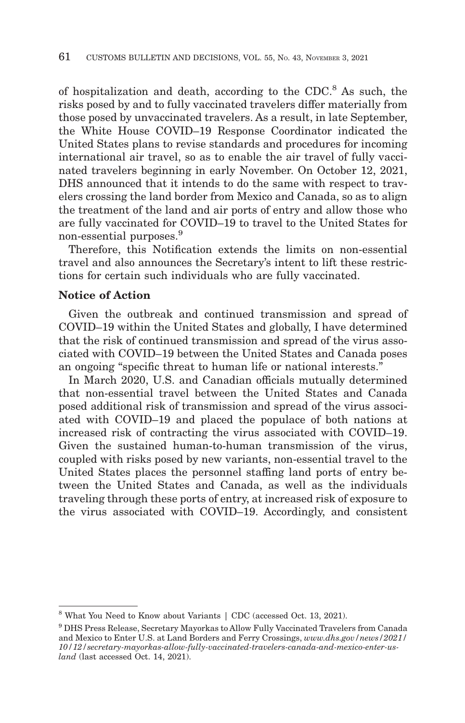of hospitalization and death, according to the CDC.<sup>8</sup> As such, the risks posed by and to fully vaccinated travelers differ materially from those posed by unvaccinated travelers. As a result, in late September, the White House COVID–19 Response Coordinator indicated the United States plans to revise standards and procedures for incoming international air travel, so as to enable the air travel of fully vaccinated travelers beginning in early November. On October 12, 2021, DHS announced that it intends to do the same with respect to travelers crossing the land border from Mexico and Canada, so as to align the treatment of the land and air ports of entry and allow those who are fully vaccinated for COVID–19 to travel to the United States for non-essential purposes.9

Therefore, this Notification extends the limits on non-essential travel and also announces the Secretary's intent to lift these restrictions for certain such individuals who are fully vaccinated.

## **Notice of Action**

Given the outbreak and continued transmission and spread of COVID–19 within the United States and globally, I have determined that the risk of continued transmission and spread of the virus associated with COVID–19 between the United States and Canada poses an ongoing ''specific threat to human life or national interests.''

In March 2020, U.S. and Canadian officials mutually determined that non-essential travel between the United States and Canada posed additional risk of transmission and spread of the virus associated with COVID–19 and placed the populace of both nations at increased risk of contracting the virus associated with COVID–19. Given the sustained human-to-human transmission of the virus, coupled with risks posed by new variants, non-essential travel to the United States places the personnel staffing land ports of entry between the United States and Canada, as well as the individuals traveling through these ports of entry, at increased risk of exposure to the virus associated with COVID–19. Accordingly, and consistent

<sup>8</sup> What You Need to Know about Variants | CDC (accessed Oct. 13, 2021).

<sup>9</sup> DHS Press Release, Secretary Mayorkas to Allow Fully Vaccinated Travelers from Canada and Mexico to Enter U.S. at Land Borders and Ferry Crossings, *www.dhs.gov/news/2021/ 10/12/secretary-mayorkas-allow-fully-vaccinated-travelers-canada-and-mexico-enter-usland* (last accessed Oct. 14, 2021).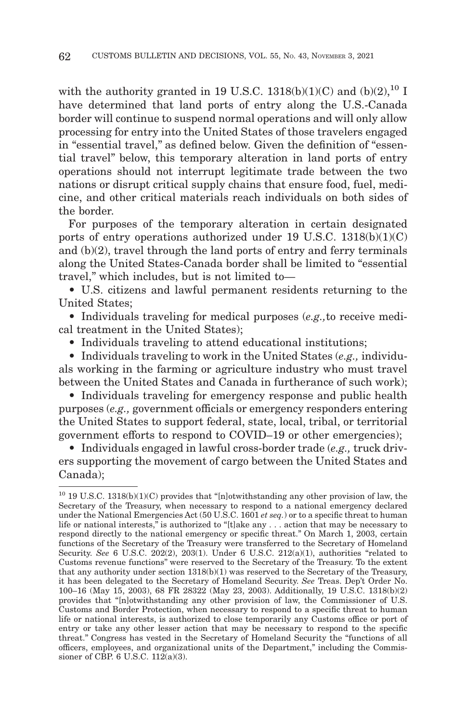with the authority granted in 19 U.S.C. 1318(b)(1)(C) and (b)(2),<sup>10</sup> I have determined that land ports of entry along the U.S.-Canada border will continue to suspend normal operations and will only allow processing for entry into the United States of those travelers engaged in "essential travel," as defined below. Given the definition of "essential travel'' below, this temporary alteration in land ports of entry operations should not interrupt legitimate trade between the two nations or disrupt critical supply chains that ensure food, fuel, medicine, and other critical materials reach individuals on both sides of the border.

For purposes of the temporary alteration in certain designated ports of entry operations authorized under 19 U.S.C.  $1318(b)(1)(C)$ and (b)(2), travel through the land ports of entry and ferry terminals along the United States-Canada border shall be limited to ''essential travel,'' which includes, but is not limited to—

• U.S. citizens and lawful permanent residents returning to the United States;

• Individuals traveling for medical purposes (*e.g.,*to receive medical treatment in the United States);

• Individuals traveling to attend educational institutions;

• Individuals traveling to work in the United States (*e.g.,* individuals working in the farming or agriculture industry who must travel between the United States and Canada in furtherance of such work);

• Individuals traveling for emergency response and public health purposes (*e.g.,* government officials or emergency responders entering the United States to support federal, state, local, tribal, or territorial government efforts to respond to COVID–19 or other emergencies);

• Individuals engaged in lawful cross-border trade (*e.g.,* truck drivers supporting the movement of cargo between the United States and Canada);

 $10$  19 U.S.C. 1318(b)(1)(C) provides that "[n]otwithstanding any other provision of law, the Secretary of the Treasury, when necessary to respond to a national emergency declared under the National Emergencies Act (50 U.S.C. 1601 *et seq.*) or to a specific threat to human life or national interests," is authorized to "[t]ake any . . . action that may be necessary to respond directly to the national emergency or specific threat.'' On March 1, 2003, certain functions of the Secretary of the Treasury were transferred to the Secretary of Homeland Security. *See* 6 U.S.C. 202(2), 203(1). Under 6 U.S.C. 212(a)(1), authorities "related to Customs revenue functions'' were reserved to the Secretary of the Treasury. To the extent that any authority under section 1318(b)(1) was reserved to the Secretary of the Treasury, it has been delegated to the Secretary of Homeland Security. *See* Treas. Dep't Order No. 100–16 (May 15, 2003), 68 FR 28322 (May 23, 2003). Additionally, 19 U.S.C. 1318(b)(2) provides that ''[n]otwithstanding any other provision of law, the Commissioner of U.S. Customs and Border Protection, when necessary to respond to a specific threat to human life or national interests, is authorized to close temporarily any Customs office or port of entry or take any other lesser action that may be necessary to respond to the specific threat.'' Congress has vested in the Secretary of Homeland Security the ''functions of all officers, employees, and organizational units of the Department,'' including the Commissioner of CBP. 6 U.S.C. 112(a)(3).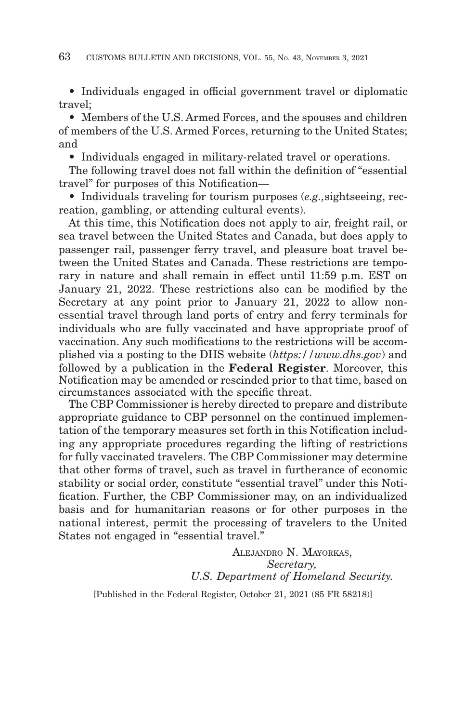• Individuals engaged in official government travel or diplomatic travel;

• Members of the U.S. Armed Forces, and the spouses and children of members of the U.S. Armed Forces, returning to the United States; and

• Individuals engaged in military-related travel or operations.

The following travel does not fall within the definition of ''essential travel'' for purposes of this Notification—

• Individuals traveling for tourism purposes (*e.g.,*sightseeing, recreation, gambling, or attending cultural events).

At this time, this Notification does not apply to air, freight rail, or sea travel between the United States and Canada, but does apply to passenger rail, passenger ferry travel, and pleasure boat travel between the United States and Canada. These restrictions are temporary in nature and shall remain in effect until 11:59 p.m. EST on January 21, 2022. These restrictions also can be modified by the Secretary at any point prior to January 21, 2022 to allow nonessential travel through land ports of entry and ferry terminals for individuals who are fully vaccinated and have appropriate proof of vaccination. Any such modifications to the restrictions will be accomplished via a posting to the DHS website (*https://www.dhs.gov*) and followed by a publication in the **Federal Register**. Moreover, this Notification may be amended or rescinded prior to that time, based on circumstances associated with the specific threat.

The CBP Commissioner is hereby directed to prepare and distribute appropriate guidance to CBP personnel on the continued implementation of the temporary measures set forth in this Notification including any appropriate procedures regarding the lifting of restrictions for fully vaccinated travelers. The CBP Commissioner may determine that other forms of travel, such as travel in furtherance of economic stability or social order, constitute "essential travel" under this Notification. Further, the CBP Commissioner may, on an individualized basis and for humanitarian reasons or for other purposes in the national interest, permit the processing of travelers to the United States not engaged in "essential travel."

> ALEJANDRO N. MAYORKAS, *Secretary, U.S. Department of Homeland Security.*

[Published in the Federal Register, October 21, 2021 (85 FR 58218)]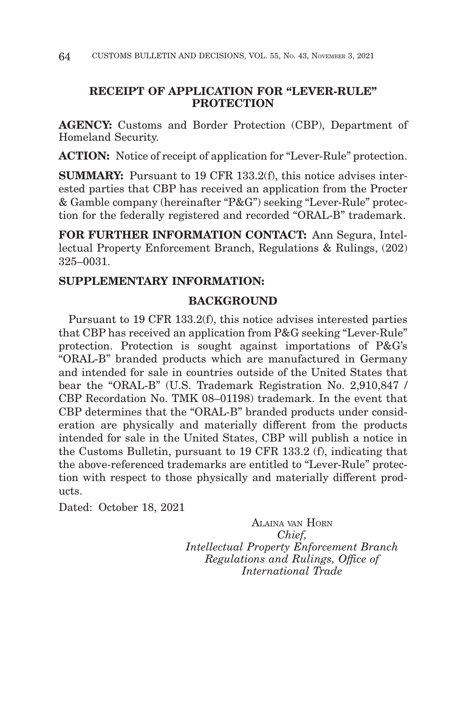# **RECEIPT OF APPLICATION FOR "LEVER-RULE" PROTECTION**

**AGENCY:** Customs and Border Protection (CBP), Department of Homeland Security.

**ACTION:** Notice of receipt of application for "Lever-Rule" protection.

**SUMMARY:** Pursuant to 19 CFR 133.2(f), this notice advises interested parties that CBP has received an application from the Procter & Gamble company (hereinafter "P&G") seeking "Lever-Rule" protection for the federally registered and recorded "ORAL-B" trademark.

**FOR FURTHER INFORMATION CONTACT:** Ann Segura, Intellectual Property Enforcement Branch, Regulations & Rulings, (202) 325–0031.

# **SUPPLEMENTARY INFORMATION:**

# **BACKGROUND**

Pursuant to 19 CFR 133.2(f), this notice advises interested parties that CBP has received an application from P&G seeking "Lever-Rule" protection. Protection is sought against importations of P&G's "ORAL-B" branded products which are manufactured in Germany and intended for sale in countries outside of the United States that bear the "ORAL-B" (U.S. Trademark Registration No. 2,910,847 / CBP Recordation No. TMK 08–01198) trademark. In the event that CBP determines that the "ORAL-B" branded products under consideration are physically and materially different from the products intended for sale in the United States, CBP will publish a notice in the Customs Bulletin, pursuant to 19 CFR 133.2 (f), indicating that the above-referenced trademarks are entitled to "Lever-Rule" protection with respect to those physically and materially different products.

Dated: October 18, 2021

ALAINA VAN HORN *Chief, Intellectual Property Enforcement Branch Regulations and Rulings, Office of International Trade*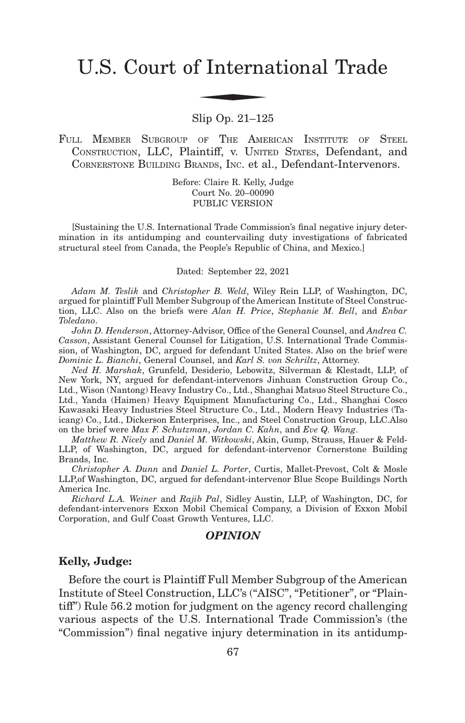# U.S. Court of International Trade f Interna

Slip Op. 21–125

FULL MEMBER SUBGROUP OF THE AMERICAN INSTITUTE OF STEEL CONSTRUCTION, LLC, Plaintiff, v. UNITED STATES, Defendant, and CORNERSTONE BUILDING BRANDS, INC. et al., Defendant-Intervenors.

> Before: Claire R. Kelly, Judge Court No. 20–00090 PUBLIC VERSION

[Sustaining the U.S. International Trade Commission's final negative injury determination in its antidumping and countervailing duty investigations of fabricated structural steel from Canada, the People's Republic of China, and Mexico.]

Dated: September 22, 2021

*Adam M. Teslik* and *Christopher B. Weld*, Wiley Rein LLP, of Washington, DC, argued for plaintiff Full Member Subgroup of the American Institute of Steel Construction, LLC. Also on the briefs were *Alan H. Price*, *Stephanie M. Bell*, and *Enbar Toledano*.

*John D. Henderson*, Attorney-Advisor, Office of the General Counsel, and *Andrea C. Casson*, Assistant General Counsel for Litigation, U.S. International Trade Commission, of Washington, DC, argued for defendant United States. Also on the brief were *Dominic L. Bianchi*, General Counsel, and *Karl S. von Schriltz*, Attorney.

*Ned H. Marshak*, Grunfeld, Desiderio, Lebowitz, Silverman & Klestadt, LLP, of New York, NY, argued for defendant-intervenors Jinhuan Construction Group Co., Ltd., Wison (Nantong) Heavy Industry Co., Ltd., Shanghai Matsuo Steel Structure Co., Ltd., Yanda (Haimen) Heavy Equipment Manufacturing Co., Ltd., Shanghai Cosco Kawasaki Heavy Industries Steel Structure Co., Ltd., Modern Heavy Industries (Taicang) Co., Ltd., Dickerson Enterprises, Inc., and Steel Construction Group, LLC.Also on the brief were *Max F. Schutzman*, *Jordan C. Kahn*, and *Eve Q. Wang*.

*Matthew R. Nicely* and *Daniel M. Witkowski*, Akin, Gump, Strauss, Hauer & Feld-LLP, of Washington, DC, argued for defendant-intervenor Cornerstone Building Brands, Inc.

*Christopher A. Dunn* and *Daniel L. Porter*, Curtis, Mallet-Prevost, Colt & Mosle LLP,of Washington, DC, argued for defendant-intervenor Blue Scope Buildings North America Inc.

*Richard L.A. Weiner* and *Rajib Pal*, Sidley Austin, LLP, of Washington, DC, for defendant-intervenors Exxon Mobil Chemical Company, a Division of Exxon Mobil Corporation, and Gulf Coast Growth Ventures, LLC.

## *OPINION*

## **Kelly, Judge:**

Before the court is Plaintiff Full Member Subgroup of the American Institute of Steel Construction, LLC's ("AISC", "Petitioner", or "Plaintiff") Rule 56.2 motion for judgment on the agency record challenging various aspects of the U.S. International Trade Commission's (the "Commission") final negative injury determination in its antidump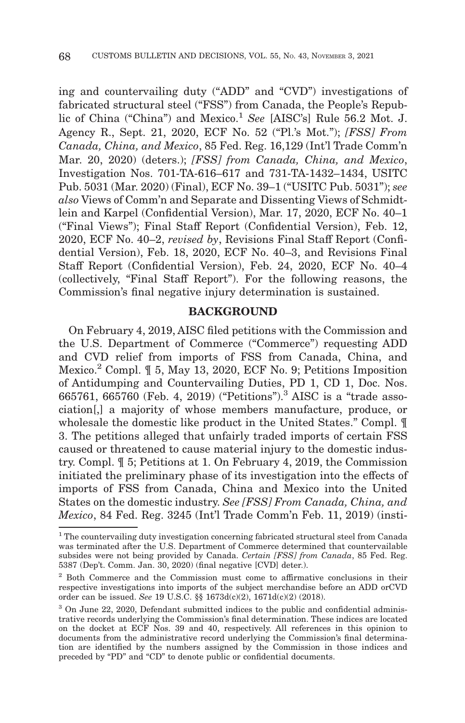ing and countervailing duty ("ADD" and "CVD") investigations of fabricated structural steel ("FSS") from Canada, the People's Republic of China ("China") and Mexico.<sup>1</sup> See [AISC's] Rule 56.2 Mot. J. Agency R., Sept. 21, 2020, ECF No. 52 ("Pl.'s Mot."); *[FSS] From Canada, China, and Mexico*, 85 Fed. Reg. 16,129 (Int'l Trade Comm'n Mar. 20, 2020) (deters.); *[FSS] from Canada, China, and Mexico*, Investigation Nos. 701-TA-616–617 and 731-TA-1432–1434, USITC Pub. 5031 (Mar. 2020) (Final), ECF No. 39–1 ("USITC Pub. 5031"); *see also* Views of Comm'n and Separate and Dissenting Views of Schmidtlein and Karpel (Confidential Version), Mar. 17, 2020, ECF No. 40–1 ("Final Views"); Final Staff Report (Confidential Version), Feb. 12, 2020, ECF No. 40–2, *revised by*, Revisions Final Staff Report (Confidential Version), Feb. 18, 2020, ECF No. 40–3, and Revisions Final Staff Report (Confidential Version), Feb. 24, 2020, ECF No. 40–4 (collectively, "Final Staff Report"). For the following reasons, the Commission's final negative injury determination is sustained.

## **BACKGROUND**

On February 4, 2019, AISC filed petitions with the Commission and the U.S. Department of Commerce ("Commerce") requesting ADD and CVD relief from imports of FSS from Canada, China, and Mexico.2 Compl. ¶ 5, May 13, 2020, ECF No. 9; Petitions Imposition of Antidumping and Countervailing Duties, PD 1, CD 1, Doc. Nos. 665761, 665760 (Feb. 4, 2019) ("Petitions").3 AISC is a "trade association[,] a majority of whose members manufacture, produce, or wholesale the domestic like product in the United States." Compl. ¶ 3. The petitions alleged that unfairly traded imports of certain FSS caused or threatened to cause material injury to the domestic industry. Compl. ¶ 5; Petitions at 1. On February 4, 2019, the Commission initiated the preliminary phase of its investigation into the effects of imports of FSS from Canada, China and Mexico into the United States on the domestic industry. *See [FSS] From Canada, China, and Mexico*, 84 Fed. Reg. 3245 (Int'l Trade Comm'n Feb. 11, 2019) (insti-

<sup>&</sup>lt;sup>1</sup> The countervailing duty investigation concerning fabricated structural steel from Canada was terminated after the U.S. Department of Commerce determined that countervailable subsides were not being provided by Canada. *Certain [FSS] from Canada*, 85 Fed. Reg. 5387 (Dep't. Comm. Jan. 30, 2020) (final negative [CVD] deter.).

<sup>2</sup> Both Commerce and the Commission must come to affirmative conclusions in their respective investigations into imports of the subject merchandise before an ADD orCVD order can be issued. *See* 19 U.S.C. §§ 1673d(c)(2), 1671d(c)(2) (2018).

<sup>&</sup>lt;sup>3</sup> On June 22, 2020, Defendant submitted indices to the public and confidential administrative records underlying the Commission's final determination. These indices are located on the docket at ECF Nos. 39 and 40, respectively. All references in this opinion to documents from the administrative record underlying the Commission's final determination are identified by the numbers assigned by the Commission in those indices and preceded by "PD" and "CD" to denote public or confidential documents.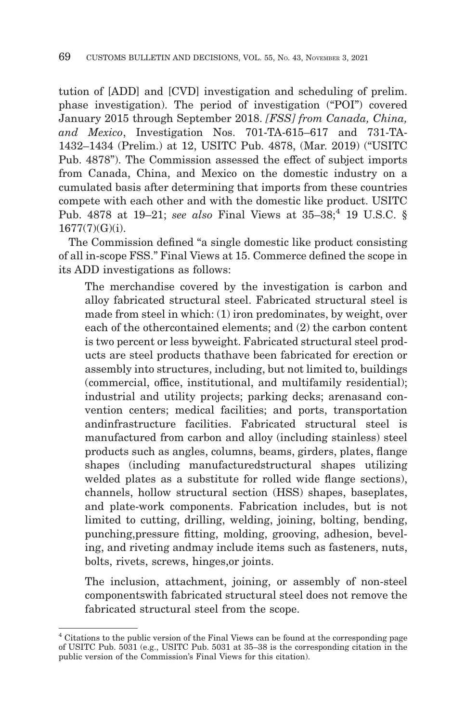tution of [ADD] and [CVD] investigation and scheduling of prelim. phase investigation). The period of investigation ("POI") covered January 2015 through September 2018. *[FSS] from Canada, China, and Mexico*, Investigation Nos. 701-TA-615–617 and 731-TA-1432–1434 (Prelim.) at 12, USITC Pub. 4878, (Mar. 2019) ("USITC Pub. 4878"). The Commission assessed the effect of subject imports from Canada, China, and Mexico on the domestic industry on a cumulated basis after determining that imports from these countries compete with each other and with the domestic like product. USITC Pub. 4878 at 19–21; *see also* Final Views at 35–38;<sup>4</sup> 19 U.S.C. § 1677(7)(G)(i).

The Commission defined "a single domestic like product consisting of all in-scope FSS." Final Views at 15. Commerce defined the scope in its ADD investigations as follows:

The merchandise covered by the investigation is carbon and alloy fabricated structural steel. Fabricated structural steel is made from steel in which: (1) iron predominates, by weight, over each of the othercontained elements; and (2) the carbon content is two percent or less byweight. Fabricated structural steel products are steel products thathave been fabricated for erection or assembly into structures, including, but not limited to, buildings (commercial, office, institutional, and multifamily residential); industrial and utility projects; parking decks; arenasand convention centers; medical facilities; and ports, transportation andinfrastructure facilities. Fabricated structural steel is manufactured from carbon and alloy (including stainless) steel products such as angles, columns, beams, girders, plates, flange shapes (including manufacturedstructural shapes utilizing welded plates as a substitute for rolled wide flange sections), channels, hollow structural section (HSS) shapes, baseplates, and plate-work components. Fabrication includes, but is not limited to cutting, drilling, welding, joining, bolting, bending, punching,pressure fitting, molding, grooving, adhesion, beveling, and riveting andmay include items such as fasteners, nuts, bolts, rivets, screws, hinges,or joints.

The inclusion, attachment, joining, or assembly of non-steel componentswith fabricated structural steel does not remove the fabricated structural steel from the scope.

<sup>4</sup> Citations to the public version of the Final Views can be found at the corresponding page of USITC Pub. 5031 (e.g., USITC Pub. 5031 at 35–38 is the corresponding citation in the public version of the Commission's Final Views for this citation).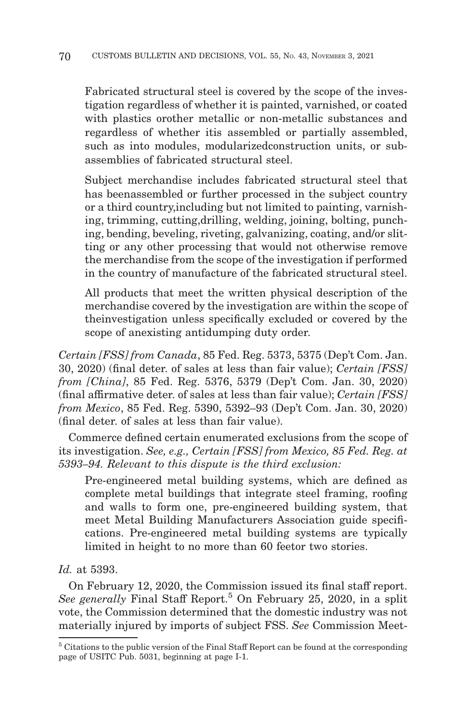Fabricated structural steel is covered by the scope of the investigation regardless of whether it is painted, varnished, or coated with plastics orother metallic or non-metallic substances and regardless of whether itis assembled or partially assembled, such as into modules, modularizedconstruction units, or subassemblies of fabricated structural steel.

Subject merchandise includes fabricated structural steel that has beenassembled or further processed in the subject country or a third country,including but not limited to painting, varnishing, trimming, cutting,drilling, welding, joining, bolting, punching, bending, beveling, riveting, galvanizing, coating, and/or slitting or any other processing that would not otherwise remove the merchandise from the scope of the investigation if performed in the country of manufacture of the fabricated structural steel.

All products that meet the written physical description of the merchandise covered by the investigation are within the scope of theinvestigation unless specifically excluded or covered by the scope of anexisting antidumping duty order.

*Certain [FSS] from Canada*, 85 Fed. Reg. 5373, 5375 (Dep't Com. Jan. 30, 2020) (final deter. of sales at less than fair value); *Certain [FSS] from [China]*, 85 Fed. Reg. 5376, 5379 (Dep't Com. Jan. 30, 2020) (final affirmative deter. of sales at less than fair value); *Certain [FSS] from Mexico*, 85 Fed. Reg. 5390, 5392–93 (Dep't Com. Jan. 30, 2020) (final deter. of sales at less than fair value).

Commerce defined certain enumerated exclusions from the scope of its investigation. *See, e.g., Certain [FSS] from Mexico, 85 Fed. Reg. at 5393–94. Relevant to this dispute is the third exclusion:*

Pre-engineered metal building systems, which are defined as complete metal buildings that integrate steel framing, roofing and walls to form one, pre-engineered building system, that meet Metal Building Manufacturers Association guide specifications. Pre-engineered metal building systems are typically limited in height to no more than 60 feetor two stories.

# *Id.* at 5393.

On February 12, 2020, the Commission issued its final staff report. *See generally* Final Staff Report.5 On February 25, 2020, in a split vote, the Commission determined that the domestic industry was not materially injured by imports of subject FSS. *See* Commission Meet-

<sup>5</sup> Citations to the public version of the Final Staff Report can be found at the corresponding page of USITC Pub. 5031, beginning at page I-1.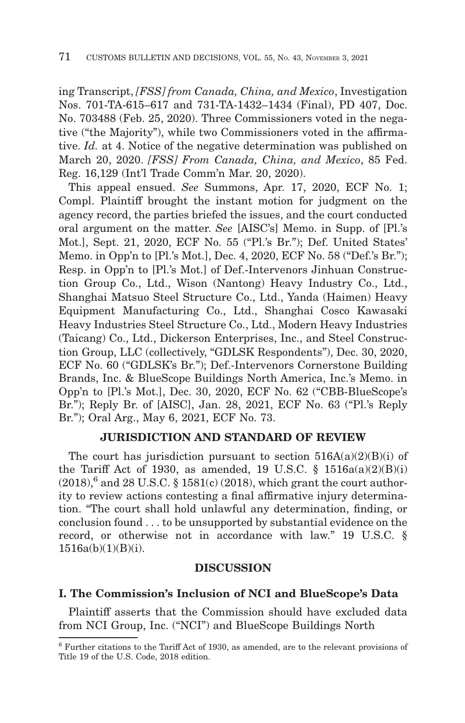ing Transcript, *[FSS] from Canada, China, and Mexico*, Investigation Nos. 701-TA-615–617 and 731-TA-1432–1434 (Final), PD 407, Doc. No. 703488 (Feb. 25, 2020). Three Commissioners voted in the negative ("the Majority"), while two Commissioners voted in the affirmative. *Id.* at 4. Notice of the negative determination was published on March 20, 2020. *[FSS] From Canada, China, and Mexico*, 85 Fed. Reg. 16,129 (Int'l Trade Comm'n Mar. 20, 2020).

This appeal ensued. *See* Summons, Apr. 17, 2020, ECF No. 1; Compl. Plaintiff brought the instant motion for judgment on the agency record, the parties briefed the issues, and the court conducted oral argument on the matter. *See* [AISC's] Memo. in Supp. of [Pl.'s Mot.], Sept. 21, 2020, ECF No. 55 ("Pl.'s Br."); Def. United States' Memo. in Opp'n to [Pl.'s Mot.], Dec. 4, 2020, ECF No. 58 ("Def.'s Br."); Resp. in Opp'n to [Pl.'s Mot.] of Def.-Intervenors Jinhuan Construction Group Co., Ltd., Wison (Nantong) Heavy Industry Co., Ltd., Shanghai Matsuo Steel Structure Co., Ltd., Yanda (Haimen) Heavy Equipment Manufacturing Co., Ltd., Shanghai Cosco Kawasaki Heavy Industries Steel Structure Co., Ltd., Modern Heavy Industries (Taicang) Co., Ltd., Dickerson Enterprises, Inc., and Steel Construction Group, LLC (collectively, "GDLSK Respondents"), Dec. 30, 2020, ECF No. 60 ("GDLSK's Br."); Def.-Intervenors Cornerstone Building Brands, Inc. & BlueScope Buildings North America, Inc.'s Memo. in Opp'n to [Pl.'s Mot.], Dec. 30, 2020, ECF No. 62 ("CBB-BlueScope's Br."); Reply Br. of [AISC], Jan. 28, 2021, ECF No. 63 ("Pl.'s Reply Br."); Oral Arg., May 6, 2021, ECF No. 73.

## **JURISDICTION AND STANDARD OF REVIEW**

The court has jurisdiction pursuant to section  $516A(a)(2)(B)(i)$  of the Tariff Act of 1930, as amended, 19 U.S.C.  $\S$  1516a(a)(2)(B)(i)  $(2018),^6$  and 28 U.S.C. § 1581(c) (2018), which grant the court authority to review actions contesting a final affirmative injury determination. "The court shall hold unlawful any determination, finding, or conclusion found . . . to be unsupported by substantial evidence on the record, or otherwise not in accordance with law." 19 U.S.C. § 1516a(b)(1)(B)(i).

## **DISCUSSION**

## **I. The Commission's Inclusion of NCI and BlueScope's Data**

Plaintiff asserts that the Commission should have excluded data from NCI Group, Inc. ("NCI") and BlueScope Buildings North

<sup>6</sup> Further citations to the Tariff Act of 1930, as amended, are to the relevant provisions of Title 19 of the U.S. Code, 2018 edition.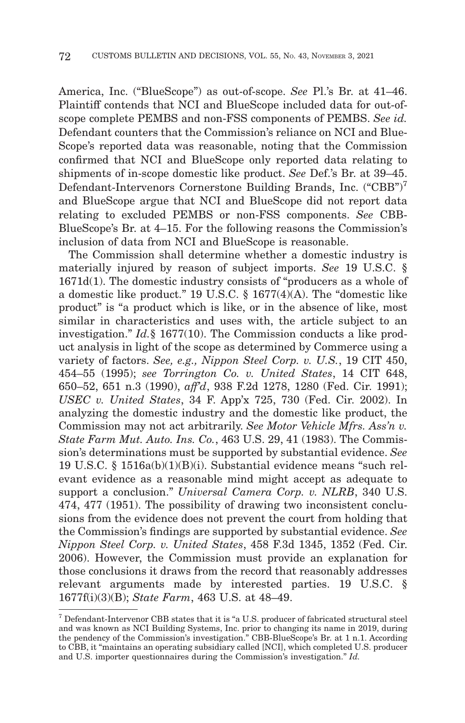America, Inc. ("BlueScope") as out-of-scope. *See* Pl.'s Br. at 41–46. Plaintiff contends that NCI and BlueScope included data for out-ofscope complete PEMBS and non-FSS components of PEMBS. *See id.* Defendant counters that the Commission's reliance on NCI and Blue-Scope's reported data was reasonable, noting that the Commission confirmed that NCI and BlueScope only reported data relating to shipments of in-scope domestic like product. *See* Def.'s Br. at 39–45. Defendant-Intervenors Cornerstone Building Brands, Inc. ("CBB")7 and BlueScope argue that NCI and BlueScope did not report data relating to excluded PEMBS or non-FSS components. *See* CBB-BlueScope's Br. at 4–15. For the following reasons the Commission's inclusion of data from NCI and BlueScope is reasonable.

The Commission shall determine whether a domestic industry is materially injured by reason of subject imports. *See* 19 U.S.C. § 1671d(1). The domestic industry consists of "producers as a whole of a domestic like product." 19 U.S.C. § 1677(4)(A). The "domestic like product" is "a product which is like, or in the absence of like, most similar in characteristics and uses with, the article subject to an investigation." *Id.*§ 1677(10). The Commission conducts a like product analysis in light of the scope as determined by Commerce using a variety of factors. *See, e.g., Nippon Steel Corp. v. U.S.*, 19 CIT 450, 454–55 (1995); *see Torrington Co. v. United States*, 14 CIT 648, 650–52, 651 n.3 (1990), *aff'd*, 938 F.2d 1278, 1280 (Fed. Cir. 1991); *USEC v. United States*, 34 F. App'x 725, 730 (Fed. Cir. 2002). In analyzing the domestic industry and the domestic like product, the Commission may not act arbitrarily. *See Motor Vehicle Mfrs. Ass'n v. State Farm Mut. Auto. Ins. Co.*, 463 U.S. 29, 41 (1983). The Commission's determinations must be supported by substantial evidence. *See* 19 U.S.C. § 1516a(b)(1)(B)(i). Substantial evidence means "such relevant evidence as a reasonable mind might accept as adequate to support a conclusion." *Universal Camera Corp. v. NLRB*, 340 U.S. 474, 477 (1951). The possibility of drawing two inconsistent conclusions from the evidence does not prevent the court from holding that the Commission's findings are supported by substantial evidence. *See Nippon Steel Corp. v. United States*, 458 F.3d 1345, 1352 (Fed. Cir. 2006). However, the Commission must provide an explanation for those conclusions it draws from the record that reasonably addresses relevant arguments made by interested parties. 19 U.S.C. § 1677f(i)(3)(B); *State Farm*, 463 U.S. at 48–49.

<sup>7</sup> Defendant-Intervenor CBB states that it is "a U.S. producer of fabricated structural steel and was known as NCI Building Systems, Inc. prior to changing its name in 2019, during the pendency of the Commission's investigation." CBB-BlueScope's Br. at 1 n.1. According to CBB, it "maintains an operating subsidiary called [NCI], which completed U.S. producer and U.S. importer questionnaires during the Commission's investigation." *Id.*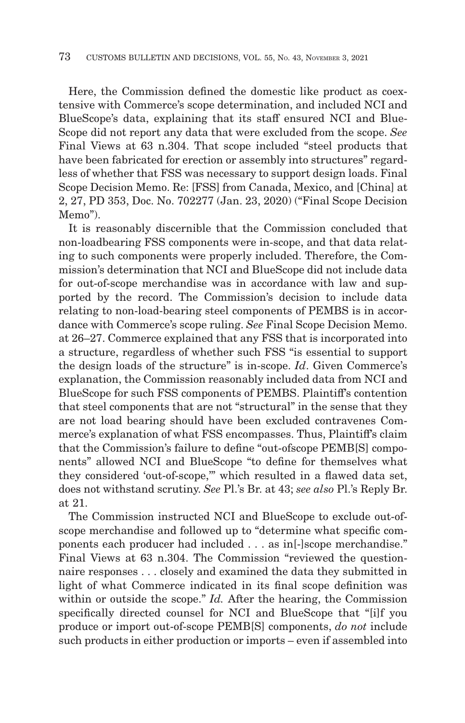Here, the Commission defined the domestic like product as coextensive with Commerce's scope determination, and included NCI and BlueScope's data, explaining that its staff ensured NCI and Blue-Scope did not report any data that were excluded from the scope. *See* Final Views at 63 n.304. That scope included "steel products that have been fabricated for erection or assembly into structures" regardless of whether that FSS was necessary to support design loads. Final Scope Decision Memo. Re: [FSS] from Canada, Mexico, and [China] at 2, 27, PD 353, Doc. No. 702277 (Jan. 23, 2020) ("Final Scope Decision Memo").

It is reasonably discernible that the Commission concluded that non-loadbearing FSS components were in-scope, and that data relating to such components were properly included. Therefore, the Commission's determination that NCI and BlueScope did not include data for out-of-scope merchandise was in accordance with law and supported by the record. The Commission's decision to include data relating to non-load-bearing steel components of PEMBS is in accordance with Commerce's scope ruling. *See* Final Scope Decision Memo. at 26–27. Commerce explained that any FSS that is incorporated into a structure, regardless of whether such FSS "is essential to support the design loads of the structure" is in-scope. *Id*. Given Commerce's explanation, the Commission reasonably included data from NCI and BlueScope for such FSS components of PEMBS. Plaintiff's contention that steel components that are not "structural" in the sense that they are not load bearing should have been excluded contravenes Commerce's explanation of what FSS encompasses. Thus, Plaintiff's claim that the Commission's failure to define "out-ofscope PEMB[S] components" allowed NCI and BlueScope "to define for themselves what they considered 'out-of-scope,'" which resulted in a flawed data set, does not withstand scrutiny. *See* Pl.'s Br. at 43; *see also* Pl.'s Reply Br. at 21.

The Commission instructed NCI and BlueScope to exclude out-ofscope merchandise and followed up to "determine what specific components each producer had included . . . as in[-]scope merchandise." Final Views at 63 n.304. The Commission "reviewed the questionnaire responses . . . closely and examined the data they submitted in light of what Commerce indicated in its final scope definition was within or outside the scope." *Id.* After the hearing, the Commission specifically directed counsel for NCI and BlueScope that "[i]f you produce or import out-of-scope PEMB[S] components, *do not* include such products in either production or imports – even if assembled into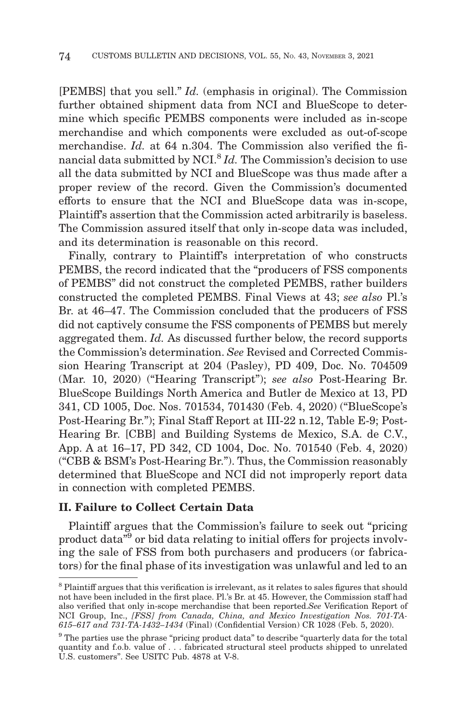[PEMBS] that you sell." *Id.* (emphasis in original). The Commission further obtained shipment data from NCI and BlueScope to determine which specific PEMBS components were included as in-scope merchandise and which components were excluded as out-of-scope merchandise. *Id.* at 64 n.304. The Commission also verified the financial data submitted by NCI.<sup>8</sup> *Id.* The Commission's decision to use all the data submitted by NCI and BlueScope was thus made after a proper review of the record. Given the Commission's documented efforts to ensure that the NCI and BlueScope data was in-scope, Plaintiff's assertion that the Commission acted arbitrarily is baseless. The Commission assured itself that only in-scope data was included, and its determination is reasonable on this record.

Finally, contrary to Plaintiff's interpretation of who constructs PEMBS, the record indicated that the "producers of FSS components of PEMBS" did not construct the completed PEMBS, rather builders constructed the completed PEMBS. Final Views at 43; *see also* Pl.'s Br. at 46–47. The Commission concluded that the producers of FSS did not captively consume the FSS components of PEMBS but merely aggregated them. *Id.* As discussed further below, the record supports the Commission's determination. *See* Revised and Corrected Commission Hearing Transcript at 204 (Pasley), PD 409, Doc. No. 704509 (Mar. 10, 2020) ("Hearing Transcript"); *see also* Post-Hearing Br. BlueScope Buildings North America and Butler de Mexico at 13, PD 341, CD 1005, Doc. Nos. 701534, 701430 (Feb. 4, 2020) ("BlueScope's Post-Hearing Br."); Final Staff Report at III-22 n.12, Table E-9; Post-Hearing Br. [CBB] and Building Systems de Mexico, S.A. de C.V., App. A at 16–17, PD 342, CD 1004, Doc. No. 701540 (Feb. 4, 2020) ("CBB & BSM's Post-Hearing Br."). Thus, the Commission reasonably determined that BlueScope and NCI did not improperly report data in connection with completed PEMBS.

## **II. Failure to Collect Certain Data**

Plaintiff argues that the Commission's failure to seek out "pricing product data<sup>79</sup> or bid data relating to initial offers for projects involving the sale of FSS from both purchasers and producers (or fabricators) for the final phase of its investigation was unlawful and led to an

<sup>&</sup>lt;sup>8</sup> Plaintiff argues that this verification is irrelevant, as it relates to sales figures that should not have been included in the first place. Pl.'s Br. at 45. However, the Commission staff had also verified that only in-scope merchandise that been reported.*See* Verification Report of NCI Group, Inc., *[FSS] from Canada, China, and Mexico Investigation Nos. 701-TA-615–617 and 731-TA-1432–1434* (Final) (Confidential Version) CR 1028 (Feb. 5, 2020).

<sup>9</sup> The parties use the phrase "pricing product data" to describe "quarterly data for the total quantity and f.o.b. value of . . . fabricated structural steel products shipped to unrelated U.S. customers". See USITC Pub. 4878 at V-8.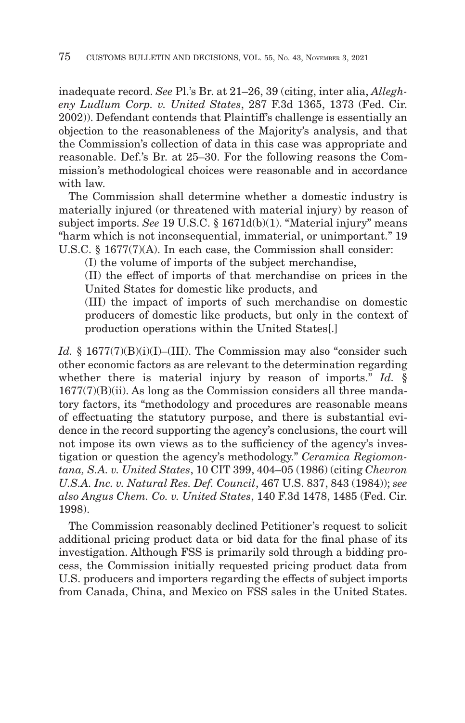inadequate record. *See* Pl.'s Br. at 21–26, 39 (citing, inter alia, *Allegheny Ludlum Corp. v. United States*, 287 F.3d 1365, 1373 (Fed. Cir. 2002)). Defendant contends that Plaintiff's challenge is essentially an objection to the reasonableness of the Majority's analysis, and that the Commission's collection of data in this case was appropriate and reasonable. Def.'s Br. at 25–30. For the following reasons the Commission's methodological choices were reasonable and in accordance with law.

The Commission shall determine whether a domestic industry is materially injured (or threatened with material injury) by reason of subject imports. *See* 19 U.S.C. § 1671d(b)(1). "Material injury" means "harm which is not inconsequential, immaterial, or unimportant." 19 U.S.C. § 1677(7)(A). In each case, the Commission shall consider:

(I) the volume of imports of the subject merchandise,

(II) the effect of imports of that merchandise on prices in the United States for domestic like products, and

(III) the impact of imports of such merchandise on domestic producers of domestic like products, but only in the context of production operations within the United States[.]

*Id.* § 1677(7)(B)(i)(I)–(III). The Commission may also "consider such other economic factors as are relevant to the determination regarding whether there is material injury by reason of imports." *Id.* § 1677(7)(B)(ii). As long as the Commission considers all three mandatory factors, its "methodology and procedures are reasonable means of effectuating the statutory purpose, and there is substantial evidence in the record supporting the agency's conclusions, the court will not impose its own views as to the sufficiency of the agency's investigation or question the agency's methodology." *Ceramica Regiomontana, S.A. v. United States*, 10 CIT 399, 404–05 (1986) (citing *Chevron U.S.A. Inc. v. Natural Res. Def. Council*, 467 U.S. 837, 843 (1984)); *see also Angus Chem. Co. v. United States*, 140 F.3d 1478, 1485 (Fed. Cir. 1998).

The Commission reasonably declined Petitioner's request to solicit additional pricing product data or bid data for the final phase of its investigation. Although FSS is primarily sold through a bidding process, the Commission initially requested pricing product data from U.S. producers and importers regarding the effects of subject imports from Canada, China, and Mexico on FSS sales in the United States.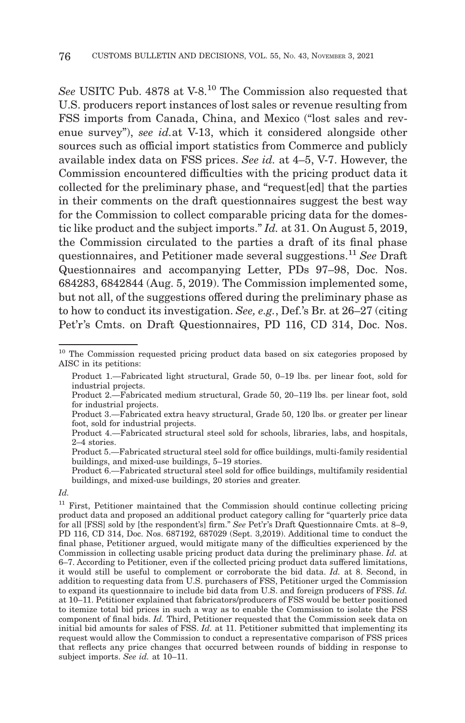*See* USITC Pub. 4878 at V-8.10 The Commission also requested that U.S. producers report instances of lost sales or revenue resulting from FSS imports from Canada, China, and Mexico ("lost sales and revenue survey"), *see id.*at V-13, which it considered alongside other sources such as official import statistics from Commerce and publicly available index data on FSS prices. *See id.* at 4–5, V-7. However, the Commission encountered difficulties with the pricing product data it collected for the preliminary phase, and "request[ed] that the parties in their comments on the draft questionnaires suggest the best way for the Commission to collect comparable pricing data for the domestic like product and the subject imports." *Id.* at 31. On August 5, 2019, the Commission circulated to the parties a draft of its final phase questionnaires, and Petitioner made several suggestions.11 *See* Draft Questionnaires and accompanying Letter, PDs 97–98, Doc. Nos. 684283, 6842844 (Aug. 5, 2019). The Commission implemented some, but not all, of the suggestions offered during the preliminary phase as to how to conduct its investigation. *See, e.g.*, Def.'s Br. at 26–27 (citing Pet'r's Cmts. on Draft Questionnaires, PD 116, CD 314, Doc. Nos.

Product 6.—Fabricated structural steel sold for office buildings, multifamily residential buildings, and mixed-use buildings, 20 stories and greater.

<sup>&</sup>lt;sup>10</sup> The Commission requested pricing product data based on six categories proposed by AISC in its petitions:

Product 1.—Fabricated light structural, Grade 50, 0–19 lbs. per linear foot, sold for industrial projects.

Product 2.—Fabricated medium structural, Grade 50, 20–119 lbs. per linear foot, sold for industrial projects.

Product 3.—Fabricated extra heavy structural, Grade 50, 120 lbs. or greater per linear foot, sold for industrial projects.

Product 4.—Fabricated structural steel sold for schools, libraries, labs, and hospitals, 2–4 stories.

Product 5.—Fabricated structural steel sold for office buildings, multi-family residential buildings, and mixed-use buildings, 5–19 stories.

*Id.*

<sup>&</sup>lt;sup>11</sup> First, Petitioner maintained that the Commission should continue collecting pricing product data and proposed an additional product category calling for "quarterly price data for all [FSS] sold by [the respondent's] firm." *See* Pet'r's Draft Questionnaire Cmts. at 8–9, PD 116, CD 314, Doc. Nos. 687192, 687029 (Sept. 3,2019). Additional time to conduct the final phase, Petitioner argued, would mitigate many of the difficulties experienced by the Commission in collecting usable pricing product data during the preliminary phase. *Id.* at 6–7. According to Petitioner, even if the collected pricing product data suffered limitations, it would still be useful to complement or corroborate the bid data. *Id.* at 8. Second, in addition to requesting data from U.S. purchasers of FSS, Petitioner urged the Commission to expand its questionnaire to include bid data from U.S. and foreign producers of FSS. *Id.* at 10–11. Petitioner explained that fabricators/producers of FSS would be better positioned to itemize total bid prices in such a way as to enable the Commission to isolate the FSS component of final bids. *Id.* Third, Petitioner requested that the Commission seek data on initial bid amounts for sales of FSS. *Id.* at 11. Petitioner submitted that implementing its request would allow the Commission to conduct a representative comparison of FSS prices that reflects any price changes that occurred between rounds of bidding in response to subject imports. *See id.* at 10–11.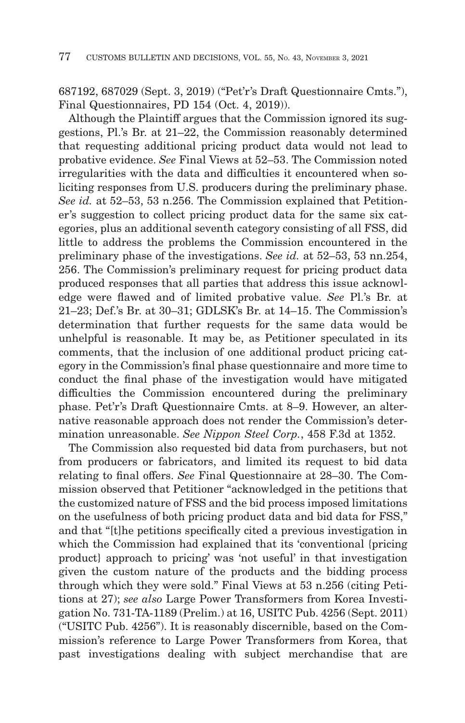687192, 687029 (Sept. 3, 2019) ("Pet'r's Draft Questionnaire Cmts."), Final Questionnaires, PD 154 (Oct. 4, 2019)).

Although the Plaintiff argues that the Commission ignored its suggestions, Pl.'s Br. at 21–22, the Commission reasonably determined that requesting additional pricing product data would not lead to probative evidence. *See* Final Views at 52–53. The Commission noted irregularities with the data and difficulties it encountered when soliciting responses from U.S. producers during the preliminary phase. *See id.* at 52–53, 53 n.256. The Commission explained that Petitioner's suggestion to collect pricing product data for the same six categories, plus an additional seventh category consisting of all FSS, did little to address the problems the Commission encountered in the preliminary phase of the investigations. *See id.* at 52–53, 53 nn.254, 256. The Commission's preliminary request for pricing product data produced responses that all parties that address this issue acknowledge were flawed and of limited probative value. *See* Pl.'s Br. at 21–23; Def.'s Br. at 30–31; GDLSK's Br. at 14–15. The Commission's determination that further requests for the same data would be unhelpful is reasonable. It may be, as Petitioner speculated in its comments, that the inclusion of one additional product pricing category in the Commission's final phase questionnaire and more time to conduct the final phase of the investigation would have mitigated difficulties the Commission encountered during the preliminary phase. Pet'r's Draft Questionnaire Cmts. at 8–9. However, an alternative reasonable approach does not render the Commission's determination unreasonable. *See Nippon Steel Corp.*, 458 F.3d at 1352.

The Commission also requested bid data from purchasers, but not from producers or fabricators, and limited its request to bid data relating to final offers. *See* Final Questionnaire at 28–30. The Commission observed that Petitioner "acknowledged in the petitions that the customized nature of FSS and the bid process imposed limitations on the usefulness of both pricing product data and bid data for FSS," and that "[t]he petitions specifically cited a previous investigation in which the Commission had explained that its 'conventional {pricing product} approach to pricing' was 'not useful' in that investigation given the custom nature of the products and the bidding process through which they were sold." Final Views at 53 n.256 (citing Petitions at 27); *see also* Large Power Transformers from Korea Investigation No. 731-TA-1189 (Prelim.) at 16, USITC Pub. 4256 (Sept. 2011) ("USITC Pub. 4256"). It is reasonably discernible, based on the Commission's reference to Large Power Transformers from Korea, that past investigations dealing with subject merchandise that are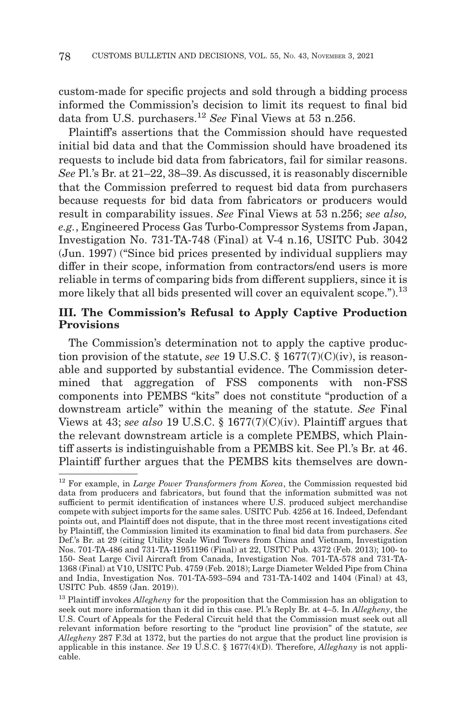custom-made for specific projects and sold through a bidding process informed the Commission's decision to limit its request to final bid data from U.S. purchasers.12 *See* Final Views at 53 n.256.

Plaintiff's assertions that the Commission should have requested initial bid data and that the Commission should have broadened its requests to include bid data from fabricators, fail for similar reasons. *See* Pl.'s Br. at 21–22, 38–39. As discussed, it is reasonably discernible that the Commission preferred to request bid data from purchasers because requests for bid data from fabricators or producers would result in comparability issues. *See* Final Views at 53 n.256; *see also, e.g.*, Engineered Process Gas Turbo-Compressor Systems from Japan, Investigation No. 731-TA-748 (Final) at V-4 n.16, USITC Pub. 3042 (Jun. 1997) ("Since bid prices presented by individual suppliers may differ in their scope, information from contractors/end users is more reliable in terms of comparing bids from different suppliers, since it is more likely that all bids presented will cover an equivalent scope.").<sup>13</sup>

## **III. The Commission's Refusal to Apply Captive Production Provisions**

The Commission's determination not to apply the captive production provision of the statute, *see* 19 U.S.C. § 1677(7)(C)(iv), is reasonable and supported by substantial evidence. The Commission determined that aggregation of FSS components with non-FSS components into PEMBS "kits" does not constitute "production of a downstream article" within the meaning of the statute. *See* Final Views at 43; *see also* 19 U.S.C. § 1677(7)(C)(iv). Plaintiff argues that the relevant downstream article is a complete PEMBS, which Plaintiff asserts is indistinguishable from a PEMBS kit. See Pl.'s Br. at 46. Plaintiff further argues that the PEMBS kits themselves are down-

<sup>12</sup> For example, in *Large Power Transformers from Korea*, the Commission requested bid data from producers and fabricators, but found that the information submitted was not sufficient to permit identification of instances where U.S. produced subject merchandise compete with subject imports for the same sales. USITC Pub. 4256 at 16. Indeed, Defendant points out, and Plaintiff does not dispute, that in the three most recent investigations cited by Plaintiff, the Commission limited its examination to final bid data from purchasers. *See* Def.'s Br. at 29 (citing Utility Scale Wind Towers from China and Vietnam, Investigation Nos. 701-TA-486 and 731-TA-11951196 (Final) at 22, USITC Pub. 4372 (Feb. 2013); 100- to 150- Seat Large Civil Aircraft from Canada, Investigation Nos. 701-TA-578 and 731-TA-1368 (Final) at V10, USITC Pub. 4759 (Feb. 2018); Large Diameter Welded Pipe from China and India, Investigation Nos. 701-TA-593–594 and 731-TA-1402 and 1404 (Final) at 43, USITC Pub. 4859 (Jan. 2019)).

<sup>&</sup>lt;sup>13</sup> Plaintiff invokes *Allegheny* for the proposition that the Commission has an obligation to seek out more information than it did in this case. Pl.'s Reply Br. at 4–5. In *Allegheny*, the U.S. Court of Appeals for the Federal Circuit held that the Commission must seek out all relevant information before resorting to the "product line provision" of the statute, *see Allegheny* 287 F.3d at 1372, but the parties do not argue that the product line provision is applicable in this instance. *See* 19 U.S.C. § 1677(4)(D). Therefore, *Alleghany* is not applicable.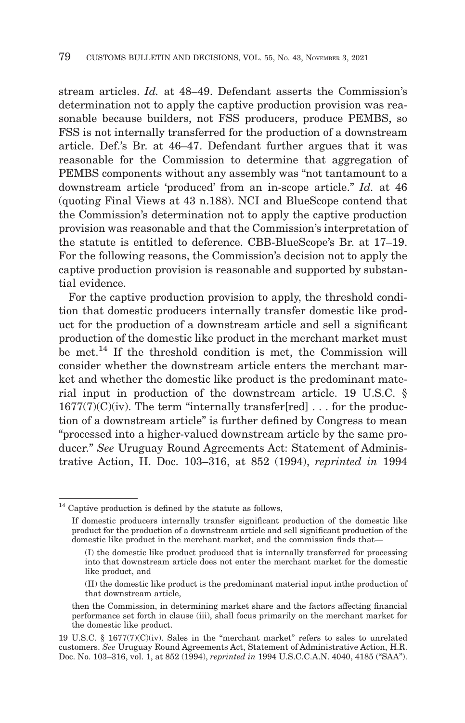stream articles. *Id.* at 48–49. Defendant asserts the Commission's determination not to apply the captive production provision was reasonable because builders, not FSS producers, produce PEMBS, so FSS is not internally transferred for the production of a downstream article. Def.'s Br. at 46–47. Defendant further argues that it was reasonable for the Commission to determine that aggregation of PEMBS components without any assembly was "not tantamount to a downstream article 'produced' from an in-scope article." *Id.* at 46 (quoting Final Views at 43 n.188). NCI and BlueScope contend that the Commission's determination not to apply the captive production provision was reasonable and that the Commission's interpretation of the statute is entitled to deference. CBB-BlueScope's Br. at 17–19. For the following reasons, the Commission's decision not to apply the captive production provision is reasonable and supported by substantial evidence.

For the captive production provision to apply, the threshold condition that domestic producers internally transfer domestic like product for the production of a downstream article and sell a significant production of the domestic like product in the merchant market must be met.<sup>14</sup> If the threshold condition is met, the Commission will consider whether the downstream article enters the merchant market and whether the domestic like product is the predominant material input in production of the downstream article. 19 U.S.C. §  $1677(7)(C)(iv)$ . The term "internally transfer[red] ... for the production of a downstream article" is further defined by Congress to mean "processed into a higher-valued downstream article by the same producer." *See* Uruguay Round Agreements Act: Statement of Administrative Action, H. Doc. 103–316, at 852 (1994), *reprinted in* 1994

<sup>&</sup>lt;sup>14</sup> Captive production is defined by the statute as follows,

If domestic producers internally transfer significant production of the domestic like product for the production of a downstream article and sell significant production of the domestic like product in the merchant market, and the commission finds that—

<sup>(</sup>I) the domestic like product produced that is internally transferred for processing into that downstream article does not enter the merchant market for the domestic like product, and

<sup>(</sup>II) the domestic like product is the predominant material input inthe production of that downstream article,

then the Commission, in determining market share and the factors affecting financial performance set forth in clause (iii), shall focus primarily on the merchant market for the domestic like product.

<sup>19</sup> U.S.C. § 1677(7)(C)(iv). Sales in the "merchant market" refers to sales to unrelated customers. *See* Uruguay Round Agreements Act, Statement of Administrative Action, H.R. Doc. No. 103–316, vol. 1, at 852 (1994), *reprinted in* 1994 U.S.C.C.A.N. 4040, 4185 ("SAA").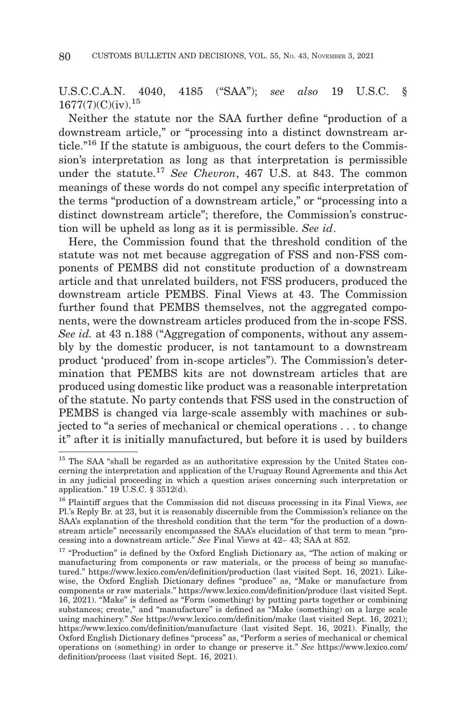# U.S.C.C.A.N. 4040, 4185 ("SAA"); *see also* 19 U.S.C. §  $1677(7)(C)(iv).$ <sup>15</sup>

Neither the statute nor the SAA further define "production of a downstream article," or "processing into a distinct downstream article."16 If the statute is ambiguous, the court defers to the Commission's interpretation as long as that interpretation is permissible under the statute.17 *See Chevron*, 467 U.S. at 843. The common meanings of these words do not compel any specific interpretation of the terms "production of a downstream article," or "processing into a distinct downstream article"; therefore, the Commission's construction will be upheld as long as it is permissible. *See id*.

Here, the Commission found that the threshold condition of the statute was not met because aggregation of FSS and non-FSS components of PEMBS did not constitute production of a downstream article and that unrelated builders, not FSS producers, produced the downstream article PEMBS. Final Views at 43. The Commission further found that PEMBS themselves, not the aggregated components, were the downstream articles produced from the in-scope FSS. *See id.* at 43 n.188 ("Aggregation of components, without any assembly by the domestic producer, is not tantamount to a downstream product 'produced' from in-scope articles"). The Commission's determination that PEMBS kits are not downstream articles that are produced using domestic like product was a reasonable interpretation of the statute. No party contends that FSS used in the construction of PEMBS is changed via large-scale assembly with machines or subjected to "a series of mechanical or chemical operations . . . to change it" after it is initially manufactured, but before it is used by builders

<sup>&</sup>lt;sup>15</sup> The SAA "shall be regarded as an authoritative expression by the United States concerning the interpretation and application of the Uruguay Round Agreements and this Act in any judicial proceeding in which a question arises concerning such interpretation or application." 19 U.S.C. § 3512(d).

<sup>16</sup> Plaintiff argues that the Commission did not discuss processing in its Final Views, *see* Pl.'s Reply Br. at 23, but it is reasonably discernible from the Commission's reliance on the SAA's explanation of the threshold condition that the term "for the production of a downstream article" necessarily encompassed the SAA's elucidation of that term to mean "processing into a downstream article." *See* Final Views at 42– 43; SAA at 852.

<sup>&</sup>lt;sup>17</sup> "Production" is defined by the Oxford English Dictionary as, "The action of making or manufacturing from components or raw materials, or the process of being so manufactured." https://www.lexico.com/en/definition/production (last visited Sept. 16, 2021). Likewise, the Oxford English Dictionary defines "produce" as, "Make or manufacture from components or raw materials." https://www.lexico.com/definition/produce (last visited Sept. 16, 2021). "Make" is defined as "Form (something) by putting parts together or combining substances; create," and "manufacture" is defined as "Make (something) on a large scale using machinery." *See* https://www.lexico.com/definition/make (last visited Sept. 16, 2021); https://www.lexico.com/definition/manufacture (last visited Sept. 16, 2021). Finally, the Oxford English Dictionary defines "process" as, "Perform a series of mechanical or chemical operations on (something) in order to change or preserve it." *See* https://www.lexico.com/ definition/process (last visited Sept. 16, 2021).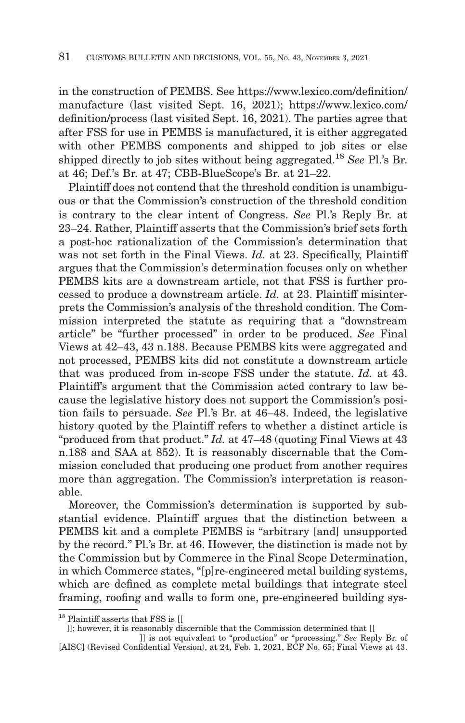in the construction of PEMBS. See https://www.lexico.com/definition/ manufacture (last visited Sept. 16, 2021); https://www.lexico.com/ definition/process (last visited Sept. 16, 2021). The parties agree that after FSS for use in PEMBS is manufactured, it is either aggregated with other PEMBS components and shipped to job sites or else shipped directly to job sites without being aggregated.18 *See* Pl.'s Br. at 46; Def.'s Br. at 47; CBB-BlueScope's Br. at 21–22.

Plaintiff does not contend that the threshold condition is unambiguous or that the Commission's construction of the threshold condition is contrary to the clear intent of Congress. *See* Pl.'s Reply Br. at 23–24. Rather, Plaintiff asserts that the Commission's brief sets forth a post-hoc rationalization of the Commission's determination that was not set forth in the Final Views. *Id.* at 23. Specifically, Plaintiff argues that the Commission's determination focuses only on whether PEMBS kits are a downstream article, not that FSS is further processed to produce a downstream article. *Id.* at 23. Plaintiff misinterprets the Commission's analysis of the threshold condition. The Commission interpreted the statute as requiring that a "downstream article" be "further processed" in order to be produced. *See* Final Views at 42–43, 43 n.188. Because PEMBS kits were aggregated and not processed, PEMBS kits did not constitute a downstream article that was produced from in-scope FSS under the statute. *Id.* at 43. Plaintiff's argument that the Commission acted contrary to law because the legislative history does not support the Commission's position fails to persuade. *See* Pl.'s Br. at 46–48. Indeed, the legislative history quoted by the Plaintiff refers to whether a distinct article is "produced from that product." *Id.* at 47–48 (quoting Final Views at 43 n.188 and SAA at 852). It is reasonably discernable that the Commission concluded that producing one product from another requires more than aggregation. The Commission's interpretation is reasonable.

Moreover, the Commission's determination is supported by substantial evidence. Plaintiff argues that the distinction between a PEMBS kit and a complete PEMBS is "arbitrary [and] unsupported by the record." Pl.'s Br. at 46. However, the distinction is made not by the Commission but by Commerce in the Final Scope Determination, in which Commerce states, "[p]re-engineered metal building systems, which are defined as complete metal buildings that integrate steel framing, roofing and walls to form one, pre-engineered building sys-

<sup>&</sup>lt;sup>18</sup> Plaintiff asserts that FSS is [[

 <sup>]];</sup> however, it is reasonably discernible that the Commission determined that [[

<sup>]]</sup> is not equivalent to "production" or "processing." *See* Reply Br. of [AISC] (Revised Confidential Version), at 24, Feb. 1, 2021, ECF No. 65; Final Views at 43.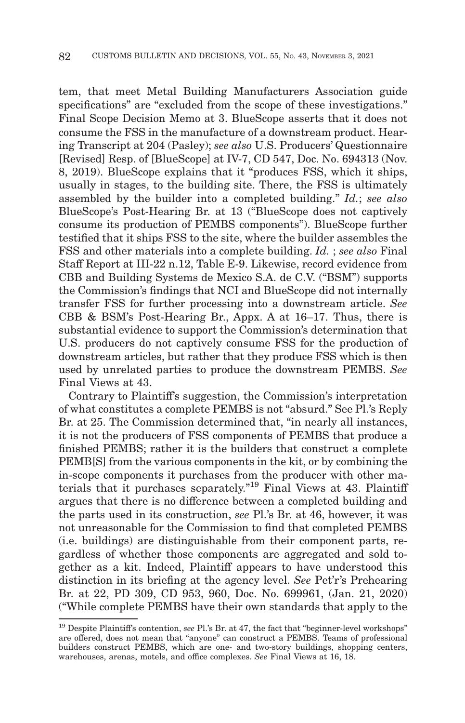tem, that meet Metal Building Manufacturers Association guide specifications" are "excluded from the scope of these investigations." Final Scope Decision Memo at 3. BlueScope asserts that it does not consume the FSS in the manufacture of a downstream product. Hearing Transcript at 204 (Pasley); *see also* U.S. Producers' Questionnaire [Revised] Resp. of [BlueScope] at IV-7, CD 547, Doc. No. 694313 (Nov. 8, 2019). BlueScope explains that it "produces FSS, which it ships, usually in stages, to the building site. There, the FSS is ultimately assembled by the builder into a completed building." *Id.*; *see also* BlueScope's Post-Hearing Br. at 13 ("BlueScope does not captively consume its production of PEMBS components"). BlueScope further testified that it ships FSS to the site, where the builder assembles the FSS and other materials into a complete building. *Id.* ; *see also* Final Staff Report at III-22 n.12, Table E-9. Likewise, record evidence from CBB and Building Systems de Mexico S.A. de C.V. ("BSM") supports the Commission's findings that NCI and BlueScope did not internally transfer FSS for further processing into a downstream article. *See* CBB & BSM's Post-Hearing Br., Appx. A at 16–17. Thus, there is substantial evidence to support the Commission's determination that U.S. producers do not captively consume FSS for the production of downstream articles, but rather that they produce FSS which is then used by unrelated parties to produce the downstream PEMBS. *See* Final Views at 43.

Contrary to Plaintiff's suggestion, the Commission's interpretation of what constitutes a complete PEMBS is not "absurd." See Pl.'s Reply Br. at 25. The Commission determined that, "in nearly all instances, it is not the producers of FSS components of PEMBS that produce a finished PEMBS; rather it is the builders that construct a complete PEMB[S] from the various components in the kit, or by combining the in-scope components it purchases from the producer with other materials that it purchases separately."<sup>19</sup> Final Views at 43. Plaintiff argues that there is no difference between a completed building and the parts used in its construction, *see* Pl.'s Br. at 46, however, it was not unreasonable for the Commission to find that completed PEMBS (i.e. buildings) are distinguishable from their component parts, regardless of whether those components are aggregated and sold together as a kit. Indeed, Plaintiff appears to have understood this distinction in its briefing at the agency level. *See* Pet'r's Prehearing Br. at 22, PD 309, CD 953, 960, Doc. No. 699961, (Jan. 21, 2020) ("While complete PEMBS have their own standards that apply to the

<sup>19</sup> Despite Plaintiff's contention, *see* Pl.'s Br. at 47, the fact that "beginner-level workshops" are offered, does not mean that "anyone" can construct a PEMBS. Teams of professional builders construct PEMBS, which are one- and two-story buildings, shopping centers, warehouses, arenas, motels, and office complexes. *See* Final Views at 16, 18.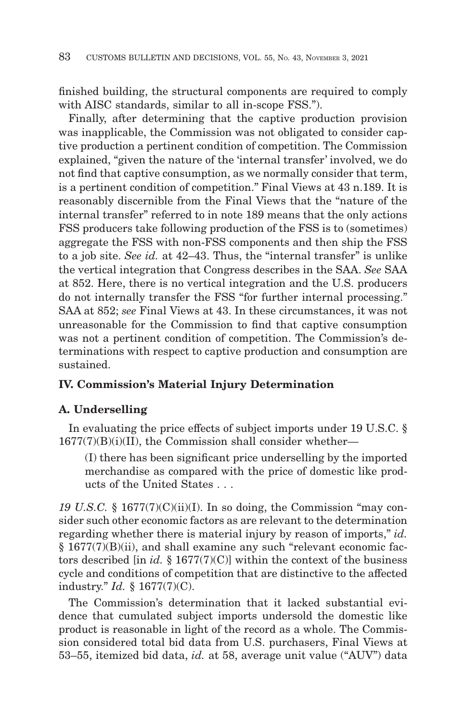finished building, the structural components are required to comply with AISC standards, similar to all in-scope FSS.").

Finally, after determining that the captive production provision was inapplicable, the Commission was not obligated to consider captive production a pertinent condition of competition. The Commission explained, "given the nature of the 'internal transfer' involved, we do not find that captive consumption, as we normally consider that term, is a pertinent condition of competition." Final Views at 43 n.189. It is reasonably discernible from the Final Views that the "nature of the internal transfer" referred to in note 189 means that the only actions FSS producers take following production of the FSS is to (sometimes) aggregate the FSS with non-FSS components and then ship the FSS to a job site. *See id.* at 42–43. Thus, the "internal transfer" is unlike the vertical integration that Congress describes in the SAA. *See* SAA at 852. Here, there is no vertical integration and the U.S. producers do not internally transfer the FSS "for further internal processing." SAA at 852; *see* Final Views at 43. In these circumstances, it was not unreasonable for the Commission to find that captive consumption was not a pertinent condition of competition. The Commission's determinations with respect to captive production and consumption are sustained.

### **IV. Commission's Material Injury Determination**

### **A. Underselling**

In evaluating the price effects of subject imports under 19 U.S.C. §  $1677(7)(B)(i)(II)$ , the Commission shall consider whether—

(I) there has been significant price underselling by the imported merchandise as compared with the price of domestic like products of the United States . . .

*19 U.S.C.* § 1677(7)(C)(ii)(I). In so doing, the Commission "may consider such other economic factors as are relevant to the determination regarding whether there is material injury by reason of imports," *id.* § 1677(7)(B)(ii), and shall examine any such "relevant economic factors described [in *id.* § 1677(7)(C)] within the context of the business cycle and conditions of competition that are distinctive to the affected industry." *Id.* § 1677(7)(C).

The Commission's determination that it lacked substantial evidence that cumulated subject imports undersold the domestic like product is reasonable in light of the record as a whole. The Commission considered total bid data from U.S. purchasers, Final Views at 53–55, itemized bid data, *id.* at 58, average unit value ("AUV") data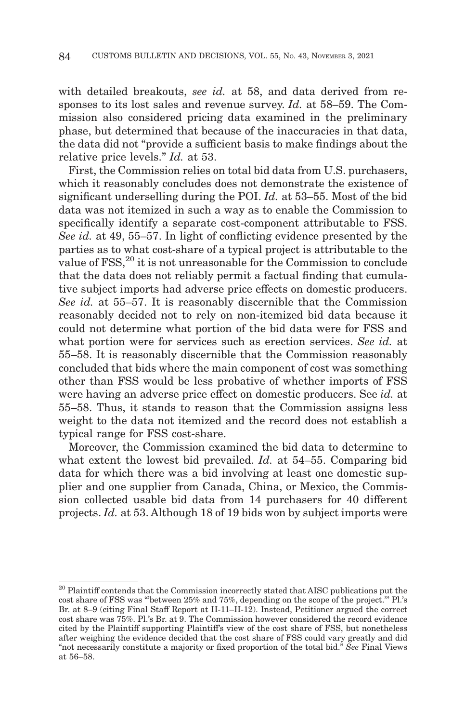with detailed breakouts, *see id.* at 58, and data derived from responses to its lost sales and revenue survey. *Id.* at 58–59. The Commission also considered pricing data examined in the preliminary phase, but determined that because of the inaccuracies in that data, the data did not "provide a sufficient basis to make findings about the relative price levels." *Id.* at 53.

First, the Commission relies on total bid data from U.S. purchasers, which it reasonably concludes does not demonstrate the existence of significant underselling during the POI. *Id.* at 53–55. Most of the bid data was not itemized in such a way as to enable the Commission to specifically identify a separate cost-component attributable to FSS. *See id.* at 49, 55–57. In light of conflicting evidence presented by the parties as to what cost-share of a typical project is attributable to the value of FSS,<sup>20</sup> it is not unreasonable for the Commission to conclude that the data does not reliably permit a factual finding that cumulative subject imports had adverse price effects on domestic producers. *See id.* at 55–57. It is reasonably discernible that the Commission reasonably decided not to rely on non-itemized bid data because it could not determine what portion of the bid data were for FSS and what portion were for services such as erection services. *See id.* at 55–58. It is reasonably discernible that the Commission reasonably concluded that bids where the main component of cost was something other than FSS would be less probative of whether imports of FSS were having an adverse price effect on domestic producers. See *id.* at 55–58. Thus, it stands to reason that the Commission assigns less weight to the data not itemized and the record does not establish a typical range for FSS cost-share.

Moreover, the Commission examined the bid data to determine to what extent the lowest bid prevailed. *Id.* at 54–55. Comparing bid data for which there was a bid involving at least one domestic supplier and one supplier from Canada, China, or Mexico, the Commission collected usable bid data from 14 purchasers for 40 different projects. *Id.* at 53. Although 18 of 19 bids won by subject imports were

<sup>&</sup>lt;sup>20</sup> Plaintiff contends that the Commission incorrectly stated that AISC publications put the cost share of FSS was "'between 25% and 75%, depending on the scope of the project.'" Pl.'s Br. at 8–9 (citing Final Staff Report at II-11–II-12). Instead, Petitioner argued the correct cost share was 75%. Pl.'s Br. at 9. The Commission however considered the record evidence cited by the Plaintiff supporting Plaintiff's view of the cost share of FSS, but nonetheless after weighing the evidence decided that the cost share of FSS could vary greatly and did "not necessarily constitute a majority or fixed proportion of the total bid." *See* Final Views at 56–58.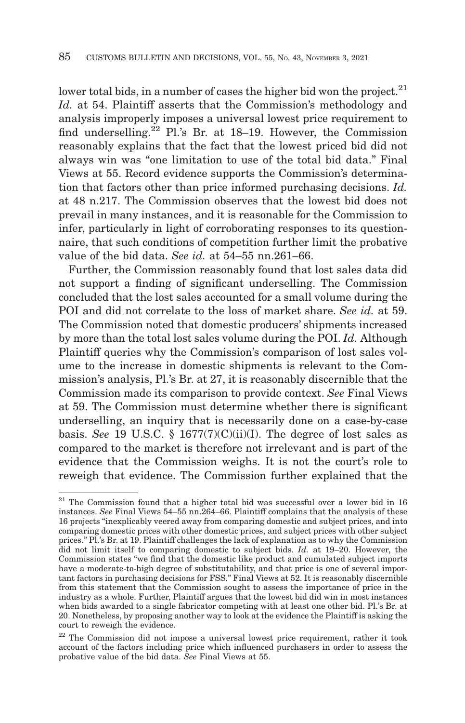lower total bids, in a number of cases the higher bid won the project.<sup>21</sup> *Id.* at 54. Plaintiff asserts that the Commission's methodology and analysis improperly imposes a universal lowest price requirement to find underselling.<sup>22</sup> Pl.'s Br. at 18–19. However, the Commission reasonably explains that the fact that the lowest priced bid did not always win was "one limitation to use of the total bid data." Final Views at 55. Record evidence supports the Commission's determination that factors other than price informed purchasing decisions. *Id.* at 48 n.217. The Commission observes that the lowest bid does not prevail in many instances, and it is reasonable for the Commission to infer, particularly in light of corroborating responses to its questionnaire, that such conditions of competition further limit the probative value of the bid data. *See id.* at 54–55 nn.261–66.

Further, the Commission reasonably found that lost sales data did not support a finding of significant underselling. The Commission concluded that the lost sales accounted for a small volume during the POI and did not correlate to the loss of market share. *See id.* at 59. The Commission noted that domestic producers' shipments increased by more than the total lost sales volume during the POI. *Id.* Although Plaintiff queries why the Commission's comparison of lost sales volume to the increase in domestic shipments is relevant to the Commission's analysis, Pl.'s Br. at 27, it is reasonably discernible that the Commission made its comparison to provide context. *See* Final Views at 59. The Commission must determine whether there is significant underselling, an inquiry that is necessarily done on a case-by-case basis. *See* 19 U.S.C. § 1677(7)(C)(ii)(I). The degree of lost sales as compared to the market is therefore not irrelevant and is part of the evidence that the Commission weighs. It is not the court's role to reweigh that evidence. The Commission further explained that the

 $21$  The Commission found that a higher total bid was successful over a lower bid in 16 instances. *See* Final Views 54–55 nn.264–66. Plaintiff complains that the analysis of these 16 projects "inexplicably veered away from comparing domestic and subject prices, and into comparing domestic prices with other domestic prices, and subject prices with other subject prices." Pl.'s Br. at 19. Plaintiff challenges the lack of explanation as to why the Commission did not limit itself to comparing domestic to subject bids. *Id.* at 19–20. However, the Commission states "we find that the domestic like product and cumulated subject imports have a moderate-to-high degree of substitutability, and that price is one of several important factors in purchasing decisions for FSS." Final Views at 52. It is reasonably discernible from this statement that the Commission sought to assess the importance of price in the industry as a whole. Further, Plaintiff argues that the lowest bid did win in most instances when bids awarded to a single fabricator competing with at least one other bid. Pl.'s Br. at 20. Nonetheless, by proposing another way to look at the evidence the Plaintiff is asking the court to reweigh the evidence.

<sup>22</sup> The Commission did not impose a universal lowest price requirement, rather it took account of the factors including price which influenced purchasers in order to assess the probative value of the bid data. *See* Final Views at 55.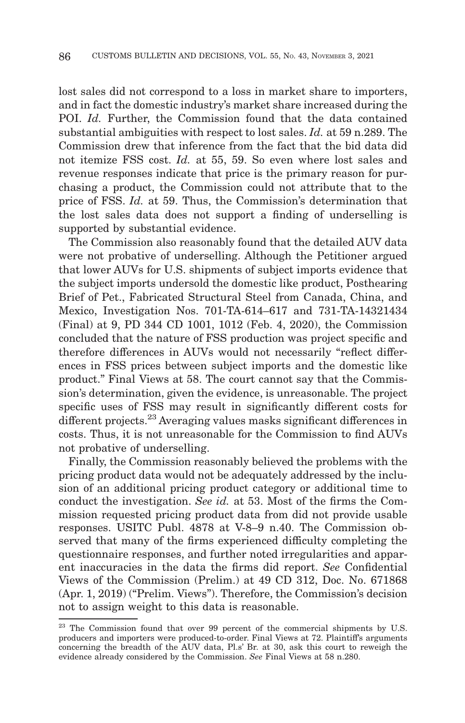lost sales did not correspond to a loss in market share to importers, and in fact the domestic industry's market share increased during the POI. *Id.* Further, the Commission found that the data contained substantial ambiguities with respect to lost sales. *Id.* at 59 n.289. The Commission drew that inference from the fact that the bid data did not itemize FSS cost. *Id.* at 55, 59. So even where lost sales and revenue responses indicate that price is the primary reason for purchasing a product, the Commission could not attribute that to the price of FSS. *Id.* at 59. Thus, the Commission's determination that the lost sales data does not support a finding of underselling is supported by substantial evidence.

The Commission also reasonably found that the detailed AUV data were not probative of underselling. Although the Petitioner argued that lower AUVs for U.S. shipments of subject imports evidence that the subject imports undersold the domestic like product, Posthearing Brief of Pet., Fabricated Structural Steel from Canada, China, and Mexico, Investigation Nos. 701-TA-614–617 and 731-TA-14321434 (Final) at 9, PD 344 CD 1001, 1012 (Feb. 4, 2020), the Commission concluded that the nature of FSS production was project specific and therefore differences in AUVs would not necessarily "reflect differences in FSS prices between subject imports and the domestic like product." Final Views at 58. The court cannot say that the Commission's determination, given the evidence, is unreasonable. The project specific uses of FSS may result in significantly different costs for different projects.23 Averaging values masks significant differences in costs. Thus, it is not unreasonable for the Commission to find AUVs not probative of underselling.

Finally, the Commission reasonably believed the problems with the pricing product data would not be adequately addressed by the inclusion of an additional pricing product category or additional time to conduct the investigation. *See id.* at 53. Most of the firms the Commission requested pricing product data from did not provide usable responses. USITC Publ. 4878 at V-8–9 n.40. The Commission observed that many of the firms experienced difficulty completing the questionnaire responses, and further noted irregularities and apparent inaccuracies in the data the firms did report. *See* Confidential Views of the Commission (Prelim.) at 49 CD 312, Doc. No. 671868 (Apr. 1, 2019) ("Prelim. Views"). Therefore, the Commission's decision not to assign weight to this data is reasonable.

<sup>&</sup>lt;sup>23</sup> The Commission found that over 99 percent of the commercial shipments by U.S. producers and importers were produced-to-order. Final Views at 72. Plaintiff's arguments concerning the breadth of the AUV data, Pl.s' Br. at 30, ask this court to reweigh the evidence already considered by the Commission. *See* Final Views at 58 n.280.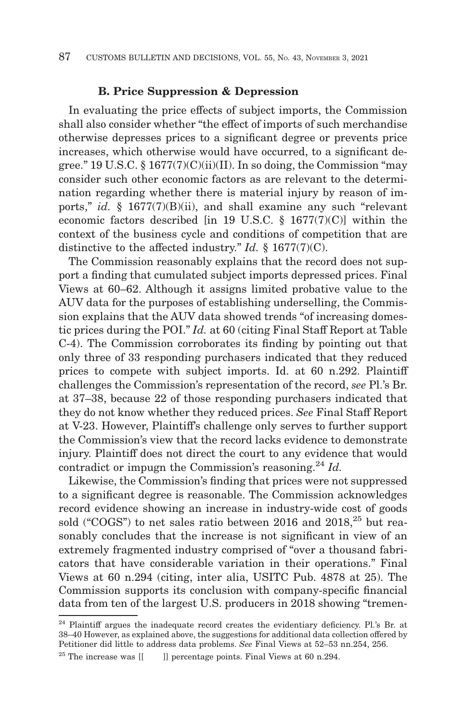#### **B. Price Suppression & Depression**

In evaluating the price effects of subject imports, the Commission shall also consider whether "the effect of imports of such merchandise otherwise depresses prices to a significant degree or prevents price increases, which otherwise would have occurred, to a significant degree." 19 U.S.C.  $\S 1677(7)(C)(ii)(II)$ . In so doing, the Commission "may consider such other economic factors as are relevant to the determination regarding whether there is material injury by reason of imports," *id.* § 1677(7)(B)(ii), and shall examine any such "relevant economic factors described  $\text{lin } 19 \text{ U.S.C. }$  § 1677(7)(C)] within the context of the business cycle and conditions of competition that are distinctive to the affected industry." *Id.* § 1677(7)(C).

The Commission reasonably explains that the record does not support a finding that cumulated subject imports depressed prices. Final Views at 60–62. Although it assigns limited probative value to the AUV data for the purposes of establishing underselling, the Commission explains that the AUV data showed trends "of increasing domestic prices during the POI." *Id.* at 60 (citing Final Staff Report at Table C-4). The Commission corroborates its finding by pointing out that only three of 33 responding purchasers indicated that they reduced prices to compete with subject imports. Id. at 60 n.292. Plaintiff challenges the Commission's representation of the record, *see* Pl.'s Br. at 37–38, because 22 of those responding purchasers indicated that they do not know whether they reduced prices. *See* Final Staff Report at V-23. However, Plaintiff's challenge only serves to further support the Commission's view that the record lacks evidence to demonstrate injury. Plaintiff does not direct the court to any evidence that would contradict or impugn the Commission's reasoning.<sup>24</sup> *Id.* 

Likewise, the Commission's finding that prices were not suppressed to a significant degree is reasonable. The Commission acknowledges record evidence showing an increase in industry-wide cost of goods sold ("COGS") to net sales ratio between 2016 and 2018,<sup>25</sup> but reasonably concludes that the increase is not significant in view of an extremely fragmented industry comprised of "over a thousand fabricators that have considerable variation in their operations." Final Views at 60 n.294 (citing, inter alia, USITC Pub. 4878 at 25). The Commission supports its conclusion with company-specific financial data from ten of the largest U.S. producers in 2018 showing "tremen-

<sup>&</sup>lt;sup>24</sup> Plaintiff argues the inadequate record creates the evidentiary deficiency. Pl.'s Br. at 38–40 However, as explained above, the suggestions for additional data collection offered by Petitioner did little to address data problems. *See* Final Views at 52–53 nn.254, 256.

<sup>&</sup>lt;sup>25</sup> The increase was  $[[ \quad ]]$  percentage points. Final Views at 60 n.294.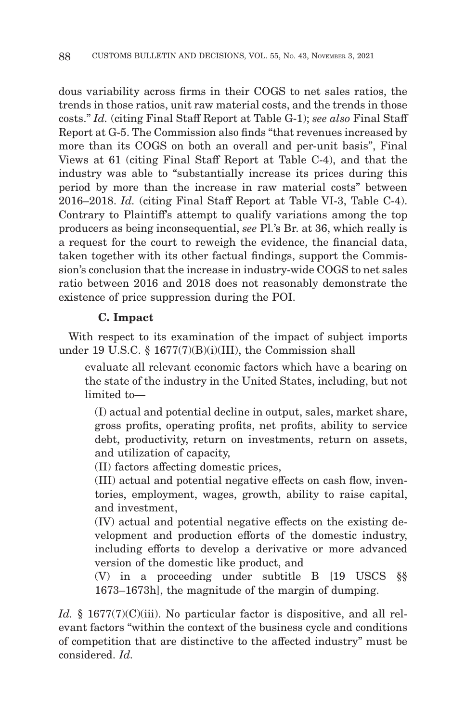dous variability across firms in their COGS to net sales ratios, the trends in those ratios, unit raw material costs, and the trends in those costs." *Id.* (citing Final Staff Report at Table G-1); *see also* Final Staff Report at G-5. The Commission also finds "that revenues increased by more than its COGS on both an overall and per-unit basis", Final Views at 61 (citing Final Staff Report at Table C-4), and that the industry was able to "substantially increase its prices during this period by more than the increase in raw material costs" between 2016–2018. *Id.* (citing Final Staff Report at Table VI-3, Table C-4). Contrary to Plaintiff's attempt to qualify variations among the top producers as being inconsequential, *see* Pl.'s Br. at 36, which really is a request for the court to reweigh the evidence, the financial data, taken together with its other factual findings, support the Commission's conclusion that the increase in industry-wide COGS to net sales ratio between 2016 and 2018 does not reasonably demonstrate the existence of price suppression during the POI.

# **C. Impact**

With respect to its examination of the impact of subject imports under 19 U.S.C. § 1677(7)(B)(i)(III), the Commission shall

evaluate all relevant economic factors which have a bearing on the state of the industry in the United States, including, but not limited to—

(I) actual and potential decline in output, sales, market share, gross profits, operating profits, net profits, ability to service debt, productivity, return on investments, return on assets, and utilization of capacity,

(II) factors affecting domestic prices,

(III) actual and potential negative effects on cash flow, inventories, employment, wages, growth, ability to raise capital, and investment,

(IV) actual and potential negative effects on the existing development and production efforts of the domestic industry, including efforts to develop a derivative or more advanced version of the domestic like product, and

(V) in a proceeding under subtitle B [19 USCS §§ 1673–1673h], the magnitude of the margin of dumping.

*Id.* § 1677(7)(C)(iii). No particular factor is dispositive, and all relevant factors "within the context of the business cycle and conditions of competition that are distinctive to the affected industry" must be considered. *Id.*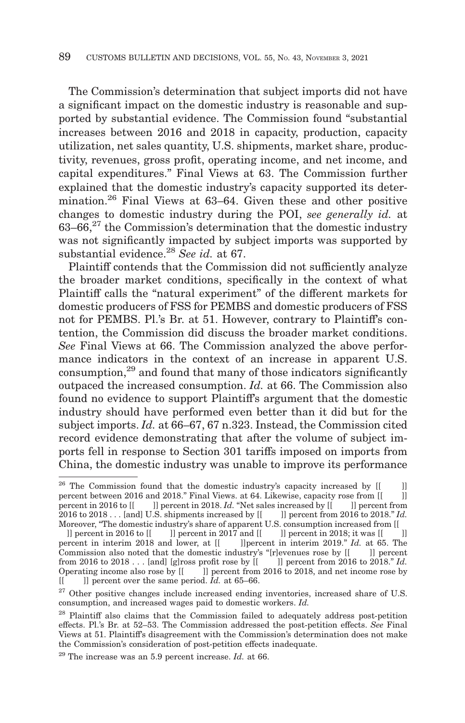The Commission's determination that subject imports did not have a significant impact on the domestic industry is reasonable and supported by substantial evidence. The Commission found "substantial increases between 2016 and 2018 in capacity, production, capacity utilization, net sales quantity, U.S. shipments, market share, productivity, revenues, gross profit, operating income, and net income, and capital expenditures." Final Views at 63. The Commission further explained that the domestic industry's capacity supported its determination.<sup>26</sup> Final Views at 63–64. Given these and other positive changes to domestic industry during the POI, *see generally id.* at  $63-66$ <sup>27</sup> the Commission's determination that the domestic industry was not significantly impacted by subject imports was supported by substantial evidence.28 *See id.* at 67.

Plaintiff contends that the Commission did not sufficiently analyze the broader market conditions, specifically in the context of what Plaintiff calls the "natural experiment" of the different markets for domestic producers of FSS for PEMBS and domestic producers of FSS not for PEMBS. Pl.'s Br. at 51. However, contrary to Plaintiff's contention, the Commission did discuss the broader market conditions. *See* Final Views at 66. The Commission analyzed the above performance indicators in the context of an increase in apparent U.S.  $\frac{1}{2}$  consumption,<sup>29</sup> and found that many of those indicators significantly outpaced the increased consumption. *Id.* at 66. The Commission also found no evidence to support Plaintiff's argument that the domestic industry should have performed even better than it did but for the subject imports. *Id.* at 66–67, 67 n.323. Instead, the Commission cited record evidence demonstrating that after the volume of subject imports fell in response to Section 301 tariffs imposed on imports from China, the domestic industry was unable to improve its performance

 $26$  The Commission found that the domestic industry's capacity increased by  $[[ ] ]$ percent between 2016 and 2018." Final Views. at 64. Likewise, capacity rose from [[ ]]<br>percent in 2016 to [[ ]] percent in 2018. *Id.* "Net sales increased by [[ ]] percent from  $\Box$  percent in 2018. *Id.* "Net sales increased by  $\Box$ 2016 to 2018 . . . [and] U.S. shipments increased by [[ ]] percent from 2016 to 2018." *Id.*

Moreover, "The domestic industry's share of apparent U.S. consumption increased from [[<br>]] percent in 2016 to [[ ]] percent in 2017 and [[ ]] percent in 2018; it was [[ ]] percent in 2016 to  $[[ \quad]]$  percent in 2017 and  $[[ \quad]]$  percent in 2018; it was  $[[ \quad]]$  percent in interim 2018. The  $\frac{1}{2}$  left in interim 2019." *Id.* at 65. The Commission also noted that the domestic industry's "[r]evenues rose by  $[[\quad \quad]]$  percent from 2016 to 2018." Id. from 2016 to 2018 . . . [and] [g]ross profit rose by [[<br>Operating income also rose by [[] ]] percent from 2016 [ ]] percent from 2016 to 2018, and net income rose by [[ ]] percent over the same period. *Id.* at 65–66.

 $27$  Other positive changes include increased ending inventories, increased share of U.S. consumption, and increased wages paid to domestic workers. *Id.*

<sup>&</sup>lt;sup>28</sup> Plaintiff also claims that the Commission failed to adequately address post-petition effects. Pl.'s Br. at 52–53. The Commission addressed the post-petition effects. *See* Final Views at 51. Plaintiff's disagreement with the Commission's determination does not make the Commission's consideration of post-petition effects inadequate.

<sup>29</sup> The increase was an 5.9 percent increase. *Id.* at 66.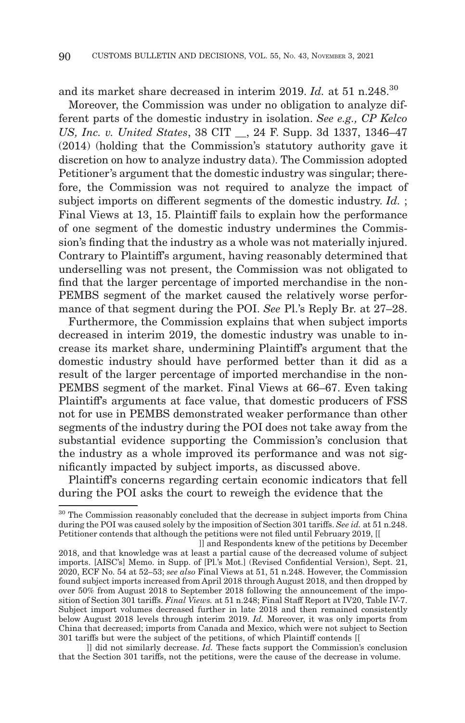and its market share decreased in interim 2019. *Id.* at 51 n.248.<sup>30</sup>

Moreover, the Commission was under no obligation to analyze different parts of the domestic industry in isolation. *See e.g., CP Kelco US, Inc. v. United States*, 38 CIT \_\_, 24 F. Supp. 3d 1337, 1346–47 (2014) (holding that the Commission's statutory authority gave it discretion on how to analyze industry data). The Commission adopted Petitioner's argument that the domestic industry was singular; therefore, the Commission was not required to analyze the impact of subject imports on different segments of the domestic industry. *Id.* ; Final Views at 13, 15. Plaintiff fails to explain how the performance of one segment of the domestic industry undermines the Commission's finding that the industry as a whole was not materially injured. Contrary to Plaintiff's argument, having reasonably determined that underselling was not present, the Commission was not obligated to find that the larger percentage of imported merchandise in the non-PEMBS segment of the market caused the relatively worse performance of that segment during the POI. *See* Pl.'s Reply Br. at 27–28.

Furthermore, the Commission explains that when subject imports decreased in interim 2019, the domestic industry was unable to increase its market share, undermining Plaintiff's argument that the domestic industry should have performed better than it did as a result of the larger percentage of imported merchandise in the non-PEMBS segment of the market. Final Views at 66–67. Even taking Plaintiff's arguments at face value, that domestic producers of FSS not for use in PEMBS demonstrated weaker performance than other segments of the industry during the POI does not take away from the substantial evidence supporting the Commission's conclusion that the industry as a whole improved its performance and was not significantly impacted by subject imports, as discussed above.

Plaintiff's concerns regarding certain economic indicators that fell during the POI asks the court to reweigh the evidence that the

 ]] did not similarly decrease. *Id.* These facts support the Commission's conclusion that the Section 301 tariffs, not the petitions, were the cause of the decrease in volume.

<sup>&</sup>lt;sup>30</sup> The Commission reasonably concluded that the decrease in subject imports from China during the POI was caused solely by the imposition of Section 301 tariffs. *See id.* at 51 n.248. Petitioner contends that although the petitions were not filed until February 2019, [[

<sup>]]</sup> and Respondents knew of the petitions by December 2018, and that knowledge was at least a partial cause of the decreased volume of subject imports. [AISC's] Memo. in Supp. of [Pl.'s Mot.] (Revised Confidential Version), Sept. 21, 2020, ECF No. 54 at 52–53; *see also* Final Views at 51, 51 n.248. However, the Commission found subject imports increased from April 2018 through August 2018, and then dropped by over 50% from August 2018 to September 2018 following the announcement of the imposition of Section 301 tariffs. *Final Views.* at 51 n.248; Final Staff Report at IV20, Table IV-7. Subject import volumes decreased further in late 2018 and then remained consistently below August 2018 levels through interim 2019. *Id.* Moreover, it was only imports from China that decreased; imports from Canada and Mexico, which were not subject to Section 301 tariffs but were the subject of the petitions, of which Plaintiff contends [[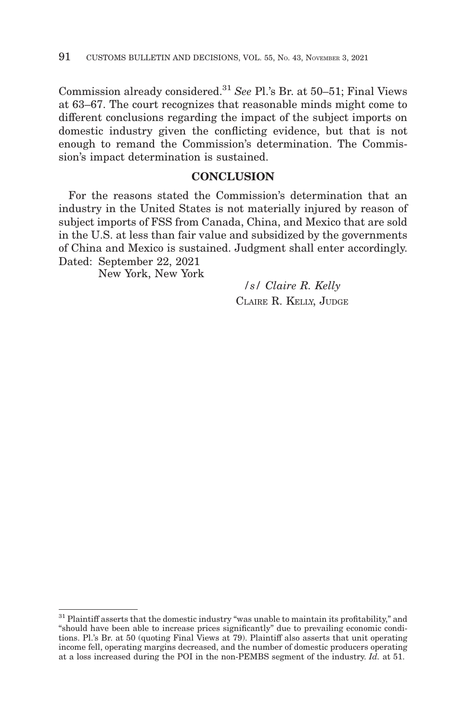Commission already considered.31 *See* Pl.'s Br. at 50–51; Final Views at 63–67. The court recognizes that reasonable minds might come to different conclusions regarding the impact of the subject imports on domestic industry given the conflicting evidence, but that is not enough to remand the Commission's determination. The Commission's impact determination is sustained.

# **CONCLUSION**

For the reasons stated the Commission's determination that an industry in the United States is not materially injured by reason of subject imports of FSS from Canada, China, and Mexico that are sold in the U.S. at less than fair value and subsidized by the governments of China and Mexico is sustained. Judgment shall enter accordingly. Dated: September 22, 2021

New York, New York

*/s/ Claire R. Kelly* CLAIRE R. KELLY, JUDGE

<sup>&</sup>lt;sup>31</sup> Plaintiff asserts that the domestic industry "was unable to maintain its profitability," and "should have been able to increase prices significantly" due to prevailing economic conditions. Pl.'s Br. at 50 (quoting Final Views at 79). Plaintiff also asserts that unit operating income fell, operating margins decreased, and the number of domestic producers operating at a loss increased during the POI in the non-PEMBS segment of the industry. *Id.* at 51.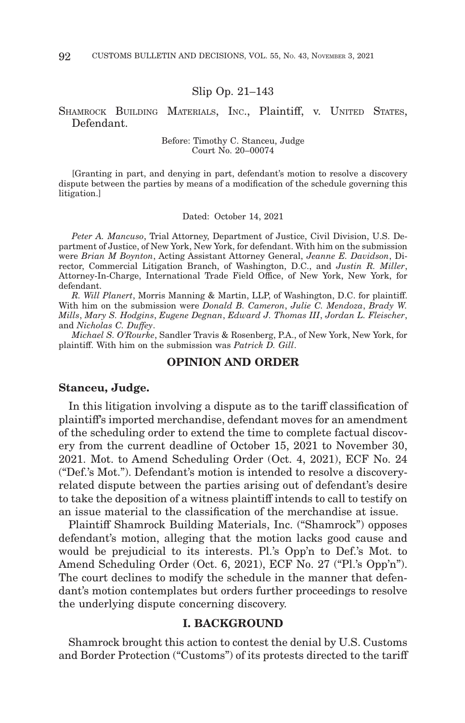#### Slip Op. 21–143

SHAMROCK BUILDING MATERIALS, INC., Plaintiff, v. UNITED STATES, Defendant.

> Before: Timothy C. Stanceu, Judge Court No. 20–00074

[Granting in part, and denying in part, defendant's motion to resolve a discovery dispute between the parties by means of a modification of the schedule governing this litigation.]

Dated: October 14, 2021

*Peter A. Mancuso*, Trial Attorney, Department of Justice, Civil Division, U.S. Department of Justice, of New York, New York, for defendant. With him on the submission were *Brian M Boynton*, Acting Assistant Attorney General, *Jeanne E. Davidson*, Director, Commercial Litigation Branch, of Washington, D.C., and *Justin R. Miller*, Attorney-In-Charge, International Trade Field Office, of New York, New York, for defendant.

*R. Will Planert*, Morris Manning & Martin, LLP, of Washington, D.C. for plaintiff. With him on the submission were *Donald B. Cameron*, *Julie C. Mendoza*, *Brady W. Mills*, *Mary S. Hodgins*, *Eugene Degnan*, *Edward J. Thomas III*, *Jordan L. Fleischer*, and *Nicholas C. Duffey*.

*Michael S. O'Rourke*, Sandler Travis & Rosenberg, P.A., of New York, New York, for plaintiff. With him on the submission was *Patrick D. Gill*.

### **OPINION AND ORDER**

#### **Stanceu, Judge.**

In this litigation involving a dispute as to the tariff classification of plaintiff's imported merchandise, defendant moves for an amendment of the scheduling order to extend the time to complete factual discovery from the current deadline of October 15, 2021 to November 30, 2021. Mot. to Amend Scheduling Order (Oct. 4, 2021), ECF No. 24 ("Def.'s Mot."). Defendant's motion is intended to resolve a discoveryrelated dispute between the parties arising out of defendant's desire to take the deposition of a witness plaintiff intends to call to testify on an issue material to the classification of the merchandise at issue.

Plaintiff Shamrock Building Materials, Inc. ("Shamrock") opposes defendant's motion, alleging that the motion lacks good cause and would be prejudicial to its interests. Pl.'s Opp'n to Def.'s Mot. to Amend Scheduling Order (Oct. 6, 2021), ECF No. 27 ("Pl.'s Opp'n"). The court declines to modify the schedule in the manner that defendant's motion contemplates but orders further proceedings to resolve the underlying dispute concerning discovery.

### **I. BACKGROUND**

Shamrock brought this action to contest the denial by U.S. Customs and Border Protection ("Customs") of its protests directed to the tariff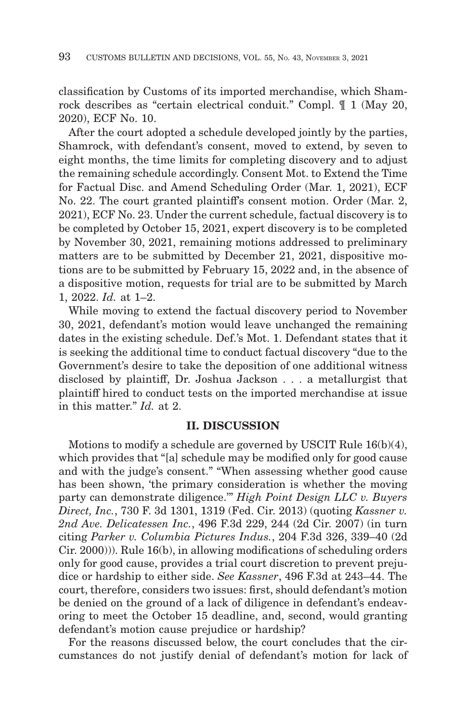classification by Customs of its imported merchandise, which Shamrock describes as "certain electrical conduit." Compl. ¶ 1 (May 20, 2020), ECF No. 10.

After the court adopted a schedule developed jointly by the parties, Shamrock, with defendant's consent, moved to extend, by seven to eight months, the time limits for completing discovery and to adjust the remaining schedule accordingly. Consent Mot. to Extend the Time for Factual Disc. and Amend Scheduling Order (Mar. 1, 2021), ECF No. 22. The court granted plaintiff's consent motion. Order (Mar. 2, 2021), ECF No. 23. Under the current schedule, factual discovery is to be completed by October 15, 2021, expert discovery is to be completed by November 30, 2021, remaining motions addressed to preliminary matters are to be submitted by December 21, 2021, dispositive motions are to be submitted by February 15, 2022 and, in the absence of a dispositive motion, requests for trial are to be submitted by March 1, 2022. *Id.* at 1–2.

While moving to extend the factual discovery period to November 30, 2021, defendant's motion would leave unchanged the remaining dates in the existing schedule. Def.'s Mot. 1. Defendant states that it is seeking the additional time to conduct factual discovery "due to the Government's desire to take the deposition of one additional witness disclosed by plaintiff, Dr. Joshua Jackson . . . a metallurgist that plaintiff hired to conduct tests on the imported merchandise at issue in this matter." *Id.* at 2.

### **II. DISCUSSION**

Motions to modify a schedule are governed by USCIT Rule 16(b)(4), which provides that "[a] schedule may be modified only for good cause and with the judge's consent." "When assessing whether good cause has been shown, 'the primary consideration is whether the moving party can demonstrate diligence.'" *High Point Design LLC v. Buyers Direct, Inc.*, 730 F. 3d 1301, 1319 (Fed. Cir. 2013) (quoting *Kassner v. 2nd Ave. Delicatessen Inc.*, 496 F.3d 229, 244 (2d Cir. 2007) (in turn citing *Parker v. Columbia Pictures Indus.*, 204 F.3d 326, 339–40 (2d Cir. 2000))). Rule 16(b), in allowing modifications of scheduling orders only for good cause, provides a trial court discretion to prevent prejudice or hardship to either side. *See Kassner*, 496 F.3d at 243–44. The court, therefore, considers two issues: first, should defendant's motion be denied on the ground of a lack of diligence in defendant's endeavoring to meet the October 15 deadline, and, second, would granting defendant's motion cause prejudice or hardship?

For the reasons discussed below, the court concludes that the circumstances do not justify denial of defendant's motion for lack of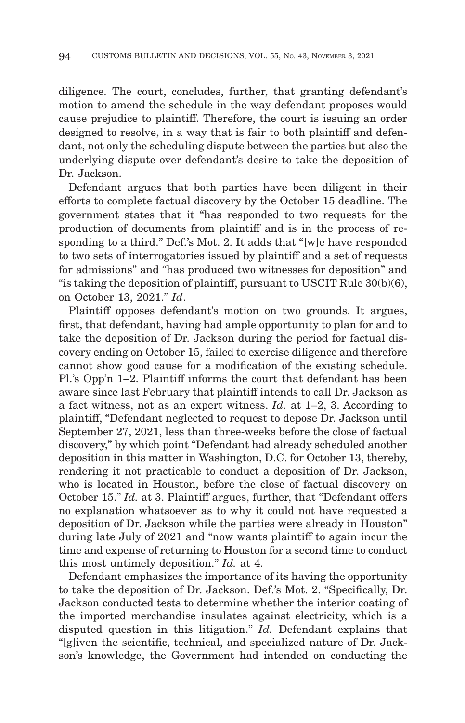diligence. The court, concludes, further, that granting defendant's motion to amend the schedule in the way defendant proposes would cause prejudice to plaintiff. Therefore, the court is issuing an order designed to resolve, in a way that is fair to both plaintiff and defendant, not only the scheduling dispute between the parties but also the underlying dispute over defendant's desire to take the deposition of Dr. Jackson.

Defendant argues that both parties have been diligent in their efforts to complete factual discovery by the October 15 deadline. The government states that it "has responded to two requests for the production of documents from plaintiff and is in the process of responding to a third." Def.'s Mot. 2. It adds that "[w]e have responded to two sets of interrogatories issued by plaintiff and a set of requests for admissions" and "has produced two witnesses for deposition" and "is taking the deposition of plaintiff, pursuant to USCIT Rule 30(b)(6), on October 13, 2021." *Id*.

Plaintiff opposes defendant's motion on two grounds. It argues, first, that defendant, having had ample opportunity to plan for and to take the deposition of Dr. Jackson during the period for factual discovery ending on October 15, failed to exercise diligence and therefore cannot show good cause for a modification of the existing schedule. Pl.'s Opp'n 1–2. Plaintiff informs the court that defendant has been aware since last February that plaintiff intends to call Dr. Jackson as a fact witness, not as an expert witness. *Id.* at 1–2, 3. According to plaintiff, "Defendant neglected to request to depose Dr. Jackson until September 27, 2021, less than three-weeks before the close of factual discovery," by which point "Defendant had already scheduled another deposition in this matter in Washington, D.C. for October 13, thereby, rendering it not practicable to conduct a deposition of Dr. Jackson, who is located in Houston, before the close of factual discovery on October 15." *Id.* at 3. Plaintiff argues, further, that "Defendant offers no explanation whatsoever as to why it could not have requested a deposition of Dr. Jackson while the parties were already in Houston" during late July of 2021 and "now wants plaintiff to again incur the time and expense of returning to Houston for a second time to conduct this most untimely deposition." *Id.* at 4.

Defendant emphasizes the importance of its having the opportunity to take the deposition of Dr. Jackson. Def.'s Mot. 2. "Specifically, Dr. Jackson conducted tests to determine whether the interior coating of the imported merchandise insulates against electricity, which is a disputed question in this litigation." *Id.* Defendant explains that "[g]iven the scientific, technical, and specialized nature of Dr. Jackson's knowledge, the Government had intended on conducting the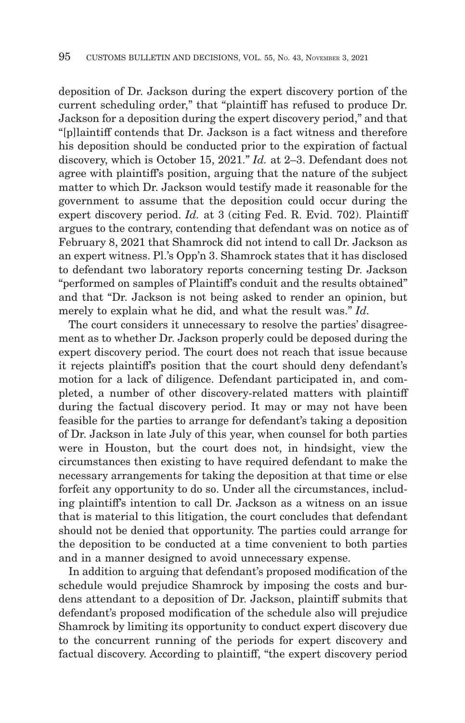deposition of Dr. Jackson during the expert discovery portion of the current scheduling order," that "plaintiff has refused to produce Dr. Jackson for a deposition during the expert discovery period," and that "[p]laintiff contends that Dr. Jackson is a fact witness and therefore his deposition should be conducted prior to the expiration of factual discovery, which is October 15, 2021." *Id.* at 2–3. Defendant does not agree with plaintiff's position, arguing that the nature of the subject matter to which Dr. Jackson would testify made it reasonable for the government to assume that the deposition could occur during the expert discovery period. *Id.* at 3 (citing Fed. R. Evid. 702). Plaintiff argues to the contrary, contending that defendant was on notice as of February 8, 2021 that Shamrock did not intend to call Dr. Jackson as an expert witness. Pl.'s Opp'n 3. Shamrock states that it has disclosed to defendant two laboratory reports concerning testing Dr. Jackson "performed on samples of Plaintiff's conduit and the results obtained" and that "Dr. Jackson is not being asked to render an opinion, but merely to explain what he did, and what the result was." *Id.*

The court considers it unnecessary to resolve the parties' disagreement as to whether Dr. Jackson properly could be deposed during the expert discovery period. The court does not reach that issue because it rejects plaintiff's position that the court should deny defendant's motion for a lack of diligence. Defendant participated in, and completed, a number of other discovery-related matters with plaintiff during the factual discovery period. It may or may not have been feasible for the parties to arrange for defendant's taking a deposition of Dr. Jackson in late July of this year, when counsel for both parties were in Houston, but the court does not, in hindsight, view the circumstances then existing to have required defendant to make the necessary arrangements for taking the deposition at that time or else forfeit any opportunity to do so. Under all the circumstances, including plaintiff's intention to call Dr. Jackson as a witness on an issue that is material to this litigation, the court concludes that defendant should not be denied that opportunity. The parties could arrange for the deposition to be conducted at a time convenient to both parties and in a manner designed to avoid unnecessary expense.

In addition to arguing that defendant's proposed modification of the schedule would prejudice Shamrock by imposing the costs and burdens attendant to a deposition of Dr. Jackson, plaintiff submits that defendant's proposed modification of the schedule also will prejudice Shamrock by limiting its opportunity to conduct expert discovery due to the concurrent running of the periods for expert discovery and factual discovery. According to plaintiff, "the expert discovery period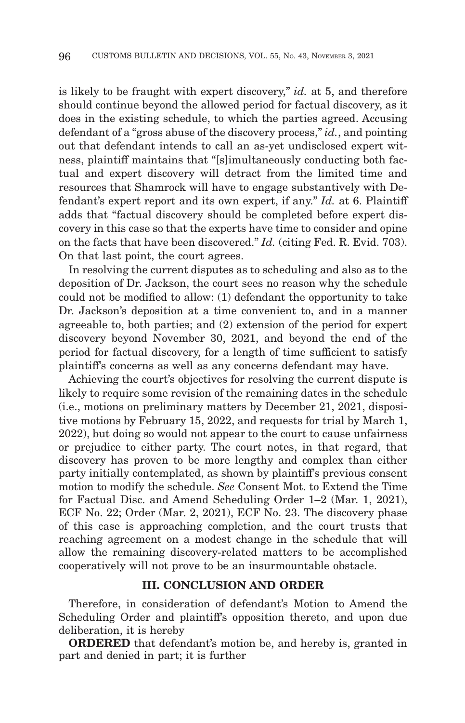is likely to be fraught with expert discovery," *id.* at 5, and therefore should continue beyond the allowed period for factual discovery, as it does in the existing schedule, to which the parties agreed. Accusing defendant of a "gross abuse of the discovery process," *id.*, and pointing out that defendant intends to call an as-yet undisclosed expert witness, plaintiff maintains that "[s]imultaneously conducting both factual and expert discovery will detract from the limited time and resources that Shamrock will have to engage substantively with Defendant's expert report and its own expert, if any." *Id.* at 6. Plaintiff adds that "factual discovery should be completed before expert discovery in this case so that the experts have time to consider and opine on the facts that have been discovered." *Id.* (citing Fed. R. Evid. 703). On that last point, the court agrees.

In resolving the current disputes as to scheduling and also as to the deposition of Dr. Jackson, the court sees no reason why the schedule could not be modified to allow: (1) defendant the opportunity to take Dr. Jackson's deposition at a time convenient to, and in a manner agreeable to, both parties; and (2) extension of the period for expert discovery beyond November 30, 2021, and beyond the end of the period for factual discovery, for a length of time sufficient to satisfy plaintiff's concerns as well as any concerns defendant may have.

Achieving the court's objectives for resolving the current dispute is likely to require some revision of the remaining dates in the schedule (i.e., motions on preliminary matters by December 21, 2021, dispositive motions by February 15, 2022, and requests for trial by March 1, 2022), but doing so would not appear to the court to cause unfairness or prejudice to either party. The court notes, in that regard, that discovery has proven to be more lengthy and complex than either party initially contemplated, as shown by plaintiff's previous consent motion to modify the schedule. *See* Consent Mot. to Extend the Time for Factual Disc. and Amend Scheduling Order 1–2 (Mar. 1, 2021), ECF No. 22; Order (Mar. 2, 2021), ECF No. 23. The discovery phase of this case is approaching completion, and the court trusts that reaching agreement on a modest change in the schedule that will allow the remaining discovery-related matters to be accomplished cooperatively will not prove to be an insurmountable obstacle.

### **III. CONCLUSION AND ORDER**

Therefore, in consideration of defendant's Motion to Amend the Scheduling Order and plaintiff's opposition thereto, and upon due deliberation, it is hereby

**ORDERED** that defendant's motion be, and hereby is, granted in part and denied in part; it is further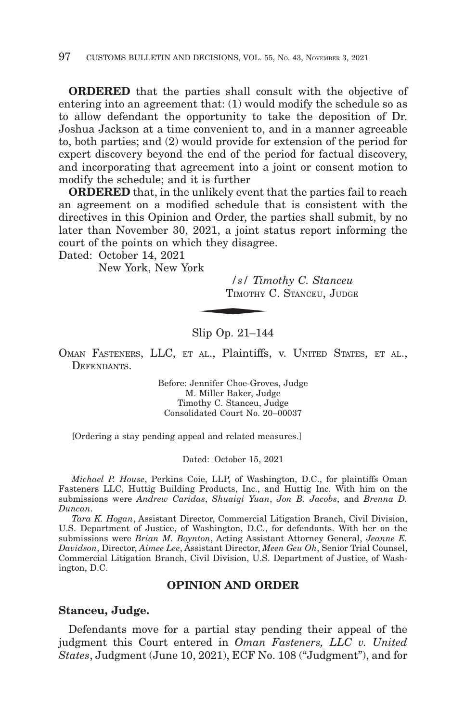**ORDERED** that the parties shall consult with the objective of entering into an agreement that: (1) would modify the schedule so as to allow defendant the opportunity to take the deposition of Dr. Joshua Jackson at a time convenient to, and in a manner agreeable to, both parties; and (2) would provide for extension of the period for expert discovery beyond the end of the period for factual discovery, and incorporating that agreement into a joint or consent motion to modify the schedule; and it is further

**ORDERED** that, in the unlikely event that the parties fail to reach an agreement on a modified schedule that is consistent with the directives in this Opinion and Order, the parties shall submit, by no later than November 30, 2021, a joint status report informing the court of the points on which they disagree.<br>
Dated: October 14, 2021<br>
New York, New York<br>
Sales TIMOTHY C

Dated: October 14, 2021

New York, New York

*/s/ Timothy C. Stanceu* TIMOTHY C. STANCEU, JUDGE

### Slip Op. 21–144

OMAN FASTENERS, LLC, ET AL., Plaintiffs, v. UNITED STATES, ET AL., **DEFENDANTS** 

> Before: Jennifer Choe-Groves, Judge M. Miller Baker, Judge Timothy C. Stanceu, Judge Consolidated Court No. 20–00037

[Ordering a stay pending appeal and related measures.]

Dated: October 15, 2021

*Michael P. House*, Perkins Coie, LLP, of Washington, D.C., for plaintiffs Oman Fasteners LLC, Huttig Building Products, Inc., and Huttig Inc. With him on the submissions were *Andrew Caridas*, *Shuaiqi Yuan*, *Jon B. Jacobs*, and *Brenna D. Duncan*.

*Tara K. Hogan*, Assistant Director, Commercial Litigation Branch, Civil Division, U.S. Department of Justice, of Washington, D.C., for defendants. With her on the submissions were *Brian M. Boynton*, Acting Assistant Attorney General, *Jeanne E. Davidson*, Director, *Aimee Lee*, Assistant Director, *Meen Geu Oh*, Senior Trial Counsel, Commercial Litigation Branch, Civil Division, U.S. Department of Justice, of Washington, D.C.

#### **OPINION AND ORDER**

#### **Stanceu, Judge.**

Defendants move for a partial stay pending their appeal of the judgment this Court entered in *Oman Fasteners, LLC v. United States*, Judgment (June 10, 2021), ECF No. 108 ("Judgment"), and for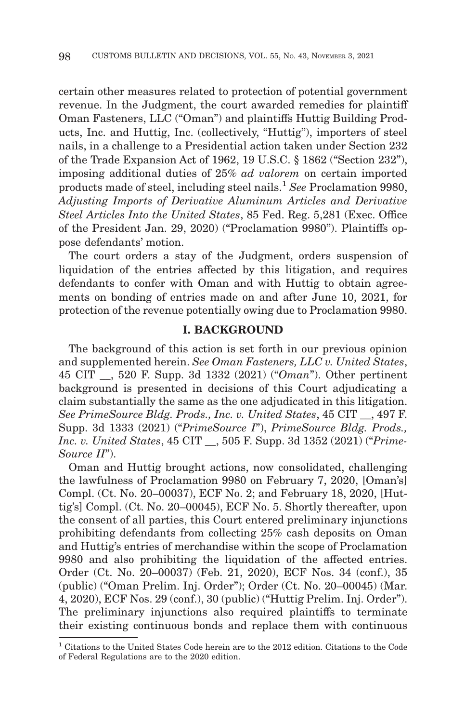certain other measures related to protection of potential government revenue. In the Judgment, the court awarded remedies for plaintiff Oman Fasteners, LLC ("Oman") and plaintiffs Huttig Building Products, Inc. and Huttig, Inc. (collectively, "Huttig"), importers of steel nails, in a challenge to a Presidential action taken under Section 232 of the Trade Expansion Act of 1962, 19 U.S.C. § 1862 ("Section 232"), imposing additional duties of 25% *ad valorem* on certain imported products made of steel, including steel nails.1 *See* Proclamation 9980, *Adjusting Imports of Derivative Aluminum Articles and Derivative Steel Articles Into the United States*, 85 Fed. Reg. 5,281 (Exec. Office of the President Jan. 29, 2020) ("Proclamation 9980"). Plaintiffs oppose defendants' motion.

The court orders a stay of the Judgment, orders suspension of liquidation of the entries affected by this litigation, and requires defendants to confer with Oman and with Huttig to obtain agreements on bonding of entries made on and after June 10, 2021, for protection of the revenue potentially owing due to Proclamation 9980.

#### **I. BACKGROUND**

The background of this action is set forth in our previous opinion and supplemented herein. *See Oman Fasteners, LLC v. United States*, 45 CIT \_\_, 520 F. Supp. 3d 1332 (2021) ("*Oman*"). Other pertinent background is presented in decisions of this Court adjudicating a claim substantially the same as the one adjudicated in this litigation. *See PrimeSource Bldg. Prods., Inc. v. United States*, 45 CIT \_\_, 497 F. Supp. 3d 1333 (2021) ("*PrimeSource I*"), *PrimeSource Bldg. Prods., Inc. v. United States*, 45 CIT \_\_, 505 F. Supp. 3d 1352 (2021) ("*Prime-Source II*").

Oman and Huttig brought actions, now consolidated, challenging the lawfulness of Proclamation 9980 on February 7, 2020, [Oman's] Compl. (Ct. No. 20–00037), ECF No. 2; and February 18, 2020, [Huttig's] Compl. (Ct. No. 20–00045), ECF No. 5. Shortly thereafter, upon the consent of all parties, this Court entered preliminary injunctions prohibiting defendants from collecting 25% cash deposits on Oman and Huttig's entries of merchandise within the scope of Proclamation 9980 and also prohibiting the liquidation of the affected entries. Order (Ct. No. 20–00037) (Feb. 21, 2020), ECF Nos. 34 (conf.), 35 (public) ("Oman Prelim. Inj. Order"); Order (Ct. No. 20–00045) (Mar. 4, 2020), ECF Nos. 29 (conf.), 30 (public) ("Huttig Prelim. Inj. Order"). The preliminary injunctions also required plaintiffs to terminate their existing continuous bonds and replace them with continuous

<sup>1</sup> Citations to the United States Code herein are to the 2012 edition. Citations to the Code of Federal Regulations are to the 2020 edition.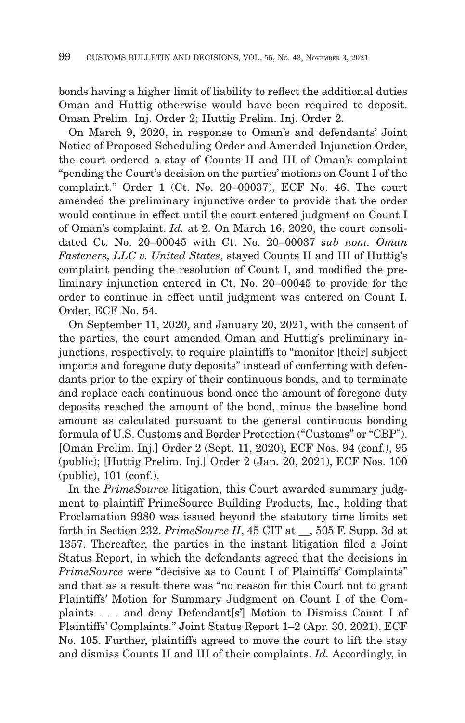bonds having a higher limit of liability to reflect the additional duties Oman and Huttig otherwise would have been required to deposit. Oman Prelim. Inj. Order 2; Huttig Prelim. Inj. Order 2.

On March 9, 2020, in response to Oman's and defendants' Joint Notice of Proposed Scheduling Order and Amended Injunction Order, the court ordered a stay of Counts II and III of Oman's complaint "pending the Court's decision on the parties' motions on Count I of the complaint." Order 1 (Ct. No. 20–00037), ECF No. 46. The court amended the preliminary injunctive order to provide that the order would continue in effect until the court entered judgment on Count I of Oman's complaint. *Id.* at 2. On March 16, 2020, the court consolidated Ct. No. 20–00045 with Ct. No. 20–00037 *sub nom. Oman Fasteners, LLC v. United States*, stayed Counts II and III of Huttig's complaint pending the resolution of Count I, and modified the preliminary injunction entered in Ct. No. 20–00045 to provide for the order to continue in effect until judgment was entered on Count I. Order, ECF No. 54.

On September 11, 2020, and January 20, 2021, with the consent of the parties, the court amended Oman and Huttig's preliminary injunctions, respectively, to require plaintiffs to "monitor [their] subject imports and foregone duty deposits" instead of conferring with defendants prior to the expiry of their continuous bonds, and to terminate and replace each continuous bond once the amount of foregone duty deposits reached the amount of the bond, minus the baseline bond amount as calculated pursuant to the general continuous bonding formula of U.S. Customs and Border Protection ("Customs" or "CBP"). [Oman Prelim. Inj.] Order 2 (Sept. 11, 2020), ECF Nos. 94 (conf.), 95 (public); [Huttig Prelim. Inj.] Order 2 (Jan. 20, 2021), ECF Nos. 100 (public), 101 (conf.).

In the *PrimeSource* litigation, this Court awarded summary judgment to plaintiff PrimeSource Building Products, Inc., holding that Proclamation 9980 was issued beyond the statutory time limits set forth in Section 232. *PrimeSource II*, 45 CIT at \_\_, 505 F. Supp. 3d at 1357. Thereafter, the parties in the instant litigation filed a Joint Status Report, in which the defendants agreed that the decisions in *PrimeSource* were "decisive as to Count I of Plaintiffs' Complaints" and that as a result there was "no reason for this Court not to grant Plaintiffs' Motion for Summary Judgment on Count I of the Complaints . . . and deny Defendant[s'] Motion to Dismiss Count I of Plaintiffs' Complaints." Joint Status Report 1–2 (Apr. 30, 2021), ECF No. 105. Further, plaintiffs agreed to move the court to lift the stay and dismiss Counts II and III of their complaints. *Id.* Accordingly, in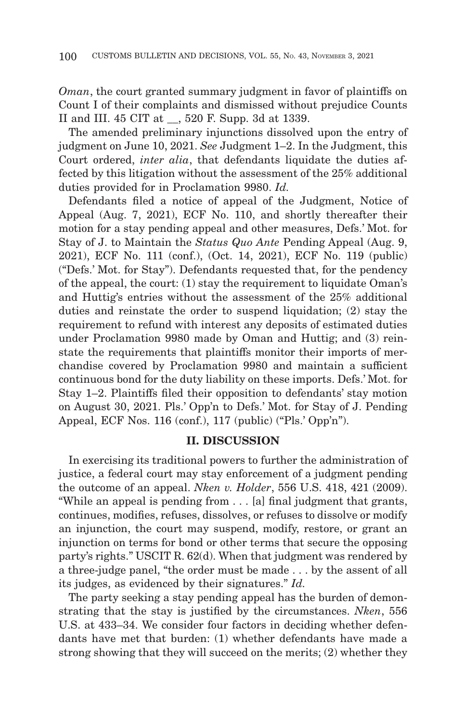*Oman*, the court granted summary judgment in favor of plaintiffs on Count I of their complaints and dismissed without prejudice Counts II and III. 45 CIT at \_\_, 520 F. Supp. 3d at 1339.

The amended preliminary injunctions dissolved upon the entry of judgment on June 10, 2021. *See* Judgment 1–2. In the Judgment, this Court ordered, *inter alia*, that defendants liquidate the duties affected by this litigation without the assessment of the 25% additional duties provided for in Proclamation 9980. *Id.*

Defendants filed a notice of appeal of the Judgment, Notice of Appeal (Aug. 7, 2021), ECF No. 110, and shortly thereafter their motion for a stay pending appeal and other measures, Defs.' Mot. for Stay of J. to Maintain the *Status Quo Ante* Pending Appeal (Aug. 9, 2021), ECF No. 111 (conf.), (Oct. 14, 2021), ECF No. 119 (public) ("Defs.' Mot. for Stay"). Defendants requested that, for the pendency of the appeal, the court: (1) stay the requirement to liquidate Oman's and Huttig's entries without the assessment of the 25% additional duties and reinstate the order to suspend liquidation; (2) stay the requirement to refund with interest any deposits of estimated duties under Proclamation 9980 made by Oman and Huttig; and (3) reinstate the requirements that plaintiffs monitor their imports of merchandise covered by Proclamation 9980 and maintain a sufficient continuous bond for the duty liability on these imports. Defs.' Mot. for Stay 1–2. Plaintiffs filed their opposition to defendants' stay motion on August 30, 2021. Pls.' Opp'n to Defs.' Mot. for Stay of J. Pending Appeal, ECF Nos. 116 (conf.), 117 (public) ("Pls.' Opp'n").

### **II. DISCUSSION**

In exercising its traditional powers to further the administration of justice, a federal court may stay enforcement of a judgment pending the outcome of an appeal. *Nken v. Holder*, 556 U.S. 418, 421 (2009). "While an appeal is pending from . . . [a] final judgment that grants, continues, modifies, refuses, dissolves, or refuses to dissolve or modify an injunction, the court may suspend, modify, restore, or grant an injunction on terms for bond or other terms that secure the opposing party's rights." USCIT R. 62(d). When that judgment was rendered by a three-judge panel, "the order must be made . . . by the assent of all its judges, as evidenced by their signatures." *Id.*

The party seeking a stay pending appeal has the burden of demonstrating that the stay is justified by the circumstances. *Nken*, 556 U.S. at 433–34. We consider four factors in deciding whether defendants have met that burden: (1) whether defendants have made a strong showing that they will succeed on the merits; (2) whether they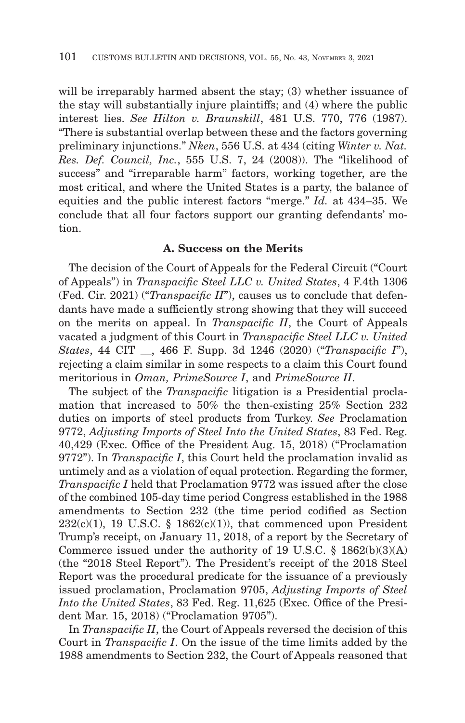will be irreparably harmed absent the stay; (3) whether issuance of the stay will substantially injure plaintiffs; and (4) where the public interest lies. *See Hilton v. Braunskill*, 481 U.S. 770, 776 (1987). "There is substantial overlap between these and the factors governing preliminary injunctions." *Nken*, 556 U.S. at 434 (citing *Winter v. Nat. Res. Def. Council, Inc.*, 555 U.S. 7, 24 (2008)). The "likelihood of success" and "irreparable harm" factors, working together, are the most critical, and where the United States is a party, the balance of equities and the public interest factors "merge." *Id.* at 434–35. We conclude that all four factors support our granting defendants' motion.

### **A. Success on the Merits**

The decision of the Court of Appeals for the Federal Circuit ("Court of Appeals") in *Transpacific Steel LLC v. United States*, 4 F.4th 1306 (Fed. Cir. 2021) ("*Transpacific II*"), causes us to conclude that defendants have made a sufficiently strong showing that they will succeed on the merits on appeal. In *Transpacific II*, the Court of Appeals vacated a judgment of this Court in *Transpacific Steel LLC v. United States*, 44 CIT \_\_, 466 F. Supp. 3d 1246 (2020) ("*Transpacific I*"), rejecting a claim similar in some respects to a claim this Court found meritorious in *Oman, PrimeSource I*, and *PrimeSource II*.

The subject of the *Transpacific* litigation is a Presidential proclamation that increased to 50% the then-existing 25% Section 232 duties on imports of steel products from Turkey. *See* Proclamation 9772, *Adjusting Imports of Steel Into the United States*, 83 Fed. Reg. 40,429 (Exec. Office of the President Aug. 15, 2018) ("Proclamation 9772"). In *Transpacific I*, this Court held the proclamation invalid as untimely and as a violation of equal protection. Regarding the former, *Transpacific I* held that Proclamation 9772 was issued after the close of the combined 105-day time period Congress established in the 1988 amendments to Section 232 (the time period codified as Section  $232(c)(1)$ , 19 U.S.C. § 1862(c)(1)), that commenced upon President Trump's receipt, on January 11, 2018, of a report by the Secretary of Commerce issued under the authority of 19 U.S.C. § 1862(b)(3)(A) (the "2018 Steel Report"). The President's receipt of the 2018 Steel Report was the procedural predicate for the issuance of a previously issued proclamation, Proclamation 9705, *Adjusting Imports of Steel Into the United States*, 83 Fed. Reg. 11,625 (Exec. Office of the President Mar. 15, 2018) ("Proclamation 9705").

In *Transpacific II*, the Court of Appeals reversed the decision of this Court in *Transpacific I*. On the issue of the time limits added by the 1988 amendments to Section 232, the Court of Appeals reasoned that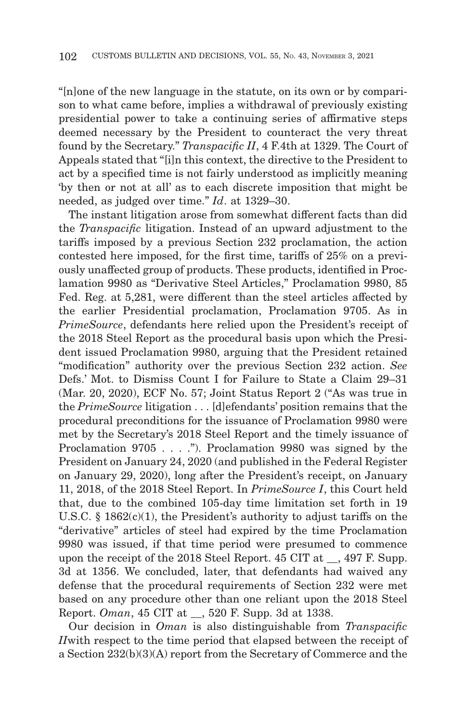"[n]one of the new language in the statute, on its own or by comparison to what came before, implies a withdrawal of previously existing presidential power to take a continuing series of affirmative steps deemed necessary by the President to counteract the very threat found by the Secretary." *Transpacific II*, 4 F.4th at 1329. The Court of Appeals stated that "[i]n this context, the directive to the President to act by a specified time is not fairly understood as implicitly meaning 'by then or not at all' as to each discrete imposition that might be needed, as judged over time." *Id*. at 1329–30.

The instant litigation arose from somewhat different facts than did the *Transpacific* litigation. Instead of an upward adjustment to the tariffs imposed by a previous Section 232 proclamation, the action contested here imposed, for the first time, tariffs of 25% on a previously unaffected group of products. These products, identified in Proclamation 9980 as "Derivative Steel Articles," Proclamation 9980, 85 Fed. Reg. at 5,281, were different than the steel articles affected by the earlier Presidential proclamation, Proclamation 9705. As in *PrimeSource*, defendants here relied upon the President's receipt of the 2018 Steel Report as the procedural basis upon which the President issued Proclamation 9980, arguing that the President retained "modification" authority over the previous Section 232 action. *See* Defs.' Mot. to Dismiss Count I for Failure to State a Claim 29–31 (Mar. 20, 2020), ECF No. 57; Joint Status Report 2 ("As was true in the *PrimeSource* litigation . . . [d]efendants' position remains that the procedural preconditions for the issuance of Proclamation 9980 were met by the Secretary's 2018 Steel Report and the timely issuance of Proclamation 9705 . . . ."). Proclamation 9980 was signed by the President on January 24, 2020 (and published in the Federal Register on January 29, 2020), long after the President's receipt, on January 11, 2018, of the 2018 Steel Report. In *PrimeSource I*, this Court held that, due to the combined 105-day time limitation set forth in 19 U.S.C.  $\S$  1862(c)(1), the President's authority to adjust tariffs on the "derivative" articles of steel had expired by the time Proclamation 9980 was issued, if that time period were presumed to commence upon the receipt of the 2018 Steel Report. 45 CIT at \_\_, 497 F. Supp. 3d at 1356. We concluded, later, that defendants had waived any defense that the procedural requirements of Section 232 were met based on any procedure other than one reliant upon the 2018 Steel Report. *Oman*, 45 CIT at \_\_, 520 F. Supp. 3d at 1338.

Our decision in *Oman* is also distinguishable from *Transpacific II*with respect to the time period that elapsed between the receipt of a Section 232(b)(3)(A) report from the Secretary of Commerce and the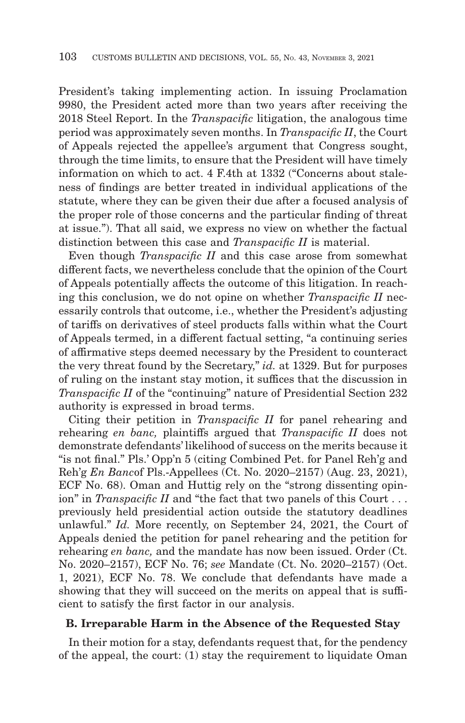President's taking implementing action. In issuing Proclamation 9980, the President acted more than two years after receiving the 2018 Steel Report. In the *Transpacific* litigation, the analogous time period was approximately seven months. In *Transpacific II*, the Court of Appeals rejected the appellee's argument that Congress sought, through the time limits, to ensure that the President will have timely information on which to act. 4 F.4th at 1332 ("Concerns about staleness of findings are better treated in individual applications of the statute, where they can be given their due after a focused analysis of the proper role of those concerns and the particular finding of threat at issue."). That all said, we express no view on whether the factual distinction between this case and *Transpacific II* is material.

Even though *Transpacific II* and this case arose from somewhat different facts, we nevertheless conclude that the opinion of the Court of Appeals potentially affects the outcome of this litigation. In reaching this conclusion, we do not opine on whether *Transpacific II* necessarily controls that outcome, i.e., whether the President's adjusting of tariffs on derivatives of steel products falls within what the Court of Appeals termed, in a different factual setting, "a continuing series of affirmative steps deemed necessary by the President to counteract the very threat found by the Secretary," *id.* at 1329. But for purposes of ruling on the instant stay motion, it suffices that the discussion in *Transpacific II* of the "continuing" nature of Presidential Section 232 authority is expressed in broad terms.

Citing their petition in *Transpacific II* for panel rehearing and rehearing *en banc,* plaintiffs argued that *Transpacific II* does not demonstrate defendants' likelihood of success on the merits because it "is not final." Pls.' Opp'n 5 (citing Combined Pet. for Panel Reh'g and Reh'g *En Banc*of Pls.-Appellees (Ct. No. 2020–2157) (Aug. 23, 2021), ECF No. 68). Oman and Huttig rely on the "strong dissenting opinion" in *Transpacific II* and "the fact that two panels of this Court . . . previously held presidential action outside the statutory deadlines unlawful." *Id.* More recently, on September 24, 2021, the Court of Appeals denied the petition for panel rehearing and the petition for rehearing *en banc,* and the mandate has now been issued. Order (Ct. No. 2020–2157), ECF No. 76; *see* Mandate (Ct. No. 2020–2157) (Oct. 1, 2021), ECF No. 78. We conclude that defendants have made a showing that they will succeed on the merits on appeal that is sufficient to satisfy the first factor in our analysis.

### **B. Irreparable Harm in the Absence of the Requested Stay**

In their motion for a stay, defendants request that, for the pendency of the appeal, the court: (1) stay the requirement to liquidate Oman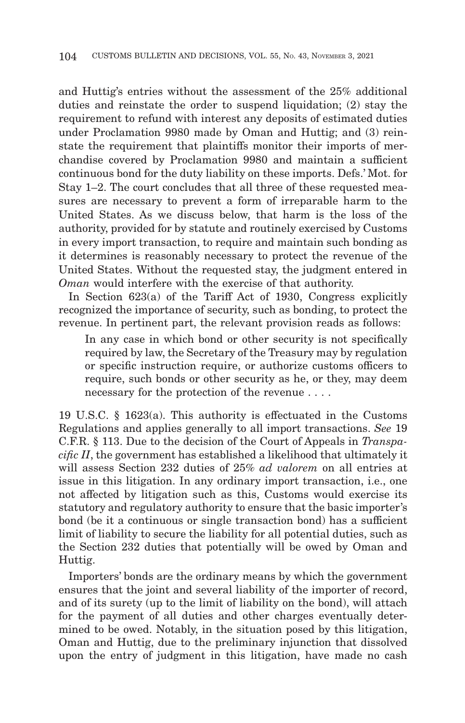and Huttig's entries without the assessment of the 25% additional duties and reinstate the order to suspend liquidation; (2) stay the requirement to refund with interest any deposits of estimated duties under Proclamation 9980 made by Oman and Huttig; and (3) reinstate the requirement that plaintiffs monitor their imports of merchandise covered by Proclamation 9980 and maintain a sufficient continuous bond for the duty liability on these imports. Defs.' Mot. for Stay 1–2. The court concludes that all three of these requested measures are necessary to prevent a form of irreparable harm to the United States. As we discuss below, that harm is the loss of the authority, provided for by statute and routinely exercised by Customs in every import transaction, to require and maintain such bonding as it determines is reasonably necessary to protect the revenue of the United States. Without the requested stay, the judgment entered in *Oman* would interfere with the exercise of that authority.

In Section 623(a) of the Tariff Act of 1930, Congress explicitly recognized the importance of security, such as bonding, to protect the revenue. In pertinent part, the relevant provision reads as follows:

In any case in which bond or other security is not specifically required by law, the Secretary of the Treasury may by regulation or specific instruction require, or authorize customs officers to require, such bonds or other security as he, or they, may deem necessary for the protection of the revenue . . . .

19 U.S.C. § 1623(a). This authority is effectuated in the Customs Regulations and applies generally to all import transactions. *See* 19 C.F.R. § 113. Due to the decision of the Court of Appeals in *Transpacific II*, the government has established a likelihood that ultimately it will assess Section 232 duties of 25% *ad valorem* on all entries at issue in this litigation. In any ordinary import transaction, i.e., one not affected by litigation such as this, Customs would exercise its statutory and regulatory authority to ensure that the basic importer's bond (be it a continuous or single transaction bond) has a sufficient limit of liability to secure the liability for all potential duties, such as the Section 232 duties that potentially will be owed by Oman and Huttig.

Importers' bonds are the ordinary means by which the government ensures that the joint and several liability of the importer of record, and of its surety (up to the limit of liability on the bond), will attach for the payment of all duties and other charges eventually determined to be owed. Notably, in the situation posed by this litigation, Oman and Huttig, due to the preliminary injunction that dissolved upon the entry of judgment in this litigation, have made no cash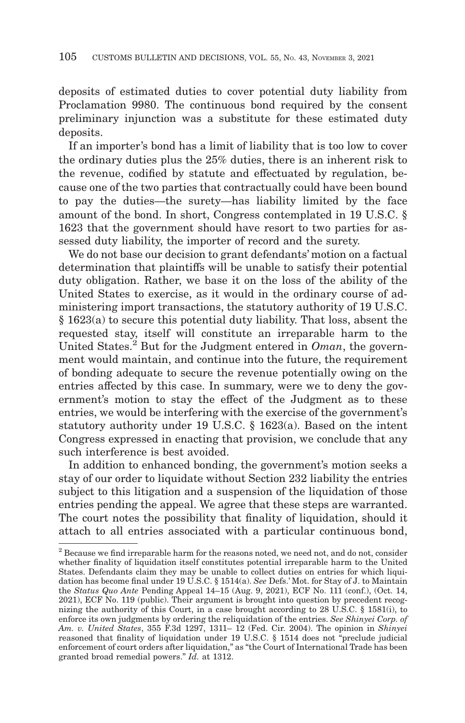deposits of estimated duties to cover potential duty liability from Proclamation 9980. The continuous bond required by the consent preliminary injunction was a substitute for these estimated duty deposits.

If an importer's bond has a limit of liability that is too low to cover the ordinary duties plus the 25% duties, there is an inherent risk to the revenue, codified by statute and effectuated by regulation, because one of the two parties that contractually could have been bound to pay the duties—the surety—has liability limited by the face amount of the bond. In short, Congress contemplated in 19 U.S.C. § 1623 that the government should have resort to two parties for assessed duty liability, the importer of record and the surety.

We do not base our decision to grant defendants' motion on a factual determination that plaintiffs will be unable to satisfy their potential duty obligation. Rather, we base it on the loss of the ability of the United States to exercise, as it would in the ordinary course of administering import transactions, the statutory authority of 19 U.S.C. § 1623(a) to secure this potential duty liability. That loss, absent the requested stay, itself will constitute an irreparable harm to the United States.2 But for the Judgment entered in *Oman*, the government would maintain, and continue into the future, the requirement of bonding adequate to secure the revenue potentially owing on the entries affected by this case. In summary, were we to deny the government's motion to stay the effect of the Judgment as to these entries, we would be interfering with the exercise of the government's statutory authority under 19 U.S.C. § 1623(a). Based on the intent Congress expressed in enacting that provision, we conclude that any such interference is best avoided.

In addition to enhanced bonding, the government's motion seeks a stay of our order to liquidate without Section 232 liability the entries subject to this litigation and a suspension of the liquidation of those entries pending the appeal. We agree that these steps are warranted. The court notes the possibility that finality of liquidation, should it attach to all entries associated with a particular continuous bond,

<sup>&</sup>lt;sup>2</sup> Because we find irreparable harm for the reasons noted, we need not, and do not, consider whether finality of liquidation itself constitutes potential irreparable harm to the United States. Defendants claim they may be unable to collect duties on entries for which liquidation has become final under 19 U.S.C. § 1514(a). *See* Defs.' Mot. for Stay of J. to Maintain the *Status Quo Ante* Pending Appeal 14–15 (Aug. 9, 2021), ECF No. 111 (conf.), (Oct. 14, 2021), ECF No. 119 (public). Their argument is brought into question by precedent recognizing the authority of this Court, in a case brought according to 28 U.S.C. § 1581(i), to enforce its own judgments by ordering the reliquidation of the entries. *See Shinyei Corp. of Am. v. United States*, 355 F.3d 1297, 1311– 12 (Fed. Cir. 2004). The opinion in *Shinyei* reasoned that finality of liquidation under 19 U.S.C. § 1514 does not "preclude judicial enforcement of court orders after liquidation," as "the Court of International Trade has been granted broad remedial powers." *Id.* at 1312.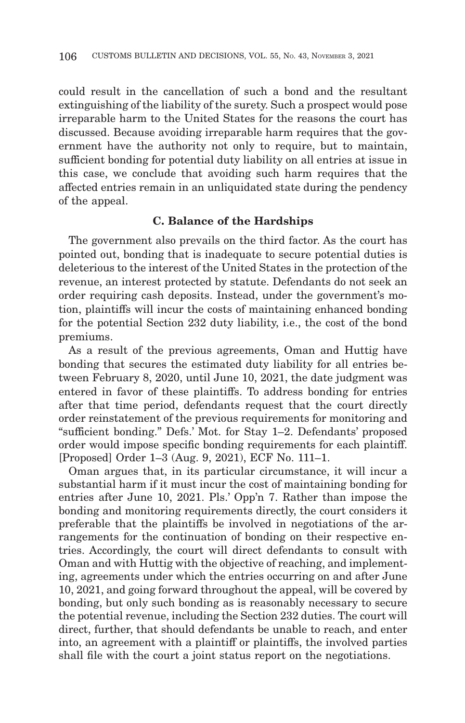could result in the cancellation of such a bond and the resultant extinguishing of the liability of the surety. Such a prospect would pose irreparable harm to the United States for the reasons the court has discussed. Because avoiding irreparable harm requires that the government have the authority not only to require, but to maintain, sufficient bonding for potential duty liability on all entries at issue in this case, we conclude that avoiding such harm requires that the affected entries remain in an unliquidated state during the pendency of the appeal.

### **C. Balance of the Hardships**

The government also prevails on the third factor. As the court has pointed out, bonding that is inadequate to secure potential duties is deleterious to the interest of the United States in the protection of the revenue, an interest protected by statute. Defendants do not seek an order requiring cash deposits. Instead, under the government's motion, plaintiffs will incur the costs of maintaining enhanced bonding for the potential Section 232 duty liability, i.e., the cost of the bond premiums.

As a result of the previous agreements, Oman and Huttig have bonding that secures the estimated duty liability for all entries between February 8, 2020, until June 10, 2021, the date judgment was entered in favor of these plaintiffs. To address bonding for entries after that time period, defendants request that the court directly order reinstatement of the previous requirements for monitoring and "sufficient bonding." Defs.' Mot. for Stay 1–2. Defendants' proposed order would impose specific bonding requirements for each plaintiff. [Proposed] Order 1–3 (Aug. 9, 2021), ECF No. 111–1.

Oman argues that, in its particular circumstance, it will incur a substantial harm if it must incur the cost of maintaining bonding for entries after June 10, 2021. Pls.' Opp'n 7. Rather than impose the bonding and monitoring requirements directly, the court considers it preferable that the plaintiffs be involved in negotiations of the arrangements for the continuation of bonding on their respective entries. Accordingly, the court will direct defendants to consult with Oman and with Huttig with the objective of reaching, and implementing, agreements under which the entries occurring on and after June 10, 2021, and going forward throughout the appeal, will be covered by bonding, but only such bonding as is reasonably necessary to secure the potential revenue, including the Section 232 duties. The court will direct, further, that should defendants be unable to reach, and enter into, an agreement with a plaintiff or plaintiffs, the involved parties shall file with the court a joint status report on the negotiations.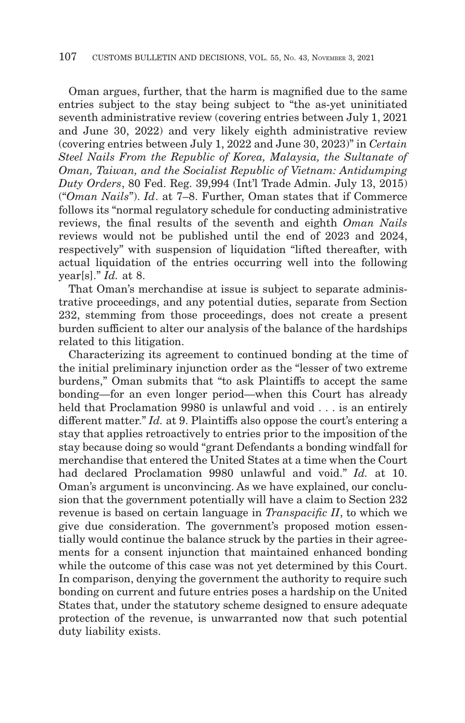Oman argues, further, that the harm is magnified due to the same entries subject to the stay being subject to "the as-yet uninitiated seventh administrative review (covering entries between July 1, 2021 and June 30, 2022) and very likely eighth administrative review (covering entries between July 1, 2022 and June 30, 2023)" in *Certain Steel Nails From the Republic of Korea, Malaysia, the Sultanate of Oman, Taiwan, and the Socialist Republic of Vietnam: Antidumping Duty Orders*, 80 Fed. Reg. 39,994 (Int'l Trade Admin. July 13, 2015) ("*Oman Nails*"). *Id*. at 7–8. Further, Oman states that if Commerce follows its "normal regulatory schedule for conducting administrative reviews, the final results of the seventh and eighth *Oman Nails* reviews would not be published until the end of 2023 and 2024, respectively" with suspension of liquidation "lifted thereafter, with actual liquidation of the entries occurring well into the following year[s]." *Id.* at 8.

That Oman's merchandise at issue is subject to separate administrative proceedings, and any potential duties, separate from Section 232, stemming from those proceedings, does not create a present burden sufficient to alter our analysis of the balance of the hardships related to this litigation.

Characterizing its agreement to continued bonding at the time of the initial preliminary injunction order as the "lesser of two extreme burdens," Oman submits that "to ask Plaintiffs to accept the same bonding—for an even longer period—when this Court has already held that Proclamation 9980 is unlawful and void . . . is an entirely different matter." *Id.* at 9. Plaintiffs also oppose the court's entering a stay that applies retroactively to entries prior to the imposition of the stay because doing so would "grant Defendants a bonding windfall for merchandise that entered the United States at a time when the Court had declared Proclamation 9980 unlawful and void." *Id.* at 10. Oman's argument is unconvincing. As we have explained, our conclusion that the government potentially will have a claim to Section 232 revenue is based on certain language in *Transpacific II*, to which we give due consideration. The government's proposed motion essentially would continue the balance struck by the parties in their agreements for a consent injunction that maintained enhanced bonding while the outcome of this case was not yet determined by this Court. In comparison, denying the government the authority to require such bonding on current and future entries poses a hardship on the United States that, under the statutory scheme designed to ensure adequate protection of the revenue, is unwarranted now that such potential duty liability exists.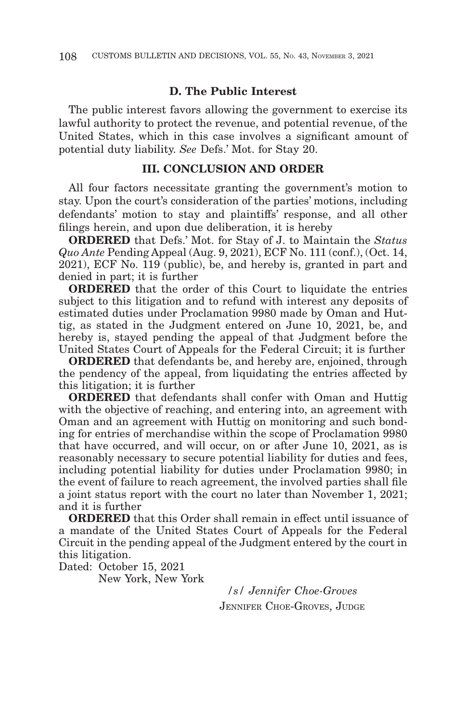### **D. The Public Interest**

The public interest favors allowing the government to exercise its lawful authority to protect the revenue, and potential revenue, of the United States, which in this case involves a significant amount of potential duty liability. *See* Defs.' Mot. for Stay 20.

#### **III. CONCLUSION AND ORDER**

All four factors necessitate granting the government's motion to stay. Upon the court's consideration of the parties' motions, including defendants' motion to stay and plaintiffs' response, and all other filings herein, and upon due deliberation, it is hereby

**ORDERED** that Defs.' Mot. for Stay of J. to Maintain the *Status Quo Ante Pending Appeal (Aug. 9, 2021), ECF No. 111 (conf.), (Oct. 14, Quo Ante Pending Appeal (Aug. 9, 2021), ECF No. 111 (conf.), (Oct. 14,* 2021), ECF No. 119 (public), be, and hereby is, granted in part and denied in part; it is further

**ORDERED** that the order of this Court to liquidate the entries subject to this litigation and to refund with interest any deposits of estimated duties under Proclamation 9980 made by Oman and Huttig, as stated in the Judgment entered on June 10, 2021, be, and hereby is, stayed pending the appeal of that Judgment before the United States Court of Appeals for the Federal Circuit; it is further

**ORDERED** that defendants be, and hereby are, enjoined, through the pendency of the appeal, from liquidating the entries affected by this litigation; it is further

**ORDERED** that defendants shall confer with Oman and Huttig with the objective of reaching, and entering into, an agreement with Oman and an agreement with Huttig on monitoring and such bonding for entries of merchandise within the scope of Proclamation 9980 that have occurred, and will occur, on or after June 10, 2021, as is reasonably necessary to secure potential liability for duties and fees, including potential liability for duties under Proclamation 9980; in the event of failure to reach agreement, the involved parties shall file a joint status report with the court no later than November 1, 2021; and it is further

**ORDERED** that this Order shall remain in effect until issuance of a mandate of the United States Court of Appeals for the Federal Circuit in the pending appeal of the Judgment entered by the court in this litigation.

Dated: October 15, 2021

New York, New York

*/s/ Jennifer Choe-Groves* JENNIFER CHOE-GROVES, JUDGE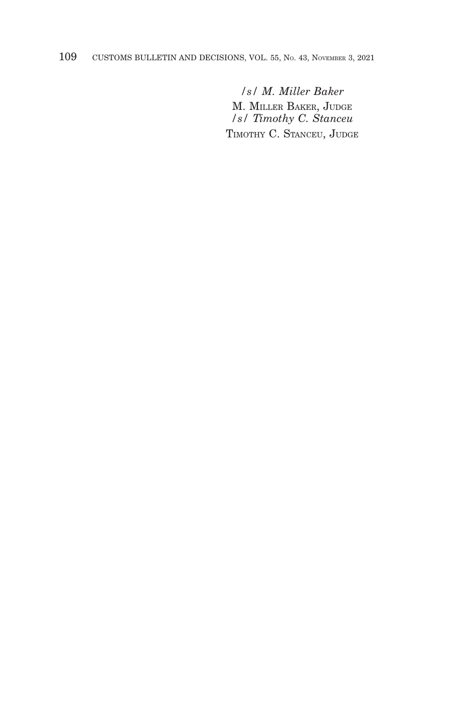# 109 CUSTOMS BULLETIN AND DECISIONS, VOL. 55, No. 43, NOVEMBER 3, 2021

*/s/ M. Miller Baker* M. MILLER BAKER, JUDGE */s/ Timothy C. Stanceu* TIMOTHY C. STANCEU, JUDGE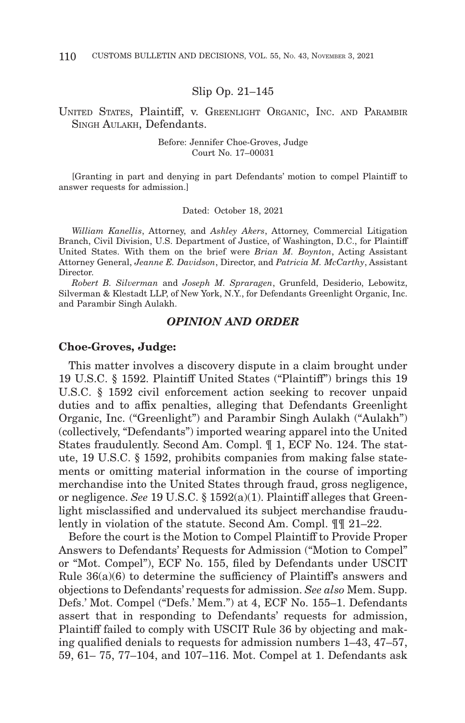#### Slip Op. 21–145

### UNITED STATES, Plaintiff, v. GREENLIGHT ORGANIC, INC. AND PARAMBIR SINGH AULAKH, Defendants.

#### Before: Jennifer Choe-Groves, Judge Court No. 17–00031

[Granting in part and denying in part Defendants' motion to compel Plaintiff to answer requests for admission.]

#### Dated: October 18, 2021

*William Kanellis*, Attorney, and *Ashley Akers*, Attorney, Commercial Litigation Branch, Civil Division, U.S. Department of Justice, of Washington, D.C., for Plaintiff United States. With them on the brief were *Brian M. Boynton*, Acting Assistant Attorney General, *Jeanne E. Davidson*, Director, and *Patricia M. McCarthy*, Assistant Director.

*Robert B. Silverman* and *Joseph M. Spraragen*, Grunfeld, Desiderio, Lebowitz, Silverman & Klestadt LLP, of New York, N.Y., for Defendants Greenlight Organic, Inc. and Parambir Singh Aulakh.

#### *OPINION AND ORDER*

#### **Choe-Groves, Judge:**

This matter involves a discovery dispute in a claim brought under 19 U.S.C. § 1592. Plaintiff United States ("Plaintiff") brings this 19 U.S.C. § 1592 civil enforcement action seeking to recover unpaid duties and to affix penalties, alleging that Defendants Greenlight Organic, Inc. ("Greenlight") and Parambir Singh Aulakh ("Aulakh") (collectively, "Defendants") imported wearing apparel into the United States fraudulently. Second Am. Compl. ¶ 1, ECF No. 124. The statute, 19 U.S.C. § 1592, prohibits companies from making false statements or omitting material information in the course of importing merchandise into the United States through fraud, gross negligence, or negligence. *See* 19 U.S.C. § 1592(a)(1). Plaintiff alleges that Greenlight misclassified and undervalued its subject merchandise fraudulently in violation of the statute. Second Am. Compl. ¶¶ 21–22.

Before the court is the Motion to Compel Plaintiff to Provide Proper Answers to Defendants' Requests for Admission ("Motion to Compel" or "Mot. Compel"), ECF No. 155, filed by Defendants under USCIT Rule 36(a)(6) to determine the sufficiency of Plaintiff's answers and objections to Defendants' requests for admission. *See also* Mem. Supp. Defs.' Mot. Compel ("Defs.' Mem.") at 4, ECF No. 155–1. Defendants assert that in responding to Defendants' requests for admission, Plaintiff failed to comply with USCIT Rule 36 by objecting and making qualified denials to requests for admission numbers 1–43, 47–57, 59, 61– 75, 77–104, and 107–116. Mot. Compel at 1. Defendants ask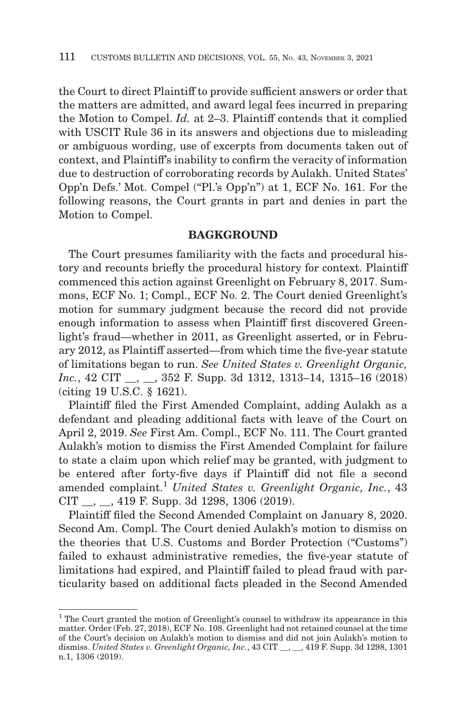the Court to direct Plaintiff to provide sufficient answers or order that the matters are admitted, and award legal fees incurred in preparing the Motion to Compel. *Id.* at 2–3. Plaintiff contends that it complied with USCIT Rule 36 in its answers and objections due to misleading or ambiguous wording, use of excerpts from documents taken out of context, and Plaintiff's inability to confirm the veracity of information due to destruction of corroborating records by Aulakh. United States' Opp'n Defs.' Mot. Compel ("Pl.'s Opp'n") at 1, ECF No. 161. For the following reasons, the Court grants in part and denies in part the Motion to Compel.

# **BAGKGROUND**

The Court presumes familiarity with the facts and procedural history and recounts briefly the procedural history for context. Plaintiff commenced this action against Greenlight on February 8, 2017. Summons, ECF No. 1; Compl., ECF No. 2. The Court denied Greenlight's motion for summary judgment because the record did not provide enough information to assess when Plaintiff first discovered Greenlight's fraud—whether in 2011, as Greenlight asserted, or in February 2012, as Plaintiff asserted—from which time the five-year statute of limitations began to run. *See United States v. Greenlight Organic, Inc.*, 42 CIT \_\_, \_\_, 352 F. Supp. 3d 1312, 1313–14, 1315–16 (2018) (citing 19 U.S.C. § 1621).

Plaintiff filed the First Amended Complaint, adding Aulakh as a defendant and pleading additional facts with leave of the Court on April 2, 2019. *See* First Am. Compl., ECF No. 111. The Court granted Aulakh's motion to dismiss the First Amended Complaint for failure to state a claim upon which relief may be granted, with judgment to be entered after forty-five days if Plaintiff did not file a second amended complaint.<sup>1</sup> *United States v. Greenlight Organic, Inc.*, 43 CIT \_\_, \_\_, 419 F. Supp. 3d 1298, 1306 (2019).

Plaintiff filed the Second Amended Complaint on January 8, 2020. Second Am. Compl. The Court denied Aulakh's motion to dismiss on the theories that U.S. Customs and Border Protection ("Customs") failed to exhaust administrative remedies, the five-year statute of limitations had expired, and Plaintiff failed to plead fraud with particularity based on additional facts pleaded in the Second Amended

<sup>&</sup>lt;sup>1</sup> The Court granted the motion of Greenlight's counsel to withdraw its appearance in this matter. Order (Feb. 27, 2018), ECF No. 108. Greenlight had not retained counsel at the time of the Court's decision on Aulakh's motion to dismiss and did not join Aulakh's motion to dismiss. *United States v. Greenlight Organic, Inc.*, 43 CIT \_\_, \_\_, 419 F. Supp. 3d 1298, 1301 n.1, 1306 (2019).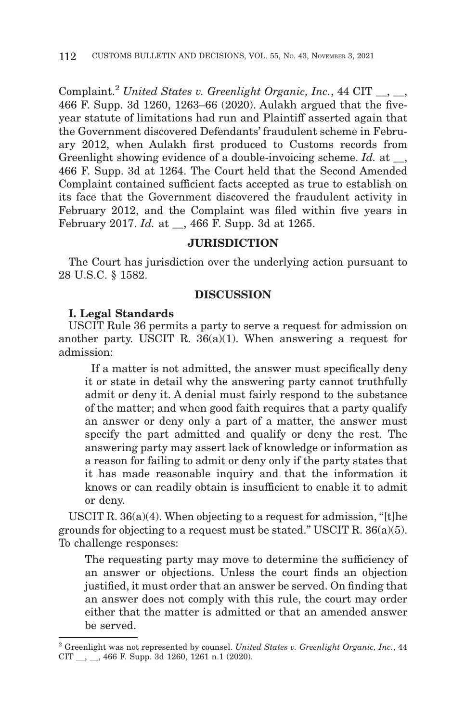Complaint.2 *United States v. Greenlight Organic, Inc.*, 44 CIT \_\_, \_\_, 466 F. Supp. 3d 1260, 1263–66 (2020). Aulakh argued that the fiveyear statute of limitations had run and Plaintiff asserted again that the Government discovered Defendants' fraudulent scheme in February 2012, when Aulakh first produced to Customs records from Greenlight showing evidence of a double-invoicing scheme. *Id.* at  $\blacksquare$ , 466 F. Supp. 3d at 1264. The Court held that the Second Amended Complaint contained sufficient facts accepted as true to establish on its face that the Government discovered the fraudulent activity in February 2012, and the Complaint was filed within five years in February 2017. *Id.* at \_\_, 466 F. Supp. 3d at 1265.

# **JURISDICTION**

The Court has jurisdiction over the underlying action pursuant to 28 U.S.C. § 1582.

### **DISCUSSION**

### **I. Legal Standards**

USCIT Rule 36 permits a party to serve a request for admission on another party. USCIT R.  $36(a)(1)$ . When answering a request for admission:

 If a matter is not admitted, the answer must specifically deny it or state in detail why the answering party cannot truthfully admit or deny it. A denial must fairly respond to the substance of the matter; and when good faith requires that a party qualify an answer or deny only a part of a matter, the answer must specify the part admitted and qualify or deny the rest. The answering party may assert lack of knowledge or information as a reason for failing to admit or deny only if the party states that it has made reasonable inquiry and that the information it knows or can readily obtain is insufficient to enable it to admit or deny.

USCIT R. 36(a)(4). When objecting to a request for admission, "[t]he grounds for objecting to a request must be stated." USCIT R. 36(a)(5). To challenge responses:

The requesting party may move to determine the sufficiency of an answer or objections. Unless the court finds an objection justified, it must order that an answer be served. On finding that an answer does not comply with this rule, the court may order either that the matter is admitted or that an amended answer be served.

<sup>2</sup> Greenlight was not represented by counsel. *United States v. Greenlight Organic, Inc.*, 44 CIT  $\_\_$ ,  $\_\_$ , 466 F. Supp. 3d 1260, 1261 n.1 (2020).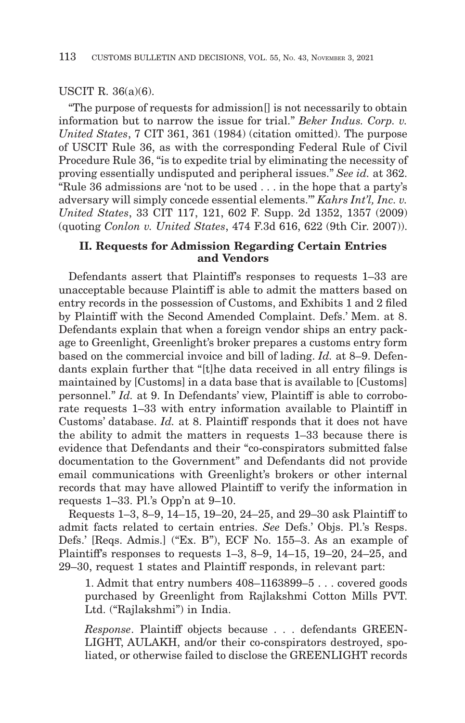#### USCIT R. 36(a)(6).

"The purpose of requests for admission[] is not necessarily to obtain information but to narrow the issue for trial." *Beker Indus. Corp. v. United States*, 7 CIT 361, 361 (1984) (citation omitted). The purpose of USCIT Rule 36, as with the corresponding Federal Rule of Civil Procedure Rule 36, "is to expedite trial by eliminating the necessity of proving essentially undisputed and peripheral issues." *See id.* at 362. "Rule 36 admissions are 'not to be used . . . in the hope that a party's adversary will simply concede essential elements.'" *Kahrs Int'l, Inc. v. United States*, 33 CIT 117, 121, 602 F. Supp. 2d 1352, 1357 (2009) (quoting *Conlon v. United States*, 474 F.3d 616, 622 (9th Cir. 2007)).

### **II. Requests for Admission Regarding Certain Entries and Vendors**

Defendants assert that Plaintiff's responses to requests 1–33 are unacceptable because Plaintiff is able to admit the matters based on entry records in the possession of Customs, and Exhibits 1 and 2 filed by Plaintiff with the Second Amended Complaint. Defs.' Mem. at 8. Defendants explain that when a foreign vendor ships an entry package to Greenlight, Greenlight's broker prepares a customs entry form based on the commercial invoice and bill of lading. *Id.* at 8–9. Defendants explain further that "[t]he data received in all entry filings is maintained by [Customs] in a data base that is available to [Customs] personnel." *Id.* at 9. In Defendants' view, Plaintiff is able to corroborate requests 1–33 with entry information available to Plaintiff in Customs' database. *Id.* at 8. Plaintiff responds that it does not have the ability to admit the matters in requests 1–33 because there is evidence that Defendants and their "co-conspirators submitted false documentation to the Government" and Defendants did not provide email communications with Greenlight's brokers or other internal records that may have allowed Plaintiff to verify the information in requests 1–33. Pl.'s Opp'n at 9–10.

Requests 1–3, 8–9, 14–15, 19–20, 24–25, and 29–30 ask Plaintiff to admit facts related to certain entries. *See* Defs.' Objs. Pl.'s Resps. Defs.' [Reqs. Admis.] ("Ex. B"), ECF No. 155–3. As an example of Plaintiff's responses to requests 1–3, 8–9, 14–15, 19–20, 24–25, and 29–30, request 1 states and Plaintiff responds, in relevant part:

1. Admit that entry numbers 408–1163899–5 . . . covered goods purchased by Greenlight from Rajlakshmi Cotton Mills PVT. Ltd. ("Rajlakshmi") in India.

*Response*. Plaintiff objects because . . . defendants GREEN-LIGHT, AULAKH, and/or their co-conspirators destroyed, spoliated, or otherwise failed to disclose the GREENLIGHT records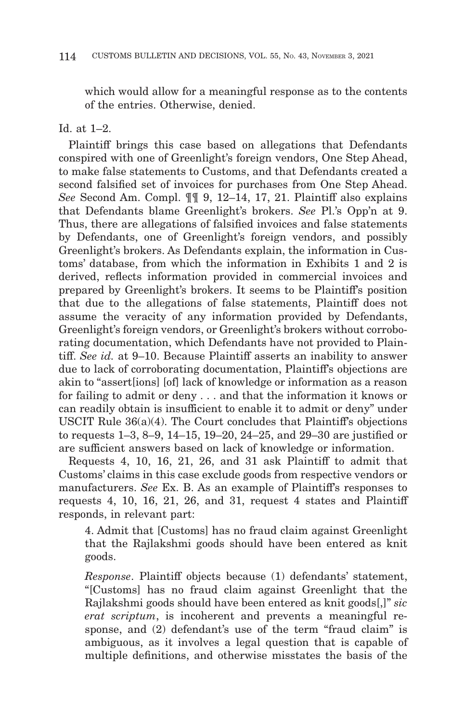which would allow for a meaningful response as to the contents of the entries. Otherwise, denied.

### Id. at  $1-2$ .

Plaintiff brings this case based on allegations that Defendants conspired with one of Greenlight's foreign vendors, One Step Ahead, to make false statements to Customs, and that Defendants created a second falsified set of invoices for purchases from One Step Ahead. *See* Second Am. Compl. ¶¶ 9, 12–14, 17, 21. Plaintiff also explains that Defendants blame Greenlight's brokers. *See* Pl.'s Opp'n at 9. Thus, there are allegations of falsified invoices and false statements by Defendants, one of Greenlight's foreign vendors, and possibly Greenlight's brokers. As Defendants explain, the information in Customs' database, from which the information in Exhibits 1 and 2 is derived, reflects information provided in commercial invoices and prepared by Greenlight's brokers. It seems to be Plaintiff's position that due to the allegations of false statements, Plaintiff does not assume the veracity of any information provided by Defendants, Greenlight's foreign vendors, or Greenlight's brokers without corroborating documentation, which Defendants have not provided to Plaintiff. *See id.* at 9–10. Because Plaintiff asserts an inability to answer due to lack of corroborating documentation, Plaintiff's objections are akin to "assert[ions] [of] lack of knowledge or information as a reason for failing to admit or deny . . . and that the information it knows or can readily obtain is insufficient to enable it to admit or deny" under USCIT Rule 36(a)(4). The Court concludes that Plaintiff's objections to requests 1–3, 8–9, 14–15, 19–20, 24–25, and 29–30 are justified or are sufficient answers based on lack of knowledge or information.

Requests 4, 10, 16, 21, 26, and 31 ask Plaintiff to admit that Customs' claims in this case exclude goods from respective vendors or manufacturers. *See* Ex. B. As an example of Plaintiff's responses to requests 4, 10, 16, 21, 26, and 31, request 4 states and Plaintiff responds, in relevant part:

4. Admit that [Customs] has no fraud claim against Greenlight that the Rajlakshmi goods should have been entered as knit goods.

*Response*. Plaintiff objects because (1) defendants' statement, "[Customs] has no fraud claim against Greenlight that the Rajlakshmi goods should have been entered as knit goods[,]" *sic erat scriptum*, is incoherent and prevents a meaningful response, and (2) defendant's use of the term "fraud claim" is ambiguous, as it involves a legal question that is capable of multiple definitions, and otherwise misstates the basis of the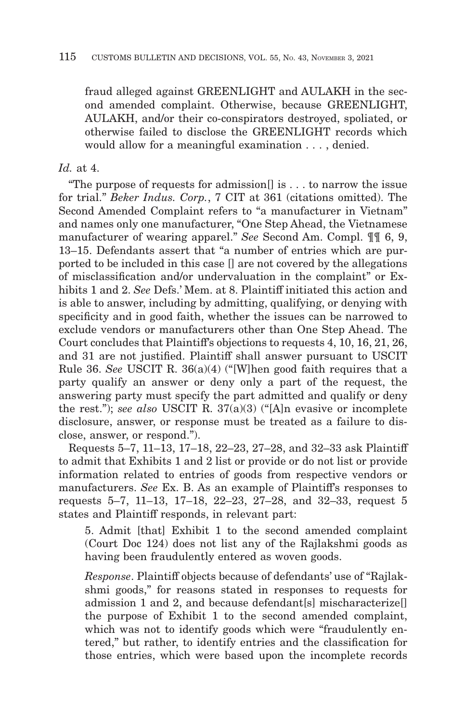fraud alleged against GREENLIGHT and AULAKH in the second amended complaint. Otherwise, because GREENLIGHT, AULAKH, and/or their co-conspirators destroyed, spoliated, or otherwise failed to disclose the GREENLIGHT records which would allow for a meaningful examination . . . , denied.

# *Id.* at 4.

"The purpose of requests for admission<sup>[]</sup> is  $\dots$  to narrow the issue for trial." *Beker Indus. Corp.*, 7 CIT at 361 (citations omitted). The Second Amended Complaint refers to "a manufacturer in Vietnam" and names only one manufacturer, "One Step Ahead, the Vietnamese manufacturer of wearing apparel." *See* Second Am. Compl. ¶¶ 6, 9, 13–15. Defendants assert that "a number of entries which are purported to be included in this case [] are not covered by the allegations of misclassification and/or undervaluation in the complaint" or Exhibits 1 and 2. *See* Defs.' Mem. at 8. Plaintiff initiated this action and is able to answer, including by admitting, qualifying, or denying with specificity and in good faith, whether the issues can be narrowed to exclude vendors or manufacturers other than One Step Ahead. The Court concludes that Plaintiff's objections to requests 4, 10, 16, 21, 26, and 31 are not justified. Plaintiff shall answer pursuant to USCIT Rule 36. *See* USCIT R. 36(a)(4) ("[W]hen good faith requires that a party qualify an answer or deny only a part of the request, the answering party must specify the part admitted and qualify or deny the rest."); *see also* USCIT R. 37(a)(3) ("[A]n evasive or incomplete disclosure, answer, or response must be treated as a failure to disclose, answer, or respond.").

Requests 5–7, 11–13, 17–18, 22–23, 27–28, and 32–33 ask Plaintiff to admit that Exhibits 1 and 2 list or provide or do not list or provide information related to entries of goods from respective vendors or manufacturers. *See* Ex. B. As an example of Plaintiff's responses to requests 5–7, 11–13, 17–18, 22–23, 27–28, and 32–33, request 5 states and Plaintiff responds, in relevant part:

5. Admit [that] Exhibit 1 to the second amended complaint (Court Doc 124) does not list any of the Rajlakshmi goods as having been fraudulently entered as woven goods.

*Response*. Plaintiff objects because of defendants' use of "Rajlakshmi goods," for reasons stated in responses to requests for admission 1 and 2, and because defendant[s] mischaracterize[] the purpose of Exhibit 1 to the second amended complaint, which was not to identify goods which were "fraudulently entered," but rather, to identify entries and the classification for those entries, which were based upon the incomplete records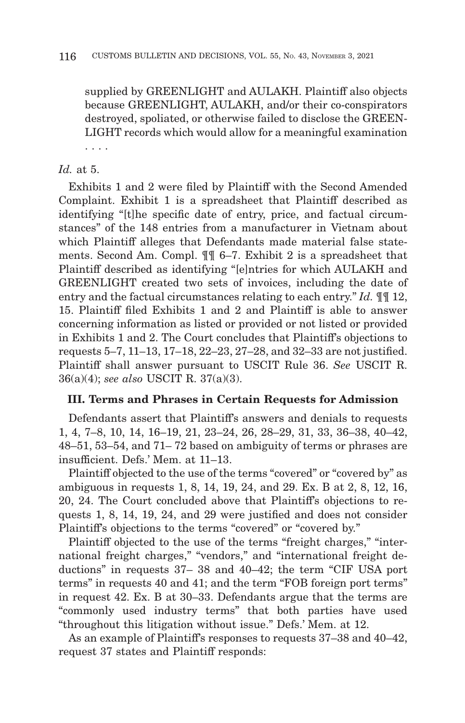supplied by GREENLIGHT and AULAKH. Plaintiff also objects because GREENLIGHT, AULAKH, and/or their co-conspirators destroyed, spoliated, or otherwise failed to disclose the GREEN-LIGHT records which would allow for a meaningful examination . . . .

# *Id.* at 5.

Exhibits 1 and 2 were filed by Plaintiff with the Second Amended Complaint. Exhibit 1 is a spreadsheet that Plaintiff described as identifying "[t]he specific date of entry, price, and factual circumstances" of the 148 entries from a manufacturer in Vietnam about which Plaintiff alleges that Defendants made material false statements. Second Am. Compl. ¶¶ 6–7. Exhibit 2 is a spreadsheet that Plaintiff described as identifying "[e]ntries for which AULAKH and GREENLIGHT created two sets of invoices, including the date of entry and the factual circumstances relating to each entry." *Id.* ¶¶ 12, 15. Plaintiff filed Exhibits 1 and 2 and Plaintiff is able to answer concerning information as listed or provided or not listed or provided in Exhibits 1 and 2. The Court concludes that Plaintiff's objections to requests 5–7, 11–13, 17–18, 22–23, 27–28, and 32–33 are not justified. Plaintiff shall answer pursuant to USCIT Rule 36. *See* USCIT R. 36(a)(4); *see also* USCIT R. 37(a)(3).

### **III. Terms and Phrases in Certain Requests for Admission**

Defendants assert that Plaintiff's answers and denials to requests 1, 4, 7–8, 10, 14, 16–19, 21, 23–24, 26, 28–29, 31, 33, 36–38, 40–42, 48–51, 53–54, and 71– 72 based on ambiguity of terms or phrases are insufficient. Defs.' Mem. at 11–13.

Plaintiff objected to the use of the terms "covered" or "covered by" as ambiguous in requests 1, 8, 14, 19, 24, and 29. Ex. B at 2, 8, 12, 16, 20, 24. The Court concluded above that Plaintiff's objections to requests 1, 8, 14, 19, 24, and 29 were justified and does not consider Plaintiff's objections to the terms "covered" or "covered by."

Plaintiff objected to the use of the terms "freight charges," "international freight charges," "vendors," and "international freight deductions" in requests 37– 38 and 40–42; the term "CIF USA port terms" in requests 40 and 41; and the term "FOB foreign port terms" in request 42. Ex. B at 30–33. Defendants argue that the terms are "commonly used industry terms" that both parties have used "throughout this litigation without issue." Defs.' Mem. at 12.

As an example of Plaintiff's responses to requests 37–38 and 40–42, request 37 states and Plaintiff responds: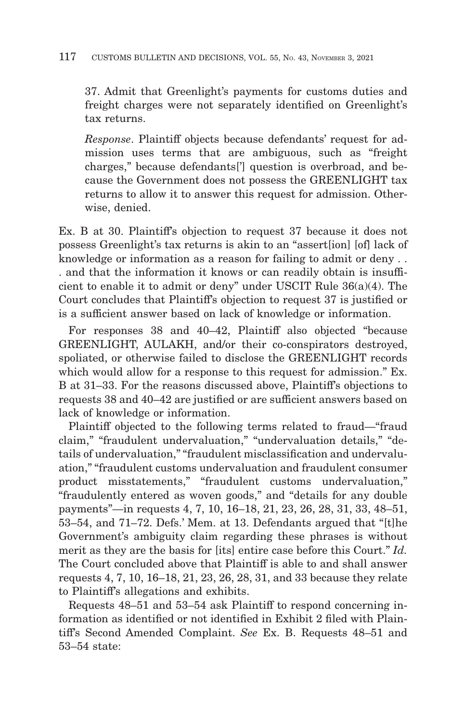#### 117 CUSTOMS BULLETIN AND DECISIONS, VOL. 55, No. 43, NOVEMBER 3, 2021

37. Admit that Greenlight's payments for customs duties and freight charges were not separately identified on Greenlight's tax returns.

*Response*. Plaintiff objects because defendants' request for admission uses terms that are ambiguous, such as "freight charges," because defendants['] question is overbroad, and because the Government does not possess the GREENLIGHT tax returns to allow it to answer this request for admission. Otherwise, denied.

Ex. B at 30. Plaintiff's objection to request 37 because it does not possess Greenlight's tax returns is akin to an "assert[ion] [of] lack of knowledge or information as a reason for failing to admit or deny . . . and that the information it knows or can readily obtain is insufficient to enable it to admit or deny" under USCIT Rule 36(a)(4). The Court concludes that Plaintiff's objection to request 37 is justified or is a sufficient answer based on lack of knowledge or information.

For responses 38 and 40–42, Plaintiff also objected "because GREENLIGHT, AULAKH, and/or their co-conspirators destroyed, spoliated, or otherwise failed to disclose the GREENLIGHT records which would allow for a response to this request for admission." Ex. B at 31–33. For the reasons discussed above, Plaintiff's objections to requests 38 and 40–42 are justified or are sufficient answers based on lack of knowledge or information.

Plaintiff objected to the following terms related to fraud—"fraud claim," "fraudulent undervaluation," "undervaluation details," "details of undervaluation," "fraudulent misclassification and undervaluation," "fraudulent customs undervaluation and fraudulent consumer product misstatements," "fraudulent customs undervaluation," "fraudulently entered as woven goods," and "details for any double payments"—in requests 4, 7, 10, 16–18, 21, 23, 26, 28, 31, 33, 48–51, 53–54, and 71–72. Defs.' Mem. at 13. Defendants argued that "[t]he Government's ambiguity claim regarding these phrases is without merit as they are the basis for [its] entire case before this Court." *Id.* The Court concluded above that Plaintiff is able to and shall answer requests 4, 7, 10, 16–18, 21, 23, 26, 28, 31, and 33 because they relate to Plaintiff's allegations and exhibits.

Requests 48–51 and 53–54 ask Plaintiff to respond concerning information as identified or not identified in Exhibit 2 filed with Plaintiff's Second Amended Complaint. *See* Ex. B. Requests 48–51 and 53–54 state: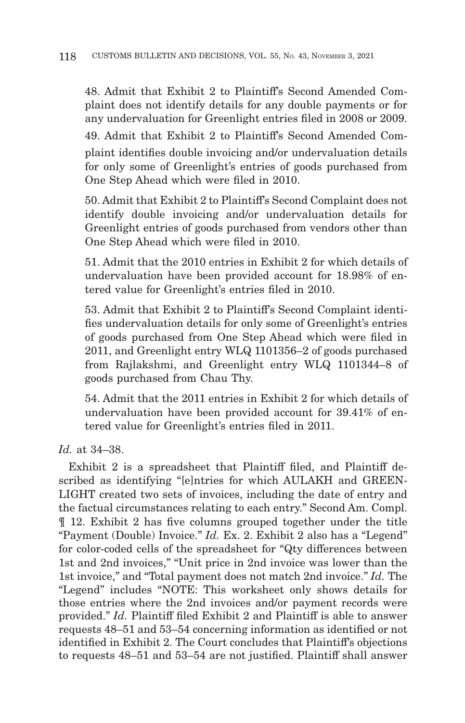48. Admit that Exhibit 2 to Plaintiff's Second Amended Complaint does not identify details for any double payments or for any undervaluation for Greenlight entries filed in 2008 or 2009. 49. Admit that Exhibit 2 to Plaintiff's Second Amended Complaint identifies double invoicing and/or undervaluation details for only some of Greenlight's entries of goods purchased from One Step Ahead which were filed in 2010.

50. Admit that Exhibit 2 to Plaintiff's Second Complaint does not identify double invoicing and/or undervaluation details for Greenlight entries of goods purchased from vendors other than One Step Ahead which were filed in 2010.

51. Admit that the 2010 entries in Exhibit 2 for which details of undervaluation have been provided account for 18.98% of entered value for Greenlight's entries filed in 2010.

53. Admit that Exhibit 2 to Plaintiff's Second Complaint identifies undervaluation details for only some of Greenlight's entries of goods purchased from One Step Ahead which were filed in 2011, and Greenlight entry WLQ 1101356–2 of goods purchased from Rajlakshmi, and Greenlight entry WLQ 1101344–8 of goods purchased from Chau Thy.

54. Admit that the 2011 entries in Exhibit 2 for which details of undervaluation have been provided account for 39.41% of entered value for Greenlight's entries filed in 2011.

*Id.* at 34–38.

Exhibit 2 is a spreadsheet that Plaintiff filed, and Plaintiff described as identifying "[e]ntries for which AULAKH and GREEN-LIGHT created two sets of invoices, including the date of entry and the factual circumstances relating to each entry." Second Am. Compl. ¶ 12. Exhibit 2 has five columns grouped together under the title "Payment (Double) Invoice." *Id.* Ex. 2. Exhibit 2 also has a "Legend" for color-coded cells of the spreadsheet for "Qty differences between 1st and 2nd invoices," "Unit price in 2nd invoice was lower than the 1st invoice," and "Total payment does not match 2nd invoice." *Id.* The "Legend" includes "NOTE: This worksheet only shows details for those entries where the 2nd invoices and/or payment records were provided." *Id.* Plaintiff filed Exhibit 2 and Plaintiff is able to answer requests 48–51 and 53–54 concerning information as identified or not identified in Exhibit 2. The Court concludes that Plaintiff's objections to requests 48–51 and 53–54 are not justified. Plaintiff shall answer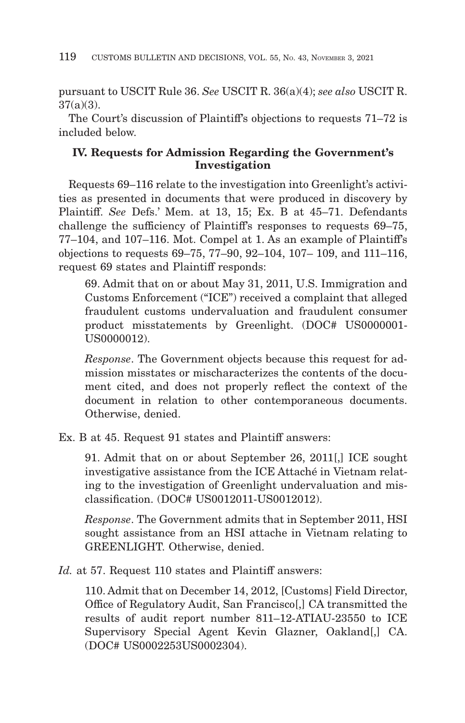pursuant to USCIT Rule 36. *See* USCIT R. 36(a)(4); *see also* USCIT R. 37(a)(3).

The Court's discussion of Plaintiff's objections to requests 71–72 is included below.

# **IV. Requests for Admission Regarding the Government's Investigation**

Requests 69–116 relate to the investigation into Greenlight's activities as presented in documents that were produced in discovery by Plaintiff. *See* Defs.' Mem. at 13, 15; Ex. B at 45–71. Defendants challenge the sufficiency of Plaintiff's responses to requests 69–75, 77–104, and 107–116. Mot. Compel at 1. As an example of Plaintiff's objections to requests 69–75, 77–90, 92–104, 107– 109, and 111–116, request 69 states and Plaintiff responds:

69. Admit that on or about May 31, 2011, U.S. Immigration and Customs Enforcement ("ICE") received a complaint that alleged fraudulent customs undervaluation and fraudulent consumer product misstatements by Greenlight. (DOC# US0000001- US0000012).

*Response*. The Government objects because this request for admission misstates or mischaracterizes the contents of the document cited, and does not properly reflect the context of the document in relation to other contemporaneous documents. Otherwise, denied.

Ex. B at 45. Request 91 states and Plaintiff answers:

91. Admit that on or about September 26, 2011[,] ICE sought investigative assistance from the ICE Attaché in Vietnam relating to the investigation of Greenlight undervaluation and misclassification. (DOC# US0012011-US0012012).

*Response*. The Government admits that in September 2011, HSI sought assistance from an HSI attache in Vietnam relating to GREENLIGHT. Otherwise, denied.

*Id.* at 57. Request 110 states and Plaintiff answers:

110. Admit that on December 14, 2012, [Customs] Field Director, Office of Regulatory Audit, San Francisco[,] CA transmitted the results of audit report number 811–12-ATIAU-23550 to ICE Supervisory Special Agent Kevin Glazner, Oakland[,] CA. (DOC# US0002253US0002304).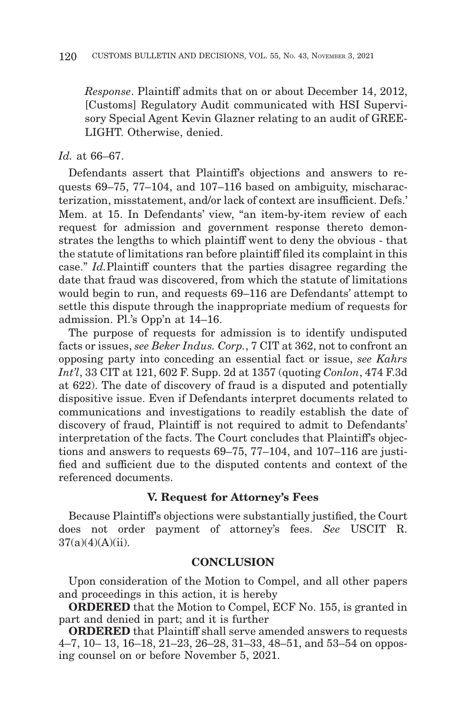*Response*. Plaintiff admits that on or about December 14, 2012, [Customs] Regulatory Audit communicated with HSI Supervisory Special Agent Kevin Glazner relating to an audit of GREE-LIGHT. Otherwise, denied.

#### *Id.* at 66–67.

Defendants assert that Plaintiff's objections and answers to requests 69–75, 77–104, and 107–116 based on ambiguity, mischaracterization, misstatement, and/or lack of context are insufficient. Defs.' Mem. at 15. In Defendants' view, "an item-by-item review of each request for admission and government response thereto demonstrates the lengths to which plaintiff went to deny the obvious - that the statute of limitations ran before plaintiff filed its complaint in this case." *Id.*Plaintiff counters that the parties disagree regarding the date that fraud was discovered, from which the statute of limitations would begin to run, and requests 69–116 are Defendants' attempt to settle this dispute through the inappropriate medium of requests for admission. Pl.'s Opp'n at 14–16.

The purpose of requests for admission is to identify undisputed facts or issues, *see Beker Indus. Corp.*, 7 CIT at 362, not to confront an opposing party into conceding an essential fact or issue, *see Kahrs Int'l*, 33 CIT at 121, 602 F. Supp. 2d at 1357 (quoting *Conlon*, 474 F.3d at 622). The date of discovery of fraud is a disputed and potentially dispositive issue. Even if Defendants interpret documents related to communications and investigations to readily establish the date of discovery of fraud, Plaintiff is not required to admit to Defendants' interpretation of the facts. The Court concludes that Plaintiff's objections and answers to requests 69–75, 77–104, and 107–116 are justified and sufficient due to the disputed contents and context of the referenced documents.

#### **V. Request for Attorney's Fees**

Because Plaintiff's objections were substantially justified, the Court does not order payment of attorney's fees. *See* USCIT R.  $37(a)(4)(A)(ii)$ .

#### **CONCLUSION**

Upon consideration of the Motion to Compel, and all other papers and proceedings in this action, it is hereby

**ORDERED** that the Motion to Compel, ECF No. 155, is granted in part and denied in part; and it is further

**ORDERED** that Plaintiff shall serve amended answers to requests 4–7, 10– 13, 16–18, 21–23, 26–28, 31–33, 48–51, and 53–54 on opposing counsel on or before November 5, 2021.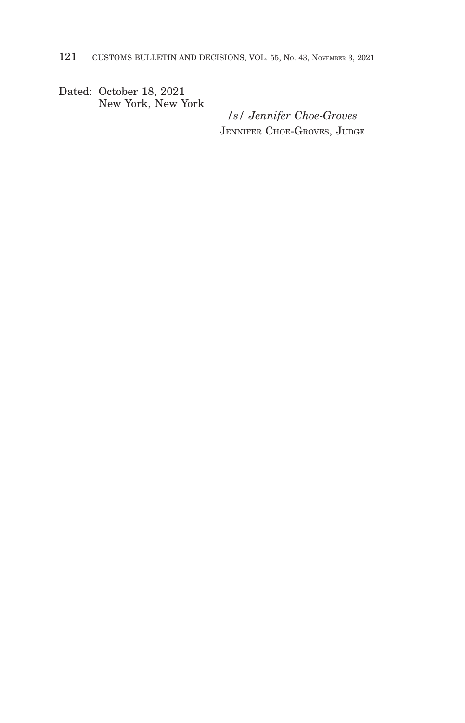Dated: October 18, 2021 New York, New York

*/s/ Jennifer Choe-Groves* JENNIFER CHOE-GROVES, JUDGE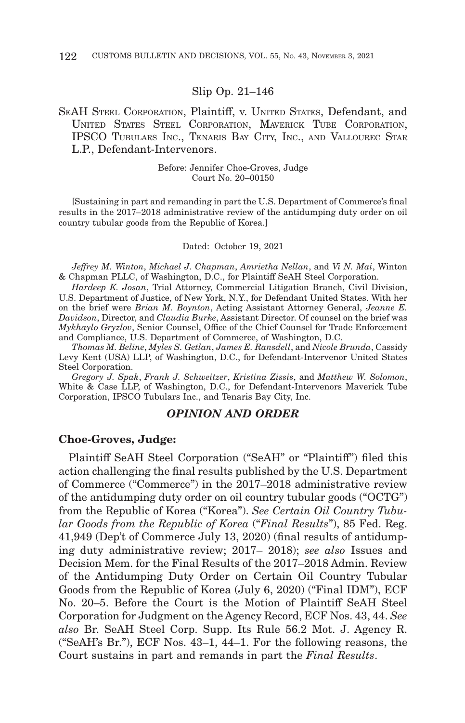#### Slip Op. 21–146

### SEAH STEEL CORPORATION, Plaintiff, v. UNITED STATES, Defendant, and UNITED STATES STEEL CORPORATION, MAVERICK TUBE CORPORATION, IPSCO TUBULARS INC., TENARIS BAY CITY, INC., AND VALLOUREC STAR L.P., Defendant-Intervenors.

Before: Jennifer Choe-Groves, Judge Court No. 20–00150

[Sustaining in part and remanding in part the U.S. Department of Commerce's final results in the 2017–2018 administrative review of the antidumping duty order on oil country tubular goods from the Republic of Korea.]

#### Dated: October 19, 2021

*Jeffrey M. Winton*, *Michael J. Chapman*, *Amrietha Nellan*, and *Vi N. Mai*, Winton & Chapman PLLC, of Washington, D.C., for Plaintiff SeAH Steel Corporation.

*Hardeep K. Josan*, Trial Attorney, Commercial Litigation Branch, Civil Division, U.S. Department of Justice, of New York, N.Y., for Defendant United States. With her on the brief were *Brian M. Boynton*, Acting Assistant Attorney General, *Jeanne E. Davidson*, Director, and *Claudia Burke*, Assistant Director. Of counsel on the brief was *Mykhaylo Gryzlov*, Senior Counsel, Office of the Chief Counsel for Trade Enforcement and Compliance, U.S. Department of Commerce, of Washington, D.C.

*Thomas M. Beline*, *Myles S. Getlan*, *James E. Ransdell*, and *Nicole Brunda*, Cassidy Levy Kent (USA) LLP, of Washington, D.C., for Defendant-Intervenor United States Steel Corporation.

*Gregory J. Spak*, *Frank J. Schweitzer*, *Kristina Zissis*, and *Matthew W. Solomon*, White & Case LLP, of Washington, D.C., for Defendant-Intervenors Maverick Tube Corporation, IPSCO Tubulars Inc., and Tenaris Bay City, Inc.

#### *OPINION AND ORDER*

#### **Choe-Groves, Judge:**

Plaintiff SeAH Steel Corporation ("SeAH" or "Plaintiff") filed this action challenging the final results published by the U.S. Department of Commerce ("Commerce") in the 2017–2018 administrative review of the antidumping duty order on oil country tubular goods ("OCTG") from the Republic of Korea ("Korea"). *See Certain Oil Country Tubular Goods from the Republic of Korea* ("*Final Results*"), 85 Fed. Reg. 41,949 (Dep't of Commerce July 13, 2020) (final results of antidumping duty administrative review; 2017– 2018); *see also* Issues and Decision Mem. for the Final Results of the 2017–2018 Admin. Review of the Antidumping Duty Order on Certain Oil Country Tubular Goods from the Republic of Korea (July 6, 2020) ("Final IDM"), ECF No. 20–5. Before the Court is the Motion of Plaintiff SeAH Steel Corporation for Judgment on the Agency Record, ECF Nos. 43, 44. *See also* Br. SeAH Steel Corp. Supp. Its Rule 56.2 Mot. J. Agency R. ("SeAH's Br."), ECF Nos. 43–1, 44–1. For the following reasons, the Court sustains in part and remands in part the *Final Results*.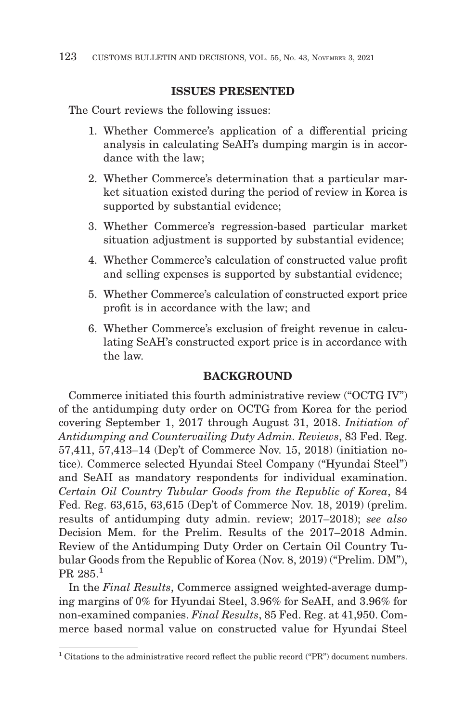### **ISSUES PRESENTED**

The Court reviews the following issues:

- 1. Whether Commerce's application of a differential pricing analysis in calculating SeAH's dumping margin is in accordance with the law;
- 2. Whether Commerce's determination that a particular market situation existed during the period of review in Korea is supported by substantial evidence;
- 3. Whether Commerce's regression-based particular market situation adjustment is supported by substantial evidence;
- 4. Whether Commerce's calculation of constructed value profit and selling expenses is supported by substantial evidence;
- 5. Whether Commerce's calculation of constructed export price profit is in accordance with the law; and
- 6. Whether Commerce's exclusion of freight revenue in calculating SeAH's constructed export price is in accordance with the law.

# **BACKGROUND**

Commerce initiated this fourth administrative review ("OCTG IV") of the antidumping duty order on OCTG from Korea for the period covering September 1, 2017 through August 31, 2018. *Initiation of Antidumping and Countervailing Duty Admin. Reviews*, 83 Fed. Reg. 57,411, 57,413–14 (Dep't of Commerce Nov. 15, 2018) (initiation notice). Commerce selected Hyundai Steel Company ("Hyundai Steel") and SeAH as mandatory respondents for individual examination. *Certain Oil Country Tubular Goods from the Republic of Korea*, 84 Fed. Reg. 63,615, 63,615 (Dep't of Commerce Nov. 18, 2019) (prelim. results of antidumping duty admin. review; 2017–2018); *see also* Decision Mem. for the Prelim. Results of the 2017–2018 Admin. Review of the Antidumping Duty Order on Certain Oil Country Tubular Goods from the Republic of Korea (Nov. 8, 2019) ("Prelim. DM"), PR 285.1

In the *Final Results*, Commerce assigned weighted-average dumping margins of 0% for Hyundai Steel, 3.96% for SeAH, and 3.96% for non-examined companies. *Final Results*, 85 Fed. Reg. at 41,950. Commerce based normal value on constructed value for Hyundai Steel

 $1$  Citations to the administrative record reflect the public record ("PR") document numbers.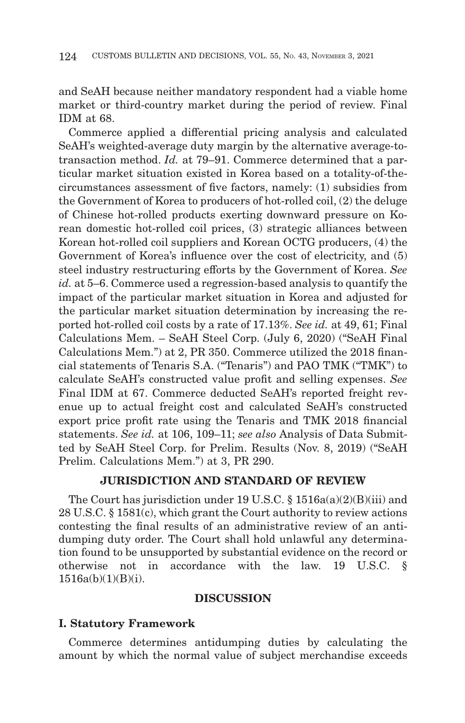and SeAH because neither mandatory respondent had a viable home market or third-country market during the period of review. Final IDM at 68.

Commerce applied a differential pricing analysis and calculated SeAH's weighted-average duty margin by the alternative average-totransaction method. *Id.* at 79–91. Commerce determined that a particular market situation existed in Korea based on a totality-of-thecircumstances assessment of five factors, namely: (1) subsidies from the Government of Korea to producers of hot-rolled coil, (2) the deluge of Chinese hot-rolled products exerting downward pressure on Korean domestic hot-rolled coil prices, (3) strategic alliances between Korean hot-rolled coil suppliers and Korean OCTG producers, (4) the Government of Korea's influence over the cost of electricity, and (5) steel industry restructuring efforts by the Government of Korea. *See id.* at 5–6. Commerce used a regression-based analysis to quantify the impact of the particular market situation in Korea and adjusted for the particular market situation determination by increasing the reported hot-rolled coil costs by a rate of 17.13%. *See id.* at 49, 61; Final Calculations Mem. – SeAH Steel Corp. (July 6, 2020) ("SeAH Final Calculations Mem.") at 2, PR 350. Commerce utilized the 2018 financial statements of Tenaris S.A. ("Tenaris") and PAO TMK ("TMK") to calculate SeAH's constructed value profit and selling expenses. *See* Final IDM at 67. Commerce deducted SeAH's reported freight revenue up to actual freight cost and calculated SeAH's constructed export price profit rate using the Tenaris and TMK 2018 financial statements. *See id.* at 106, 109–11; *see also* Analysis of Data Submitted by SeAH Steel Corp. for Prelim. Results (Nov. 8, 2019) ("SeAH Prelim. Calculations Mem.") at 3, PR 290.

# **JURISDICTION AND STANDARD OF REVIEW**

The Court has jurisdiction under 19 U.S.C. § 1516a(a)(2)(B)(iii) and 28 U.S.C. § 1581(c), which grant the Court authority to review actions contesting the final results of an administrative review of an antidumping duty order. The Court shall hold unlawful any determination found to be unsupported by substantial evidence on the record or otherwise not in accordance with the law. 19 U.S.C. §  $1516a(b)(1)(B)(i)$ .

### **DISCUSSION**

#### **I. Statutory Framework**

Commerce determines antidumping duties by calculating the amount by which the normal value of subject merchandise exceeds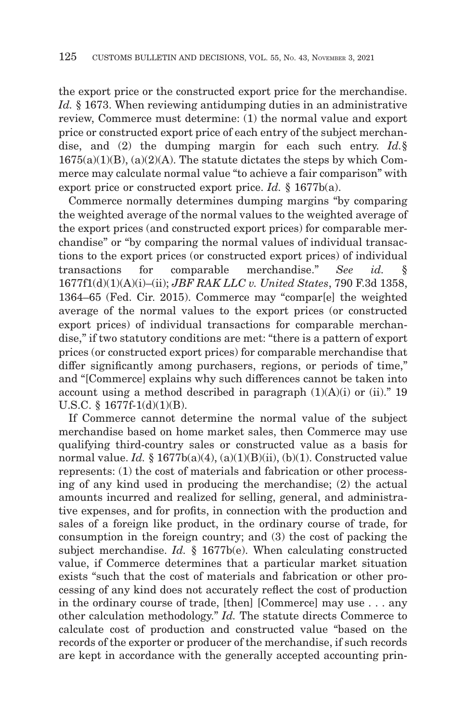the export price or the constructed export price for the merchandise. *Id.* § 1673. When reviewing antidumping duties in an administrative review, Commerce must determine: (1) the normal value and export price or constructed export price of each entry of the subject merchandise, and (2) the dumping margin for each such entry. *Id.*§  $1675(a)(1)(B)$ ,  $(a)(2)(A)$ . The statute dictates the steps by which Commerce may calculate normal value "to achieve a fair comparison" with export price or constructed export price. *Id.* § 1677b(a).

Commerce normally determines dumping margins "by comparing the weighted average of the normal values to the weighted average of the export prices (and constructed export prices) for comparable merchandise" or "by comparing the normal values of individual transactions to the export prices (or constructed export prices) of individual transactions for comparable merchandise." *See id.* § 1677f1(d)(1)(A)(i)–(ii); *JBF RAK LLC v. United States*, 790 F.3d 1358, 1364–65 (Fed. Cir. 2015). Commerce may "compar[e] the weighted average of the normal values to the export prices (or constructed export prices) of individual transactions for comparable merchandise," if two statutory conditions are met: "there is a pattern of export prices (or constructed export prices) for comparable merchandise that differ significantly among purchasers, regions, or periods of time," and "[Commerce] explains why such differences cannot be taken into account using a method described in paragraph  $(1)(A)(i)$  or  $(ii)$ ." 19 U.S.C. § 1677f-1(d)(1)(B).

If Commerce cannot determine the normal value of the subject merchandise based on home market sales, then Commerce may use qualifying third-country sales or constructed value as a basis for normal value. *Id.* § 1677b(a)(4), (a)(1)(B)(ii), (b)(1). Constructed value represents: (1) the cost of materials and fabrication or other processing of any kind used in producing the merchandise; (2) the actual amounts incurred and realized for selling, general, and administrative expenses, and for profits, in connection with the production and sales of a foreign like product, in the ordinary course of trade, for consumption in the foreign country; and (3) the cost of packing the subject merchandise. *Id.* § 1677b(e). When calculating constructed value, if Commerce determines that a particular market situation exists "such that the cost of materials and fabrication or other processing of any kind does not accurately reflect the cost of production in the ordinary course of trade, [then] [Commerce] may use . . . any other calculation methodology." *Id.* The statute directs Commerce to calculate cost of production and constructed value "based on the records of the exporter or producer of the merchandise, if such records are kept in accordance with the generally accepted accounting prin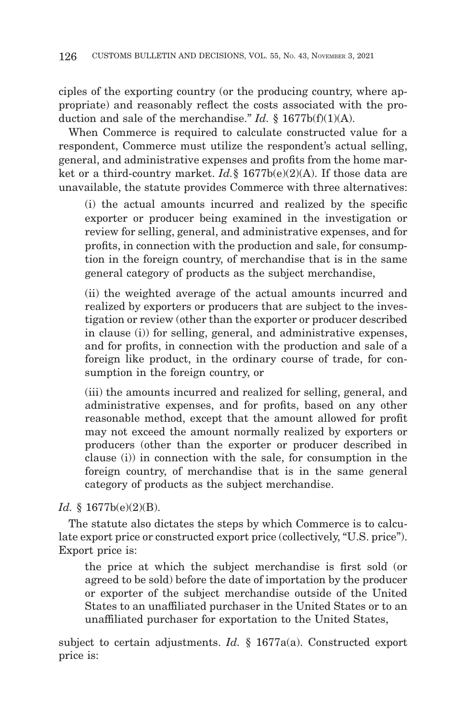ciples of the exporting country (or the producing country, where appropriate) and reasonably reflect the costs associated with the production and sale of the merchandise." *Id.* § 1677b(f)(1)(A).

When Commerce is required to calculate constructed value for a respondent, Commerce must utilize the respondent's actual selling, general, and administrative expenses and profits from the home market or a third-country market. *Id.*§ 1677b(e)(2)(A). If those data are unavailable, the statute provides Commerce with three alternatives:

(i) the actual amounts incurred and realized by the specific exporter or producer being examined in the investigation or review for selling, general, and administrative expenses, and for profits, in connection with the production and sale, for consumption in the foreign country, of merchandise that is in the same general category of products as the subject merchandise,

(ii) the weighted average of the actual amounts incurred and realized by exporters or producers that are subject to the investigation or review (other than the exporter or producer described in clause (i)) for selling, general, and administrative expenses, and for profits, in connection with the production and sale of a foreign like product, in the ordinary course of trade, for consumption in the foreign country, or

(iii) the amounts incurred and realized for selling, general, and administrative expenses, and for profits, based on any other reasonable method, except that the amount allowed for profit may not exceed the amount normally realized by exporters or producers (other than the exporter or producer described in clause (i)) in connection with the sale, for consumption in the foreign country, of merchandise that is in the same general category of products as the subject merchandise.

# *Id.* § 1677b(e)(2)(B).

The statute also dictates the steps by which Commerce is to calculate export price or constructed export price (collectively, "U.S. price"). Export price is:

the price at which the subject merchandise is first sold (or agreed to be sold) before the date of importation by the producer or exporter of the subject merchandise outside of the United States to an unaffiliated purchaser in the United States or to an unaffiliated purchaser for exportation to the United States,

subject to certain adjustments. *Id.* § 1677a(a). Constructed export price is: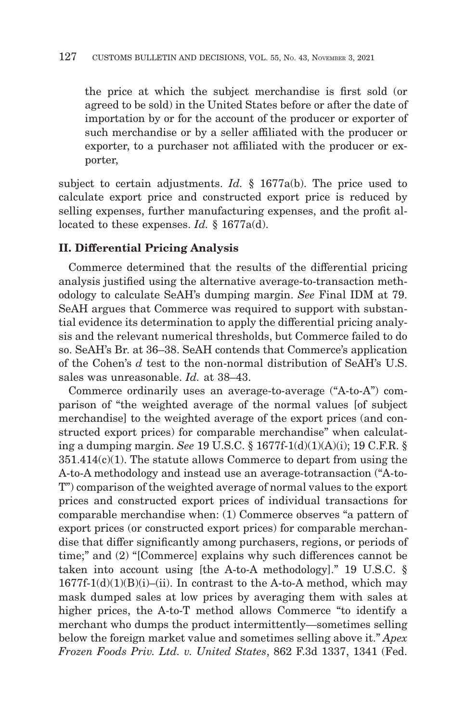the price at which the subject merchandise is first sold (or agreed to be sold) in the United States before or after the date of importation by or for the account of the producer or exporter of such merchandise or by a seller affiliated with the producer or exporter, to a purchaser not affiliated with the producer or exporter,

subject to certain adjustments. *Id.* § 1677a(b). The price used to calculate export price and constructed export price is reduced by selling expenses, further manufacturing expenses, and the profit allocated to these expenses. *Id.* § 1677a(d).

### **II. Differential Pricing Analysis**

Commerce determined that the results of the differential pricing analysis justified using the alternative average-to-transaction methodology to calculate SeAH's dumping margin. *See* Final IDM at 79. SeAH argues that Commerce was required to support with substantial evidence its determination to apply the differential pricing analysis and the relevant numerical thresholds, but Commerce failed to do so. SeAH's Br. at 36–38. SeAH contends that Commerce's application of the Cohen's *d* test to the non-normal distribution of SeAH's U.S. sales was unreasonable. *Id.* at 38–43.

Commerce ordinarily uses an average-to-average ("A-to-A") comparison of "the weighted average of the normal values [of subject merchandise] to the weighted average of the export prices (and constructed export prices) for comparable merchandise" when calculating a dumping margin. *See* 19 U.S.C. § 1677f-1(d)(1)(A)(i); 19 C.F.R. § 351.414(c)(1). The statute allows Commerce to depart from using the A-to-A methodology and instead use an average-totransaction ("A-to-T") comparison of the weighted average of normal values to the export prices and constructed export prices of individual transactions for comparable merchandise when: (1) Commerce observes "a pattern of export prices (or constructed export prices) for comparable merchandise that differ significantly among purchasers, regions, or periods of time;" and (2) "[Commerce] explains why such differences cannot be taken into account using [the A-to-A methodology]." 19 U.S.C. §  $1677f-1(d)(1)(B)(i)$ –(ii). In contrast to the A-to-A method, which may mask dumped sales at low prices by averaging them with sales at higher prices, the A-to-T method allows Commerce "to identify a merchant who dumps the product intermittently—sometimes selling below the foreign market value and sometimes selling above it." *Apex Frozen Foods Priv. Ltd. v. United States*, 862 F.3d 1337, 1341 (Fed.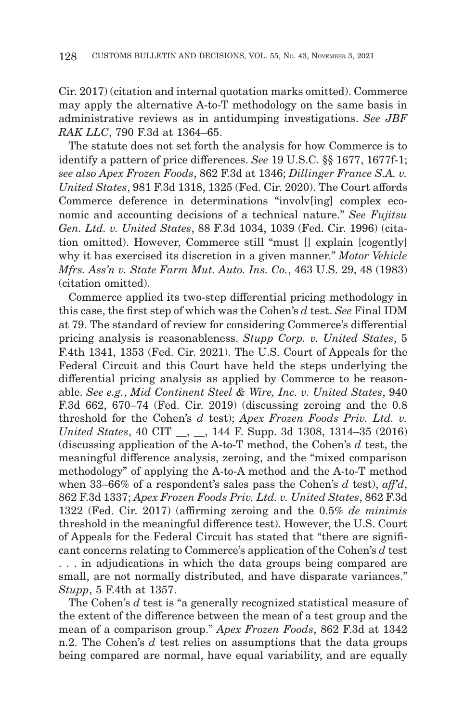Cir. 2017) (citation and internal quotation marks omitted). Commerce may apply the alternative A-to-T methodology on the same basis in administrative reviews as in antidumping investigations. *See JBF RAK LLC*, 790 F.3d at 1364–65.

The statute does not set forth the analysis for how Commerce is to identify a pattern of price differences. *See* 19 U.S.C. §§ 1677, 1677f-1; *see also Apex Frozen Foods*, 862 F.3d at 1346; *Dillinger France S.A. v. United States*, 981 F.3d 1318, 1325 (Fed. Cir. 2020). The Court affords Commerce deference in determinations "involv[ing] complex economic and accounting decisions of a technical nature." *See Fujitsu Gen. Ltd. v. United States*, 88 F.3d 1034, 1039 (Fed. Cir. 1996) (citation omitted). However, Commerce still "must [] explain [cogently] why it has exercised its discretion in a given manner." *Motor Vehicle Mfrs. Ass'n v. State Farm Mut. Auto. Ins. Co.*, 463 U.S. 29, 48 (1983) (citation omitted).

Commerce applied its two-step differential pricing methodology in this case, the first step of which was the Cohen's *d* test. *See* Final IDM at 79. The standard of review for considering Commerce's differential pricing analysis is reasonableness. *Stupp Corp. v. United States*, 5 F.4th 1341, 1353 (Fed. Cir. 2021). The U.S. Court of Appeals for the Federal Circuit and this Court have held the steps underlying the differential pricing analysis as applied by Commerce to be reasonable. *See e.g.*, *Mid Continent Steel & Wire, Inc. v. United States*, 940 F.3d 662, 670–74 (Fed. Cir. 2019) (discussing zeroing and the 0.8 threshold for the Cohen's *d* test); *Apex Frozen Foods Priv. Ltd. v. United States*, 40 CIT \_\_, \_\_, 144 F. Supp. 3d 1308, 1314–35 (2016) (discussing application of the A-to-T method, the Cohen's *d* test, the meaningful difference analysis, zeroing, and the "mixed comparison methodology" of applying the A-to-A method and the A-to-T method when 33–66% of a respondent's sales pass the Cohen's *d* test), *aff'd*, 862 F.3d 1337; *Apex Frozen Foods Priv. Ltd. v. United States*, 862 F.3d 1322 (Fed. Cir. 2017) (affirming zeroing and the 0.5% *de minimis* threshold in the meaningful difference test). However, the U.S. Court of Appeals for the Federal Circuit has stated that "there are significant concerns relating to Commerce's application of the Cohen's *d* test . . . in adjudications in which the data groups being compared are small, are not normally distributed, and have disparate variances." *Stupp*, 5 F.4th at 1357.

The Cohen's *d* test is "a generally recognized statistical measure of the extent of the difference between the mean of a test group and the mean of a comparison group." *Apex Frozen Foods*, 862 F.3d at 1342 n.2. The Cohen's *d* test relies on assumptions that the data groups being compared are normal, have equal variability, and are equally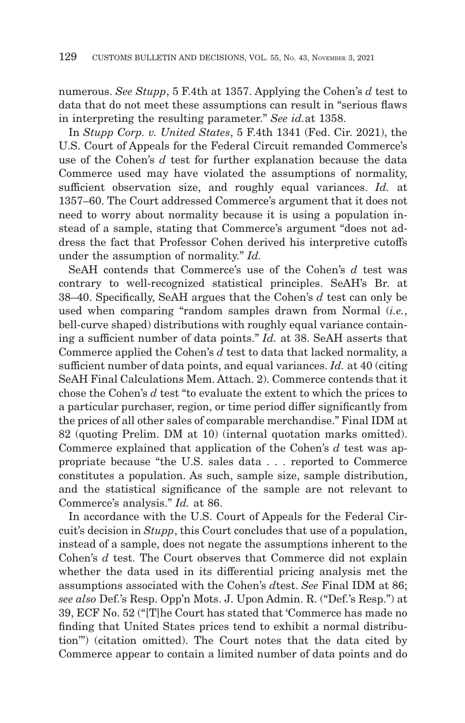numerous. *See Stupp*, 5 F.4th at 1357. Applying the Cohen's *d* test to data that do not meet these assumptions can result in "serious flaws in interpreting the resulting parameter." *See id.*at 1358.

In *Stupp Corp. v. United States*, 5 F.4th 1341 (Fed. Cir. 2021), the U.S. Court of Appeals for the Federal Circuit remanded Commerce's use of the Cohen's *d* test for further explanation because the data Commerce used may have violated the assumptions of normality, sufficient observation size, and roughly equal variances. *Id.* at 1357–60. The Court addressed Commerce's argument that it does not need to worry about normality because it is using a population instead of a sample, stating that Commerce's argument "does not address the fact that Professor Cohen derived his interpretive cutoffs under the assumption of normality." *Id.*

SeAH contends that Commerce's use of the Cohen's *d* test was contrary to well-recognized statistical principles. SeAH's Br. at 38–40. Specifically, SeAH argues that the Cohen's *d* test can only be used when comparing "random samples drawn from Normal (*i.e.*, bell-curve shaped) distributions with roughly equal variance containing a sufficient number of data points." *Id.* at 38. SeAH asserts that Commerce applied the Cohen's *d* test to data that lacked normality, a sufficient number of data points, and equal variances. *Id.* at 40 (citing SeAH Final Calculations Mem. Attach. 2). Commerce contends that it chose the Cohen's *d* test "to evaluate the extent to which the prices to a particular purchaser, region, or time period differ significantly from the prices of all other sales of comparable merchandise." Final IDM at 82 (quoting Prelim. DM at 10) (internal quotation marks omitted). Commerce explained that application of the Cohen's *d* test was appropriate because "the U.S. sales data . . . reported to Commerce constitutes a population. As such, sample size, sample distribution, and the statistical significance of the sample are not relevant to Commerce's analysis." *Id.* at 86.

In accordance with the U.S. Court of Appeals for the Federal Circuit's decision in *Stupp*, this Court concludes that use of a population, instead of a sample, does not negate the assumptions inherent to the Cohen's *d* test. The Court observes that Commerce did not explain whether the data used in its differential pricing analysis met the assumptions associated with the Cohen's *d*test. *See* Final IDM at 86; *see also* Def.'s Resp. Opp'n Mots. J. Upon Admin. R. ("Def.'s Resp.") at 39, ECF No. 52 ("[T]he Court has stated that 'Commerce has made no finding that United States prices tend to exhibit a normal distribution'") (citation omitted). The Court notes that the data cited by Commerce appear to contain a limited number of data points and do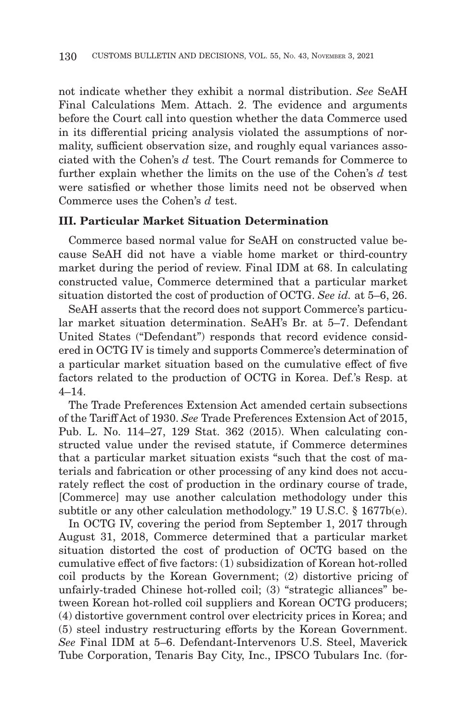not indicate whether they exhibit a normal distribution. *See* SeAH Final Calculations Mem. Attach. 2. The evidence and arguments before the Court call into question whether the data Commerce used in its differential pricing analysis violated the assumptions of normality, sufficient observation size, and roughly equal variances associated with the Cohen's *d* test. The Court remands for Commerce to further explain whether the limits on the use of the Cohen's *d* test were satisfied or whether those limits need not be observed when Commerce uses the Cohen's *d* test.

# **III. Particular Market Situation Determination**

Commerce based normal value for SeAH on constructed value because SeAH did not have a viable home market or third-country market during the period of review. Final IDM at 68. In calculating constructed value, Commerce determined that a particular market situation distorted the cost of production of OCTG. *See id.* at 5–6, 26.

SeAH asserts that the record does not support Commerce's particular market situation determination. SeAH's Br. at 5–7. Defendant United States ("Defendant") responds that record evidence considered in OCTG IV is timely and supports Commerce's determination of a particular market situation based on the cumulative effect of five factors related to the production of OCTG in Korea. Def.'s Resp. at  $4 - 14$ 

The Trade Preferences Extension Act amended certain subsections of the Tariff Act of 1930. *See* Trade Preferences Extension Act of 2015, Pub. L. No. 114–27, 129 Stat. 362 (2015). When calculating constructed value under the revised statute, if Commerce determines that a particular market situation exists "such that the cost of materials and fabrication or other processing of any kind does not accurately reflect the cost of production in the ordinary course of trade, [Commerce] may use another calculation methodology under this subtitle or any other calculation methodology." 19 U.S.C. § 1677b(e).

In OCTG IV, covering the period from September 1, 2017 through August 31, 2018, Commerce determined that a particular market situation distorted the cost of production of OCTG based on the cumulative effect of five factors: (1) subsidization of Korean hot-rolled coil products by the Korean Government; (2) distortive pricing of unfairly-traded Chinese hot-rolled coil; (3) "strategic alliances" between Korean hot-rolled coil suppliers and Korean OCTG producers; (4) distortive government control over electricity prices in Korea; and (5) steel industry restructuring efforts by the Korean Government. *See* Final IDM at 5–6. Defendant-Intervenors U.S. Steel, Maverick Tube Corporation, Tenaris Bay City, Inc., IPSCO Tubulars Inc. (for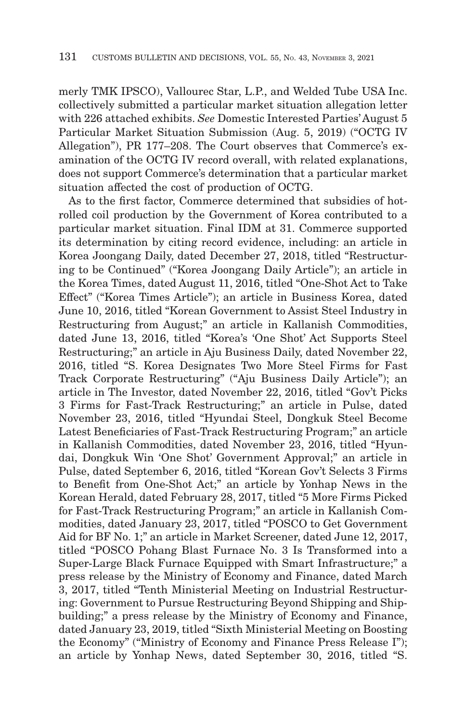merly TMK IPSCO), Vallourec Star, L.P., and Welded Tube USA Inc. collectively submitted a particular market situation allegation letter with 226 attached exhibits. *See* Domestic Interested Parties' August 5 Particular Market Situation Submission (Aug. 5, 2019) ("OCTG IV Allegation"), PR 177–208. The Court observes that Commerce's examination of the OCTG IV record overall, with related explanations, does not support Commerce's determination that a particular market situation affected the cost of production of OCTG.

As to the first factor, Commerce determined that subsidies of hotrolled coil production by the Government of Korea contributed to a particular market situation. Final IDM at 31. Commerce supported its determination by citing record evidence, including: an article in Korea Joongang Daily, dated December 27, 2018, titled "Restructuring to be Continued" ("Korea Joongang Daily Article"); an article in the Korea Times, dated August 11, 2016, titled "One-Shot Act to Take Effect" ("Korea Times Article"); an article in Business Korea, dated June 10, 2016, titled "Korean Government to Assist Steel Industry in Restructuring from August;" an article in Kallanish Commodities, dated June 13, 2016, titled "Korea's 'One Shot' Act Supports Steel Restructuring;" an article in Aju Business Daily, dated November 22, 2016, titled "S. Korea Designates Two More Steel Firms for Fast Track Corporate Restructuring" ("Aju Business Daily Article"); an article in The Investor, dated November 22, 2016, titled "Gov't Picks 3 Firms for Fast-Track Restructuring;" an article in Pulse, dated November 23, 2016, titled "Hyundai Steel, Dongkuk Steel Become Latest Beneficiaries of Fast-Track Restructuring Program;" an article in Kallanish Commodities, dated November 23, 2016, titled "Hyundai, Dongkuk Win 'One Shot' Government Approval;" an article in Pulse, dated September 6, 2016, titled "Korean Gov't Selects 3 Firms to Benefit from One-Shot Act;" an article by Yonhap News in the Korean Herald, dated February 28, 2017, titled "5 More Firms Picked for Fast-Track Restructuring Program;" an article in Kallanish Commodities, dated January 23, 2017, titled "POSCO to Get Government Aid for BF No. 1;" an article in Market Screener, dated June 12, 2017, titled "POSCO Pohang Blast Furnace No. 3 Is Transformed into a Super-Large Black Furnace Equipped with Smart Infrastructure;" a press release by the Ministry of Economy and Finance, dated March 3, 2017, titled "Tenth Ministerial Meeting on Industrial Restructuring: Government to Pursue Restructuring Beyond Shipping and Shipbuilding;" a press release by the Ministry of Economy and Finance, dated January 23, 2019, titled "Sixth Ministerial Meeting on Boosting the Economy" ("Ministry of Economy and Finance Press Release I"); an article by Yonhap News, dated September 30, 2016, titled "S.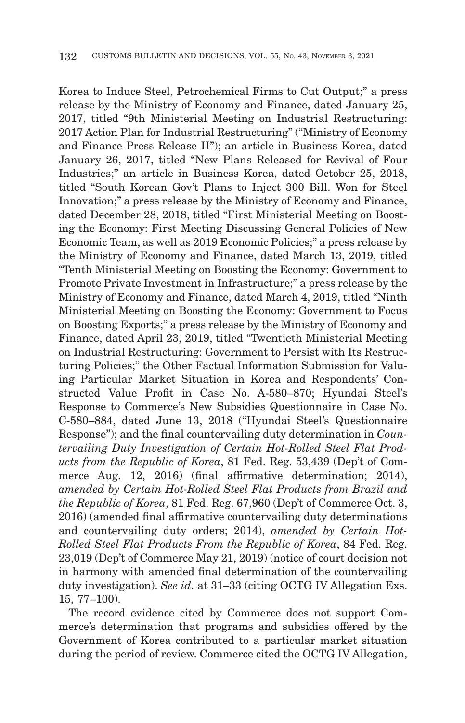Korea to Induce Steel, Petrochemical Firms to Cut Output;" a press release by the Ministry of Economy and Finance, dated January 25, 2017, titled "9th Ministerial Meeting on Industrial Restructuring: 2017 Action Plan for Industrial Restructuring" ("Ministry of Economy and Finance Press Release II"); an article in Business Korea, dated January 26, 2017, titled "New Plans Released for Revival of Four Industries;" an article in Business Korea, dated October 25, 2018, titled "South Korean Gov't Plans to Inject 300 Bill. Won for Steel Innovation;" a press release by the Ministry of Economy and Finance, dated December 28, 2018, titled "First Ministerial Meeting on Boosting the Economy: First Meeting Discussing General Policies of New Economic Team, as well as 2019 Economic Policies;" a press release by the Ministry of Economy and Finance, dated March 13, 2019, titled "Tenth Ministerial Meeting on Boosting the Economy: Government to Promote Private Investment in Infrastructure;" a press release by the Ministry of Economy and Finance, dated March 4, 2019, titled "Ninth Ministerial Meeting on Boosting the Economy: Government to Focus on Boosting Exports;" a press release by the Ministry of Economy and Finance, dated April 23, 2019, titled "Twentieth Ministerial Meeting on Industrial Restructuring: Government to Persist with Its Restructuring Policies;" the Other Factual Information Submission for Valuing Particular Market Situation in Korea and Respondents' Constructed Value Profit in Case No. A-580–870; Hyundai Steel's Response to Commerce's New Subsidies Questionnaire in Case No. C-580–884, dated June 13, 2018 ("Hyundai Steel's Questionnaire Response"); and the final countervailing duty determination in *Countervailing Duty Investigation of Certain Hot-Rolled Steel Flat Products from the Republic of Korea*, 81 Fed. Reg. 53,439 (Dep't of Commerce Aug. 12, 2016) (final affirmative determination; 2014), *amended by Certain Hot-Rolled Steel Flat Products from Brazil and the Republic of Korea*, 81 Fed. Reg. 67,960 (Dep't of Commerce Oct. 3, 2016) (amended final affirmative countervailing duty determinations and countervailing duty orders; 2014), *amended by Certain Hot-Rolled Steel Flat Products From the Republic of Korea*, 84 Fed. Reg. 23,019 (Dep't of Commerce May 21, 2019) (notice of court decision not in harmony with amended final determination of the countervailing duty investigation). *See id.* at 31–33 (citing OCTG IV Allegation Exs. 15, 77–100).

The record evidence cited by Commerce does not support Commerce's determination that programs and subsidies offered by the Government of Korea contributed to a particular market situation during the period of review. Commerce cited the OCTG IV Allegation,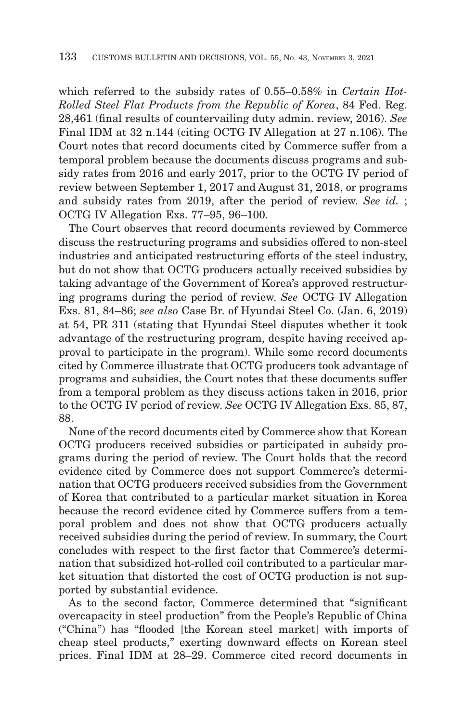which referred to the subsidy rates of 0.55–0.58% in *Certain Hot-Rolled Steel Flat Products from the Republic of Korea*, 84 Fed. Reg. 28,461 (final results of countervailing duty admin. review, 2016). *See* Final IDM at 32 n.144 (citing OCTG IV Allegation at 27 n.106). The Court notes that record documents cited by Commerce suffer from a temporal problem because the documents discuss programs and subsidy rates from 2016 and early 2017, prior to the OCTG IV period of review between September 1, 2017 and August 31, 2018, or programs and subsidy rates from 2019, after the period of review. *See id.* ; OCTG IV Allegation Exs. 77–95, 96–100.

The Court observes that record documents reviewed by Commerce discuss the restructuring programs and subsidies offered to non-steel industries and anticipated restructuring efforts of the steel industry, but do not show that OCTG producers actually received subsidies by taking advantage of the Government of Korea's approved restructuring programs during the period of review. *See* OCTG IV Allegation Exs. 81, 84–86; *see also* Case Br. of Hyundai Steel Co. (Jan. 6, 2019) at 54, PR 311 (stating that Hyundai Steel disputes whether it took advantage of the restructuring program, despite having received approval to participate in the program). While some record documents cited by Commerce illustrate that OCTG producers took advantage of programs and subsidies, the Court notes that these documents suffer from a temporal problem as they discuss actions taken in 2016, prior to the OCTG IV period of review. *See* OCTG IV Allegation Exs. 85, 87, 88.

None of the record documents cited by Commerce show that Korean OCTG producers received subsidies or participated in subsidy programs during the period of review. The Court holds that the record evidence cited by Commerce does not support Commerce's determination that OCTG producers received subsidies from the Government of Korea that contributed to a particular market situation in Korea because the record evidence cited by Commerce suffers from a temporal problem and does not show that OCTG producers actually received subsidies during the period of review. In summary, the Court concludes with respect to the first factor that Commerce's determination that subsidized hot-rolled coil contributed to a particular market situation that distorted the cost of OCTG production is not supported by substantial evidence.

As to the second factor, Commerce determined that "significant overcapacity in steel production" from the People's Republic of China ("China") has "flooded [the Korean steel market] with imports of cheap steel products," exerting downward effects on Korean steel prices. Final IDM at 28–29. Commerce cited record documents in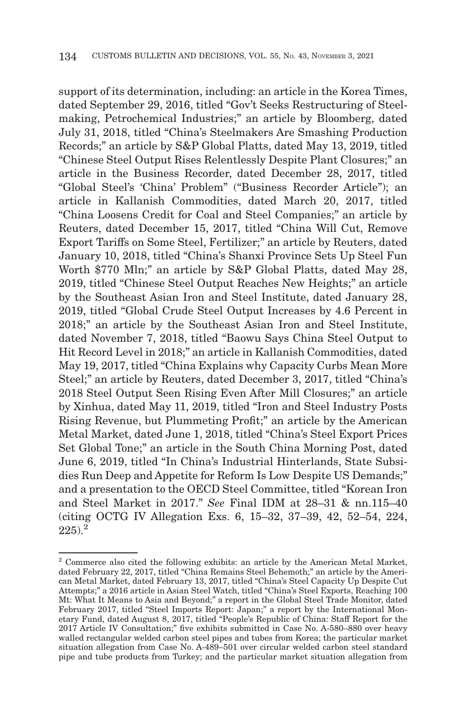support of its determination, including: an article in the Korea Times, dated September 29, 2016, titled "Gov't Seeks Restructuring of Steelmaking, Petrochemical Industries;" an article by Bloomberg, dated July 31, 2018, titled "China's Steelmakers Are Smashing Production Records;" an article by S&P Global Platts, dated May 13, 2019, titled "Chinese Steel Output Rises Relentlessly Despite Plant Closures;" an article in the Business Recorder, dated December 28, 2017, titled "Global Steel's 'China' Problem" ("Business Recorder Article"); an article in Kallanish Commodities, dated March 20, 2017, titled "China Loosens Credit for Coal and Steel Companies;" an article by Reuters, dated December 15, 2017, titled "China Will Cut, Remove Export Tariffs on Some Steel, Fertilizer;" an article by Reuters, dated January 10, 2018, titled "China's Shanxi Province Sets Up Steel Fun Worth \$770 Mln;" an article by S&P Global Platts, dated May 28, 2019, titled "Chinese Steel Output Reaches New Heights;" an article by the Southeast Asian Iron and Steel Institute, dated January 28, 2019, titled "Global Crude Steel Output Increases by 4.6 Percent in 2018;" an article by the Southeast Asian Iron and Steel Institute, dated November 7, 2018, titled "Baowu Says China Steel Output to Hit Record Level in 2018;" an article in Kallanish Commodities, dated May 19, 2017, titled "China Explains why Capacity Curbs Mean More Steel;" an article by Reuters, dated December 3, 2017, titled "China's 2018 Steel Output Seen Rising Even After Mill Closures;" an article by Xinhua, dated May 11, 2019, titled "Iron and Steel Industry Posts Rising Revenue, but Plummeting Profit;" an article by the American Metal Market, dated June 1, 2018, titled "China's Steel Export Prices Set Global Tone;" an article in the South China Morning Post, dated June 6, 2019, titled "In China's Industrial Hinterlands, State Subsidies Run Deep and Appetite for Reform Is Low Despite US Demands;" and a presentation to the OECD Steel Committee, titled "Korean Iron and Steel Market in 2017." *See* Final IDM at 28–31 & nn.115–40 (citing OCTG IV Allegation Exs. 6, 15–32, 37–39, 42, 52–54, 224,  $225$ ).<sup>2</sup>

<sup>2</sup> Commerce also cited the following exhibits: an article by the American Metal Market, dated February 22, 2017, titled "China Remains Steel Behemoth;" an article by the American Metal Market, dated February 13, 2017, titled "China's Steel Capacity Up Despite Cut Attempts;" a 2016 article in Asian Steel Watch, titled "China's Steel Exports, Reaching 100 Mt: What It Means to Asia and Beyond;" a report in the Global Steel Trade Monitor, dated February 2017, titled "Steel Imports Report: Japan;" a report by the International Monetary Fund, dated August 8, 2017, titled "People's Republic of China: Staff Report for the 2017 Article IV Consultation;" five exhibits submitted in Case No. A-580–880 over heavy walled rectangular welded carbon steel pipes and tubes from Korea; the particular market situation allegation from Case No. A-489–501 over circular welded carbon steel standard pipe and tube products from Turkey; and the particular market situation allegation from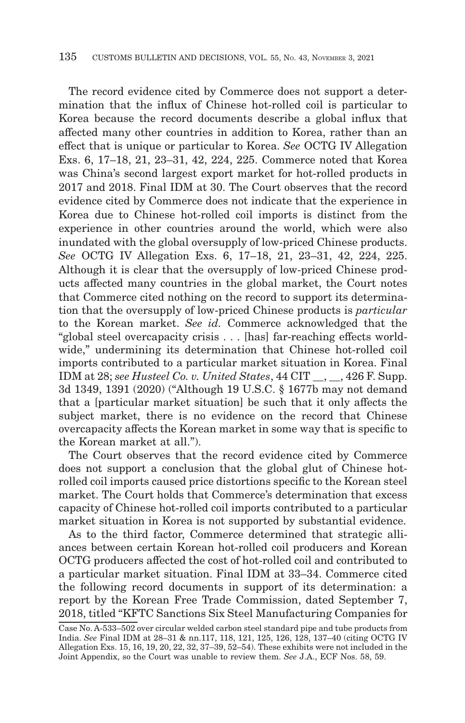The record evidence cited by Commerce does not support a determination that the influx of Chinese hot-rolled coil is particular to Korea because the record documents describe a global influx that affected many other countries in addition to Korea, rather than an effect that is unique or particular to Korea. *See* OCTG IV Allegation Exs. 6, 17–18, 21, 23–31, 42, 224, 225. Commerce noted that Korea was China's second largest export market for hot-rolled products in 2017 and 2018. Final IDM at 30. The Court observes that the record evidence cited by Commerce does not indicate that the experience in Korea due to Chinese hot-rolled coil imports is distinct from the experience in other countries around the world, which were also inundated with the global oversupply of low-priced Chinese products. *See* OCTG IV Allegation Exs. 6, 17–18, 21, 23–31, 42, 224, 225. Although it is clear that the oversupply of low-priced Chinese products affected many countries in the global market, the Court notes that Commerce cited nothing on the record to support its determination that the oversupply of low-priced Chinese products is *particular* to the Korean market. *See id.* Commerce acknowledged that the "global steel overcapacity crisis . . . [has] far-reaching effects worldwide," undermining its determination that Chinese hot-rolled coil imports contributed to a particular market situation in Korea. Final IDM at 28; *see Husteel Co. v. United States*, 44 CIT \_\_, \_\_, 426 F. Supp. 3d 1349, 1391 (2020) ("Although 19 U.S.C. § 1677b may not demand that a [particular market situation] be such that it only affects the subject market, there is no evidence on the record that Chinese overcapacity affects the Korean market in some way that is specific to the Korean market at all.").

The Court observes that the record evidence cited by Commerce does not support a conclusion that the global glut of Chinese hotrolled coil imports caused price distortions specific to the Korean steel market. The Court holds that Commerce's determination that excess capacity of Chinese hot-rolled coil imports contributed to a particular market situation in Korea is not supported by substantial evidence.

As to the third factor, Commerce determined that strategic alliances between certain Korean hot-rolled coil producers and Korean OCTG producers affected the cost of hot-rolled coil and contributed to a particular market situation. Final IDM at 33–34. Commerce cited the following record documents in support of its determination: a report by the Korean Free Trade Commission, dated September 7, 2018, titled "KFTC Sanctions Six Steel Manufacturing Companies for

Case No. A-533–502 over circular welded carbon steel standard pipe and tube products from India. *See* Final IDM at 28–31 & nn.117, 118, 121, 125, 126, 128, 137–40 (citing OCTG IV Allegation Exs. 15, 16, 19, 20, 22, 32, 37–39, 52–54). These exhibits were not included in the Joint Appendix, so the Court was unable to review them. *See* J.A., ECF Nos. 58, 59.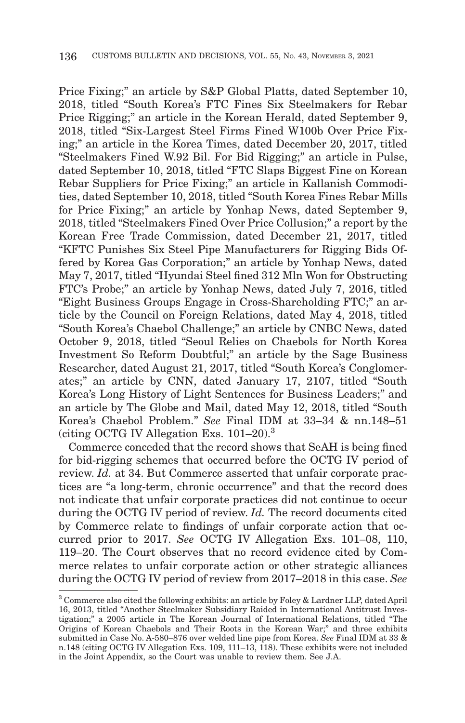Price Fixing;" an article by S&P Global Platts, dated September 10, 2018, titled "South Korea's FTC Fines Six Steelmakers for Rebar Price Rigging;" an article in the Korean Herald, dated September 9, 2018, titled "Six-Largest Steel Firms Fined W100b Over Price Fixing;" an article in the Korea Times, dated December 20, 2017, titled "Steelmakers Fined W.92 Bil. For Bid Rigging;" an article in Pulse, dated September 10, 2018, titled "FTC Slaps Biggest Fine on Korean Rebar Suppliers for Price Fixing;" an article in Kallanish Commodities, dated September 10, 2018, titled "South Korea Fines Rebar Mills for Price Fixing;" an article by Yonhap News, dated September 9, 2018, titled "Steelmakers Fined Over Price Collusion;" a report by the Korean Free Trade Commission, dated December 21, 2017, titled "KFTC Punishes Six Steel Pipe Manufacturers for Rigging Bids Offered by Korea Gas Corporation;" an article by Yonhap News, dated May 7, 2017, titled "Hyundai Steel fined 312 Mln Won for Obstructing FTC's Probe;" an article by Yonhap News, dated July 7, 2016, titled "Eight Business Groups Engage in Cross-Shareholding FTC;" an article by the Council on Foreign Relations, dated May 4, 2018, titled "South Korea's Chaebol Challenge;" an article by CNBC News, dated October 9, 2018, titled "Seoul Relies on Chaebols for North Korea Investment So Reform Doubtful;" an article by the Sage Business Researcher, dated August 21, 2017, titled "South Korea's Conglomerates;" an article by CNN, dated January 17, 2107, titled "South Korea's Long History of Light Sentences for Business Leaders;" and an article by The Globe and Mail, dated May 12, 2018, titled "South Korea's Chaebol Problem." *See* Final IDM at 33–34 & nn.148–51 (citing OCTG IV Allegation Exs. 101–20).3

Commerce conceded that the record shows that SeAH is being fined for bid-rigging schemes that occurred before the OCTG IV period of review. *Id.* at 34. But Commerce asserted that unfair corporate practices are "a long-term, chronic occurrence" and that the record does not indicate that unfair corporate practices did not continue to occur during the OCTG IV period of review. *Id.* The record documents cited by Commerce relate to findings of unfair corporate action that occurred prior to 2017. *See* OCTG IV Allegation Exs. 101–08, 110, 119–20. The Court observes that no record evidence cited by Commerce relates to unfair corporate action or other strategic alliances during the OCTG IV period of review from 2017–2018 in this case. *See*

<sup>3</sup> Commerce also cited the following exhibits: an article by Foley & Lardner LLP, dated April 16, 2013, titled "Another Steelmaker Subsidiary Raided in International Antitrust Investigation;" a 2005 article in The Korean Journal of International Relations, titled "The Origins of Korean Chaebols and Their Roots in the Korean War;" and three exhibits submitted in Case No. A-580–876 over welded line pipe from Korea. *See* Final IDM at 33 & n.148 (citing OCTG IV Allegation Exs. 109, 111–13, 118). These exhibits were not included in the Joint Appendix, so the Court was unable to review them. See J.A.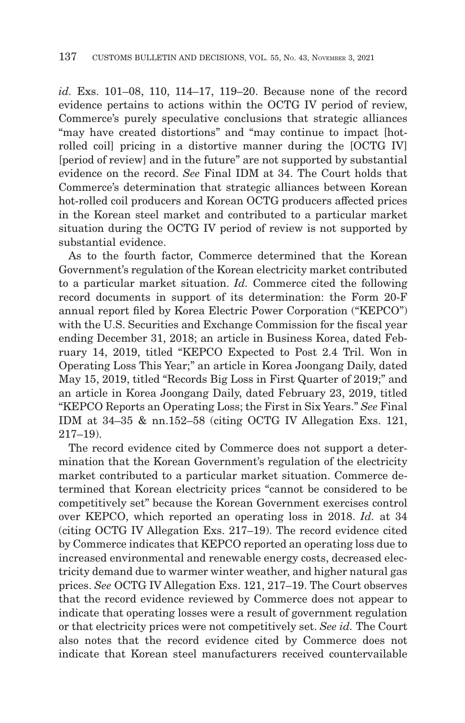*id.* Exs. 101–08, 110, 114–17, 119–20. Because none of the record evidence pertains to actions within the OCTG IV period of review, Commerce's purely speculative conclusions that strategic alliances "may have created distortions" and "may continue to impact [hotrolled coil] pricing in a distortive manner during the [OCTG IV] [period of review] and in the future" are not supported by substantial evidence on the record. *See* Final IDM at 34. The Court holds that Commerce's determination that strategic alliances between Korean hot-rolled coil producers and Korean OCTG producers affected prices in the Korean steel market and contributed to a particular market situation during the OCTG IV period of review is not supported by substantial evidence.

As to the fourth factor, Commerce determined that the Korean Government's regulation of the Korean electricity market contributed to a particular market situation. *Id.* Commerce cited the following record documents in support of its determination: the Form 20-F annual report filed by Korea Electric Power Corporation ("KEPCO") with the U.S. Securities and Exchange Commission for the fiscal year ending December 31, 2018; an article in Business Korea, dated February 14, 2019, titled "KEPCO Expected to Post 2.4 Tril. Won in Operating Loss This Year;" an article in Korea Joongang Daily, dated May 15, 2019, titled "Records Big Loss in First Quarter of 2019;" and an article in Korea Joongang Daily, dated February 23, 2019, titled "KEPCO Reports an Operating Loss; the First in Six Years." *See* Final IDM at 34–35 & nn.152–58 (citing OCTG IV Allegation Exs. 121, 217–19).

The record evidence cited by Commerce does not support a determination that the Korean Government's regulation of the electricity market contributed to a particular market situation. Commerce determined that Korean electricity prices "cannot be considered to be competitively set" because the Korean Government exercises control over KEPCO, which reported an operating loss in 2018. *Id.* at 34 (citing OCTG IV Allegation Exs. 217–19). The record evidence cited by Commerce indicates that KEPCO reported an operating loss due to increased environmental and renewable energy costs, decreased electricity demand due to warmer winter weather, and higher natural gas prices. *See* OCTG IV Allegation Exs. 121, 217–19. The Court observes that the record evidence reviewed by Commerce does not appear to indicate that operating losses were a result of government regulation or that electricity prices were not competitively set. *See id.* The Court also notes that the record evidence cited by Commerce does not indicate that Korean steel manufacturers received countervailable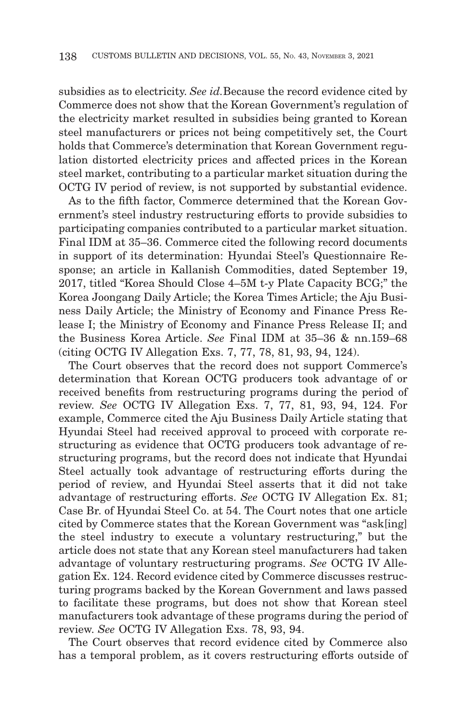subsidies as to electricity. *See id.*Because the record evidence cited by Commerce does not show that the Korean Government's regulation of the electricity market resulted in subsidies being granted to Korean steel manufacturers or prices not being competitively set, the Court holds that Commerce's determination that Korean Government regulation distorted electricity prices and affected prices in the Korean steel market, contributing to a particular market situation during the OCTG IV period of review, is not supported by substantial evidence.

As to the fifth factor, Commerce determined that the Korean Government's steel industry restructuring efforts to provide subsidies to participating companies contributed to a particular market situation. Final IDM at 35–36. Commerce cited the following record documents in support of its determination: Hyundai Steel's Questionnaire Response; an article in Kallanish Commodities, dated September 19, 2017, titled "Korea Should Close 4–5M t-y Plate Capacity BCG;" the Korea Joongang Daily Article; the Korea Times Article; the Aju Business Daily Article; the Ministry of Economy and Finance Press Release I; the Ministry of Economy and Finance Press Release II; and the Business Korea Article. *See* Final IDM at 35–36 & nn.159–68 (citing OCTG IV Allegation Exs. 7, 77, 78, 81, 93, 94, 124).

The Court observes that the record does not support Commerce's determination that Korean OCTG producers took advantage of or received benefits from restructuring programs during the period of review. *See* OCTG IV Allegation Exs. 7, 77, 81, 93, 94, 124. For example, Commerce cited the Aju Business Daily Article stating that Hyundai Steel had received approval to proceed with corporate restructuring as evidence that OCTG producers took advantage of restructuring programs, but the record does not indicate that Hyundai Steel actually took advantage of restructuring efforts during the period of review, and Hyundai Steel asserts that it did not take advantage of restructuring efforts. *See* OCTG IV Allegation Ex. 81; Case Br. of Hyundai Steel Co. at 54. The Court notes that one article cited by Commerce states that the Korean Government was "ask[ing] the steel industry to execute a voluntary restructuring," but the article does not state that any Korean steel manufacturers had taken advantage of voluntary restructuring programs. *See* OCTG IV Allegation Ex. 124. Record evidence cited by Commerce discusses restructuring programs backed by the Korean Government and laws passed to facilitate these programs, but does not show that Korean steel manufacturers took advantage of these programs during the period of review. *See* OCTG IV Allegation Exs. 78, 93, 94.

The Court observes that record evidence cited by Commerce also has a temporal problem, as it covers restructuring efforts outside of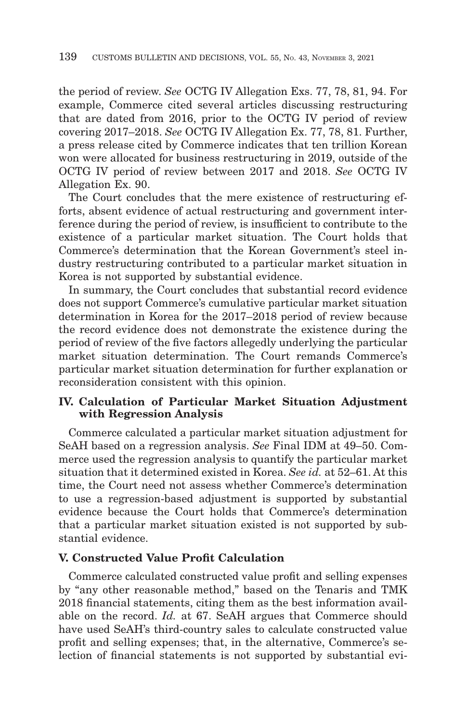the period of review. *See* OCTG IV Allegation Exs. 77, 78, 81, 94. For example, Commerce cited several articles discussing restructuring that are dated from 2016, prior to the OCTG IV period of review covering 2017–2018. *See* OCTG IV Allegation Ex. 77, 78, 81. Further, a press release cited by Commerce indicates that ten trillion Korean won were allocated for business restructuring in 2019, outside of the OCTG IV period of review between 2017 and 2018. *See* OCTG IV Allegation Ex. 90.

The Court concludes that the mere existence of restructuring efforts, absent evidence of actual restructuring and government interference during the period of review, is insufficient to contribute to the existence of a particular market situation. The Court holds that Commerce's determination that the Korean Government's steel industry restructuring contributed to a particular market situation in Korea is not supported by substantial evidence.

In summary, the Court concludes that substantial record evidence does not support Commerce's cumulative particular market situation determination in Korea for the 2017–2018 period of review because the record evidence does not demonstrate the existence during the period of review of the five factors allegedly underlying the particular market situation determination. The Court remands Commerce's particular market situation determination for further explanation or reconsideration consistent with this opinion.

# **IV. Calculation of Particular Market Situation Adjustment with Regression Analysis**

Commerce calculated a particular market situation adjustment for SeAH based on a regression analysis. *See* Final IDM at 49–50. Commerce used the regression analysis to quantify the particular market situation that it determined existed in Korea. *See id.* at 52–61. At this time, the Court need not assess whether Commerce's determination to use a regression-based adjustment is supported by substantial evidence because the Court holds that Commerce's determination that a particular market situation existed is not supported by substantial evidence.

#### **V. Constructed Value Profit Calculation**

Commerce calculated constructed value profit and selling expenses by "any other reasonable method," based on the Tenaris and TMK 2018 financial statements, citing them as the best information available on the record. *Id.* at 67. SeAH argues that Commerce should have used SeAH's third-country sales to calculate constructed value profit and selling expenses; that, in the alternative, Commerce's selection of financial statements is not supported by substantial evi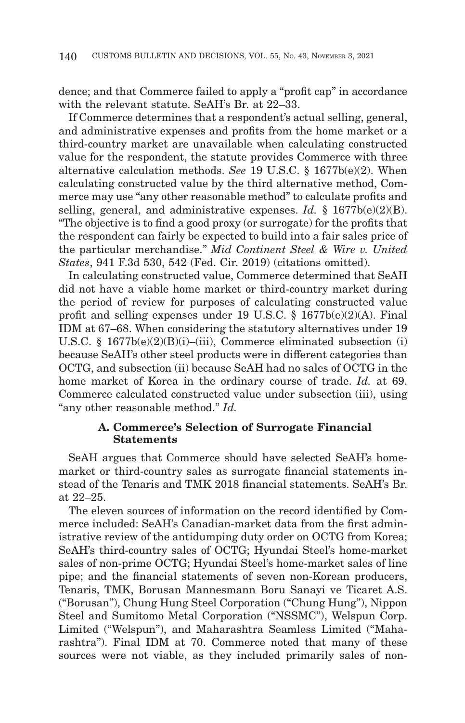dence; and that Commerce failed to apply a "profit cap" in accordance with the relevant statute. SeAH's Br. at 22–33.

If Commerce determines that a respondent's actual selling, general, and administrative expenses and profits from the home market or a third-country market are unavailable when calculating constructed value for the respondent, the statute provides Commerce with three alternative calculation methods. *See* 19 U.S.C. § 1677b(e)(2). When calculating constructed value by the third alternative method, Commerce may use "any other reasonable method" to calculate profits and selling, general, and administrative expenses. *Id.* § 1677b(e)(2)(B). "The objective is to find a good proxy (or surrogate) for the profits that the respondent can fairly be expected to build into a fair sales price of the particular merchandise." *Mid Continent Steel & Wire v. United States*, 941 F.3d 530, 542 (Fed. Cir. 2019) (citations omitted).

In calculating constructed value, Commerce determined that SeAH did not have a viable home market or third-country market during the period of review for purposes of calculating constructed value profit and selling expenses under 19 U.S.C. § 1677b(e)(2)(A). Final IDM at 67–68. When considering the statutory alternatives under 19 U.S.C. § 1677b(e)(2)(B)(i)–(iii), Commerce eliminated subsection (i) because SeAH's other steel products were in different categories than OCTG, and subsection (ii) because SeAH had no sales of OCTG in the home market of Korea in the ordinary course of trade. *Id.* at 69. Commerce calculated constructed value under subsection (iii), using "any other reasonable method." *Id.*

### **A. Commerce's Selection of Surrogate Financial Statements**

SeAH argues that Commerce should have selected SeAH's homemarket or third-country sales as surrogate financial statements instead of the Tenaris and TMK 2018 financial statements. SeAH's Br. at 22–25.

The eleven sources of information on the record identified by Commerce included: SeAH's Canadian-market data from the first administrative review of the antidumping duty order on OCTG from Korea; SeAH's third-country sales of OCTG; Hyundai Steel's home-market sales of non-prime OCTG; Hyundai Steel's home-market sales of line pipe; and the financial statements of seven non-Korean producers, Tenaris, TMK, Borusan Mannesmann Boru Sanayi ve Ticaret A.S. ("Borusan"), Chung Hung Steel Corporation ("Chung Hung"), Nippon Steel and Sumitomo Metal Corporation ("NSSMC"), Welspun Corp. Limited ("Welspun"), and Maharashtra Seamless Limited ("Maharashtra"). Final IDM at 70. Commerce noted that many of these sources were not viable, as they included primarily sales of non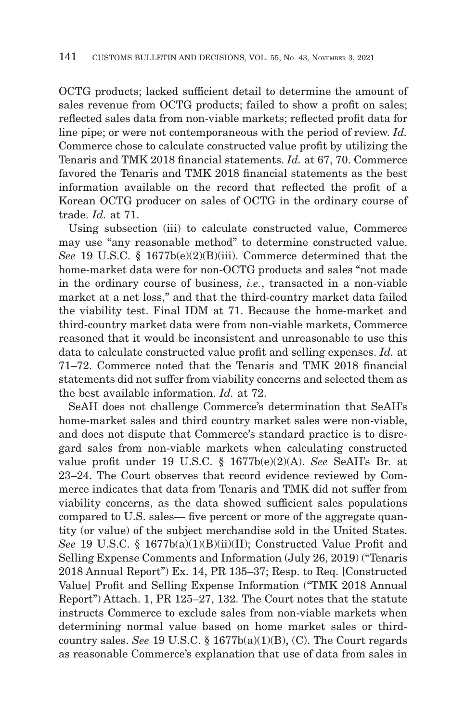OCTG products; lacked sufficient detail to determine the amount of sales revenue from OCTG products; failed to show a profit on sales; reflected sales data from non-viable markets; reflected profit data for line pipe; or were not contemporaneous with the period of review. *Id.* Commerce chose to calculate constructed value profit by utilizing the Tenaris and TMK 2018 financial statements. *Id.* at 67, 70. Commerce favored the Tenaris and TMK 2018 financial statements as the best information available on the record that reflected the profit of a Korean OCTG producer on sales of OCTG in the ordinary course of trade. *Id.* at 71.

Using subsection (iii) to calculate constructed value, Commerce may use "any reasonable method" to determine constructed value. *See* 19 U.S.C. § 1677b(e)(2)(B)(iii). Commerce determined that the home-market data were for non-OCTG products and sales "not made in the ordinary course of business, *i.e.*, transacted in a non-viable market at a net loss," and that the third-country market data failed the viability test. Final IDM at 71. Because the home-market and third-country market data were from non-viable markets, Commerce reasoned that it would be inconsistent and unreasonable to use this data to calculate constructed value profit and selling expenses. *Id.* at 71–72. Commerce noted that the Tenaris and TMK 2018 financial statements did not suffer from viability concerns and selected them as the best available information. *Id.* at 72.

SeAH does not challenge Commerce's determination that SeAH's home-market sales and third country market sales were non-viable, and does not dispute that Commerce's standard practice is to disregard sales from non-viable markets when calculating constructed value profit under 19 U.S.C. § 1677b(e)(2)(A). *See* SeAH's Br. at 23–24. The Court observes that record evidence reviewed by Commerce indicates that data from Tenaris and TMK did not suffer from viability concerns, as the data showed sufficient sales populations compared to U.S. sales— five percent or more of the aggregate quantity (or value) of the subject merchandise sold in the United States. *See* 19 U.S.C. § 1677b(a)(1)(B)(ii)(II); Constructed Value Profit and Selling Expense Comments and Information (July 26, 2019) ("Tenaris 2018 Annual Report") Ex. 14, PR 135–37; Resp. to Req. [Constructed Value] Profit and Selling Expense Information ("TMK 2018 Annual Report") Attach. 1, PR 125–27, 132. The Court notes that the statute instructs Commerce to exclude sales from non-viable markets when determining normal value based on home market sales or thirdcountry sales. *See* 19 U.S.C. § 1677b(a)(1)(B), (C). The Court regards as reasonable Commerce's explanation that use of data from sales in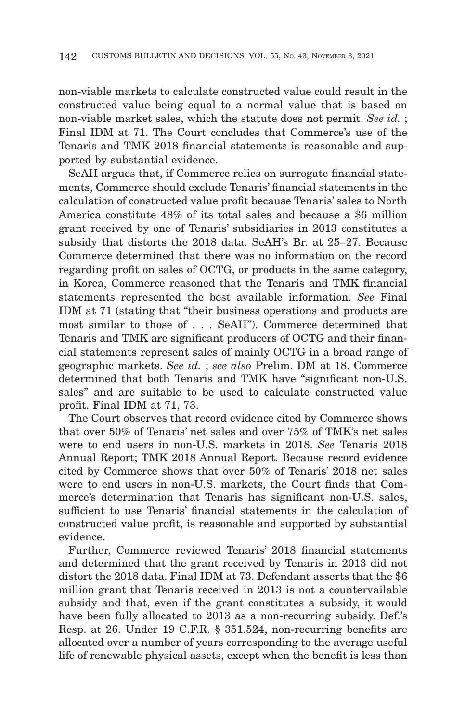non-viable markets to calculate constructed value could result in the constructed value being equal to a normal value that is based on non-viable market sales, which the statute does not permit. *See id.* ; Final IDM at 71. The Court concludes that Commerce's use of the Tenaris and TMK 2018 financial statements is reasonable and supported by substantial evidence.

SeAH argues that, if Commerce relies on surrogate financial statements, Commerce should exclude Tenaris' financial statements in the calculation of constructed value profit because Tenaris' sales to North America constitute 48% of its total sales and because a \$6 million grant received by one of Tenaris' subsidiaries in 2013 constitutes a subsidy that distorts the 2018 data. SeAH's Br. at 25–27. Because Commerce determined that there was no information on the record regarding profit on sales of OCTG, or products in the same category, in Korea, Commerce reasoned that the Tenaris and TMK financial statements represented the best available information. *See* Final IDM at 71 (stating that "their business operations and products are most similar to those of . . . SeAH"). Commerce determined that Tenaris and TMK are significant producers of OCTG and their financial statements represent sales of mainly OCTG in a broad range of geographic markets. *See id.* ; *see also* Prelim. DM at 18. Commerce determined that both Tenaris and TMK have "significant non-U.S. sales" and are suitable to be used to calculate constructed value profit. Final IDM at 71, 73.

The Court observes that record evidence cited by Commerce shows that over 50% of Tenaris' net sales and over 75% of TMK's net sales were to end users in non-U.S. markets in 2018. *See* Tenaris 2018 Annual Report; TMK 2018 Annual Report. Because record evidence cited by Commerce shows that over 50% of Tenaris' 2018 net sales were to end users in non-U.S. markets, the Court finds that Commerce's determination that Tenaris has significant non-U.S. sales, sufficient to use Tenaris' financial statements in the calculation of constructed value profit, is reasonable and supported by substantial evidence.

Further, Commerce reviewed Tenaris' 2018 financial statements and determined that the grant received by Tenaris in 2013 did not distort the 2018 data. Final IDM at 73. Defendant asserts that the \$6 million grant that Tenaris received in 2013 is not a countervailable subsidy and that, even if the grant constitutes a subsidy, it would have been fully allocated to 2013 as a non-recurring subsidy. Def.'s Resp. at 26. Under 19 C.F.R. § 351.524, non-recurring benefits are allocated over a number of years corresponding to the average useful life of renewable physical assets, except when the benefit is less than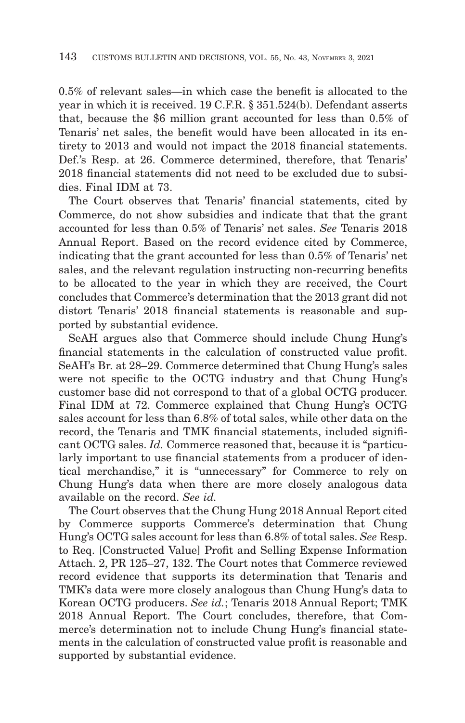0.5% of relevant sales—in which case the benefit is allocated to the year in which it is received. 19 C.F.R. § 351.524(b). Defendant asserts that, because the \$6 million grant accounted for less than 0.5% of Tenaris' net sales, the benefit would have been allocated in its entirety to 2013 and would not impact the 2018 financial statements. Def.'s Resp. at 26. Commerce determined, therefore, that Tenaris' 2018 financial statements did not need to be excluded due to subsidies. Final IDM at 73.

The Court observes that Tenaris' financial statements, cited by Commerce, do not show subsidies and indicate that that the grant accounted for less than 0.5% of Tenaris' net sales. *See* Tenaris 2018 Annual Report. Based on the record evidence cited by Commerce, indicating that the grant accounted for less than 0.5% of Tenaris' net sales, and the relevant regulation instructing non-recurring benefits to be allocated to the year in which they are received, the Court concludes that Commerce's determination that the 2013 grant did not distort Tenaris' 2018 financial statements is reasonable and supported by substantial evidence.

SeAH argues also that Commerce should include Chung Hung's financial statements in the calculation of constructed value profit. SeAH's Br. at 28–29. Commerce determined that Chung Hung's sales were not specific to the OCTG industry and that Chung Hung's customer base did not correspond to that of a global OCTG producer. Final IDM at 72. Commerce explained that Chung Hung's OCTG sales account for less than 6.8% of total sales, while other data on the record, the Tenaris and TMK financial statements, included significant OCTG sales. *Id.* Commerce reasoned that, because it is "particularly important to use financial statements from a producer of identical merchandise," it is "unnecessary" for Commerce to rely on Chung Hung's data when there are more closely analogous data available on the record. *See id.*

The Court observes that the Chung Hung 2018 Annual Report cited by Commerce supports Commerce's determination that Chung Hung's OCTG sales account for less than 6.8% of total sales. *See* Resp. to Req. [Constructed Value] Profit and Selling Expense Information Attach. 2, PR 125–27, 132. The Court notes that Commerce reviewed record evidence that supports its determination that Tenaris and TMK's data were more closely analogous than Chung Hung's data to Korean OCTG producers. *See id.*; Tenaris 2018 Annual Report; TMK 2018 Annual Report. The Court concludes, therefore, that Commerce's determination not to include Chung Hung's financial statements in the calculation of constructed value profit is reasonable and supported by substantial evidence.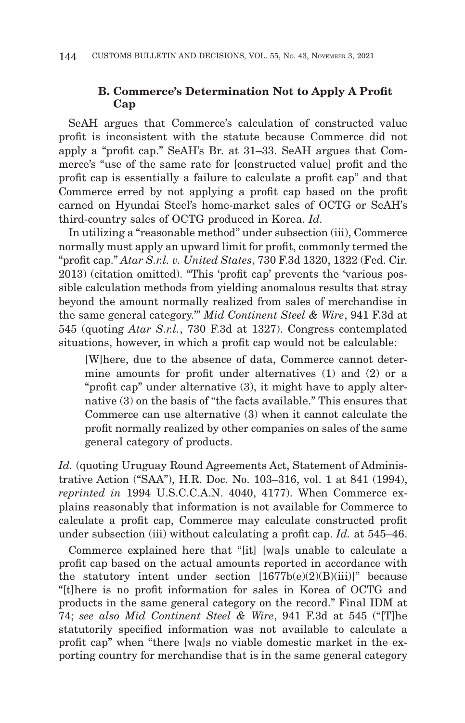# **B. Commerce's Determination Not to Apply A Profit Cap**

SeAH argues that Commerce's calculation of constructed value profit is inconsistent with the statute because Commerce did not apply a "profit cap." SeAH's Br. at 31–33. SeAH argues that Commerce's "use of the same rate for [constructed value] profit and the profit cap is essentially a failure to calculate a profit cap" and that Commerce erred by not applying a profit cap based on the profit earned on Hyundai Steel's home-market sales of OCTG or SeAH's third-country sales of OCTG produced in Korea. *Id.*

In utilizing a "reasonable method" under subsection (iii), Commerce normally must apply an upward limit for profit, commonly termed the "profit cap." *Atar S.r.l. v. United States*, 730 F.3d 1320, 1322 (Fed. Cir. 2013) (citation omitted). "This 'profit cap' prevents the 'various possible calculation methods from yielding anomalous results that stray beyond the amount normally realized from sales of merchandise in the same general category.'" *Mid Continent Steel & Wire*, 941 F.3d at 545 (quoting *Atar S.r.l.*, 730 F.3d at 1327). Congress contemplated situations, however, in which a profit cap would not be calculable:

[W]here, due to the absence of data, Commerce cannot determine amounts for profit under alternatives (1) and (2) or a "profit cap" under alternative (3), it might have to apply alternative (3) on the basis of "the facts available." This ensures that Commerce can use alternative (3) when it cannot calculate the profit normally realized by other companies on sales of the same general category of products.

Id. *(quoting Uruguay Round Agreements Act, Statement of Adminis*trative Action ("SAA"), H.R. Doc. No. 103–316, vol. 1 at 841 (1994), *reprinted in* 1994 U.S.C.C.A.N. 4040, 4177). When Commerce explains reasonably that information is not available for Commerce to calculate a profit cap, Commerce may calculate constructed profit under subsection (iii) without calculating a profit cap. *Id.* at 545–46.

Commerce explained here that "[it] [wa]s unable to calculate a profit cap based on the actual amounts reported in accordance with the statutory intent under section  $[1677b(e)(2)(B)(iii)]$ " because "[t]here is no profit information for sales in Korea of OCTG and products in the same general category on the record." Final IDM at 74; *see also Mid Continent Steel & Wire*, 941 F.3d at 545 ("[T]he statutorily specified information was not available to calculate a profit cap" when "there [wa]s no viable domestic market in the exporting country for merchandise that is in the same general category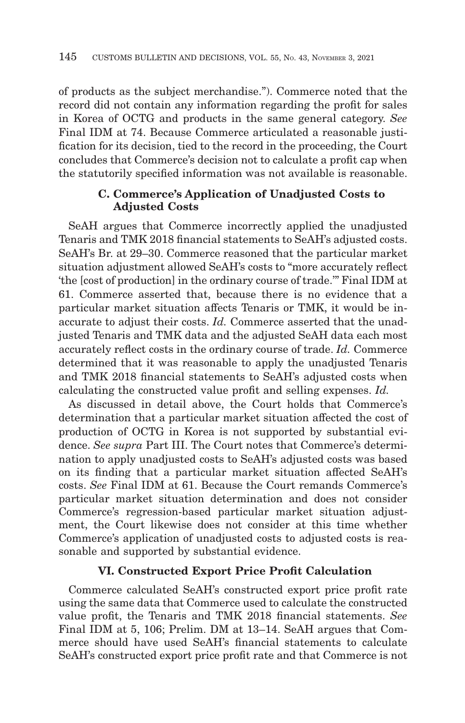of products as the subject merchandise."). Commerce noted that the record did not contain any information regarding the profit for sales in Korea of OCTG and products in the same general category. *See* Final IDM at 74. Because Commerce articulated a reasonable justification for its decision, tied to the record in the proceeding, the Court concludes that Commerce's decision not to calculate a profit cap when the statutorily specified information was not available is reasonable.

# **C. Commerce's Application of Unadjusted Costs to Adjusted Costs**

SeAH argues that Commerce incorrectly applied the unadjusted Tenaris and TMK 2018 financial statements to SeAH's adjusted costs. SeAH's Br. at 29–30. Commerce reasoned that the particular market situation adjustment allowed SeAH's costs to "more accurately reflect 'the [cost of production] in the ordinary course of trade.'" Final IDM at 61. Commerce asserted that, because there is no evidence that a particular market situation affects Tenaris or TMK, it would be inaccurate to adjust their costs. *Id.* Commerce asserted that the unadjusted Tenaris and TMK data and the adjusted SeAH data each most accurately reflect costs in the ordinary course of trade. *Id.* Commerce determined that it was reasonable to apply the unadjusted Tenaris and TMK 2018 financial statements to SeAH's adjusted costs when calculating the constructed value profit and selling expenses. *Id.*

As discussed in detail above, the Court holds that Commerce's determination that a particular market situation affected the cost of production of OCTG in Korea is not supported by substantial evidence. *See supra* Part III. The Court notes that Commerce's determination to apply unadjusted costs to SeAH's adjusted costs was based on its finding that a particular market situation affected SeAH's costs. *See* Final IDM at 61. Because the Court remands Commerce's particular market situation determination and does not consider Commerce's regression-based particular market situation adjustment, the Court likewise does not consider at this time whether Commerce's application of unadjusted costs to adjusted costs is reasonable and supported by substantial evidence.

### **VI. Constructed Export Price Profit Calculation**

Commerce calculated SeAH's constructed export price profit rate using the same data that Commerce used to calculate the constructed value profit, the Tenaris and TMK 2018 financial statements. *See* Final IDM at 5, 106; Prelim. DM at 13–14. SeAH argues that Commerce should have used SeAH's financial statements to calculate SeAH's constructed export price profit rate and that Commerce is not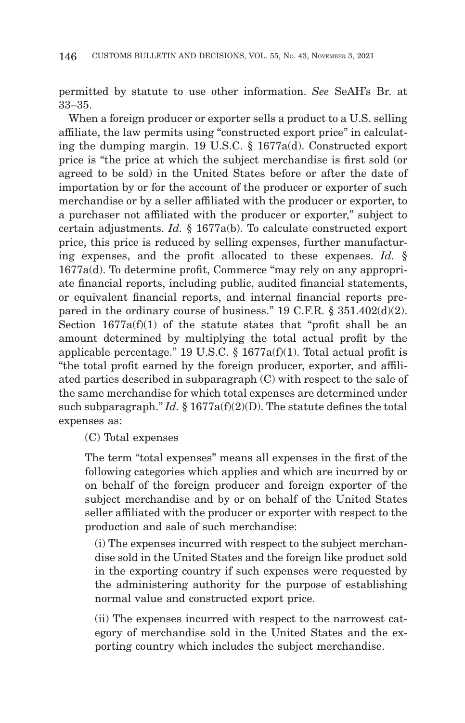permitted by statute to use other information. *See* SeAH's Br. at 33–35.

When a foreign producer or exporter sells a product to a U.S. selling affiliate, the law permits using "constructed export price" in calculating the dumping margin. 19 U.S.C. § 1677a(d). Constructed export price is "the price at which the subject merchandise is first sold (or agreed to be sold) in the United States before or after the date of importation by or for the account of the producer or exporter of such merchandise or by a seller affiliated with the producer or exporter, to a purchaser not affiliated with the producer or exporter," subject to certain adjustments. *Id.* § 1677a(b). To calculate constructed export price, this price is reduced by selling expenses, further manufacturing expenses, and the profit allocated to these expenses. *Id.* § 1677a(d). To determine profit, Commerce "may rely on any appropriate financial reports, including public, audited financial statements, or equivalent financial reports, and internal financial reports prepared in the ordinary course of business." 19 C.F.R. § 351.402(d)(2). Section  $1677a(f)(1)$  of the statute states that "profit shall be an amount determined by multiplying the total actual profit by the applicable percentage." 19 U.S.C.  $\S$  1677a(f)(1). Total actual profit is "the total profit earned by the foreign producer, exporter, and affiliated parties described in subparagraph (C) with respect to the sale of the same merchandise for which total expenses are determined under such subparagraph." *Id.* § 1677a(f)(2)(D). The statute defines the total expenses as:

(C) Total expenses

The term "total expenses" means all expenses in the first of the following categories which applies and which are incurred by or on behalf of the foreign producer and foreign exporter of the subject merchandise and by or on behalf of the United States seller affiliated with the producer or exporter with respect to the production and sale of such merchandise:

(i) The expenses incurred with respect to the subject merchandise sold in the United States and the foreign like product sold in the exporting country if such expenses were requested by the administering authority for the purpose of establishing normal value and constructed export price.

(ii) The expenses incurred with respect to the narrowest category of merchandise sold in the United States and the exporting country which includes the subject merchandise.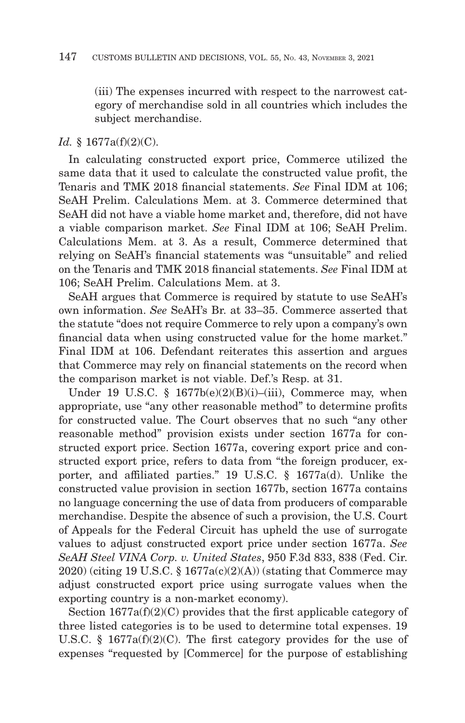(iii) The expenses incurred with respect to the narrowest category of merchandise sold in all countries which includes the subject merchandise.

#### *Id.* § 1677a(f)(2)(C).

In calculating constructed export price, Commerce utilized the same data that it used to calculate the constructed value profit, the Tenaris and TMK 2018 financial statements. *See* Final IDM at 106; SeAH Prelim. Calculations Mem. at 3. Commerce determined that SeAH did not have a viable home market and, therefore, did not have a viable comparison market. *See* Final IDM at 106; SeAH Prelim. Calculations Mem. at 3. As a result, Commerce determined that relying on SeAH's financial statements was "unsuitable" and relied on the Tenaris and TMK 2018 financial statements. *See* Final IDM at 106; SeAH Prelim. Calculations Mem. at 3.

SeAH argues that Commerce is required by statute to use SeAH's own information. *See* SeAH's Br. at 33–35. Commerce asserted that the statute "does not require Commerce to rely upon a company's own financial data when using constructed value for the home market." Final IDM at 106. Defendant reiterates this assertion and argues that Commerce may rely on financial statements on the record when the comparison market is not viable. Def.'s Resp. at 31.

Under 19 U.S.C. §  $1677b(e)(2)(B)(i)$ –(iii), Commerce may, when appropriate, use "any other reasonable method" to determine profits for constructed value. The Court observes that no such "any other reasonable method" provision exists under section 1677a for constructed export price. Section 1677a, covering export price and constructed export price, refers to data from "the foreign producer, exporter, and affiliated parties." 19 U.S.C. § 1677a(d). Unlike the constructed value provision in section 1677b, section 1677a contains no language concerning the use of data from producers of comparable merchandise. Despite the absence of such a provision, the U.S. Court of Appeals for the Federal Circuit has upheld the use of surrogate values to adjust constructed export price under section 1677a. *See SeAH Steel VINA Corp. v. United States*, 950 F.3d 833, 838 (Fed. Cir. 2020) (citing 19 U.S.C. § 1677a(c)(2)(A)) (stating that Commerce may adjust constructed export price using surrogate values when the exporting country is a non-market economy).

Section  $1677a(f)(2)(C)$  provides that the first applicable category of three listed categories is to be used to determine total expenses. 19 U.S.C. § 1677a(f)(2)(C). The first category provides for the use of expenses "requested by [Commerce] for the purpose of establishing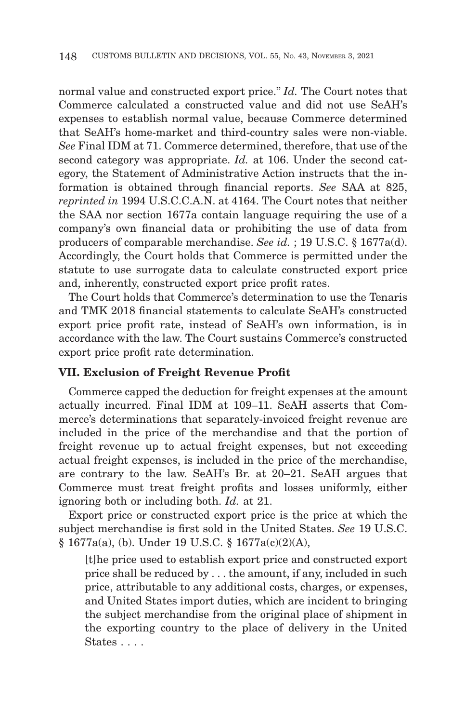normal value and constructed export price." *Id.* The Court notes that Commerce calculated a constructed value and did not use SeAH's expenses to establish normal value, because Commerce determined that SeAH's home-market and third-country sales were non-viable. *See* Final IDM at 71. Commerce determined, therefore, that use of the second category was appropriate. *Id.* at 106. Under the second category, the Statement of Administrative Action instructs that the information is obtained through financial reports. *See* SAA at 825, *reprinted in* 1994 U.S.C.C.A.N. at 4164. The Court notes that neither the SAA nor section 1677a contain language requiring the use of a company's own financial data or prohibiting the use of data from producers of comparable merchandise. *See id.* ; 19 U.S.C. § 1677a(d). Accordingly, the Court holds that Commerce is permitted under the statute to use surrogate data to calculate constructed export price and, inherently, constructed export price profit rates.

The Court holds that Commerce's determination to use the Tenaris and TMK 2018 financial statements to calculate SeAH's constructed export price profit rate, instead of SeAH's own information, is in accordance with the law. The Court sustains Commerce's constructed export price profit rate determination.

#### **VII. Exclusion of Freight Revenue Profit**

Commerce capped the deduction for freight expenses at the amount actually incurred. Final IDM at 109–11. SeAH asserts that Commerce's determinations that separately-invoiced freight revenue are included in the price of the merchandise and that the portion of freight revenue up to actual freight expenses, but not exceeding actual freight expenses, is included in the price of the merchandise, are contrary to the law. SeAH's Br. at 20–21. SeAH argues that Commerce must treat freight profits and losses uniformly, either ignoring both or including both. *Id.* at 21.

Export price or constructed export price is the price at which the subject merchandise is first sold in the United States. *See* 19 U.S.C. § 1677a(a), (b). Under 19 U.S.C. § 1677a(c)(2)(A),

[t]he price used to establish export price and constructed export price shall be reduced by . . . the amount, if any, included in such price, attributable to any additional costs, charges, or expenses, and United States import duties, which are incident to bringing the subject merchandise from the original place of shipment in the exporting country to the place of delivery in the United States . . . .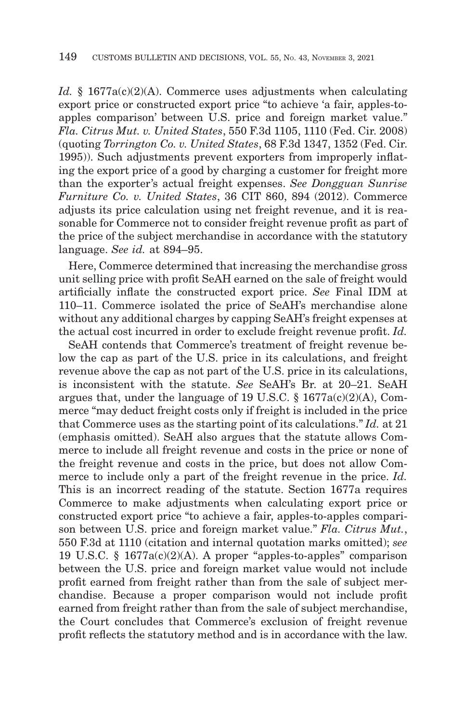*Id.* § 1677a(c)(2)(A). Commerce uses adjustments when calculating export price or constructed export price "to achieve 'a fair, apples-toapples comparison' between U.S. price and foreign market value." *Fla. Citrus Mut. v. United States*, 550 F.3d 1105, 1110 (Fed. Cir. 2008) (quoting *Torrington Co. v. United States*, 68 F.3d 1347, 1352 (Fed. Cir. 1995)). Such adjustments prevent exporters from improperly inflating the export price of a good by charging a customer for freight more than the exporter's actual freight expenses. *See Dongguan Sunrise Furniture Co. v. United States*, 36 CIT 860, 894 (2012). Commerce adjusts its price calculation using net freight revenue, and it is reasonable for Commerce not to consider freight revenue profit as part of the price of the subject merchandise in accordance with the statutory language. *See id.* at 894–95.

Here, Commerce determined that increasing the merchandise gross unit selling price with profit SeAH earned on the sale of freight would artificially inflate the constructed export price. *See* Final IDM at 110–11. Commerce isolated the price of SeAH's merchandise alone without any additional charges by capping SeAH's freight expenses at the actual cost incurred in order to exclude freight revenue profit. *Id.*

SeAH contends that Commerce's treatment of freight revenue below the cap as part of the U.S. price in its calculations, and freight revenue above the cap as not part of the U.S. price in its calculations, is inconsistent with the statute. *See* SeAH's Br. at 20–21. SeAH argues that, under the language of 19 U.S.C.  $\S$  1677a(c)(2)(A), Commerce "may deduct freight costs only if freight is included in the price that Commerce uses as the starting point of its calculations." *Id.* at 21 (emphasis omitted). SeAH also argues that the statute allows Commerce to include all freight revenue and costs in the price or none of the freight revenue and costs in the price, but does not allow Commerce to include only a part of the freight revenue in the price. *Id.* This is an incorrect reading of the statute. Section 1677a requires Commerce to make adjustments when calculating export price or constructed export price "to achieve a fair, apples-to-apples comparison between U.S. price and foreign market value." *Fla. Citrus Mut.*, 550 F.3d at 1110 (citation and internal quotation marks omitted); *see* 19 U.S.C. § 1677a(c)(2)(A). A proper "apples-to-apples" comparison between the U.S. price and foreign market value would not include profit earned from freight rather than from the sale of subject merchandise. Because a proper comparison would not include profit earned from freight rather than from the sale of subject merchandise, the Court concludes that Commerce's exclusion of freight revenue profit reflects the statutory method and is in accordance with the law.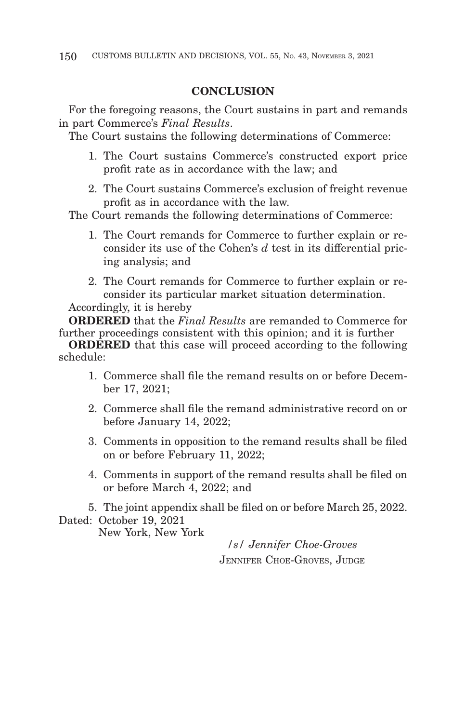### **CONCLUSION**

For the foregoing reasons, the Court sustains in part and remands in part Commerce's *Final Results*.

The Court sustains the following determinations of Commerce:

- 1. The Court sustains Commerce's constructed export price profit rate as in accordance with the law; and
- 2. The Court sustains Commerce's exclusion of freight revenue profit as in accordance with the law.

The Court remands the following determinations of Commerce:

- 1. The Court remands for Commerce to further explain or reconsider its use of the Cohen's *d* test in its differential pricing analysis; and
- 2. The Court remands for Commerce to further explain or reconsider its particular market situation determination.

Accordingly, it is hereby

**ORDERED** that the *Final Results* are remanded to Commerce for further proceedings consistent with this opinion; and it is further

**ORDERED** that this case will proceed according to the following schedule:

- 1. Commerce shall file the remand results on or before December 17, 2021;
- 2. Commerce shall file the remand administrative record on or before January 14, 2022;
- 3. Comments in opposition to the remand results shall be filed on or before February 11, 2022;
- 4. Comments in support of the remand results shall be filed on or before March 4, 2022; and

5. The joint appendix shall be filed on or before March 25, 2022. Dated: October 19, 2021

New York, New York

*/s/ Jennifer Choe-Groves* JENNIFER CHOE-GROVES, JUDGE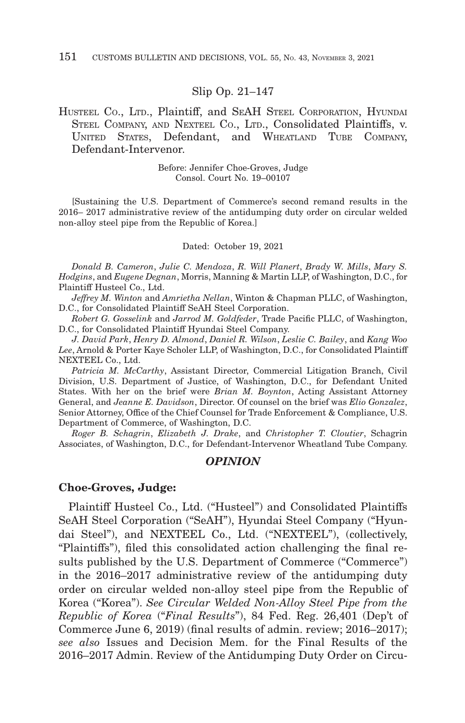#### Slip Op. 21–147

#### HUSTEEL CO., LTD., Plaintiff, and SEAH STEEL CORPORATION, HYUNDAI STEEL COMPANY, AND NEXTEEL CO., LTD., Consolidated Plaintiffs, v. UNITED STATES, Defendant, and WHEATLAND TUBE COMPANY, Defendant-Intervenor.

Before: Jennifer Choe-Groves, Judge Consol. Court No. 19–00107

[Sustaining the U.S. Department of Commerce's second remand results in the 2016– 2017 administrative review of the antidumping duty order on circular welded non-alloy steel pipe from the Republic of Korea.]

#### Dated: October 19, 2021

*Donald B. Cameron*, *Julie C. Mendoza*, *R. Will Planert*, *Brady W. Mills*, *Mary S. Hodgins*, and *Eugene Degnan*, Morris, Manning & Martin LLP, of Washington, D.C., for Plaintiff Husteel Co., Ltd.

*Jeffrey M. Winton* and *Amrietha Nellan*, Winton & Chapman PLLC, of Washington, D.C., for Consolidated Plaintiff SeAH Steel Corporation.

*Robert G. Gosselink* and *Jarrod M. Goldfeder*, Trade Pacific PLLC, of Washington, D.C., for Consolidated Plaintiff Hyundai Steel Company.

*J. David Park*, *Henry D. Almond*, *Daniel R. Wilson*, *Leslie C. Bailey*, and *Kang Woo Lee*, Arnold & Porter Kaye Scholer LLP, of Washington, D.C., for Consolidated Plaintiff NEXTEEL Co., Ltd.

*Patricia M. McCarthy*, Assistant Director, Commercial Litigation Branch, Civil Division, U.S. Department of Justice, of Washington, D.C., for Defendant United States. With her on the brief were *Brian M. Boynton*, Acting Assistant Attorney General, and *Jeanne E. Davidson*, Director. Of counsel on the brief was *Elio Gonzalez*, Senior Attorney, Office of the Chief Counsel for Trade Enforcement & Compliance, U.S. Department of Commerce, of Washington, D.C.

*Roger B. Schagrin*, *Elizabeth J. Drake*, and *Christopher T. Cloutier*, Schagrin Associates, of Washington, D.C., for Defendant-Intervenor Wheatland Tube Company.

#### *OPINION*

#### **Choe-Groves, Judge:**

Plaintiff Husteel Co., Ltd. ("Husteel") and Consolidated Plaintiffs SeAH Steel Corporation ("SeAH"), Hyundai Steel Company ("Hyundai Steel"), and NEXTEEL Co., Ltd. ("NEXTEEL"), (collectively, "Plaintiffs"), filed this consolidated action challenging the final results published by the U.S. Department of Commerce ("Commerce") in the 2016–2017 administrative review of the antidumping duty order on circular welded non-alloy steel pipe from the Republic of Korea ("Korea"). *See Circular Welded Non-Alloy Steel Pipe from the Republic of Korea* ("*Final Results*"), 84 Fed. Reg. 26,401 (Dep't of Commerce June 6, 2019) (final results of admin. review; 2016–2017); *see also* Issues and Decision Mem. for the Final Results of the 2016–2017 Admin. Review of the Antidumping Duty Order on Circu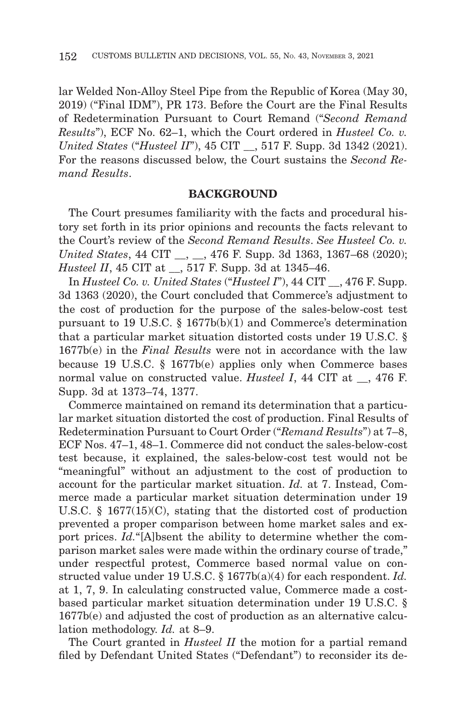lar Welded Non-Alloy Steel Pipe from the Republic of Korea (May 30, 2019) ("Final IDM"), PR 173. Before the Court are the Final Results of Redetermination Pursuant to Court Remand ("*Second Remand Results*"), ECF No. 62–1, which the Court ordered in *Husteel Co. v. United States* ("*Husteel II*"), 45 CIT \_\_, 517 F. Supp. 3d 1342 (2021). For the reasons discussed below, the Court sustains the *Second Remand Results*.

#### **BACKGROUND**

The Court presumes familiarity with the facts and procedural history set forth in its prior opinions and recounts the facts relevant to the Court's review of the *Second Remand Results*. *See Husteel Co. v. United States*, 44 CIT \_\_, \_\_, 476 F. Supp. 3d 1363, 1367–68 (2020); *Husteel II*, 45 CIT at \_\_, 517 F. Supp. 3d at 1345–46.

In *Husteel Co. v. United States* ("*Husteel I*"), 44 CIT \_\_, 476 F. Supp. 3d 1363 (2020), the Court concluded that Commerce's adjustment to the cost of production for the purpose of the sales-below-cost test pursuant to 19 U.S.C. § 1677b(b)(1) and Commerce's determination that a particular market situation distorted costs under 19 U.S.C. § 1677b(e) in the *Final Results* were not in accordance with the law because 19 U.S.C. § 1677b(e) applies only when Commerce bases normal value on constructed value. *Husteel I*, 44 CIT at , 476 F. Supp. 3d at 1373–74, 1377.

Commerce maintained on remand its determination that a particular market situation distorted the cost of production. Final Results of Redetermination Pursuant to Court Order ("*Remand Results*") at 7–8, ECF Nos. 47–1, 48–1. Commerce did not conduct the sales-below-cost test because, it explained, the sales-below-cost test would not be "meaningful" without an adjustment to the cost of production to account for the particular market situation. *Id.* at 7. Instead, Commerce made a particular market situation determination under 19 U.S.C. § 1677(15)(C), stating that the distorted cost of production prevented a proper comparison between home market sales and export prices. *Id.*"[A]bsent the ability to determine whether the comparison market sales were made within the ordinary course of trade," under respectful protest, Commerce based normal value on constructed value under 19 U.S.C. § 1677b(a)(4) for each respondent. *Id.* at 1, 7, 9. In calculating constructed value, Commerce made a costbased particular market situation determination under 19 U.S.C. § 1677b(e) and adjusted the cost of production as an alternative calculation methodology. *Id.* at 8–9.

The Court granted in *Husteel II* the motion for a partial remand filed by Defendant United States ("Defendant") to reconsider its de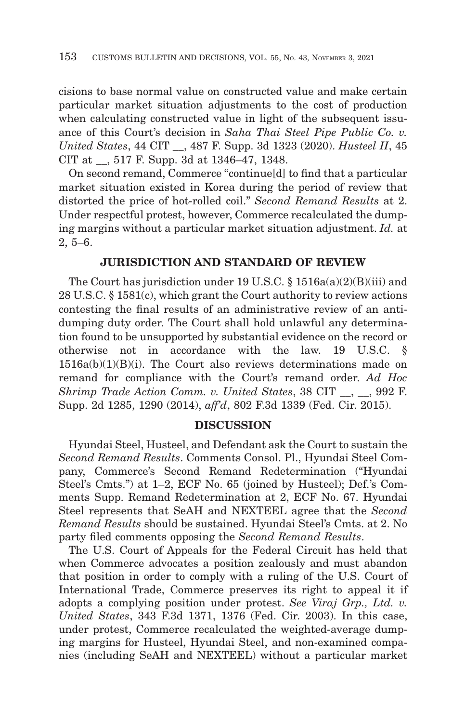cisions to base normal value on constructed value and make certain particular market situation adjustments to the cost of production when calculating constructed value in light of the subsequent issuance of this Court's decision in *Saha Thai Steel Pipe Public Co. v. United States*, 44 CIT \_\_, 487 F. Supp. 3d 1323 (2020). *Husteel II*, 45 CIT at \_\_, 517 F. Supp. 3d at 1346–47, 1348.

On second remand, Commerce "continue[d] to find that a particular market situation existed in Korea during the period of review that distorted the price of hot-rolled coil." *Second Remand Results* at 2. Under respectful protest, however, Commerce recalculated the dumping margins without a particular market situation adjustment. *Id.* at 2, 5–6.

#### **JURISDICTION AND STANDARD OF REVIEW**

The Court has jurisdiction under 19 U.S.C.  $\S$  1516a(a)(2)(B)(iii) and 28 U.S.C. § 1581(c), which grant the Court authority to review actions contesting the final results of an administrative review of an antidumping duty order. The Court shall hold unlawful any determination found to be unsupported by substantial evidence on the record or otherwise not in accordance with the law. 19 U.S.C. §  $1516a(b)(1)(B)(i)$ . The Court also reviews determinations made on remand for compliance with the Court's remand order. *Ad Hoc Shrimp Trade Action Comm. v. United States*, 38 CIT \_\_, \_\_, 992 F. Supp. 2d 1285, 1290 (2014), *aff'd*, 802 F.3d 1339 (Fed. Cir. 2015).

#### **DISCUSSION**

Hyundai Steel, Husteel, and Defendant ask the Court to sustain the *Second Remand Results*. Comments Consol. Pl., Hyundai Steel Company, Commerce's Second Remand Redetermination ("Hyundai Steel's Cmts.") at 1–2, ECF No. 65 (joined by Husteel); Def.'s Comments Supp. Remand Redetermination at 2, ECF No. 67. Hyundai Steel represents that SeAH and NEXTEEL agree that the *Second Remand Results* should be sustained. Hyundai Steel's Cmts. at 2. No party filed comments opposing the *Second Remand Results*.

The U.S. Court of Appeals for the Federal Circuit has held that when Commerce advocates a position zealously and must abandon that position in order to comply with a ruling of the U.S. Court of International Trade, Commerce preserves its right to appeal it if adopts a complying position under protest. *See Viraj Grp., Ltd. v. United States*, 343 F.3d 1371, 1376 (Fed. Cir. 2003). In this case, under protest, Commerce recalculated the weighted-average dumping margins for Husteel, Hyundai Steel, and non-examined companies (including SeAH and NEXTEEL) without a particular market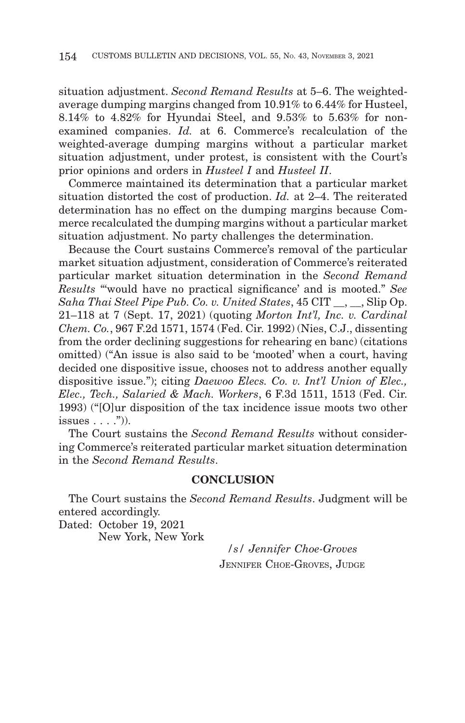situation adjustment. *Second Remand Results* at 5–6. The weightedaverage dumping margins changed from 10.91% to 6.44% for Husteel, 8.14% to 4.82% for Hyundai Steel, and 9.53% to 5.63% for nonexamined companies. *Id.* at 6. Commerce's recalculation of the weighted-average dumping margins without a particular market situation adjustment, under protest, is consistent with the Court's prior opinions and orders in *Husteel I* and *Husteel II*.

Commerce maintained its determination that a particular market situation distorted the cost of production. *Id.* at 2–4. The reiterated determination has no effect on the dumping margins because Commerce recalculated the dumping margins without a particular market situation adjustment. No party challenges the determination.

Because the Court sustains Commerce's removal of the particular market situation adjustment, consideration of Commerce's reiterated particular market situation determination in the *Second Remand Results* "'would have no practical significance' and is mooted." *See Saha Thai Steel Pipe Pub. Co. v. United States*, 45 CIT \_\_, \_\_, Slip Op. 21–118 at 7 (Sept. 17, 2021) (quoting *Morton Int'l, Inc. v. Cardinal Chem. Co.*, 967 F.2d 1571, 1574 (Fed. Cir. 1992) (Nies, C.J., dissenting from the order declining suggestions for rehearing en banc) (citations omitted) ("An issue is also said to be 'mooted' when a court, having decided one dispositive issue, chooses not to address another equally dispositive issue."); citing *Daewoo Elecs. Co. v. Int'l Union of Elec., Elec., Tech., Salaried & Mach. Workers*, 6 F.3d 1511, 1513 (Fed. Cir. 1993) ("[O]ur disposition of the tax incidence issue moots two other issues  $\ldots$ .")).

The Court sustains the *Second Remand Results* without considering Commerce's reiterated particular market situation determination in the *Second Remand Results*.

#### **CONCLUSION**

The Court sustains the *Second Remand Results*. Judgment will be entered accordingly.

Dated: October 19, 2021 New York, New York

*/s/ Jennifer Choe-Groves* JENNIFER CHOE-GROVES, JUDGE